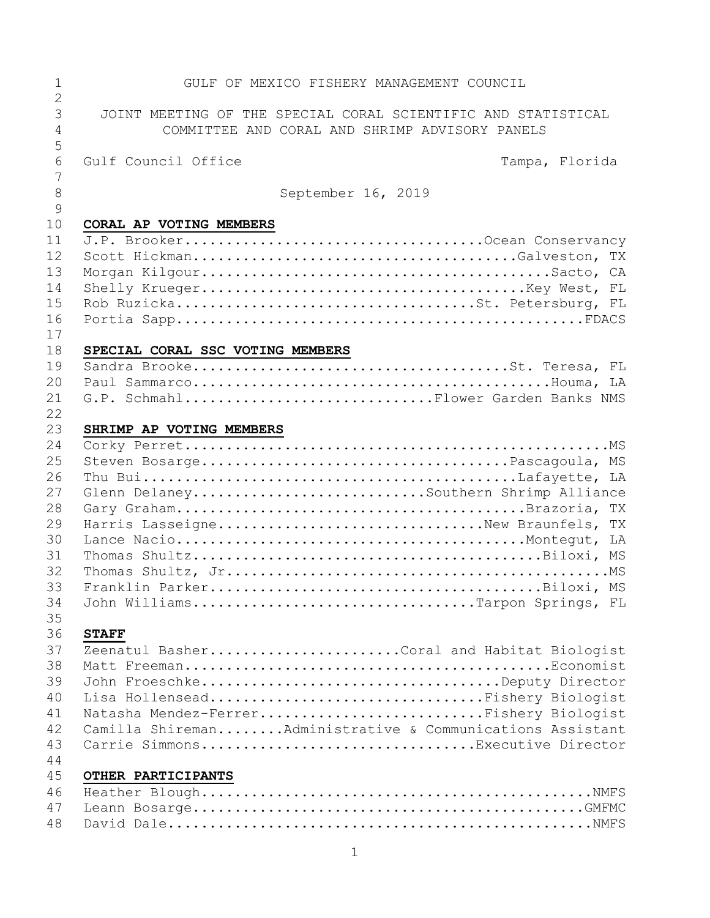| 1<br>$\overline{2}$ | GULF OF MEXICO FISHERY MANAGEMENT COUNCIL                     |
|---------------------|---------------------------------------------------------------|
| 3                   | JOINT MEETING OF THE SPECIAL CORAL SCIENTIFIC AND STATISTICAL |
| $\overline{4}$<br>5 | COMMITTEE AND CORAL AND SHRIMP ADVISORY PANELS                |
| 6                   | Gulf Council Office<br>Tampa, Florida                         |
| 7<br>8              | September 16, 2019                                            |
| $\mathcal{G}$<br>10 | CORAL AP VOTING MEMBERS                                       |
| 11<br>12<br>13      |                                                               |
| 14<br>15            |                                                               |
| 16<br>17            |                                                               |
| 18                  | SPECIAL CORAL SSC VOTING MEMBERS                              |
| 19                  |                                                               |
| 20                  |                                                               |
| 21<br>22            | G.P. SchmahlFlower Garden Banks NMS                           |
| 23                  | SHRIMP AP VOTING MEMBERS                                      |
| 24                  |                                                               |
| 25                  |                                                               |
| 26                  |                                                               |
| 27                  | Glenn DelaneySouthern Shrimp Alliance                         |
| 28                  |                                                               |
| 29                  | Harris LasseigneNew Braunfels, TX                             |
| 30                  |                                                               |
| 31                  |                                                               |
| 32                  |                                                               |
| 33                  |                                                               |
| 34                  | John WilliamsTarpon Springs, FL                               |
| 35                  |                                                               |
| 36                  | <b>STAFF</b>                                                  |
| 37                  | Zeenatul BasherCoral and Habitat Biologist                    |
| 38<br>39            | John FroeschkeDeputy Director                                 |
| 40                  | Lisa HollenseadFishery Biologist                              |
| 41                  | Natasha Mendez-FerrerFishery Biologist                        |
| 42                  | Camilla ShiremanAdministrative & Communications Assistant     |
| 43                  | Carrie SimmonsExecutive Director                              |
| 44                  |                                                               |
| 45                  | OTHER PARTICIPANTS                                            |
| 46                  |                                                               |
| 47                  |                                                               |
| 48                  |                                                               |
|                     |                                                               |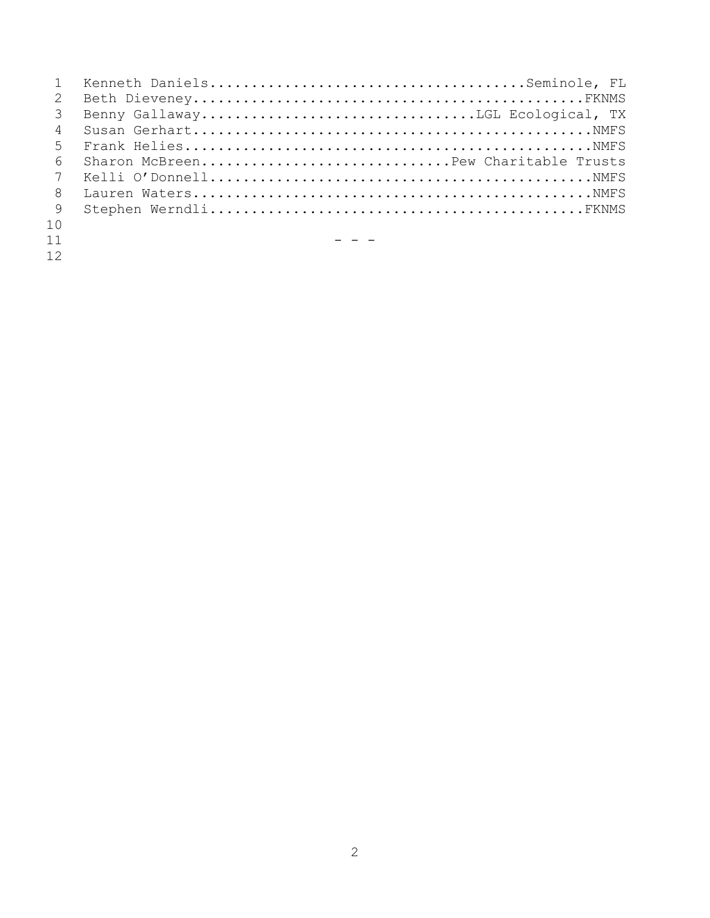| $\mathbf{1}$    |                                     |
|-----------------|-------------------------------------|
| $\overline{2}$  |                                     |
| $\mathcal{B}$   |                                     |
| $\overline{4}$  |                                     |
| 5 <sup>5</sup>  |                                     |
| 6               | Sharon McBreenPew Charitable Trusts |
| $7\overline{ }$ |                                     |
| $\overline{8}$  |                                     |
| 9               |                                     |
| 10              |                                     |

 $-$ 

- 
-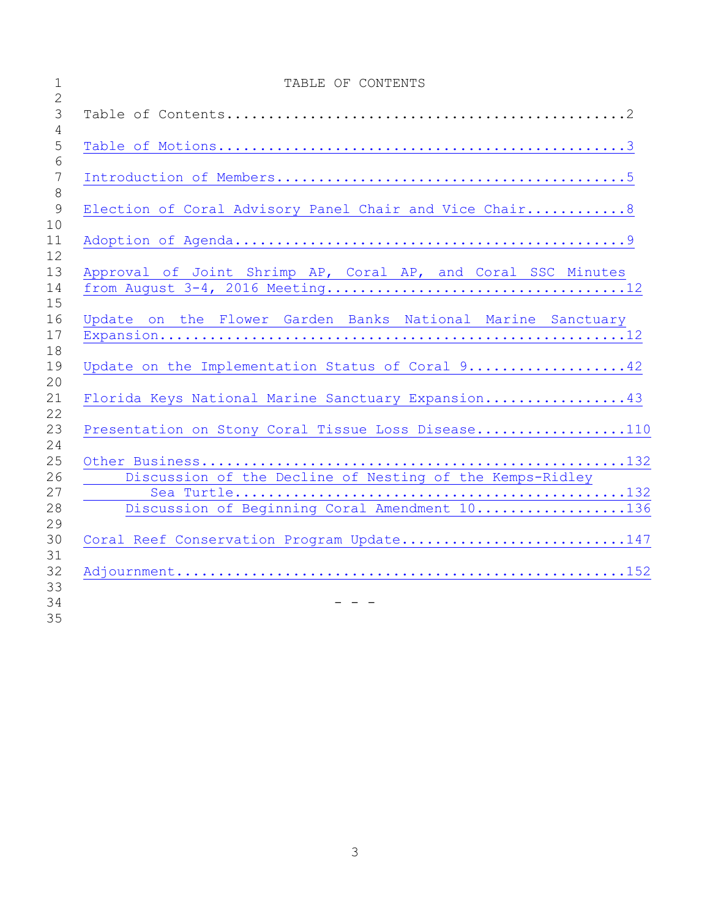| $\mathbf 1$<br>$\overline{2}$   | TABLE OF CONTENTS                                            |
|---------------------------------|--------------------------------------------------------------|
| $\mathcal{S}$<br>$\overline{4}$ |                                                              |
| 5<br>6                          |                                                              |
| $\overline{7}$<br>8             |                                                              |
| 9<br>10                         | Election of Coral Advisory Panel Chair and Vice Chair 8      |
| 11<br>12                        |                                                              |
| 13<br>14<br>15                  | Approval of Joint Shrimp AP, Coral AP, and Coral SSC Minutes |
| 16<br>17<br>18                  | Update on the Flower Garden Banks National Marine Sanctuary  |
| 19<br>20                        | Update on the Implementation Status of Coral 942             |
| 21<br>22                        | Florida Keys National Marine Sanctuary Expansion43           |
| 23<br>24                        | Presentation on Stony Coral Tissue Loss Disease110           |
| 25                              |                                                              |
| 26<br>27                        | Discussion of the Decline of Nesting of the Kemps-Ridley     |
| 28<br>29                        | Discussion of Beginning Coral Amendment 10136                |
| 30<br>31                        | Coral Reef Conservation Program Update147                    |
| 32<br>33<br>34<br>35            |                                                              |
|                                 |                                                              |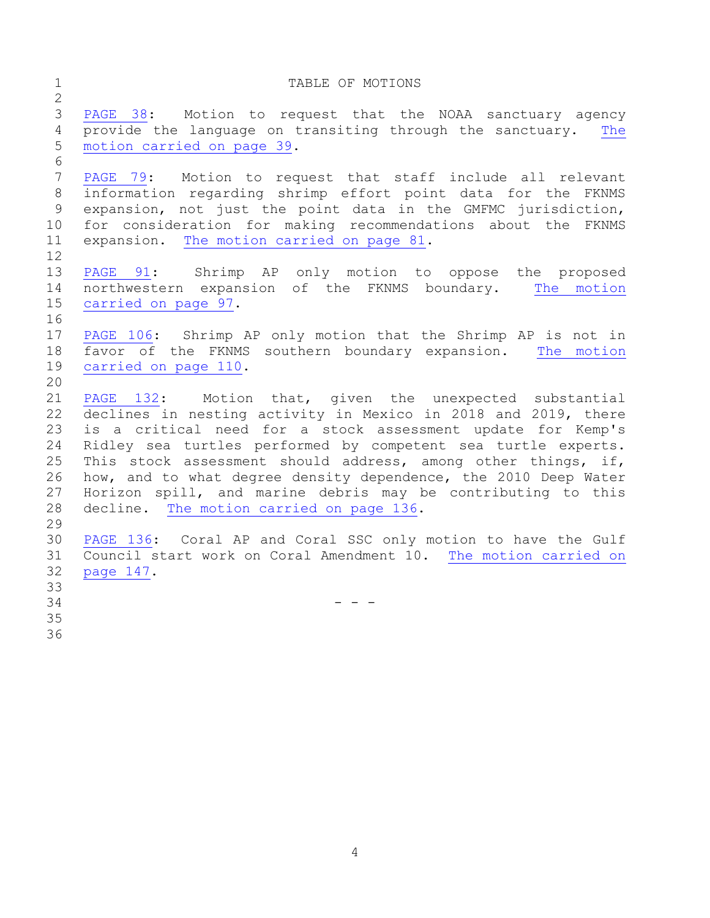## <span id="page-3-0"></span>1 TABLE OF MOTIONS [PAGE 38:](#page-37-0) Motion to request that the NOAA sanctuary agency provide the language on transiting through the sanctuary. [The](#page-38-0)  [motion carried on page 39.](#page-38-0) [PAGE 79:](#page-78-0) Motion to request that staff include all relevant information regarding shrimp effort point data for the FKNMS expansion, not just the point data in the GMFMC jurisdiction, for consideration for making recommendations about the FKNMS expansion. [The motion carried on page 81.](#page-80-0) [PAGE 91:](#page-90-0) Shrimp AP only motion to oppose the proposed northwestern expansion of the FKNMS boundary. [The motion](#page-96-0)  [carried on page 97.](#page-96-0) [PAGE 106:](#page-105-0) Shrimp AP only motion that the Shrimp AP is not in favor of the FKNMS southern boundary expansion. [The motion](#page-109-1)  [carried on page 110.](#page-109-1) [PAGE](#page-131-0) 132: Motion that, given the unexpected substantial declines in nesting activity in Mexico in 2018 and 2019, there is a critical need for a stock assessment update for Kemp's Ridley sea turtles performed by competent sea turtle experts. This stock assessment should address, among other things, if, how, and to what degree density dependence, the 2010 Deep Water Horizon spill, and marine debris may be contributing to this decline. [The motion carried on page 136.](#page-135-1) [PAGE 136:](#page-135-2) Coral AP and Coral SSC only motion to have the Gulf Council start work on Coral Amendment 10. [The motion carried on](#page-146-1)  [page 147.](#page-146-1) - - -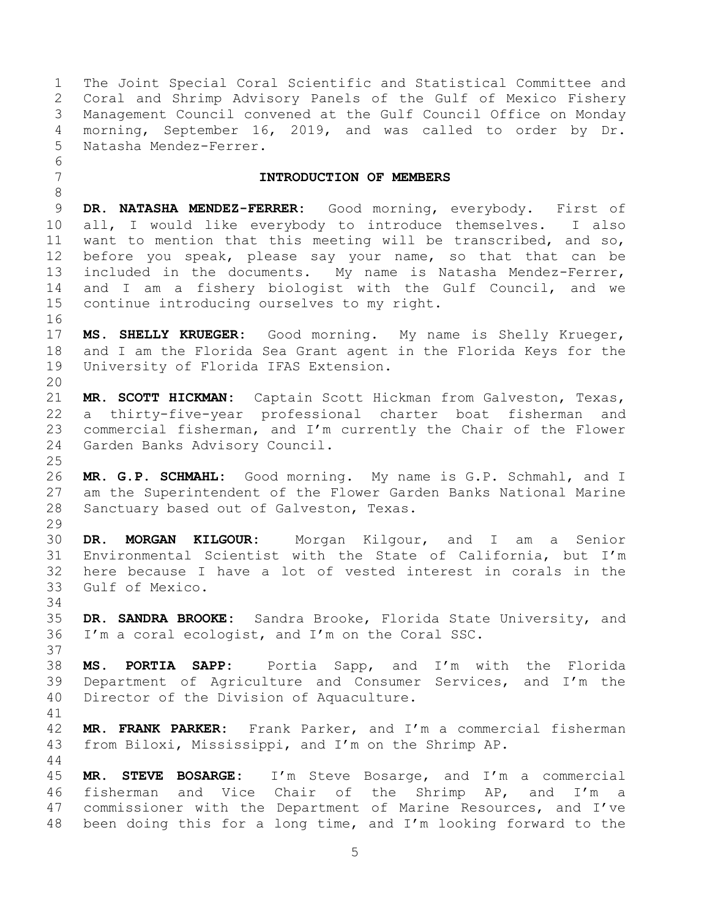<span id="page-4-0"></span> The Joint Special Coral Scientific and Statistical Committee and Coral and Shrimp Advisory Panels of the Gulf of Mexico Fishery Management Council convened at the Gulf Council Office on Monday morning, September 16, 2019, and was called to order by Dr. Natasha Mendez-Ferrer. **INTRODUCTION OF MEMBERS DR. NATASHA MENDEZ-FERRER:** Good morning, everybody. First of all, I would like everybody to introduce themselves. I also want to mention that this meeting will be transcribed, and so, before you speak, please say your name, so that that can be included in the documents. My name is Natasha Mendez-Ferrer, and I am a fishery biologist with the Gulf Council, and we continue introducing ourselves to my right. **MS. SHELLY KRUEGER:** Good morning. My name is Shelly Krueger, and I am the Florida Sea Grant agent in the Florida Keys for the University of Florida IFAS Extension. **MR. SCOTT HICKMAN:** Captain Scott Hickman from Galveston, Texas, a thirty-five-year professional charter boat fisherman and commercial fisherman, and I'm currently the Chair of the Flower Garden Banks Advisory Council. **MR. G.P. SCHMAHL:** Good morning. My name is G.P. Schmahl, and I am the Superintendent of the Flower Garden Banks National Marine Sanctuary based out of Galveston, Texas. **DR. MORGAN KILGOUR:** Morgan Kilgour, and I am a Senior Environmental Scientist with the State of California, but I'm here because I have a lot of vested interest in corals in the Gulf of Mexico. **DR. SANDRA BROOKE:** Sandra Brooke, Florida State University, and I'm a coral ecologist, and I'm on the Coral SSC. **MS. PORTIA SAPP:** Portia Sapp, and I'm with the Florida Department of Agriculture and Consumer Services, and I'm the Director of the Division of Aquaculture. **MR. FRANK PARKER:** Frank Parker, and I'm a commercial fisherman from Biloxi, Mississippi, and I'm on the Shrimp AP. **MR. STEVE BOSARGE:** I'm Steve Bosarge, and I'm a commercial fisherman and Vice Chair of the Shrimp AP, and I'm a commissioner with the Department of Marine Resources, and I've been doing this for a long time, and I'm looking forward to the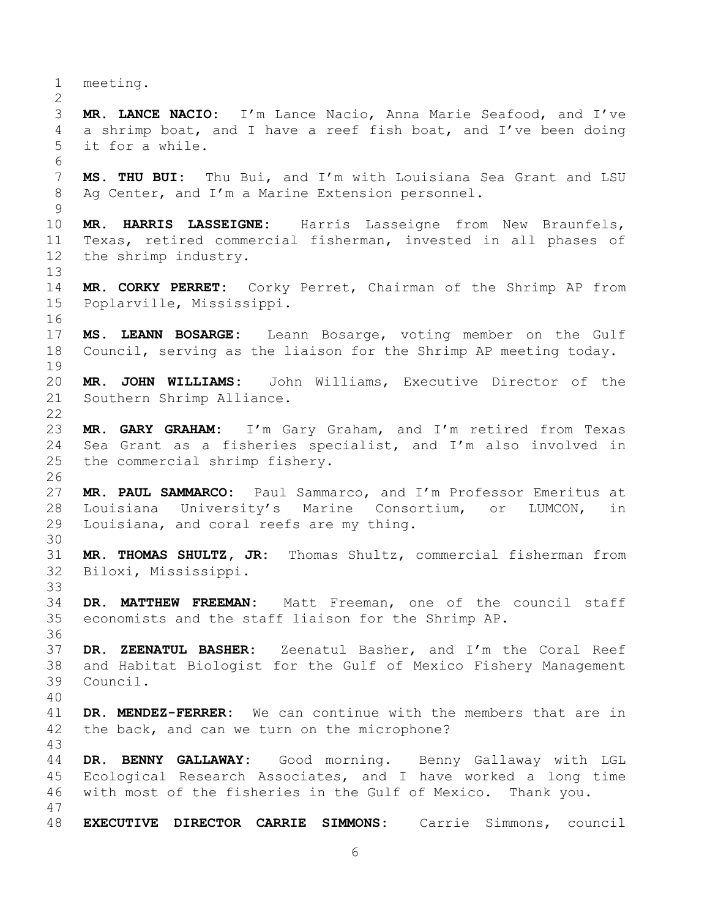meeting. **MR. LANCE NACIO:** I'm Lance Nacio, Anna Marie Seafood, and I've a shrimp boat, and I have a reef fish boat, and I've been doing it for a while. **MS. THU BUI:** Thu Bui, and I'm with Louisiana Sea Grant and LSU Ag Center, and I'm a Marine Extension personnel. **MR. HARRIS LASSEIGNE:** Harris Lasseigne from New Braunfels, Texas, retired commercial fisherman, invested in all phases of the shrimp industry. **MR. CORKY PERRET:** Corky Perret, Chairman of the Shrimp AP from Poplarville, Mississippi. **MS. LEANN BOSARGE:** Leann Bosarge, voting member on the Gulf Council, serving as the liaison for the Shrimp AP meeting today. **MR. JOHN WILLIAMS:** John Williams, Executive Director of the Southern Shrimp Alliance. **MR. GARY GRAHAM:** I'm Gary Graham, and I'm retired from Texas Sea Grant as a fisheries specialist, and I'm also involved in the commercial shrimp fishery. **MR. PAUL SAMMARCO:** Paul Sammarco, and I'm Professor Emeritus at Louisiana University's Marine Consortium, or LUMCON, in Louisiana, and coral reefs are my thing. **MR. THOMAS SHULTZ, JR:** Thomas Shultz, commercial fisherman from Biloxi, Mississippi. **DR. MATTHEW FREEMAN:** Matt Freeman, one of the council staff economists and the staff liaison for the Shrimp AP. **DR. ZEENATUL BASHER:** Zeenatul Basher, and I'm the Coral Reef and Habitat Biologist for the Gulf of Mexico Fishery Management Council. **DR. MENDEZ-FERRER:** We can continue with the members that are in the back, and can we turn on the microphone? **DR. BENNY GALLAWAY:** Good morning. Benny Gallaway with LGL Ecological Research Associates, and I have worked a long time with most of the fisheries in the Gulf of Mexico. Thank you. **EXECUTIVE DIRECTOR CARRIE SIMMONS:** Carrie Simmons, council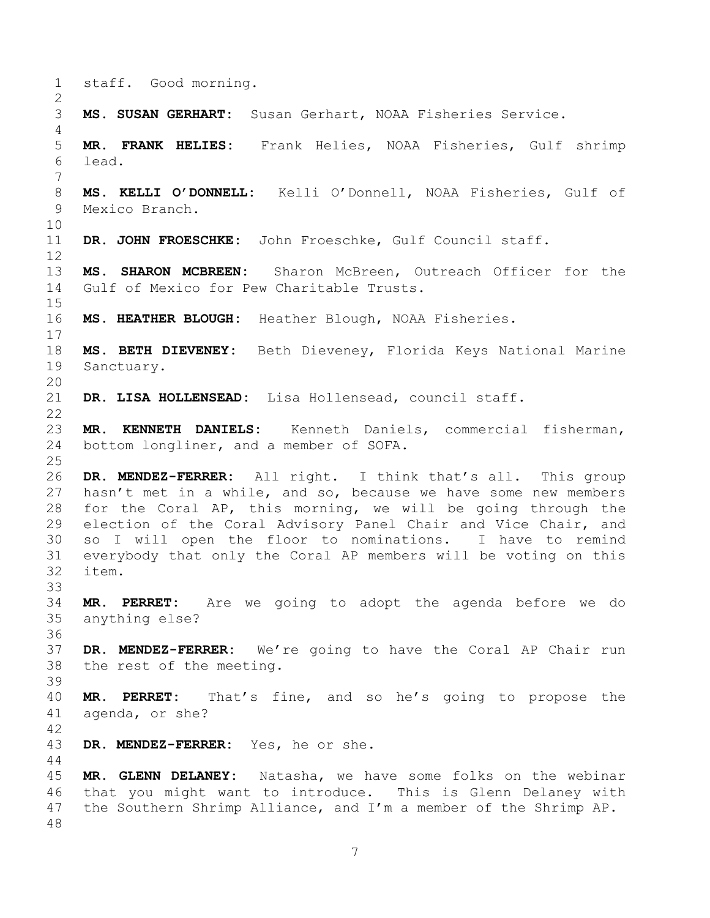```
1 staff. Good morning.
2
3 MS. SUSAN GERHART: Susan Gerhart, NOAA Fisheries Service. 
4
5 MR. FRANK HELIES: Frank Helies, NOAA Fisheries, Gulf shrimp 
6 lead.
7
8 MS. KELLI O'DONNELL: Kelli O'Donnell, NOAA Fisheries, Gulf of 
9 Mexico Branch.
10
11 DR. JOHN FROESCHKE: John Froeschke, Gulf Council staff.
12
13 MS. SHARON MCBREEN: Sharon McBreen, Outreach Officer for the 
14 Gulf of Mexico for Pew Charitable Trusts. 
15
16 MS. HEATHER BLOUGH: Heather Blough, NOAA Fisheries.
17
18 MS. BETH DIEVENEY: Beth Dieveney, Florida Keys National Marine 
19 Sanctuary.
20
21 DR. LISA HOLLENSEAD: Lisa Hollensead, council staff.
22
23 MR. KENNETH DANIELS: Kenneth Daniels, commercial fisherman, 
24 bottom longliner, and a member of SOFA.
25
26 DR. MENDEZ-FERRER: All right. I think that's all. This group 
27 hasn't met in a while, and so, because we have some new members 
28 for the Coral AP, this morning, we will be going through the 
29 election of the Coral Advisory Panel Chair and Vice Chair, and 
30 so I will open the floor to nominations. I have to remind 
31 everybody that only the Coral AP members will be voting on this 
32 item.
33
34 MR. PERRET: Are we going to adopt the agenda before we do 
35 anything else?
36
37 DR. MENDEZ-FERRER: We're going to have the Coral AP Chair run 
38 the rest of the meeting.
39
40 MR. PERRET: That's fine, and so he's going to propose the 
41 agenda, or she?
42
43 DR. MENDEZ-FERRER: Yes, he or she. 
44
45 MR. GLENN DELANEY: Natasha, we have some folks on the webinar 
46 that you might want to introduce. This is Glenn Delaney with 
47 the Southern Shrimp Alliance, and I'm a member of the Shrimp AP.
48
```

```
7
```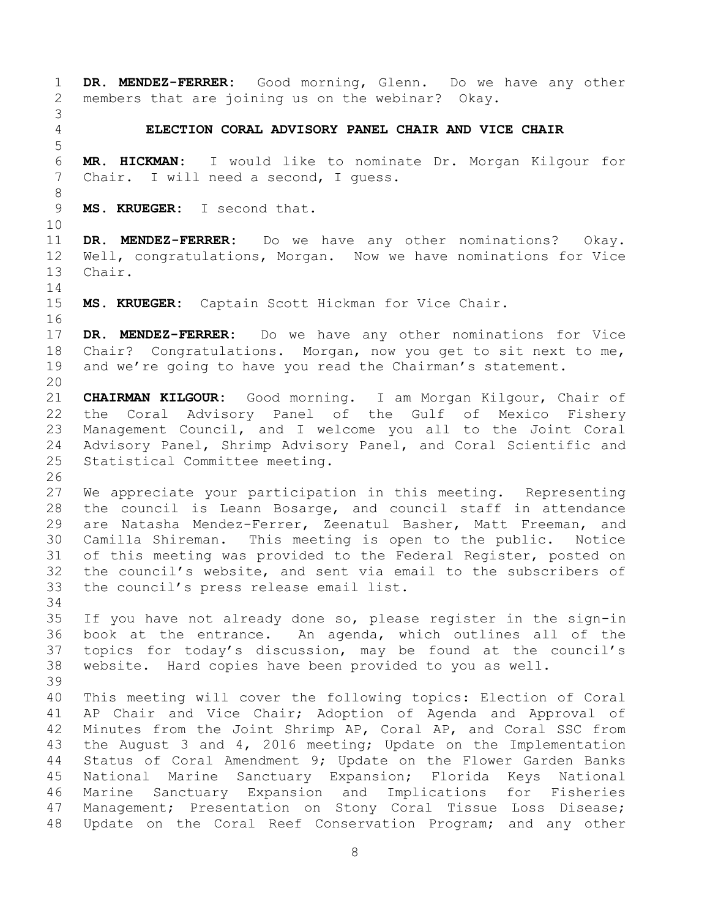<span id="page-7-0"></span> **DR. MENDEZ-FERRER:** Good morning, Glenn. Do we have any other members that are joining us on the webinar? Okay. **ELECTION CORAL ADVISORY PANEL CHAIR AND VICE CHAIR MR. HICKMAN:** I would like to nominate Dr. Morgan Kilgour for Chair. I will need a second, I guess. **MS. KRUEGER:** I second that. **DR. MENDEZ-FERRER:** Do we have any other nominations? Okay. Well, congratulations, Morgan. Now we have nominations for Vice Chair. **MS. KRUEGER:** Captain Scott Hickman for Vice Chair. **DR. MENDEZ-FERRER:** Do we have any other nominations for Vice Chair? Congratulations. Morgan, now you get to sit next to me, 19 and we're going to have you read the Chairman's statement. **CHAIRMAN KILGOUR:** Good morning. I am Morgan Kilgour, Chair of the Coral Advisory Panel of the Gulf of Mexico Fishery Management Council, and I welcome you all to the Joint Coral Advisory Panel, Shrimp Advisory Panel, and Coral Scientific and Statistical Committee meeting. We appreciate your participation in this meeting. Representing the council is Leann Bosarge, and council staff in attendance are Natasha Mendez-Ferrer, Zeenatul Basher, Matt Freeman, and Camilla Shireman. This meeting is open to the public. Notice of this meeting was provided to the Federal Register, posted on the council's website, and sent via email to the subscribers of the council's press release email list. If you have not already done so, please register in the sign-in book at the entrance. An agenda, which outlines all of the topics for today's discussion, may be found at the council's website. Hard copies have been provided to you as well. This meeting will cover the following topics: Election of Coral AP Chair and Vice Chair; Adoption of Agenda and Approval of Minutes from the Joint Shrimp AP, Coral AP, and Coral SSC from the August 3 and 4, 2016 meeting; Update on the Implementation Status of Coral Amendment 9; Update on the Flower Garden Banks National Marine Sanctuary Expansion; Florida Keys National Marine Sanctuary Expansion and Implications for Fisheries Management; Presentation on Stony Coral Tissue Loss Disease; Update on the Coral Reef Conservation Program; and any other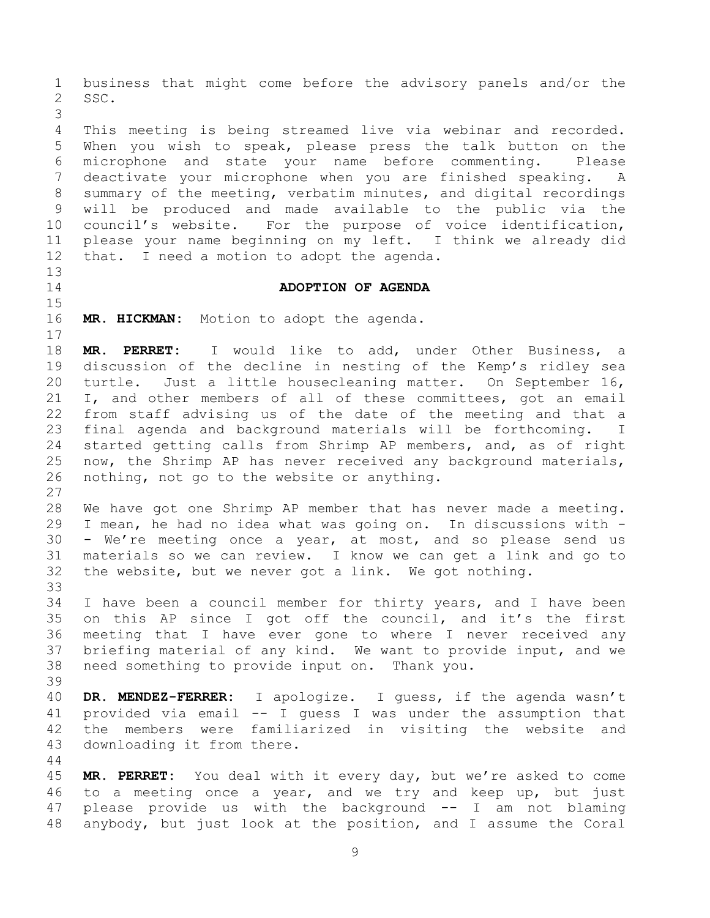business that might come before the advisory panels and/or the SSC.

 This meeting is being streamed live via webinar and recorded. When you wish to speak, please press the talk button on the microphone and state your name before commenting. Please deactivate your microphone when you are finished speaking. A summary of the meeting, verbatim minutes, and digital recordings will be produced and made available to the public via the council's website. For the purpose of voice identification, please your name beginning on my left. I think we already did that. I need a motion to adopt the agenda.

## <span id="page-8-0"></span>**ADOPTION OF AGENDA**

**MR. HICKMAN:** Motion to adopt the agenda.

 **MR. PERRET:** I would like to add, under Other Business, a discussion of the decline in nesting of the Kemp's ridley sea turtle. Just a little housecleaning matter. On September 16, I, and other members of all of these committees, got an email from staff advising us of the date of the meeting and that a final agenda and background materials will be forthcoming. I started getting calls from Shrimp AP members, and, as of right now, the Shrimp AP has never received any background materials, nothing, not go to the website or anything.

 We have got one Shrimp AP member that has never made a meeting. I mean, he had no idea what was going on. In discussions with - - We're meeting once a year, at most, and so please send us materials so we can review. I know we can get a link and go to the website, but we never got a link. We got nothing. 

 I have been a council member for thirty years, and I have been on this AP since I got off the council, and it's the first meeting that I have ever gone to where I never received any briefing material of any kind. We want to provide input, and we need something to provide input on. Thank you. 

 **DR. MENDEZ-FERRER:** I apologize. I guess, if the agenda wasn't provided via email -- I guess I was under the assumption that the members were familiarized in visiting the website and downloading it from there.

 **MR. PERRET:** You deal with it every day, but we're asked to come to a meeting once a year, and we try and keep up, but just please provide us with the background -- I am not blaming anybody, but just look at the position, and I assume the Coral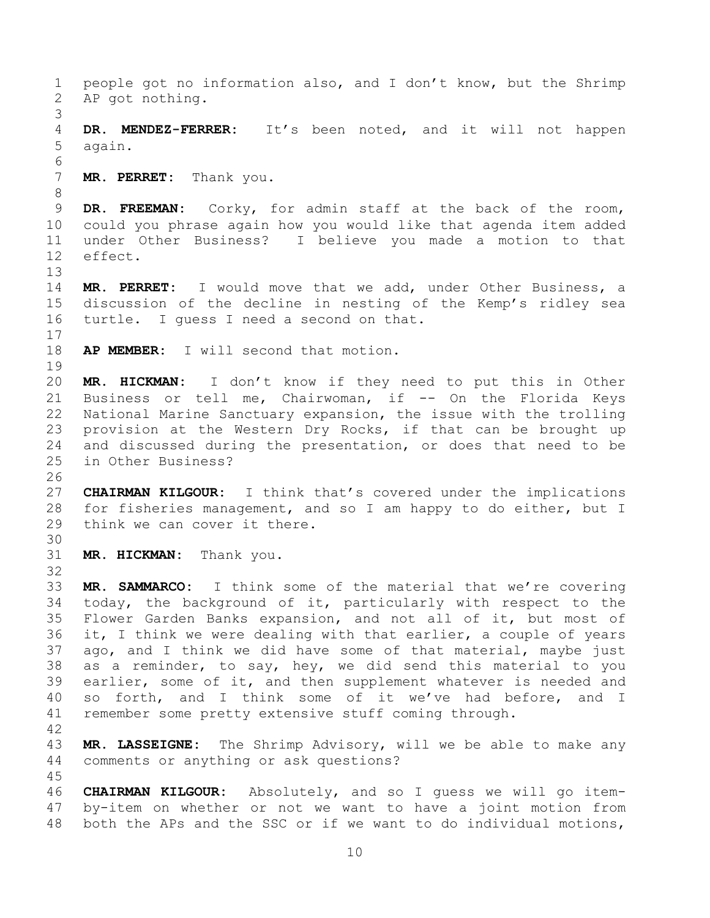people got no information also, and I don't know, but the Shrimp AP got nothing. **DR. MENDEZ-FERRER:** It's been noted, and it will not happen again. **MR. PERRET:** Thank you. **DR. FREEMAN:** Corky, for admin staff at the back of the room, could you phrase again how you would like that agenda item added under Other Business? I believe you made a motion to that effect. **MR. PERRET:** I would move that we add, under Other Business, a discussion of the decline in nesting of the Kemp's ridley sea turtle. I guess I need a second on that. **AP MEMBER:** I will second that motion. **MR. HICKMAN:** I don't know if they need to put this in Other 21 Business or tell me, Chairwoman, if -- On the Florida Keys National Marine Sanctuary expansion, the issue with the trolling provision at the Western Dry Rocks, if that can be brought up and discussed during the presentation, or does that need to be in Other Business? **CHAIRMAN KILGOUR:** I think that's covered under the implications for fisheries management, and so I am happy to do either, but I think we can cover it there. **MR. HICKMAN:** Thank you. **MR. SAMMARCO:** I think some of the material that we're covering today, the background of it, particularly with respect to the Flower Garden Banks expansion, and not all of it, but most of it, I think we were dealing with that earlier, a couple of years ago, and I think we did have some of that material, maybe just as a reminder, to say, hey, we did send this material to you earlier, some of it, and then supplement whatever is needed and so forth, and I think some of it we've had before, and I remember some pretty extensive stuff coming through. **MR. LASSEIGNE:** The Shrimp Advisory, will we be able to make any comments or anything or ask questions? **CHAIRMAN KILGOUR:** Absolutely, and so I guess we will go item- by-item on whether or not we want to have a joint motion from both the APs and the SSC or if we want to do individual motions,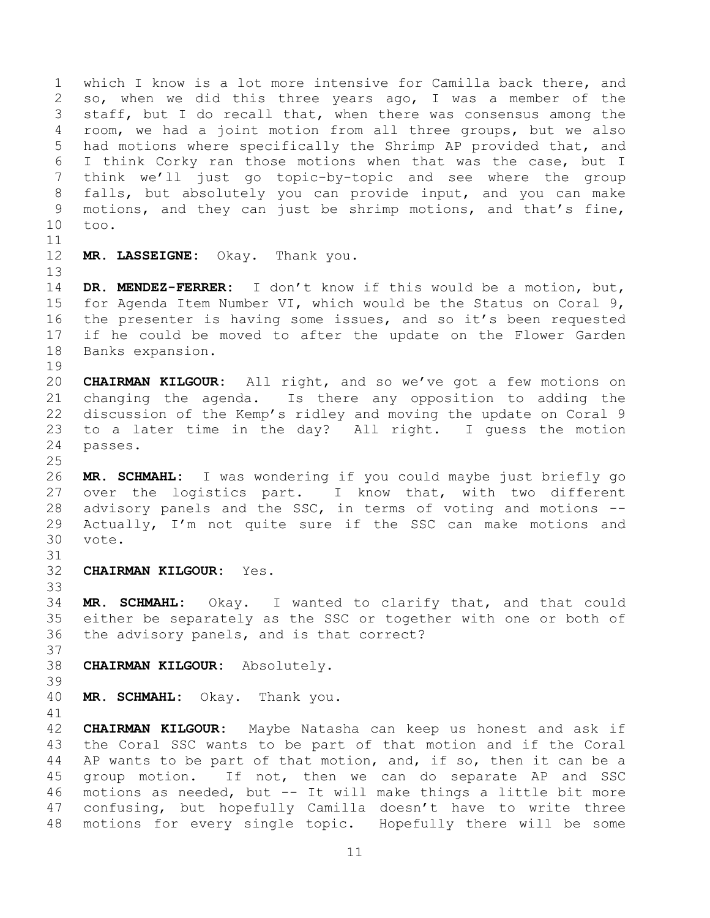which I know is a lot more intensive for Camilla back there, and so, when we did this three years ago, I was a member of the staff, but I do recall that, when there was consensus among the room, we had a joint motion from all three groups, but we also had motions where specifically the Shrimp AP provided that, and I think Corky ran those motions when that was the case, but I think we'll just go topic-by-topic and see where the group falls, but absolutely you can provide input, and you can make motions, and they can just be shrimp motions, and that's fine, too.

**MR. LASSEIGNE:** Okay. Thank you.

 **DR. MENDEZ-FERRER:** I don't know if this would be a motion, but, for Agenda Item Number VI, which would be the Status on Coral 9, the presenter is having some issues, and so it's been requested if he could be moved to after the update on the Flower Garden Banks expansion.

 **CHAIRMAN KILGOUR:** All right, and so we've got a few motions on changing the agenda. Is there any opposition to adding the discussion of the Kemp's ridley and moving the update on Coral 9 to a later time in the day? All right. I guess the motion passes.

 **MR. SCHMAHL:** I was wondering if you could maybe just briefly go over the logistics part. I know that, with two different advisory panels and the SSC, in terms of voting and motions -- Actually, I'm not quite sure if the SSC can make motions and vote.

**CHAIRMAN KILGOUR:** Yes.

 **MR. SCHMAHL:** Okay. I wanted to clarify that, and that could either be separately as the SSC or together with one or both of the advisory panels, and is that correct?

- **CHAIRMAN KILGOUR:** Absolutely.
- 

**MR. SCHMAHL:** Okay. Thank you.

 **CHAIRMAN KILGOUR:** Maybe Natasha can keep us honest and ask if the Coral SSC wants to be part of that motion and if the Coral AP wants to be part of that motion, and, if so, then it can be a group motion. If not, then we can do separate AP and SSC motions as needed, but -- It will make things a little bit more confusing, but hopefully Camilla doesn't have to write three motions for every single topic. Hopefully there will be some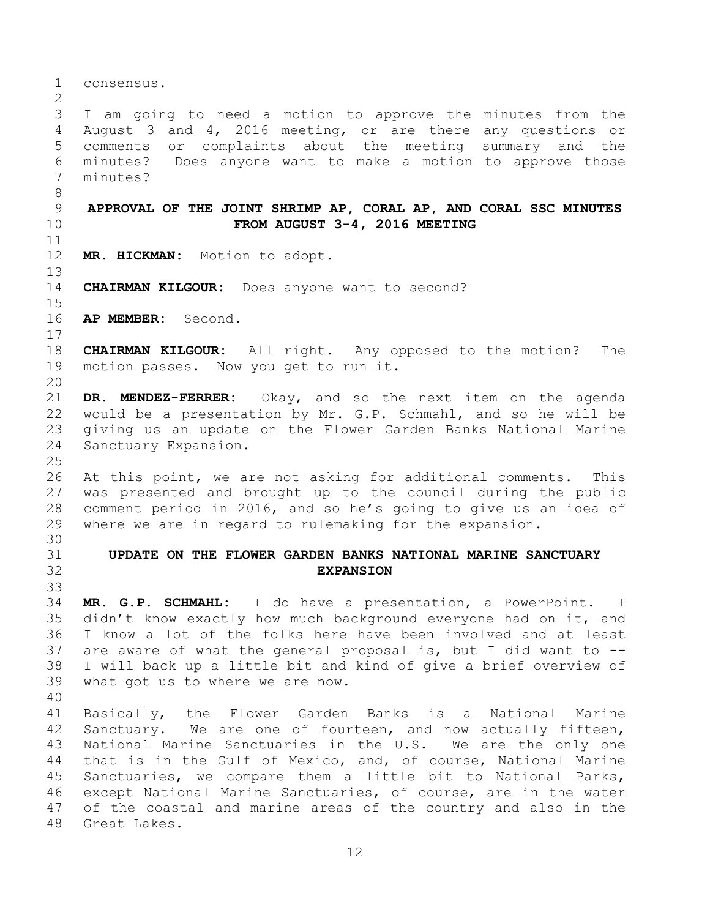<span id="page-11-1"></span><span id="page-11-0"></span> consensus. I am going to need a motion to approve the minutes from the August 3 and 4, 2016 meeting, or are there any questions or comments or complaints about the meeting summary and the minutes? Does anyone want to make a motion to approve those minutes? **APPROVAL OF THE JOINT SHRIMP AP, CORAL AP, AND CORAL SSC MINUTES FROM AUGUST 3-4, 2016 MEETING MR. HICKMAN:** Motion to adopt. **CHAIRMAN KILGOUR:** Does anyone want to second? **AP MEMBER:** Second. **CHAIRMAN KILGOUR:** All right. Any opposed to the motion? The motion passes. Now you get to run it. **DR. MENDEZ-FERRER:** Okay, and so the next item on the agenda would be a presentation by Mr. G.P. Schmahl, and so he will be giving us an update on the Flower Garden Banks National Marine Sanctuary Expansion. At this point, we are not asking for additional comments. This was presented and brought up to the council during the public comment period in 2016, and so he's going to give us an idea of where we are in regard to rulemaking for the expansion. **UPDATE ON THE FLOWER GARDEN BANKS NATIONAL MARINE SANCTUARY EXPANSION MR. G.P. SCHMAHL:** I do have a presentation, a PowerPoint. I didn't know exactly how much background everyone had on it, and I know a lot of the folks here have been involved and at least are aware of what the general proposal is, but I did want to -- I will back up a little bit and kind of give a brief overview of what got us to where we are now. Basically, the Flower Garden Banks is a National Marine Sanctuary. We are one of fourteen, and now actually fifteen, National Marine Sanctuaries in the U.S. We are the only one that is in the Gulf of Mexico, and, of course, National Marine Sanctuaries, we compare them a little bit to National Parks, except National Marine Sanctuaries, of course, are in the water of the coastal and marine areas of the country and also in the Great Lakes.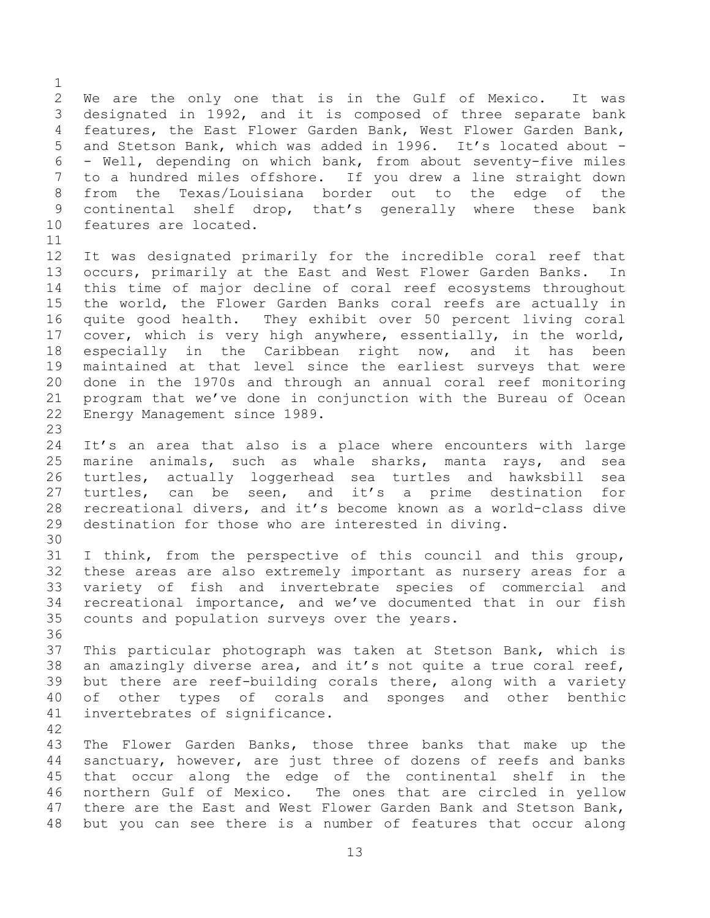We are the only one that is in the Gulf of Mexico. It was designated in 1992, and it is composed of three separate bank features, the East Flower Garden Bank, West Flower Garden Bank, and Stetson Bank, which was added in 1996. It's located about - - Well, depending on which bank, from about seventy-five miles to a hundred miles offshore. If you drew a line straight down from the Texas/Louisiana border out to the edge of the continental shelf drop, that's generally where these bank features are located.

- It was designated primarily for the incredible coral reef that occurs, primarily at the East and West Flower Garden Banks. In this time of major decline of coral reef ecosystems throughout the world, the Flower Garden Banks coral reefs are actually in quite good health. They exhibit over 50 percent living coral cover, which is very high anywhere, essentially, in the world, especially in the Caribbean right now, and it has been maintained at that level since the earliest surveys that were done in the 1970s and through an annual coral reef monitoring program that we've done in conjunction with the Bureau of Ocean Energy Management since 1989.
- It's an area that also is a place where encounters with large marine animals, such as whale sharks, manta rays, and sea turtles, actually loggerhead sea turtles and hawksbill sea turtles, can be seen, and it's a prime destination for recreational divers, and it's become known as a world-class dive destination for those who are interested in diving.
- I think, from the perspective of this council and this group, these areas are also extremely important as nursery areas for a variety of fish and invertebrate species of commercial and recreational importance, and we've documented that in our fish counts and population surveys over the years.
- This particular photograph was taken at Stetson Bank, which is an amazingly diverse area, and it's not quite a true coral reef, but there are reef-building corals there, along with a variety of other types of corals and sponges and other benthic invertebrates of significance.
- 

 The Flower Garden Banks, those three banks that make up the sanctuary, however, are just three of dozens of reefs and banks that occur along the edge of the continental shelf in the northern Gulf of Mexico. The ones that are circled in yellow there are the East and West Flower Garden Bank and Stetson Bank, but you can see there is a number of features that occur along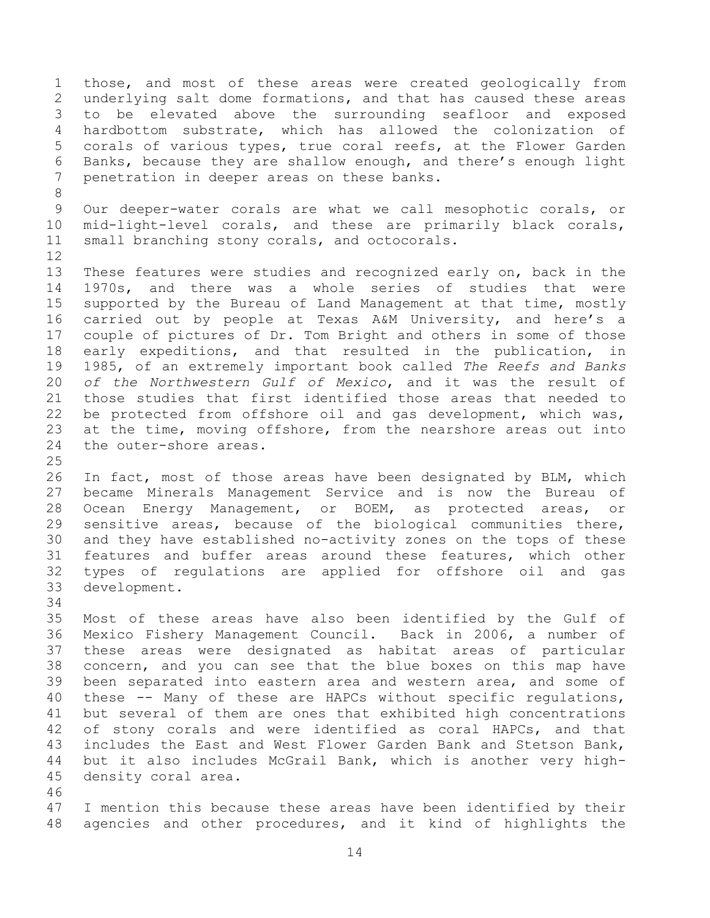those, and most of these areas were created geologically from underlying salt dome formations, and that has caused these areas to be elevated above the surrounding seafloor and exposed hardbottom substrate, which has allowed the colonization of corals of various types, true coral reefs, at the Flower Garden Banks, because they are shallow enough, and there's enough light penetration in deeper areas on these banks.

 Our deeper-water corals are what we call mesophotic corals, or mid-light-level corals, and these are primarily black corals, small branching stony corals, and octocorals.

 These features were studies and recognized early on, back in the 1970s, and there was a whole series of studies that were supported by the Bureau of Land Management at that time, mostly carried out by people at Texas A&M University, and here's a couple of pictures of Dr. Tom Bright and others in some of those early expeditions, and that resulted in the publication, in 1985, of an extremely important book called *The Reefs and Banks of the Northwestern Gulf of Mexico*, and it was the result of those studies that first identified those areas that needed to be protected from offshore oil and gas development, which was, at the time, moving offshore, from the nearshore areas out into the outer-shore areas.

 In fact, most of those areas have been designated by BLM, which became Minerals Management Service and is now the Bureau of Ocean Energy Management, or BOEM, as protected areas, or sensitive areas, because of the biological communities there, and they have established no-activity zones on the tops of these features and buffer areas around these features, which other types of regulations are applied for offshore oil and gas development.

 Most of these areas have also been identified by the Gulf of Mexico Fishery Management Council. Back in 2006, a number of these areas were designated as habitat areas of particular concern, and you can see that the blue boxes on this map have been separated into eastern area and western area, and some of these -- Many of these are HAPCs without specific regulations, but several of them are ones that exhibited high concentrations of stony corals and were identified as coral HAPCs, and that includes the East and West Flower Garden Bank and Stetson Bank, but it also includes McGrail Bank, which is another very high-density coral area.

 I mention this because these areas have been identified by their agencies and other procedures, and it kind of highlights the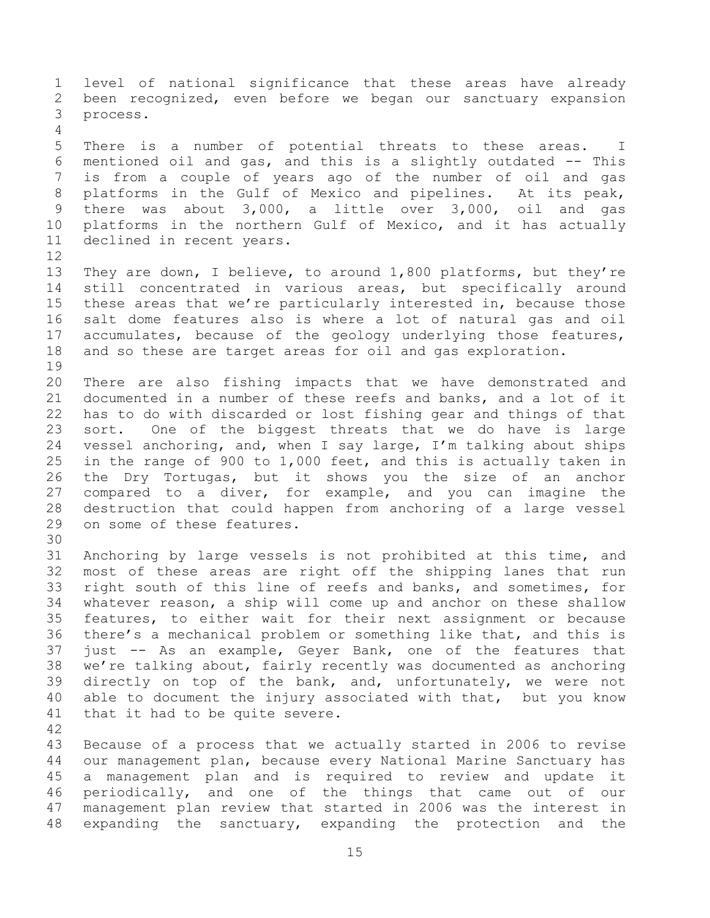level of national significance that these areas have already been recognized, even before we began our sanctuary expansion process. There is a number of potential threats to these areas. I mentioned oil and gas, and this is a slightly outdated -- This is from a couple of years ago of the number of oil and gas platforms in the Gulf of Mexico and pipelines. At its peak, there was about 3,000, a little over 3,000, oil and gas platforms in the northern Gulf of Mexico, and it has actually declined in recent years. They are down, I believe, to around 1,800 platforms, but they're still concentrated in various areas, but specifically around these areas that we're particularly interested in, because those salt dome features also is where a lot of natural gas and oil accumulates, because of the geology underlying those features, and so these are target areas for oil and gas exploration. There are also fishing impacts that we have demonstrated and documented in a number of these reefs and banks, and a lot of it has to do with discarded or lost fishing gear and things of that sort. One of the biggest threats that we do have is large vessel anchoring, and, when I say large, I'm talking about ships in the range of 900 to 1,000 feet, and this is actually taken in the Dry Tortugas, but it shows you the size of an anchor compared to a diver, for example, and you can imagine the destruction that could happen from anchoring of a large vessel on some of these features. Anchoring by large vessels is not prohibited at this time, and most of these areas are right off the shipping lanes that run right south of this line of reefs and banks, and sometimes, for whatever reason, a ship will come up and anchor on these shallow features, to either wait for their next assignment or because there's a mechanical problem or something like that, and this is just -- As an example, Geyer Bank, one of the features that we're talking about, fairly recently was documented as anchoring directly on top of the bank, and, unfortunately, we were not able to document the injury associated with that, but you know that it had to be quite severe. Because of a process that we actually started in 2006 to revise our management plan, because every National Marine Sanctuary has a management plan and is required to review and update it periodically, and one of the things that came out of our management plan review that started in 2006 was the interest in expanding the sanctuary, expanding the protection and the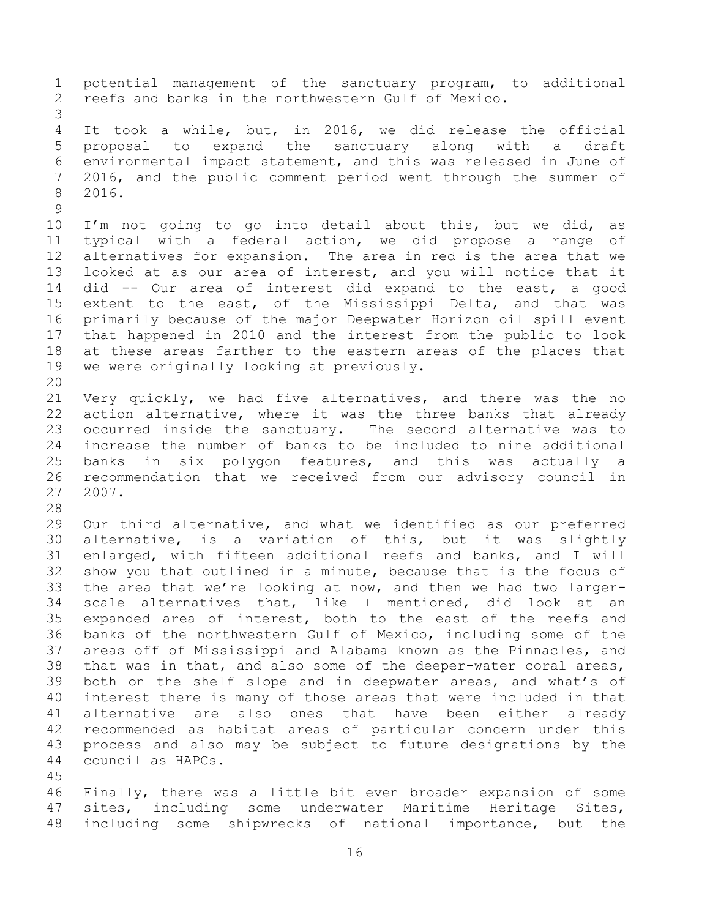potential management of the sanctuary program, to additional reefs and banks in the northwestern Gulf of Mexico. It took a while, but, in 2016, we did release the official proposal to expand the sanctuary along with a draft environmental impact statement, and this was released in June of 2016, and the public comment period went through the summer of 2016. I'm not going to go into detail about this, but we did, as typical with a federal action, we did propose a range of alternatives for expansion. The area in red is the area that we looked at as our area of interest, and you will notice that it did -- Our area of interest did expand to the east, a good extent to the east, of the Mississippi Delta, and that was primarily because of the major Deepwater Horizon oil spill event that happened in 2010 and the interest from the public to look at these areas farther to the eastern areas of the places that we were originally looking at previously. Very quickly, we had five alternatives, and there was the no action alternative, where it was the three banks that already occurred inside the sanctuary. The second alternative was to increase the number of banks to be included to nine additional banks in six polygon features, and this was actually a recommendation that we received from our advisory council in 2007. Our third alternative, and what we identified as our preferred alternative, is a variation of this, but it was slightly enlarged, with fifteen additional reefs and banks, and I will show you that outlined in a minute, because that is the focus of the area that we're looking at now, and then we had two larger- scale alternatives that, like I mentioned, did look at an expanded area of interest, both to the east of the reefs and banks of the northwestern Gulf of Mexico, including some of the areas off of Mississippi and Alabama known as the Pinnacles, and that was in that, and also some of the deeper-water coral areas, both on the shelf slope and in deepwater areas, and what's of interest there is many of those areas that were included in that alternative are also ones that have been either already recommended as habitat areas of particular concern under this process and also may be subject to future designations by the council as HAPCs. Finally, there was a little bit even broader expansion of some

 sites, including some underwater Maritime Heritage Sites, including some shipwrecks of national importance, but the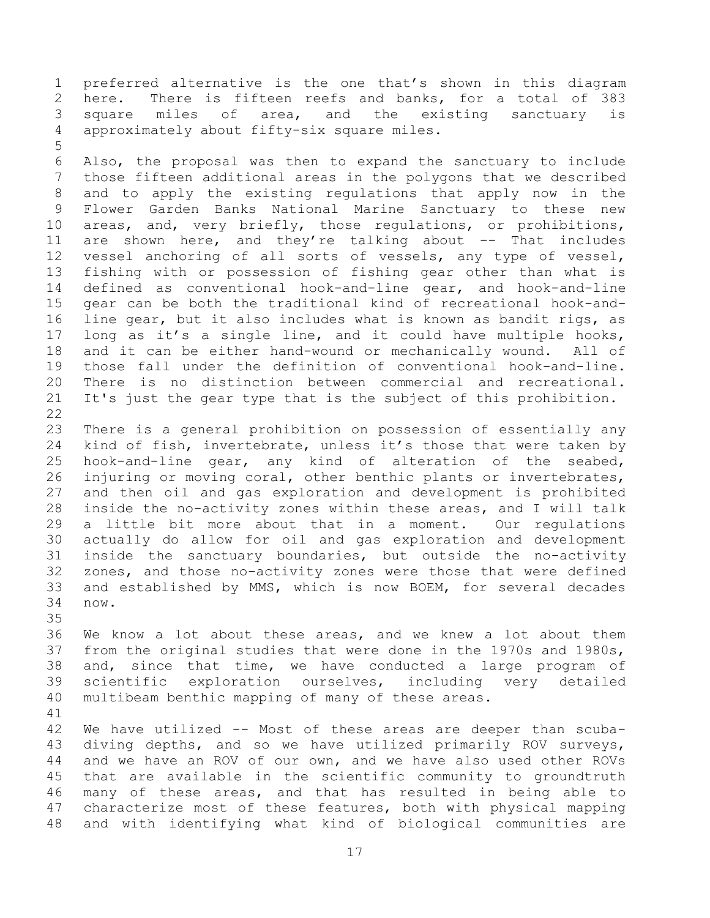preferred alternative is the one that's shown in this diagram here. There is fifteen reefs and banks, for a total of 383 square miles of area, and the existing sanctuary is approximately about fifty-six square miles.

 Also, the proposal was then to expand the sanctuary to include those fifteen additional areas in the polygons that we described and to apply the existing regulations that apply now in the Flower Garden Banks National Marine Sanctuary to these new areas, and, very briefly, those regulations, or prohibitions, 11 are shown here, and they're talking about -- That includes vessel anchoring of all sorts of vessels, any type of vessel, fishing with or possession of fishing gear other than what is defined as conventional hook-and-line gear, and hook-and-line gear can be both the traditional kind of recreational hook-and- line gear, but it also includes what is known as bandit rigs, as long as it's a single line, and it could have multiple hooks, and it can be either hand-wound or mechanically wound. All of those fall under the definition of conventional hook-and-line. There is no distinction between commercial and recreational. It's just the gear type that is the subject of this prohibition. 

 There is a general prohibition on possession of essentially any kind of fish, invertebrate, unless it's those that were taken by hook-and-line gear, any kind of alteration of the seabed, injuring or moving coral, other benthic plants or invertebrates, and then oil and gas exploration and development is prohibited inside the no-activity zones within these areas, and I will talk a little bit more about that in a moment. Our regulations actually do allow for oil and gas exploration and development inside the sanctuary boundaries, but outside the no-activity zones, and those no-activity zones were those that were defined and established by MMS, which is now BOEM, for several decades now.

 We know a lot about these areas, and we knew a lot about them from the original studies that were done in the 1970s and 1980s, and, since that time, we have conducted a large program of scientific exploration ourselves, including very detailed multibeam benthic mapping of many of these areas.

 We have utilized -- Most of these areas are deeper than scuba- diving depths, and so we have utilized primarily ROV surveys, and we have an ROV of our own, and we have also used other ROVs that are available in the scientific community to groundtruth many of these areas, and that has resulted in being able to characterize most of these features, both with physical mapping and with identifying what kind of biological communities are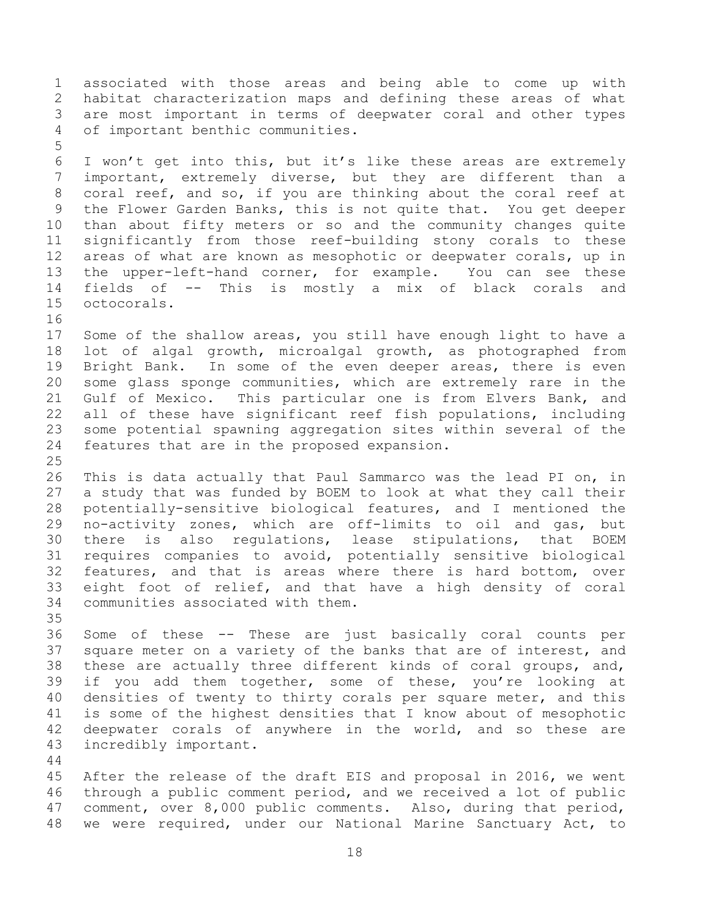associated with those areas and being able to come up with habitat characterization maps and defining these areas of what are most important in terms of deepwater coral and other types of important benthic communities. I won't get into this, but it's like these areas are extremely important, extremely diverse, but they are different than a coral reef, and so, if you are thinking about the coral reef at the Flower Garden Banks, this is not quite that. You get deeper than about fifty meters or so and the community changes quite significantly from those reef-building stony corals to these areas of what are known as mesophotic or deepwater corals, up in the upper-left-hand corner, for example. You can see these fields of -- This is mostly a mix of black corals and octocorals. Some of the shallow areas, you still have enough light to have a lot of algal growth, microalgal growth, as photographed from 19 Bright Bank. In some of the even deeper areas, there is even some glass sponge communities, which are extremely rare in the Gulf of Mexico. This particular one is from Elvers Bank, and all of these have significant reef fish populations, including some potential spawning aggregation sites within several of the features that are in the proposed expansion. This is data actually that Paul Sammarco was the lead PI on, in a study that was funded by BOEM to look at what they call their potentially-sensitive biological features, and I mentioned the no-activity zones, which are off-limits to oil and gas, but there is also regulations, lease stipulations, that BOEM requires companies to avoid, potentially sensitive biological features, and that is areas where there is hard bottom, over eight foot of relief, and that have a high density of coral communities associated with them. Some of these -- These are just basically coral counts per square meter on a variety of the banks that are of interest, and these are actually three different kinds of coral groups, and, if you add them together, some of these, you're looking at densities of twenty to thirty corals per square meter, and this is some of the highest densities that I know about of mesophotic deepwater corals of anywhere in the world, and so these are incredibly important. After the release of the draft EIS and proposal in 2016, we went through a public comment period, and we received a lot of public comment, over 8,000 public comments. Also, during that period,

we were required, under our National Marine Sanctuary Act, to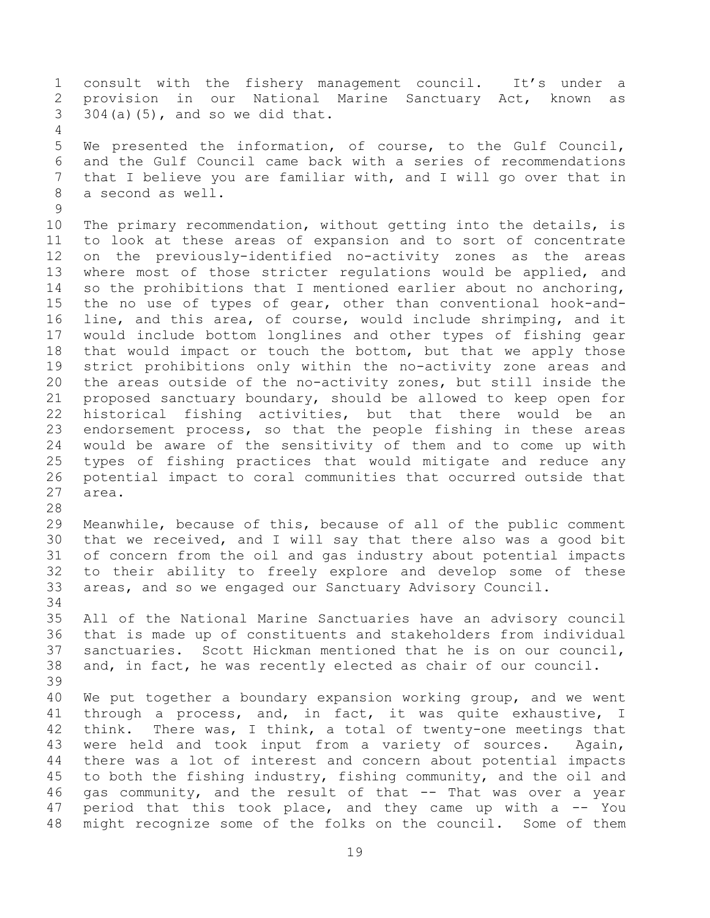consult with the fishery management council. It's under a provision in our National Marine Sanctuary Act, known as  $304(a)(5)$ , and so we did that.

 We presented the information, of course, to the Gulf Council, and the Gulf Council came back with a series of recommendations that I believe you are familiar with, and I will go over that in a second as well.

 The primary recommendation, without getting into the details, is to look at these areas of expansion and to sort of concentrate on the previously-identified no-activity zones as the areas where most of those stricter regulations would be applied, and so the prohibitions that I mentioned earlier about no anchoring, the no use of types of gear, other than conventional hook-and- line, and this area, of course, would include shrimping, and it would include bottom longlines and other types of fishing gear that would impact or touch the bottom, but that we apply those strict prohibitions only within the no-activity zone areas and the areas outside of the no-activity zones, but still inside the proposed sanctuary boundary, should be allowed to keep open for historical fishing activities, but that there would be an endorsement process, so that the people fishing in these areas would be aware of the sensitivity of them and to come up with types of fishing practices that would mitigate and reduce any potential impact to coral communities that occurred outside that area.

 Meanwhile, because of this, because of all of the public comment that we received, and I will say that there also was a good bit of concern from the oil and gas industry about potential impacts to their ability to freely explore and develop some of these areas, and so we engaged our Sanctuary Advisory Council.

 All of the National Marine Sanctuaries have an advisory council that is made up of constituents and stakeholders from individual sanctuaries. Scott Hickman mentioned that he is on our council, and, in fact, he was recently elected as chair of our council. 

 We put together a boundary expansion working group, and we went through a process, and, in fact, it was quite exhaustive, I think. There was, I think, a total of twenty-one meetings that were held and took input from a variety of sources. Again, there was a lot of interest and concern about potential impacts to both the fishing industry, fishing community, and the oil and gas community, and the result of that -- That was over a year 47 period that this took place, and they came up with a -- You might recognize some of the folks on the council. Some of them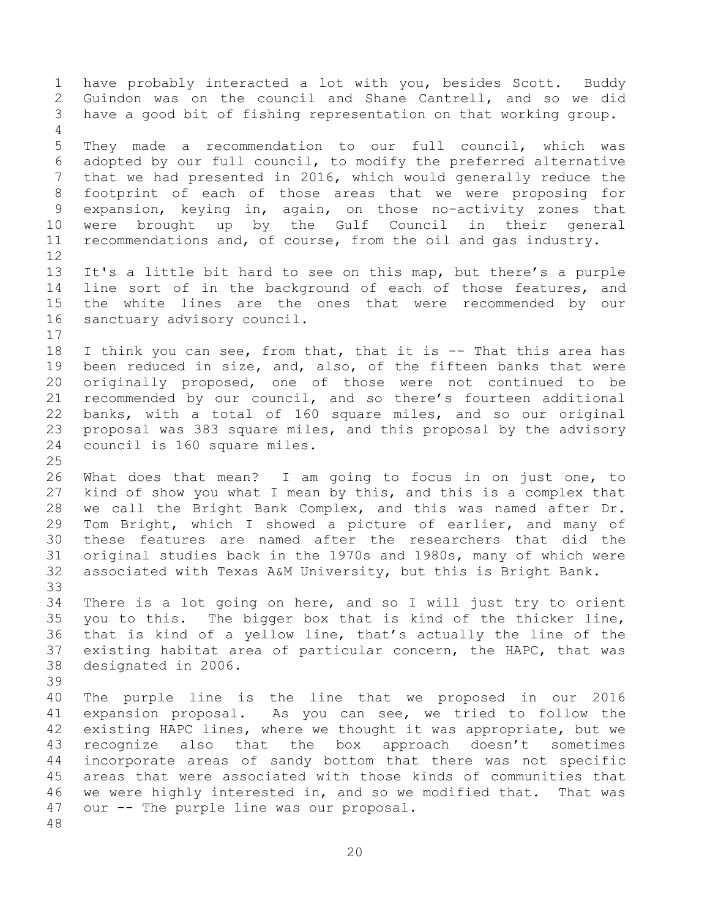have probably interacted a lot with you, besides Scott. Buddy Guindon was on the council and Shane Cantrell, and so we did have a good bit of fishing representation on that working group. They made a recommendation to our full council, which was adopted by our full council, to modify the preferred alternative that we had presented in 2016, which would generally reduce the footprint of each of those areas that we were proposing for expansion, keying in, again, on those no-activity zones that were brought up by the Gulf Council in their general recommendations and, of course, from the oil and gas industry. It's a little bit hard to see on this map, but there's a purple line sort of in the background of each of those features, and the white lines are the ones that were recommended by our sanctuary advisory council. I think you can see, from that, that it is -- That this area has been reduced in size, and, also, of the fifteen banks that were originally proposed, one of those were not continued to be recommended by our council, and so there's fourteen additional banks, with a total of 160 square miles, and so our original proposal was 383 square miles, and this proposal by the advisory council is 160 square miles. What does that mean? I am going to focus in on just one, to kind of show you what I mean by this, and this is a complex that we call the Bright Bank Complex, and this was named after Dr. Tom Bright, which I showed a picture of earlier, and many of these features are named after the researchers that did the original studies back in the 1970s and 1980s, many of which were associated with Texas A&M University, but this is Bright Bank. There is a lot going on here, and so I will just try to orient you to this. The bigger box that is kind of the thicker line, that is kind of a yellow line, that's actually the line of the existing habitat area of particular concern, the HAPC, that was designated in 2006. The purple line is the line that we proposed in our 2016 expansion proposal. As you can see, we tried to follow the existing HAPC lines, where we thought it was appropriate, but we recognize also that the box approach doesn't sometimes incorporate areas of sandy bottom that there was not specific areas that were associated with those kinds of communities that we were highly interested in, and so we modified that. That was our -- The purple line was our proposal.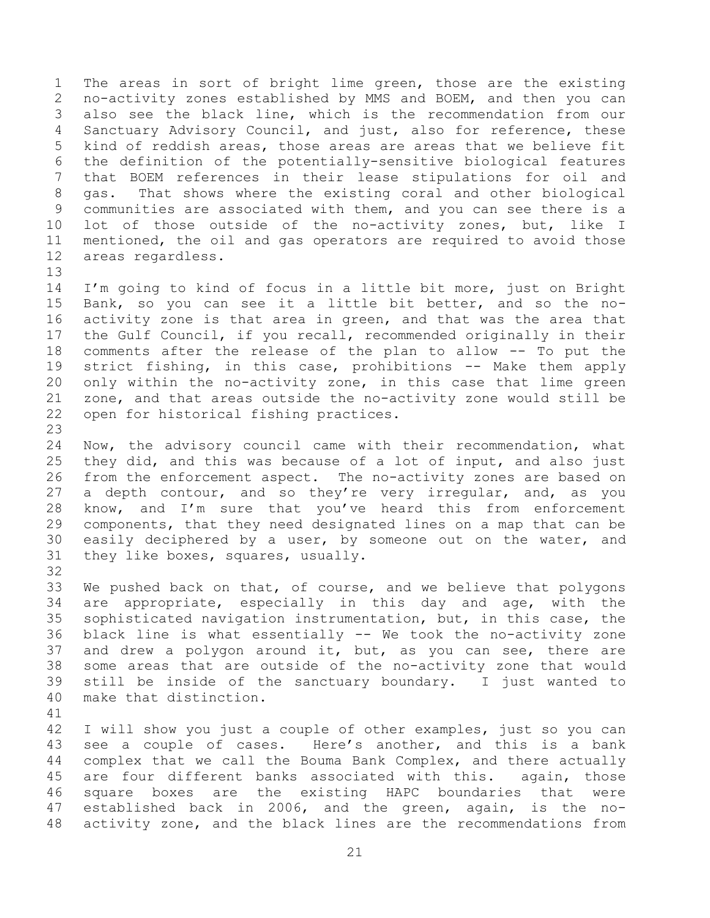The areas in sort of bright lime green, those are the existing no-activity zones established by MMS and BOEM, and then you can also see the black line, which is the recommendation from our Sanctuary Advisory Council, and just, also for reference, these kind of reddish areas, those areas are areas that we believe fit the definition of the potentially-sensitive biological features that BOEM references in their lease stipulations for oil and gas. That shows where the existing coral and other biological communities are associated with them, and you can see there is a lot of those outside of the no-activity zones, but, like I mentioned, the oil and gas operators are required to avoid those areas regardless.

 I'm going to kind of focus in a little bit more, just on Bright Bank, so you can see it a little bit better, and so the no- activity zone is that area in green, and that was the area that the Gulf Council, if you recall, recommended originally in their comments after the release of the plan to allow -- To put the strict fishing, in this case, prohibitions -- Make them apply only within the no-activity zone, in this case that lime green zone, and that areas outside the no-activity zone would still be open for historical fishing practices.

 Now, the advisory council came with their recommendation, what they did, and this was because of a lot of input, and also just from the enforcement aspect. The no-activity zones are based on 27 a depth contour, and so they're very irregular, and, as you know, and I'm sure that you've heard this from enforcement components, that they need designated lines on a map that can be easily deciphered by a user, by someone out on the water, and they like boxes, squares, usually.

 We pushed back on that, of course, and we believe that polygons are appropriate, especially in this day and age, with the sophisticated navigation instrumentation, but, in this case, the black line is what essentially -- We took the no-activity zone and drew a polygon around it, but, as you can see, there are some areas that are outside of the no-activity zone that would still be inside of the sanctuary boundary. I just wanted to make that distinction.

 I will show you just a couple of other examples, just so you can see a couple of cases. Here's another, and this is a bank complex that we call the Bouma Bank Complex, and there actually are four different banks associated with this. again, those square boxes are the existing HAPC boundaries that were established back in 2006, and the green, again, is the no-activity zone, and the black lines are the recommendations from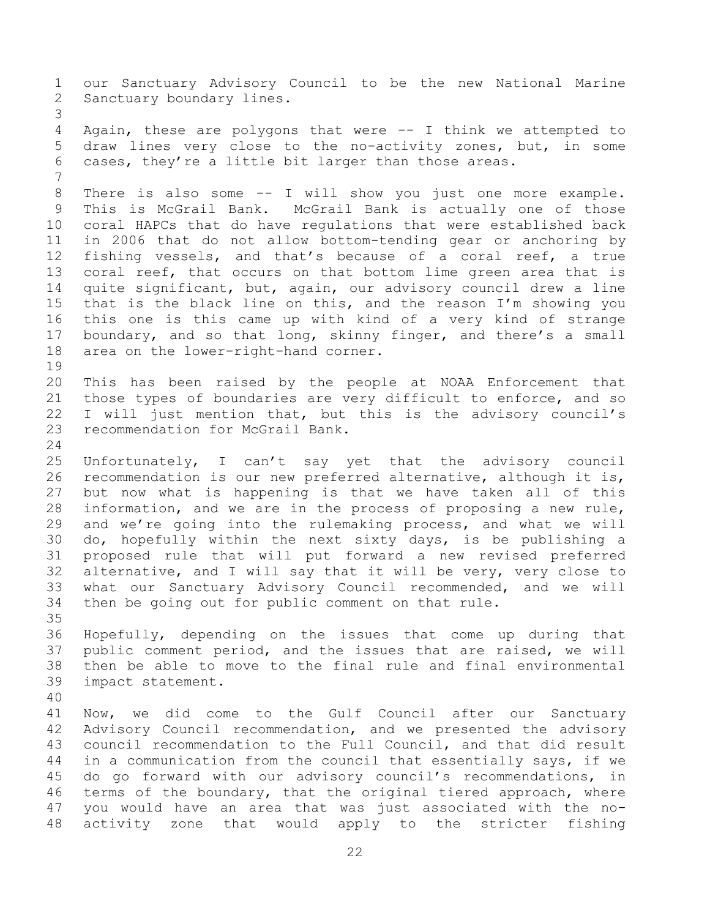our Sanctuary Advisory Council to be the new National Marine Sanctuary boundary lines. Again, these are polygons that were -- I think we attempted to draw lines very close to the no-activity zones, but, in some cases, they're a little bit larger than those areas. There is also some -- I will show you just one more example. This is McGrail Bank. McGrail Bank is actually one of those coral HAPCs that do have regulations that were established back in 2006 that do not allow bottom-tending gear or anchoring by fishing vessels, and that's because of a coral reef, a true coral reef, that occurs on that bottom lime green area that is quite significant, but, again, our advisory council drew a line that is the black line on this, and the reason I'm showing you this one is this came up with kind of a very kind of strange boundary, and so that long, skinny finger, and there's a small area on the lower-right-hand corner. This has been raised by the people at NOAA Enforcement that those types of boundaries are very difficult to enforce, and so I will just mention that, but this is the advisory council's 23 recommendation for McGrail Bank. Unfortunately, I can't say yet that the advisory council recommendation is our new preferred alternative, although it is, but now what is happening is that we have taken all of this information, and we are in the process of proposing a new rule, and we're going into the rulemaking process, and what we will do, hopefully within the next sixty days, is be publishing a proposed rule that will put forward a new revised preferred alternative, and I will say that it will be very, very close to what our Sanctuary Advisory Council recommended, and we will then be going out for public comment on that rule. Hopefully, depending on the issues that come up during that public comment period, and the issues that are raised, we will then be able to move to the final rule and final environmental impact statement. Now, we did come to the Gulf Council after our Sanctuary Advisory Council recommendation, and we presented the advisory council recommendation to the Full Council, and that did result in a communication from the council that essentially says, if we do go forward with our advisory council's recommendations, in terms of the boundary, that the original tiered approach, where you would have an area that was just associated with the no-activity zone that would apply to the stricter fishing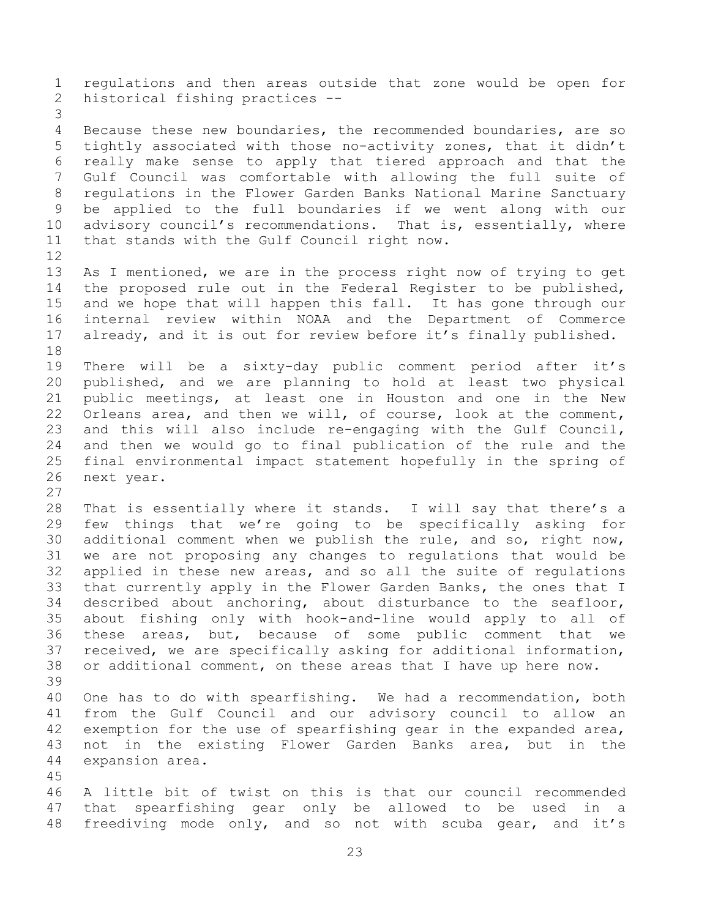regulations and then areas outside that zone would be open for historical fishing practices -- Because these new boundaries, the recommended boundaries, are so tightly associated with those no-activity zones, that it didn't really make sense to apply that tiered approach and that the Gulf Council was comfortable with allowing the full suite of regulations in the Flower Garden Banks National Marine Sanctuary be applied to the full boundaries if we went along with our 10 advisory council's recommendations. That is, essentially, where that stands with the Gulf Council right now. As I mentioned, we are in the process right now of trying to get the proposed rule out in the Federal Register to be published, and we hope that will happen this fall. It has gone through our internal review within NOAA and the Department of Commerce 17 already, and it is out for review before it's finally published. There will be a sixty-day public comment period after it's published, and we are planning to hold at least two physical public meetings, at least one in Houston and one in the New Orleans area, and then we will, of course, look at the comment, and this will also include re-engaging with the Gulf Council, and then we would go to final publication of the rule and the final environmental impact statement hopefully in the spring of next year. That is essentially where it stands. I will say that there's a few things that we're going to be specifically asking for additional comment when we publish the rule, and so, right now, we are not proposing any changes to regulations that would be applied in these new areas, and so all the suite of regulations that currently apply in the Flower Garden Banks, the ones that I described about anchoring, about disturbance to the seafloor, about fishing only with hook-and-line would apply to all of these areas, but, because of some public comment that we received, we are specifically asking for additional information, or additional comment, on these areas that I have up here now. One has to do with spearfishing. We had a recommendation, both from the Gulf Council and our advisory council to allow an 42 exemption for the use of spearfishing gear in the expanded area, not in the existing Flower Garden Banks area, but in the expansion area. A little bit of twist on this is that our council recommended that spearfishing gear only be allowed to be used in a freediving mode only, and so not with scuba gear, and it's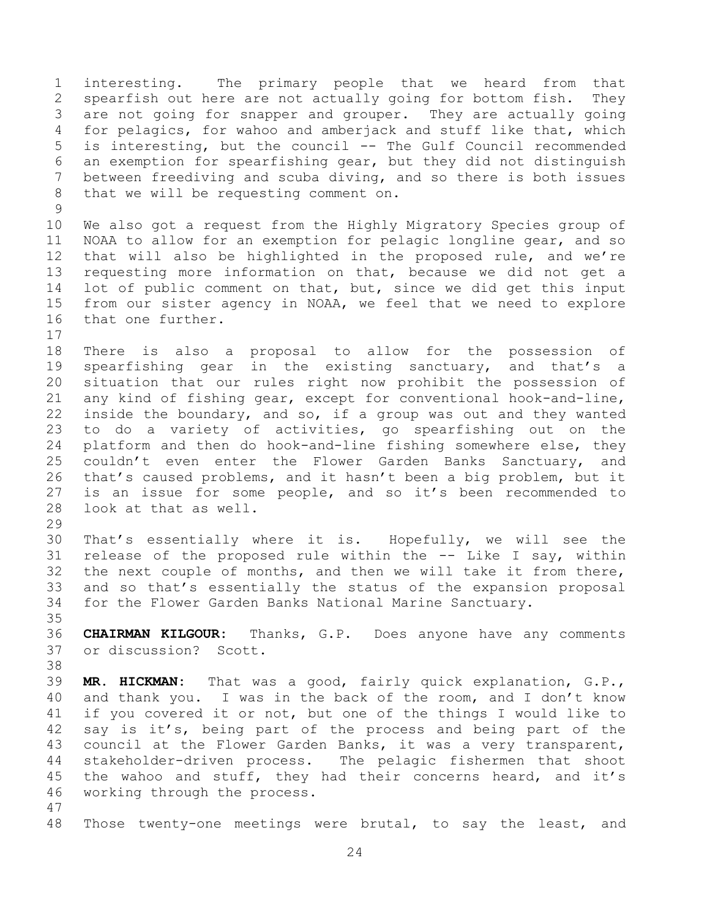interesting. The primary people that we heard from that spearfish out here are not actually going for bottom fish. They are not going for snapper and grouper. They are actually going for pelagics, for wahoo and amberjack and stuff like that, which is interesting, but the council -- The Gulf Council recommended an exemption for spearfishing gear, but they did not distinguish between freediving and scuba diving, and so there is both issues that we will be requesting comment on. We also got a request from the Highly Migratory Species group of NOAA to allow for an exemption for pelagic longline gear, and so that will also be highlighted in the proposed rule, and we're requesting more information on that, because we did not get a lot of public comment on that, but, since we did get this input

 There is also a proposal to allow for the possession of spearfishing gear in the existing sanctuary, and that's a situation that our rules right now prohibit the possession of any kind of fishing gear, except for conventional hook-and-line, inside the boundary, and so, if a group was out and they wanted to do a variety of activities, go spearfishing out on the platform and then do hook-and-line fishing somewhere else, they couldn't even enter the Flower Garden Banks Sanctuary, and that's caused problems, and it hasn't been a big problem, but it is an issue for some people, and so it's been recommended to look at that as well.

from our sister agency in NOAA, we feel that we need to explore

 That's essentially where it is. Hopefully, we will see the release of the proposed rule within the -- Like I say, within the next couple of months, and then we will take it from there, and so that's essentially the status of the expansion proposal for the Flower Garden Banks National Marine Sanctuary.

 **CHAIRMAN KILGOUR:** Thanks, G.P. Does anyone have any comments or discussion? Scott.

 **MR. HICKMAN:** That was a good, fairly quick explanation, G.P., and thank you. I was in the back of the room, and I don't know if you covered it or not, but one of the things I would like to say is it's, being part of the process and being part of the council at the Flower Garden Banks, it was a very transparent, stakeholder-driven process. The pelagic fishermen that shoot the wahoo and stuff, they had their concerns heard, and it's working through the process. 

Those twenty-one meetings were brutal, to say the least, and

that one further.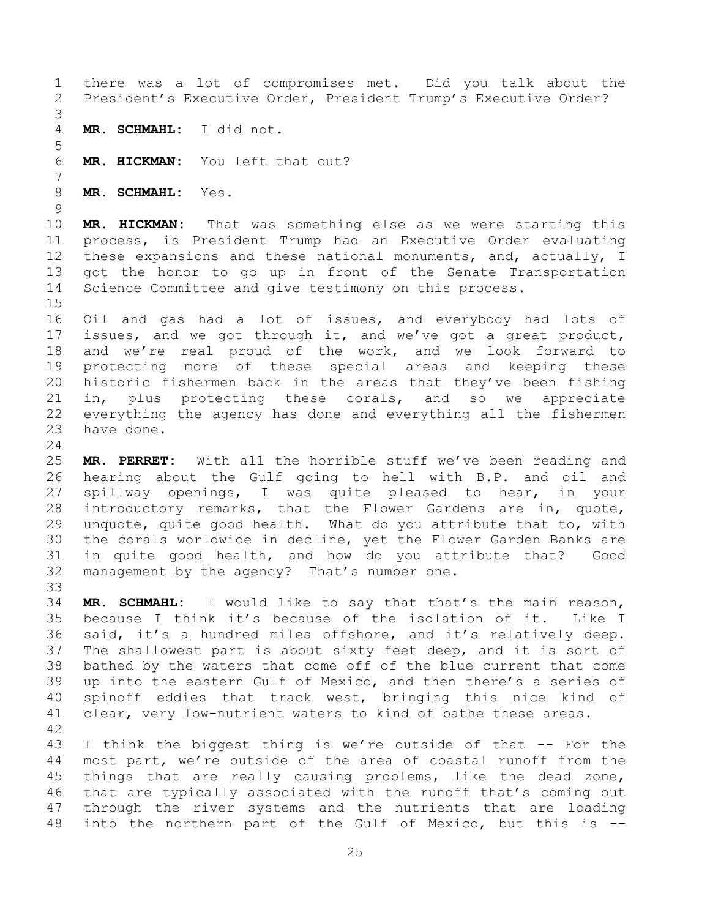there was a lot of compromises met. Did you talk about the President's Executive Order, President Trump's Executive Order? **MR. SCHMAHL:** I did not. **MR. HICKMAN:** You left that out? **MR. SCHMAHL:** Yes. **MR. HICKMAN:** That was something else as we were starting this process, is President Trump had an Executive Order evaluating these expansions and these national monuments, and, actually, I got the honor to go up in front of the Senate Transportation Science Committee and give testimony on this process. Oil and gas had a lot of issues, and everybody had lots of issues, and we got through it, and we've got a great product, and we're real proud of the work, and we look forward to protecting more of these special areas and keeping these historic fishermen back in the areas that they've been fishing in, plus protecting these corals, and so we appreciate everything the agency has done and everything all the fishermen have done. 

 **MR. PERRET:** With all the horrible stuff we've been reading and hearing about the Gulf going to hell with B.P. and oil and spillway openings, I was quite pleased to hear, in your introductory remarks, that the Flower Gardens are in, quote, unquote, quite good health. What do you attribute that to, with the corals worldwide in decline, yet the Flower Garden Banks are in quite good health, and how do you attribute that? Good management by the agency? That's number one. 

 **MR. SCHMAHL:** I would like to say that that's the main reason, because I think it's because of the isolation of it. Like I said, it's a hundred miles offshore, and it's relatively deep. The shallowest part is about sixty feet deep, and it is sort of bathed by the waters that come off of the blue current that come up into the eastern Gulf of Mexico, and then there's a series of spinoff eddies that track west, bringing this nice kind of clear, very low-nutrient waters to kind of bathe these areas. 

 I think the biggest thing is we're outside of that -- For the most part, we're outside of the area of coastal runoff from the things that are really causing problems, like the dead zone, that are typically associated with the runoff that's coming out through the river systems and the nutrients that are loading into the northern part of the Gulf of Mexico, but this is --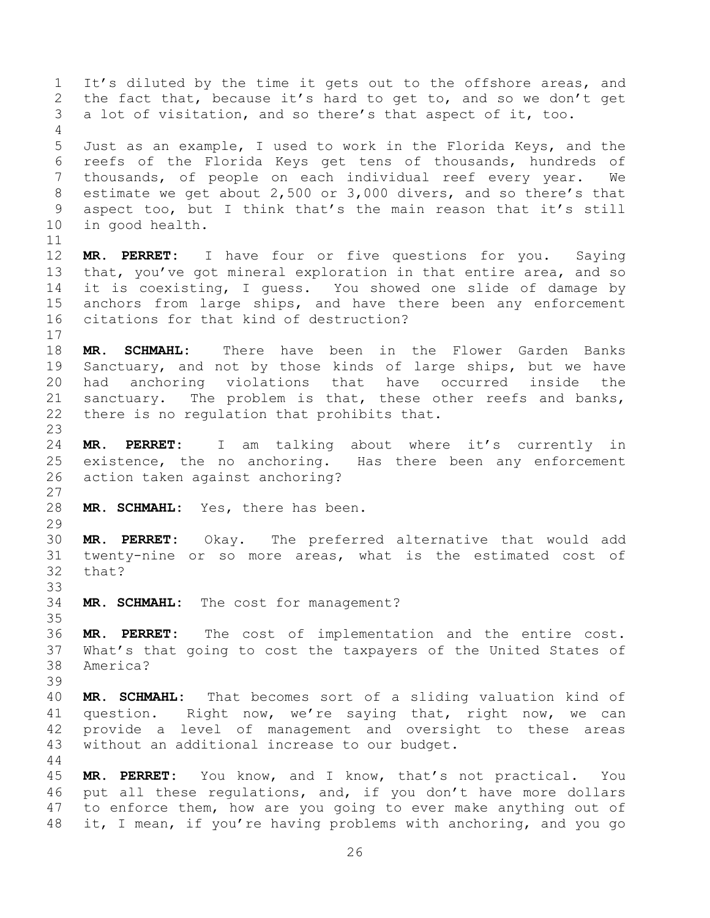It's diluted by the time it gets out to the offshore areas, and the fact that, because it's hard to get to, and so we don't get a lot of visitation, and so there's that aspect of it, too. Just as an example, I used to work in the Florida Keys, and the reefs of the Florida Keys get tens of thousands, hundreds of thousands, of people on each individual reef every year. We estimate we get about 2,500 or 3,000 divers, and so there's that aspect too, but I think that's the main reason that it's still in good health. **MR. PERRET:** I have four or five questions for you. Saying that, you've got mineral exploration in that entire area, and so it is coexisting, I guess. You showed one slide of damage by anchors from large ships, and have there been any enforcement citations for that kind of destruction? **MR. SCHMAHL:** There have been in the Flower Garden Banks Sanctuary, and not by those kinds of large ships, but we have had anchoring violations that have occurred inside the sanctuary. The problem is that, these other reefs and banks, there is no regulation that prohibits that. **MR. PERRET:** I am talking about where it's currently in existence, the no anchoring. Has there been any enforcement action taken against anchoring? **MR. SCHMAHL:** Yes, there has been. **MR. PERRET:** Okay. The preferred alternative that would add twenty-nine or so more areas, what is the estimated cost of that? **MR. SCHMAHL:** The cost for management? **MR. PERRET:** The cost of implementation and the entire cost. What's that going to cost the taxpayers of the United States of America? **MR. SCHMAHL:** That becomes sort of a sliding valuation kind of question. Right now, we're saying that, right now, we can provide a level of management and oversight to these areas without an additional increase to our budget. **MR. PERRET:** You know, and I know, that's not practical. You put all these regulations, and, if you don't have more dollars to enforce them, how are you going to ever make anything out of

it, I mean, if you're having problems with anchoring, and you go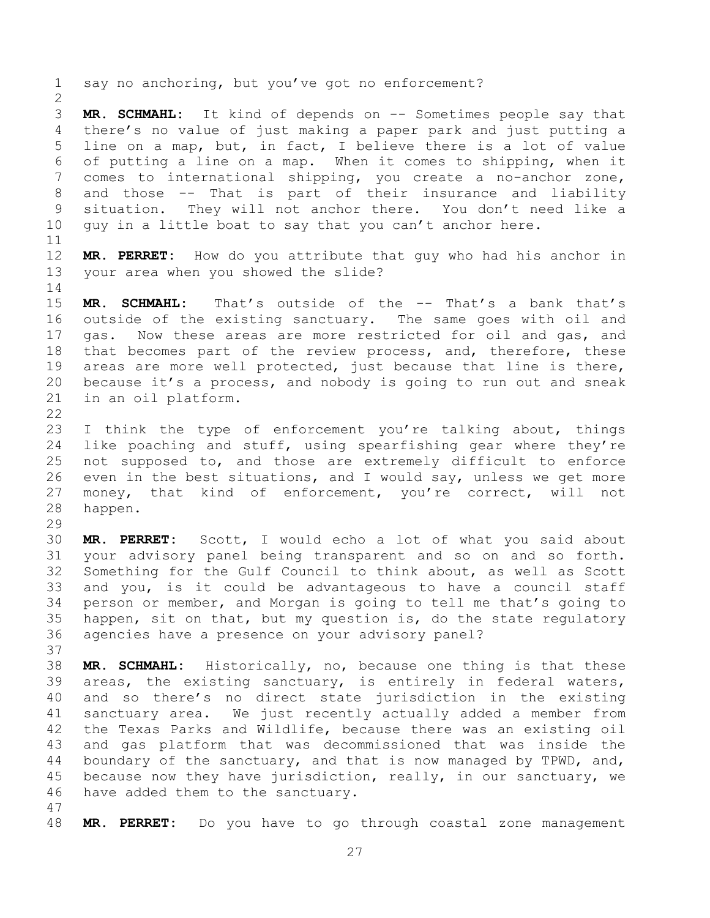say no anchoring, but you've got no enforcement?

 **MR. SCHMAHL:** It kind of depends on -- Sometimes people say that there's no value of just making a paper park and just putting a line on a map, but, in fact, I believe there is a lot of value of putting a line on a map. When it comes to shipping, when it comes to international shipping, you create a no-anchor zone, and those -- That is part of their insurance and liability situation. They will not anchor there. You don't need like a guy in a little boat to say that you can't anchor here.

 **MR. PERRET:** How do you attribute that guy who had his anchor in your area when you showed the slide?

 **MR. SCHMAHL:** That's outside of the -- That's a bank that's outside of the existing sanctuary. The same goes with oil and gas. Now these areas are more restricted for oil and gas, and that becomes part of the review process, and, therefore, these areas are more well protected, just because that line is there, because it's a process, and nobody is going to run out and sneak in an oil platform. 

 I think the type of enforcement you're talking about, things like poaching and stuff, using spearfishing gear where they're not supposed to, and those are extremely difficult to enforce even in the best situations, and I would say, unless we get more money, that kind of enforcement, you're correct, will not happen.

 **MR. PERRET:** Scott, I would echo a lot of what you said about your advisory panel being transparent and so on and so forth. Something for the Gulf Council to think about, as well as Scott and you, is it could be advantageous to have a council staff person or member, and Morgan is going to tell me that's going to happen, sit on that, but my question is, do the state regulatory agencies have a presence on your advisory panel?

 **MR. SCHMAHL:** Historically, no, because one thing is that these areas, the existing sanctuary, is entirely in federal waters, and so there's no direct state jurisdiction in the existing sanctuary area. We just recently actually added a member from the Texas Parks and Wildlife, because there was an existing oil and gas platform that was decommissioned that was inside the boundary of the sanctuary, and that is now managed by TPWD, and, because now they have jurisdiction, really, in our sanctuary, we have added them to the sanctuary.

**MR. PERRET:** Do you have to go through coastal zone management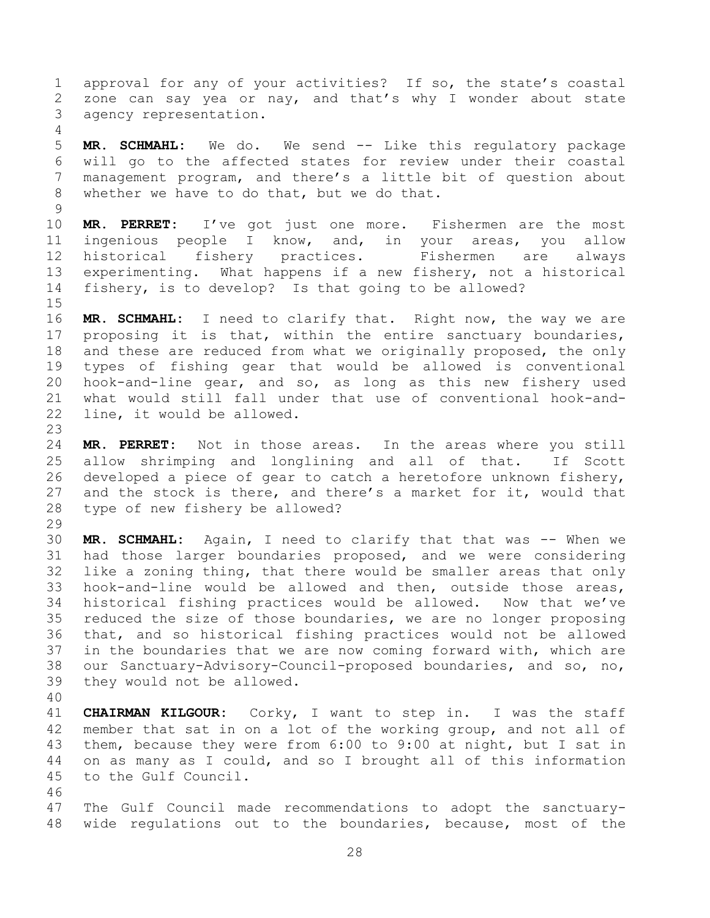approval for any of your activities? If so, the state's coastal zone can say yea or nay, and that's why I wonder about state agency representation.

 **MR. SCHMAHL:** We do. We send -- Like this regulatory package will go to the affected states for review under their coastal management program, and there's a little bit of question about whether we have to do that, but we do that.

 **MR. PERRET:** I've got just one more. Fishermen are the most ingenious people I know, and, in your areas, you allow historical fishery practices. Fishermen are always experimenting. What happens if a new fishery, not a historical fishery, is to develop? Is that going to be allowed?

 **MR. SCHMAHL:** I need to clarify that. Right now, the way we are proposing it is that, within the entire sanctuary boundaries, and these are reduced from what we originally proposed, the only types of fishing gear that would be allowed is conventional hook-and-line gear, and so, as long as this new fishery used what would still fall under that use of conventional hook-and-line, it would be allowed.

 **MR. PERRET:** Not in those areas. In the areas where you still allow shrimping and longlining and all of that. If Scott developed a piece of gear to catch a heretofore unknown fishery, 27 and the stock is there, and there's a market for it, would that type of new fishery be allowed?

 **MR. SCHMAHL:** Again, I need to clarify that that was -- When we had those larger boundaries proposed, and we were considering like a zoning thing, that there would be smaller areas that only hook-and-line would be allowed and then, outside those areas, historical fishing practices would be allowed. Now that we've reduced the size of those boundaries, we are no longer proposing that, and so historical fishing practices would not be allowed in the boundaries that we are now coming forward with, which are our Sanctuary-Advisory-Council-proposed boundaries, and so, no, they would not be allowed.

 **CHAIRMAN KILGOUR:** Corky, I want to step in. I was the staff member that sat in on a lot of the working group, and not all of them, because they were from 6:00 to 9:00 at night, but I sat in on as many as I could, and so I brought all of this information to the Gulf Council.

 The Gulf Council made recommendations to adopt the sanctuary-wide regulations out to the boundaries, because, most of the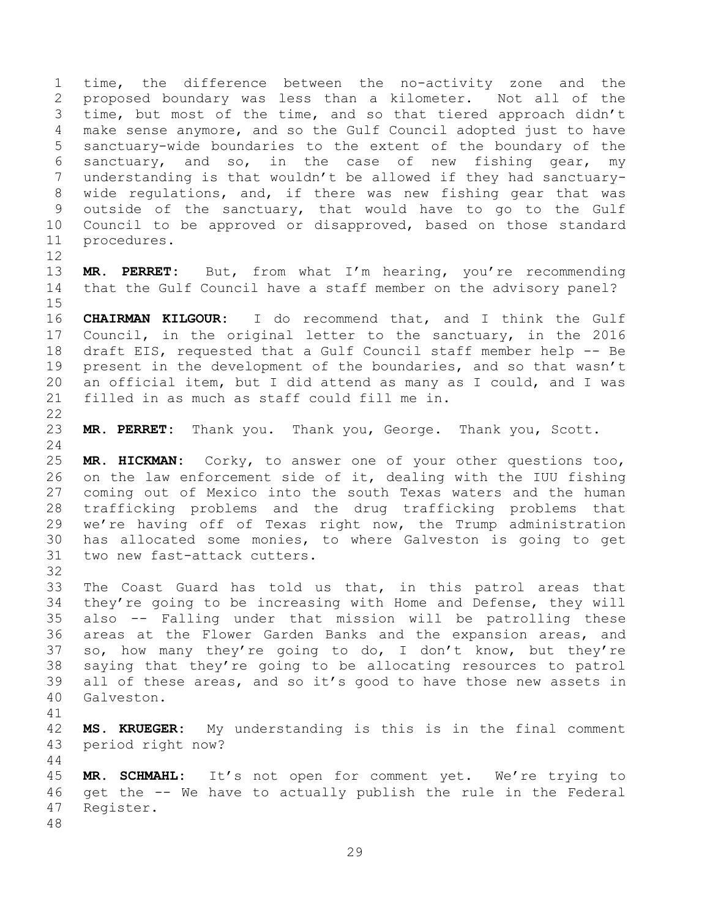time, the difference between the no-activity zone and the proposed boundary was less than a kilometer. Not all of the time, but most of the time, and so that tiered approach didn't make sense anymore, and so the Gulf Council adopted just to have sanctuary-wide boundaries to the extent of the boundary of the sanctuary, and so, in the case of new fishing gear, my understanding is that wouldn't be allowed if they had sanctuary- wide regulations, and, if there was new fishing gear that was outside of the sanctuary, that would have to go to the Gulf Council to be approved or disapproved, based on those standard procedures.

 **MR. PERRET:** But, from what I'm hearing, you're recommending that the Gulf Council have a staff member on the advisory panel?

 **CHAIRMAN KILGOUR:** I do recommend that, and I think the Gulf Council, in the original letter to the sanctuary, in the 2016 draft EIS, requested that a Gulf Council staff member help -- Be present in the development of the boundaries, and so that wasn't an official item, but I did attend as many as I could, and I was filled in as much as staff could fill me in.

**MR. PERRET:** Thank you. Thank you, George. Thank you, Scott.

 **MR. HICKMAN:** Corky, to answer one of your other questions too, on the law enforcement side of it, dealing with the IUU fishing coming out of Mexico into the south Texas waters and the human trafficking problems and the drug trafficking problems that we're having off of Texas right now, the Trump administration has allocated some monies, to where Galveston is going to get two new fast-attack cutters.

 The Coast Guard has told us that, in this patrol areas that they're going to be increasing with Home and Defense, they will also -- Falling under that mission will be patrolling these areas at the Flower Garden Banks and the expansion areas, and so, how many they're going to do, I don't know, but they're saying that they're going to be allocating resources to patrol all of these areas, and so it's good to have those new assets in Galveston.

 **MS. KRUEGER:** My understanding is this is in the final comment period right now?

 **MR. SCHMAHL:** It's not open for comment yet. We're trying to get the -- We have to actually publish the rule in the Federal Register.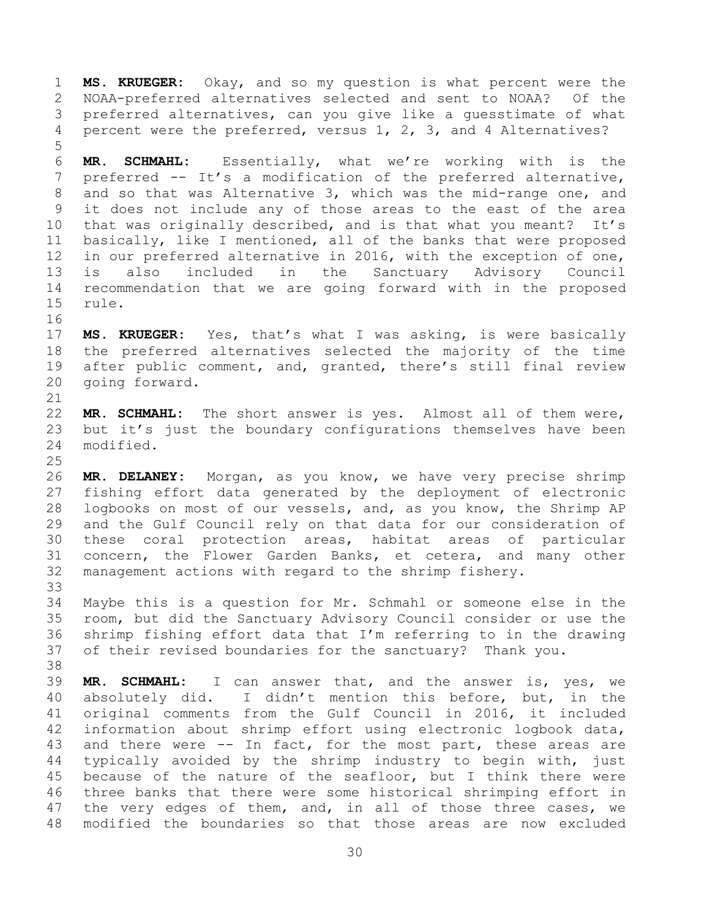**MS. KRUEGER:** Okay, and so my question is what percent were the NOAA-preferred alternatives selected and sent to NOAA? Of the preferred alternatives, can you give like a guesstimate of what percent were the preferred, versus 1, 2, 3, and 4 Alternatives?

 **MR. SCHMAHL:** Essentially, what we're working with is the preferred -- It's a modification of the preferred alternative, and so that was Alternative 3, which was the mid-range one, and it does not include any of those areas to the east of the area that was originally described, and is that what you meant? It's basically, like I mentioned, all of the banks that were proposed in our preferred alternative in 2016, with the exception of one, is also included in the Sanctuary Advisory Council recommendation that we are going forward with in the proposed rule.

 **MS. KRUEGER:** Yes, that's what I was asking, is were basically the preferred alternatives selected the majority of the time after public comment, and, granted, there's still final review going forward.

 **MR. SCHMAHL:** The short answer is yes. Almost all of them were, but it's just the boundary configurations themselves have been modified.

 **MR. DELANEY:** Morgan, as you know, we have very precise shrimp fishing effort data generated by the deployment of electronic logbooks on most of our vessels, and, as you know, the Shrimp AP and the Gulf Council rely on that data for our consideration of these coral protection areas, habitat areas of particular concern, the Flower Garden Banks, et cetera, and many other management actions with regard to the shrimp fishery. 

 Maybe this is a question for Mr. Schmahl or someone else in the room, but did the Sanctuary Advisory Council consider or use the shrimp fishing effort data that I'm referring to in the drawing of their revised boundaries for the sanctuary? Thank you. 

 **MR. SCHMAHL:** I can answer that, and the answer is, yes, we absolutely did. I didn't mention this before, but, in the original comments from the Gulf Council in 2016, it included information about shrimp effort using electronic logbook data, and there were -- In fact, for the most part, these areas are typically avoided by the shrimp industry to begin with, just because of the nature of the seafloor, but I think there were three banks that there were some historical shrimping effort in 47 the very edges of them, and, in all of those three cases, we modified the boundaries so that those areas are now excluded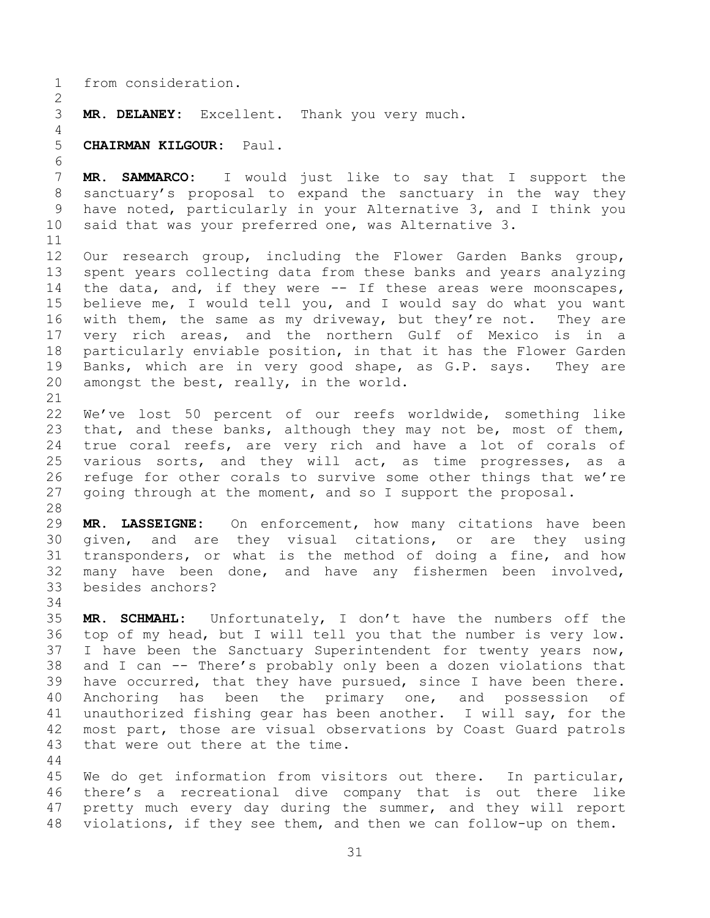from consideration.

**MR. DELANEY:** Excellent. Thank you very much.

**CHAIRMAN KILGOUR:** Paul.

 **MR. SAMMARCO:** I would just like to say that I support the sanctuary's proposal to expand the sanctuary in the way they have noted, particularly in your Alternative 3, and I think you said that was your preferred one, was Alternative 3.

 Our research group, including the Flower Garden Banks group, spent years collecting data from these banks and years analyzing the data, and, if they were -- If these areas were moonscapes, believe me, I would tell you, and I would say do what you want with them, the same as my driveway, but they're not. They are very rich areas, and the northern Gulf of Mexico is in a particularly enviable position, in that it has the Flower Garden Banks, which are in very good shape, as G.P. says. They are amongst the best, really, in the world.

 We've lost 50 percent of our reefs worldwide, something like 23 that, and these banks, although they may not be, most of them, true coral reefs, are very rich and have a lot of corals of various sorts, and they will act, as time progresses, as a refuge for other corals to survive some other things that we're 27 going through at the moment, and so I support the proposal.

 **MR. LASSEIGNE:** On enforcement, how many citations have been given, and are they visual citations, or are they using transponders, or what is the method of doing a fine, and how many have been done, and have any fishermen been involved, besides anchors?

 **MR. SCHMAHL:** Unfortunately, I don't have the numbers off the top of my head, but I will tell you that the number is very low. I have been the Sanctuary Superintendent for twenty years now, and I can -- There's probably only been a dozen violations that have occurred, that they have pursued, since I have been there. Anchoring has been the primary one, and possession of unauthorized fishing gear has been another. I will say, for the most part, those are visual observations by Coast Guard patrols that were out there at the time.

 We do get information from visitors out there. In particular, there's a recreational dive company that is out there like pretty much every day during the summer, and they will report violations, if they see them, and then we can follow-up on them.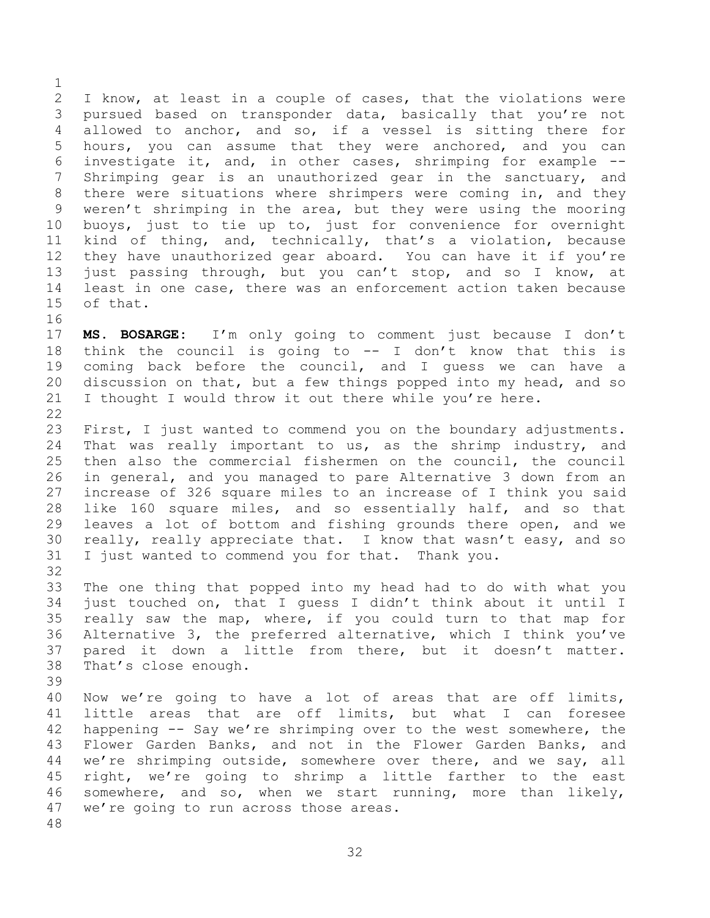I know, at least in a couple of cases, that the violations were pursued based on transponder data, basically that you're not allowed to anchor, and so, if a vessel is sitting there for hours, you can assume that they were anchored, and you can investigate it, and, in other cases, shrimping for example -- Shrimping gear is an unauthorized gear in the sanctuary, and there were situations where shrimpers were coming in, and they weren't shrimping in the area, but they were using the mooring buoys, just to tie up to, just for convenience for overnight kind of thing, and, technically, that's a violation, because they have unauthorized gear aboard. You can have it if you're just passing through, but you can't stop, and so I know, at least in one case, there was an enforcement action taken because of that. 

 **MS. BOSARGE:** I'm only going to comment just because I don't think the council is going to -- I don't know that this is coming back before the council, and I guess we can have a discussion on that, but a few things popped into my head, and so I thought I would throw it out there while you're here. 

 First, I just wanted to commend you on the boundary adjustments. That was really important to us, as the shrimp industry, and then also the commercial fishermen on the council, the council in general, and you managed to pare Alternative 3 down from an increase of 326 square miles to an increase of I think you said like 160 square miles, and so essentially half, and so that leaves a lot of bottom and fishing grounds there open, and we really, really appreciate that. I know that wasn't easy, and so I just wanted to commend you for that. Thank you.

 The one thing that popped into my head had to do with what you just touched on, that I guess I didn't think about it until I really saw the map, where, if you could turn to that map for Alternative 3, the preferred alternative, which I think you've pared it down a little from there, but it doesn't matter. That's close enough.

 Now we're going to have a lot of areas that are off limits, little areas that are off limits, but what I can foresee happening -- Say we're shrimping over to the west somewhere, the Flower Garden Banks, and not in the Flower Garden Banks, and we're shrimping outside, somewhere over there, and we say, all right, we're going to shrimp a little farther to the east somewhere, and so, when we start running, more than likely, we're going to run across those areas.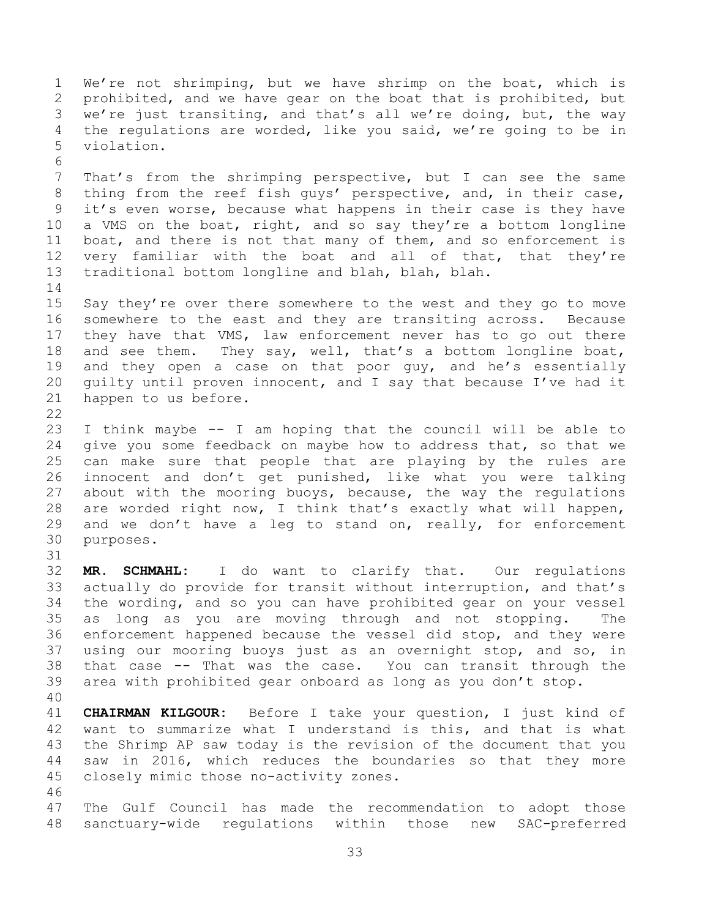We're not shrimping, but we have shrimp on the boat, which is prohibited, and we have gear on the boat that is prohibited, but we're just transiting, and that's all we're doing, but, the way the regulations are worded, like you said, we're going to be in violation. That's from the shrimping perspective, but I can see the same thing from the reef fish guys' perspective, and, in their case, it's even worse, because what happens in their case is they have a VMS on the boat, right, and so say they're a bottom longline boat, and there is not that many of them, and so enforcement is very familiar with the boat and all of that, that they're traditional bottom longline and blah, blah, blah. Say they're over there somewhere to the west and they go to move somewhere to the east and they are transiting across. Because they have that VMS, law enforcement never has to go out there and see them. They say, well, that's a bottom longline boat, 19 and they open a case on that poor guy, and he's essentially guilty until proven innocent, and I say that because I've had it happen to us before. I think maybe -- I am hoping that the council will be able to give you some feedback on maybe how to address that, so that we can make sure that people that are playing by the rules are innocent and don't get punished, like what you were talking about with the mooring buoys, because, the way the regulations are worded right now, I think that's exactly what will happen, and we don't have a leg to stand on, really, for enforcement purposes. **MR. SCHMAHL:** I do want to clarify that. Our regulations actually do provide for transit without interruption, and that's the wording, and so you can have prohibited gear on your vessel as long as you are moving through and not stopping. The enforcement happened because the vessel did stop, and they were using our mooring buoys just as an overnight stop, and so, in that case -- That was the case. You can transit through the area with prohibited gear onboard as long as you don't stop. **CHAIRMAN KILGOUR:** Before I take your question, I just kind of want to summarize what I understand is this, and that is what the Shrimp AP saw today is the revision of the document that you saw in 2016, which reduces the boundaries so that they more closely mimic those no-activity zones. The Gulf Council has made the recommendation to adopt those sanctuary-wide regulations within those new SAC-preferred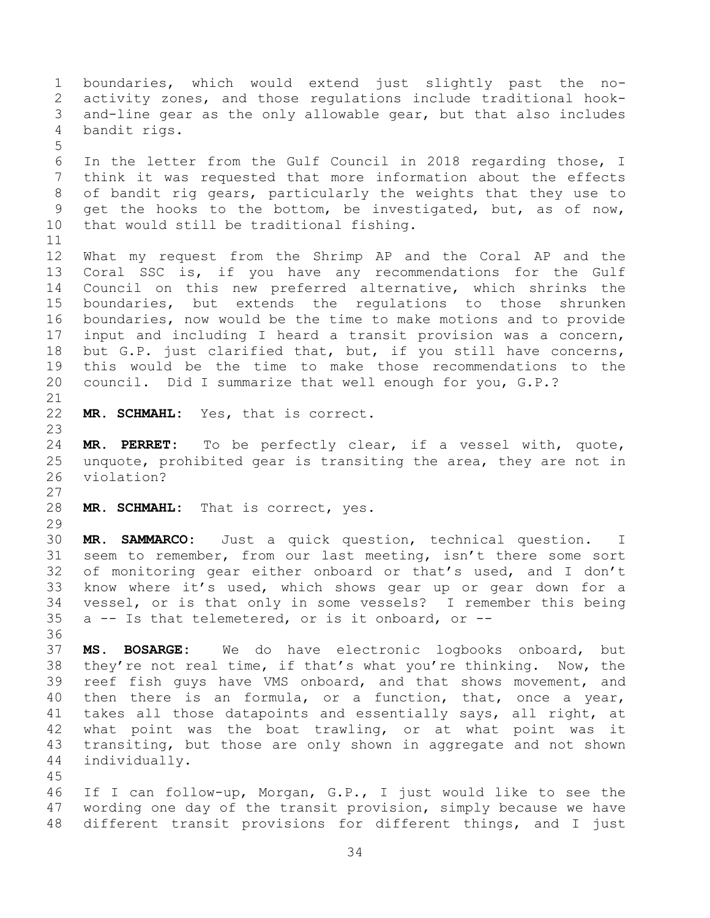boundaries, which would extend just slightly past the no- activity zones, and those regulations include traditional hook- and-line gear as the only allowable gear, but that also includes bandit rigs. In the letter from the Gulf Council in 2018 regarding those, I think it was requested that more information about the effects of bandit rig gears, particularly the weights that they use to get the hooks to the bottom, be investigated, but, as of now, that would still be traditional fishing. What my request from the Shrimp AP and the Coral AP and the Coral SSC is, if you have any recommendations for the Gulf Council on this new preferred alternative, which shrinks the boundaries, but extends the regulations to those shrunken boundaries, now would be the time to make motions and to provide input and including I heard a transit provision was a concern, but G.P. just clarified that, but, if you still have concerns, this would be the time to make those recommendations to the council. Did I summarize that well enough for you, G.P.? **MR. SCHMAHL:** Yes, that is correct. **MR. PERRET:** To be perfectly clear, if a vessel with, quote, unquote, prohibited gear is transiting the area, they are not in violation? **MR. SCHMAHL:** That is correct, yes. **MR. SAMMARCO:** Just a quick question, technical question. I seem to remember, from our last meeting, isn't there some sort of monitoring gear either onboard or that's used, and I don't know where it's used, which shows gear up or gear down for a vessel, or is that only in some vessels? I remember this being a -- Is that telemetered, or is it onboard, or -- **MS. BOSARGE:** We do have electronic logbooks onboard, but they're not real time, if that's what you're thinking. Now, the reef fish guys have VMS onboard, and that shows movement, and then there is an formula, or a function, that, once a year, takes all those datapoints and essentially says, all right, at what point was the boat trawling, or at what point was it transiting, but those are only shown in aggregate and not shown individually. If I can follow-up, Morgan, G.P., I just would like to see the wording one day of the transit provision, simply because we have different transit provisions for different things, and I just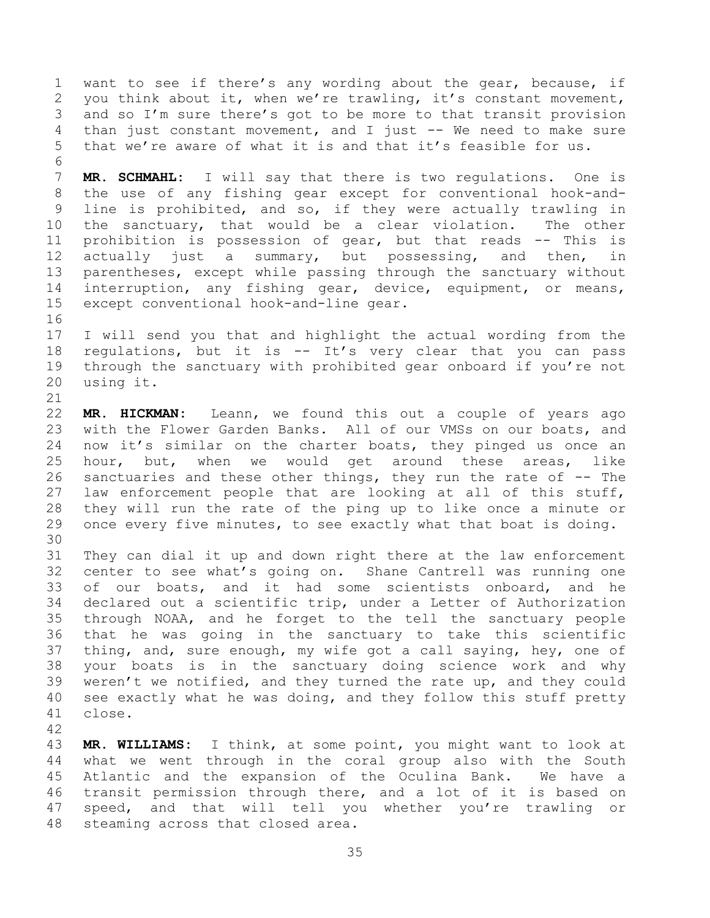want to see if there's any wording about the gear, because, if you think about it, when we're trawling, it's constant movement, and so I'm sure there's got to be more to that transit provision than just constant movement, and I just -- We need to make sure that we're aware of what it is and that it's feasible for us. 

 **MR. SCHMAHL:** I will say that there is two regulations. One is the use of any fishing gear except for conventional hook-and- line is prohibited, and so, if they were actually trawling in the sanctuary, that would be a clear violation. The other prohibition is possession of gear, but that reads -- This is 12 actually just a summary, but possessing, and then, in parentheses, except while passing through the sanctuary without interruption, any fishing gear, device, equipment, or means, except conventional hook-and-line gear.

 I will send you that and highlight the actual wording from the regulations, but it is -- It's very clear that you can pass through the sanctuary with prohibited gear onboard if you're not using it.

 **MR. HICKMAN:** Leann, we found this out a couple of years ago with the Flower Garden Banks. All of our VMSs on our boats, and now it's similar on the charter boats, they pinged us once an hour, but, when we would get around these areas, like sanctuaries and these other things, they run the rate of -- The law enforcement people that are looking at all of this stuff, they will run the rate of the ping up to like once a minute or once every five minutes, to see exactly what that boat is doing. 

 They can dial it up and down right there at the law enforcement center to see what's going on. Shane Cantrell was running one of our boats, and it had some scientists onboard, and he declared out a scientific trip, under a Letter of Authorization through NOAA, and he forget to the tell the sanctuary people that he was going in the sanctuary to take this scientific thing, and, sure enough, my wife got a call saying, hey, one of your boats is in the sanctuary doing science work and why weren't we notified, and they turned the rate up, and they could see exactly what he was doing, and they follow this stuff pretty close.

 **MR. WILLIAMS:** I think, at some point, you might want to look at what we went through in the coral group also with the South Atlantic and the expansion of the Oculina Bank. We have a transit permission through there, and a lot of it is based on speed, and that will tell you whether you're trawling or steaming across that closed area.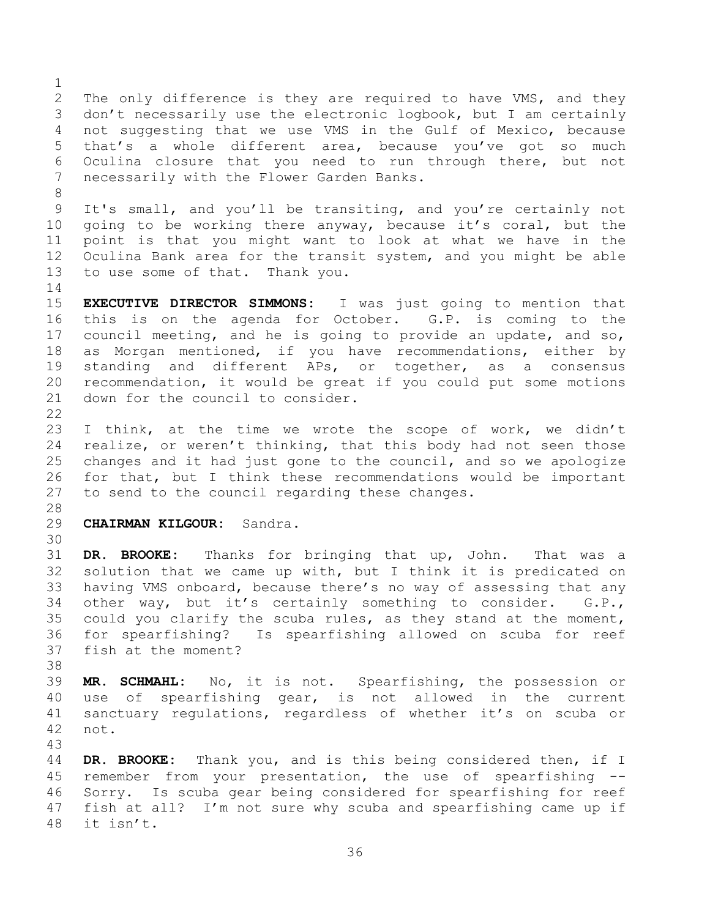The only difference is they are required to have VMS, and they don't necessarily use the electronic logbook, but I am certainly not suggesting that we use VMS in the Gulf of Mexico, because that's a whole different area, because you've got so much Oculina closure that you need to run through there, but not necessarily with the Flower Garden Banks. It's small, and you'll be transiting, and you're certainly not going to be working there anyway, because it's coral, but the point is that you might want to look at what we have in the Oculina Bank area for the transit system, and you might be able to use some of that. Thank you. **EXECUTIVE DIRECTOR SIMMONS:** I was just going to mention that this is on the agenda for October. G.P. is coming to the council meeting, and he is going to provide an update, and so, as Morgan mentioned, if you have recommendations, either by standing and different APs, or together, as a consensus recommendation, it would be great if you could put some motions down for the council to consider. I think, at the time we wrote the scope of work, we didn't realize, or weren't thinking, that this body had not seen those changes and it had just gone to the council, and so we apologize for that, but I think these recommendations would be important to send to the council regarding these changes. **CHAIRMAN KILGOUR:** Sandra. **DR. BROOKE:** Thanks for bringing that up, John. That was a solution that we came up with, but I think it is predicated on having VMS onboard, because there's no way of assessing that any other way, but it's certainly something to consider. G.P., could you clarify the scuba rules, as they stand at the moment, for spearfishing? Is spearfishing allowed on scuba for reef fish at the moment? **MR. SCHMAHL:** No, it is not. Spearfishing, the possession or use of spearfishing gear, is not allowed in the current sanctuary regulations, regardless of whether it's on scuba or not. **DR. BROOKE:** Thank you, and is this being considered then, if I 45 remember from your presentation, the use of spearfishing Sorry. Is scuba gear being considered for spearfishing for reef

fish at all? I'm not sure why scuba and spearfishing came up if

it isn't.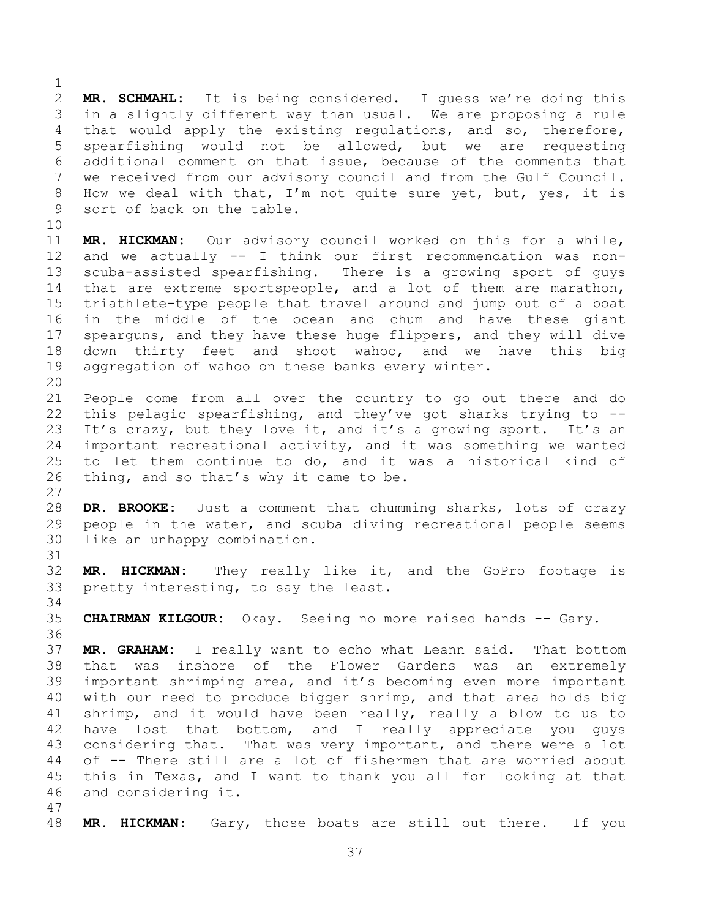**MR. SCHMAHL:** It is being considered. I guess we're doing this in a slightly different way than usual. We are proposing a rule that would apply the existing regulations, and so, therefore, spearfishing would not be allowed, but we are requesting additional comment on that issue, because of the comments that we received from our advisory council and from the Gulf Council. How we deal with that, I'm not quite sure yet, but, yes, it is sort of back on the table. 

 **MR. HICKMAN:** Our advisory council worked on this for a while, and we actually -- I think our first recommendation was non- scuba-assisted spearfishing. There is a growing sport of guys that are extreme sportspeople, and a lot of them are marathon, triathlete-type people that travel around and jump out of a boat in the middle of the ocean and chum and have these giant spearguns, and they have these huge flippers, and they will dive down thirty feet and shoot wahoo, and we have this big aggregation of wahoo on these banks every winter.

 People come from all over the country to go out there and do this pelagic spearfishing, and they've got sharks trying to -- It's crazy, but they love it, and it's a growing sport. It's an important recreational activity, and it was something we wanted to let them continue to do, and it was a historical kind of thing, and so that's why it came to be.

 **DR. BROOKE:** Just a comment that chumming sharks, lots of crazy people in the water, and scuba diving recreational people seems like an unhappy combination.

 **MR. HICKMAN:** They really like it, and the GoPro footage is pretty interesting, to say the least.

**CHAIRMAN KILGOUR:** Okay. Seeing no more raised hands -- Gary.

 **MR. GRAHAM:** I really want to echo what Leann said. That bottom that was inshore of the Flower Gardens was an extremely important shrimping area, and it's becoming even more important with our need to produce bigger shrimp, and that area holds big shrimp, and it would have been really, really a blow to us to have lost that bottom, and I really appreciate you guys 43 considering that. That was very important, and there were a lot of -- There still are a lot of fishermen that are worried about this in Texas, and I want to thank you all for looking at that and considering it. 

**MR. HICKMAN:** Gary, those boats are still out there. If you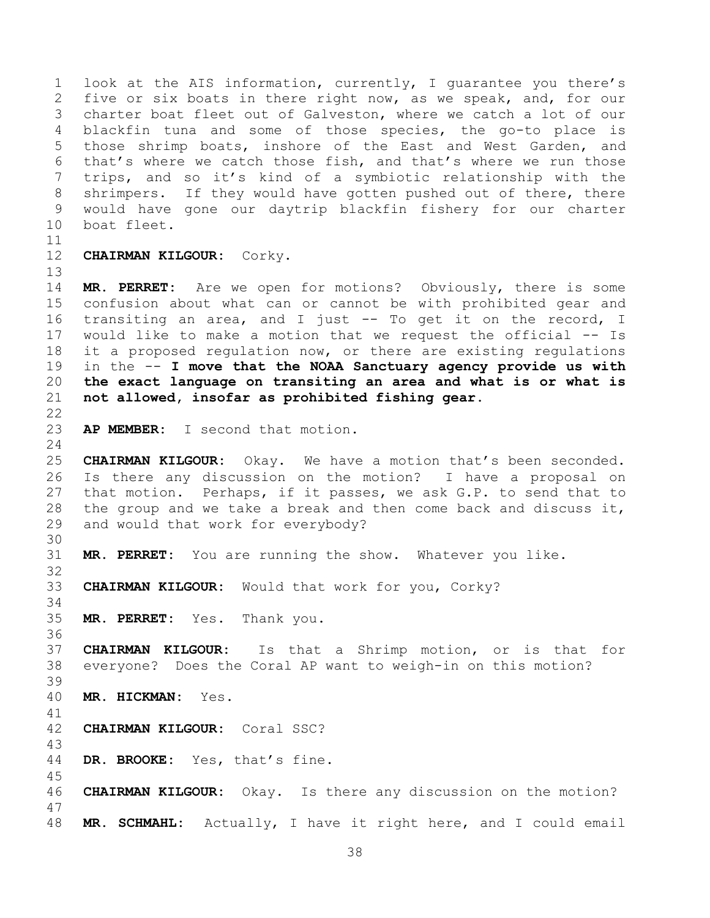look at the AIS information, currently, I guarantee you there's five or six boats in there right now, as we speak, and, for our charter boat fleet out of Galveston, where we catch a lot of our blackfin tuna and some of those species, the go-to place is those shrimp boats, inshore of the East and West Garden, and that's where we catch those fish, and that's where we run those trips, and so it's kind of a symbiotic relationship with the shrimpers. If they would have gotten pushed out of there, there would have gone our daytrip blackfin fishery for our charter boat fleet.

**CHAIRMAN KILGOUR:** Corky.

 **MR. PERRET:** Are we open for motions? Obviously, there is some confusion about what can or cannot be with prohibited gear and transiting an area, and I just -- To get it on the record, I would like to make a motion that we request the official -- Is it a proposed regulation now, or there are existing regulations in the -- **I move that the NOAA Sanctuary agency provide us with the exact language on transiting an area and what is or what is not allowed, insofar as prohibited fishing gear.**

**AP MEMBER:** I second that motion.

 **CHAIRMAN KILGOUR:** Okay. We have a motion that's been seconded. Is there any discussion on the motion? I have a proposal on that motion. Perhaps, if it passes, we ask G.P. to send that to 28 the group and we take a break and then come back and discuss it, and would that work for everybody?

**MR. PERRET:** You are running the show. Whatever you like.

**CHAIRMAN KILGOUR:** Would that work for you, Corky?

**MR. PERRET:** Yes. Thank you.

 **CHAIRMAN KILGOUR:** Is that a Shrimp motion, or is that for everyone? Does the Coral AP want to weigh-in on this motion? 

**MR. HICKMAN:** Yes.

**CHAIRMAN KILGOUR:** Coral SSC?

**DR. BROOKE:** Yes, that's fine.

**CHAIRMAN KILGOUR:** Okay. Is there any discussion on the motion?

**MR. SCHMAHL:** Actually, I have it right here, and I could email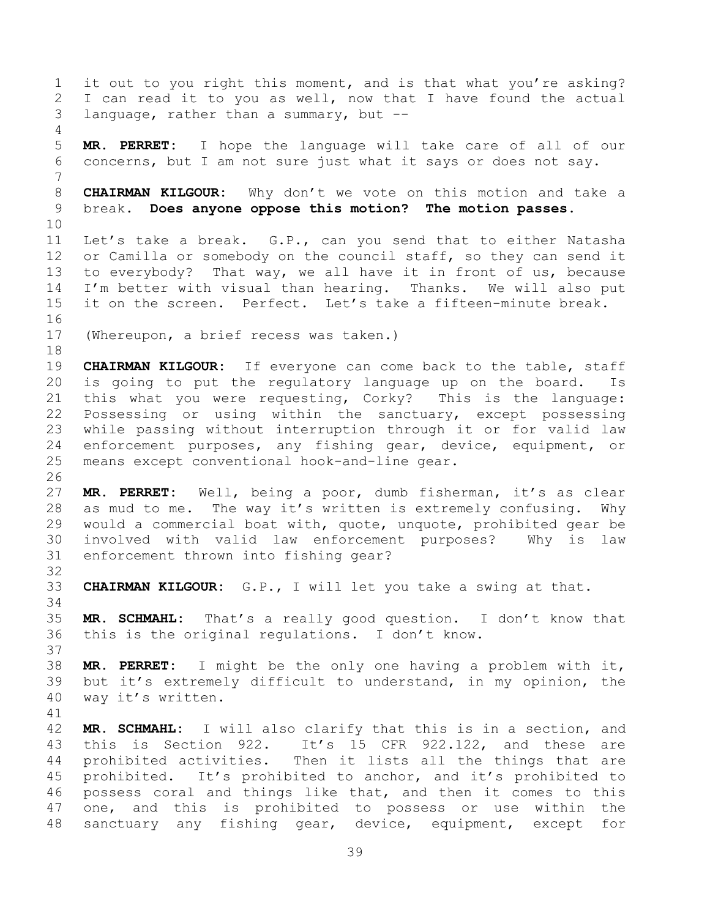it out to you right this moment, and is that what you're asking? I can read it to you as well, now that I have found the actual language, rather than a summary, but -- **MR. PERRET:** I hope the language will take care of all of our concerns, but I am not sure just what it says or does not say. **CHAIRMAN KILGOUR:** Why don't we vote on this motion and take a break. **Does anyone oppose this motion? The motion passes.**  Let's take a break. G.P., can you send that to either Natasha 12 or Camilla or somebody on the council staff, so they can send it to everybody? That way, we all have it in front of us, because I'm better with visual than hearing. Thanks. We will also put it on the screen. Perfect. Let's take a fifteen-minute break. (Whereupon, a brief recess was taken.) **CHAIRMAN KILGOUR:** If everyone can come back to the table, staff is going to put the regulatory language up on the board. Is this what you were requesting, Corky? This is the language: Possessing or using within the sanctuary, except possessing while passing without interruption through it or for valid law enforcement purposes, any fishing gear, device, equipment, or means except conventional hook-and-line gear. **MR. PERRET:** Well, being a poor, dumb fisherman, it's as clear as mud to me. The way it's written is extremely confusing. Why would a commercial boat with, quote, unquote, prohibited gear be involved with valid law enforcement purposes? Why is law enforcement thrown into fishing gear? **CHAIRMAN KILGOUR:** G.P., I will let you take a swing at that. **MR. SCHMAHL:** That's a really good question. I don't know that this is the original regulations. I don't know. **MR. PERRET:** I might be the only one having a problem with it, but it's extremely difficult to understand, in my opinion, the way it's written. **MR. SCHMAHL:** I will also clarify that this is in a section, and this is Section 922. It's 15 CFR 922.122, and these are prohibited activities. Then it lists all the things that are prohibited. It's prohibited to anchor, and it's prohibited to possess coral and things like that, and then it comes to this one, and this is prohibited to possess or use within the sanctuary any fishing gear, device, equipment, except for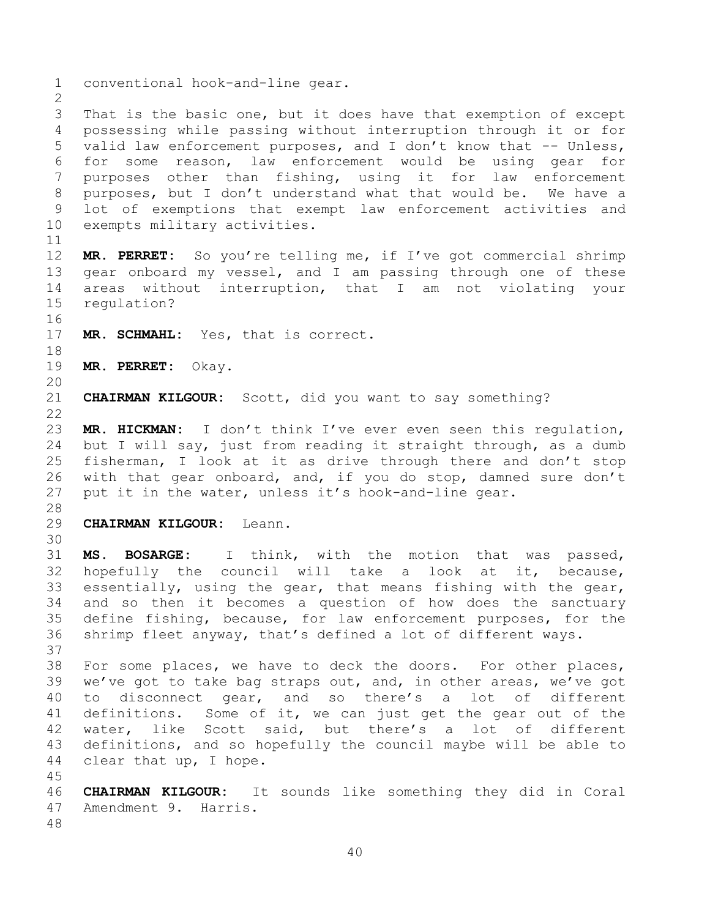conventional hook-and-line gear. That is the basic one, but it does have that exemption of except possessing while passing without interruption through it or for valid law enforcement purposes, and I don't know that -- Unless, for some reason, law enforcement would be using gear for purposes other than fishing, using it for law enforcement purposes, but I don't understand what that would be. We have a lot of exemptions that exempt law enforcement activities and exempts military activities. **MR. PERRET:** So you're telling me, if I've got commercial shrimp gear onboard my vessel, and I am passing through one of these areas without interruption, that I am not violating your regulation? **MR. SCHMAHL:** Yes, that is correct. **MR. PERRET:** Okay. **CHAIRMAN KILGOUR:** Scott, did you want to say something? **MR. HICKMAN:** I don't think I've ever even seen this regulation, but I will say, just from reading it straight through, as a dumb fisherman, I look at it as drive through there and don't stop with that gear onboard, and, if you do stop, damned sure don't put it in the water, unless it's hook-and-line gear. **CHAIRMAN KILGOUR:** Leann. **MS. BOSARGE:** I think, with the motion that was passed, hopefully the council will take a look at it, because, essentially, using the gear, that means fishing with the gear, and so then it becomes a question of how does the sanctuary define fishing, because, for law enforcement purposes, for the shrimp fleet anyway, that's defined a lot of different ways. For some places, we have to deck the doors. For other places, we've got to take bag straps out, and, in other areas, we've got to disconnect gear, and so there's a lot of different definitions. Some of it, we can just get the gear out of the water, like Scott said, but there's a lot of different definitions, and so hopefully the council maybe will be able to clear that up, I hope. **CHAIRMAN KILGOUR:** It sounds like something they did in Coral Amendment 9. Harris.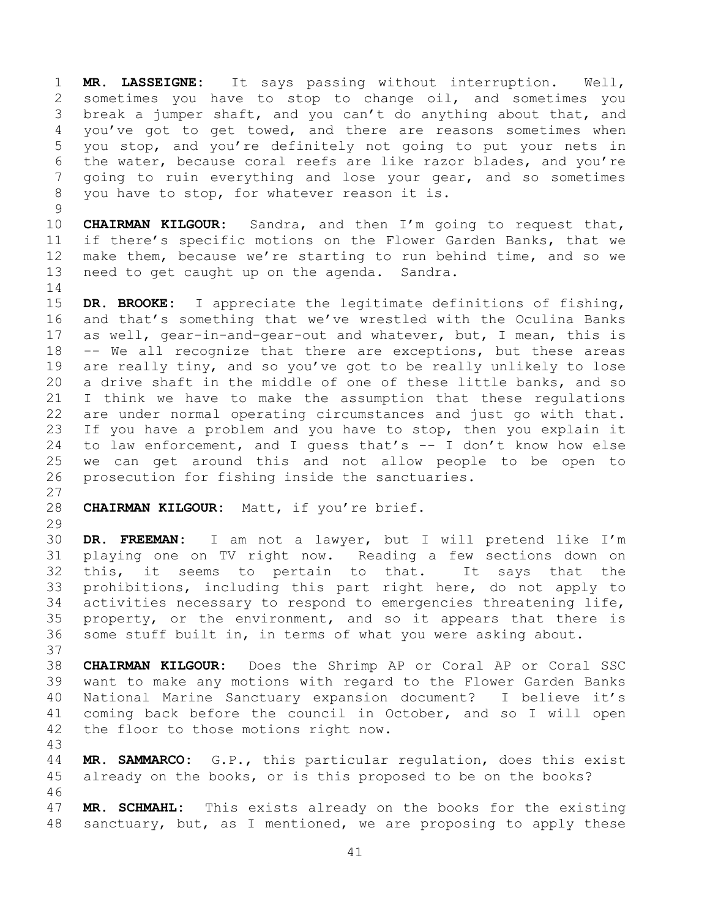**MR. LASSEIGNE:** It says passing without interruption. Well, sometimes you have to stop to change oil, and sometimes you break a jumper shaft, and you can't do anything about that, and you've got to get towed, and there are reasons sometimes when you stop, and you're definitely not going to put your nets in the water, because coral reefs are like razor blades, and you're going to ruin everything and lose your gear, and so sometimes you have to stop, for whatever reason it is.

 **CHAIRMAN KILGOUR:** Sandra, and then I'm going to request that, if there's specific motions on the Flower Garden Banks, that we make them, because we're starting to run behind time, and so we need to get caught up on the agenda. Sandra.

 **DR. BROOKE:** I appreciate the legitimate definitions of fishing, and that's something that we've wrestled with the Oculina Banks as well, gear-in-and-gear-out and whatever, but, I mean, this is -- We all recognize that there are exceptions, but these areas are really tiny, and so you've got to be really unlikely to lose a drive shaft in the middle of one of these little banks, and so I think we have to make the assumption that these regulations are under normal operating circumstances and just go with that. If you have a problem and you have to stop, then you explain it to law enforcement, and I guess that's -- I don't know how else we can get around this and not allow people to be open to prosecution for fishing inside the sanctuaries.

**CHAIRMAN KILGOUR:** Matt, if you're brief.

 **DR. FREEMAN:** I am not a lawyer, but I will pretend like I'm playing one on TV right now. Reading a few sections down on this, it seems to pertain to that. It says that the prohibitions, including this part right here, do not apply to activities necessary to respond to emergencies threatening life, property, or the environment, and so it appears that there is some stuff built in, in terms of what you were asking about.

 **CHAIRMAN KILGOUR:** Does the Shrimp AP or Coral AP or Coral SSC want to make any motions with regard to the Flower Garden Banks National Marine Sanctuary expansion document? I believe it's coming back before the council in October, and so I will open the floor to those motions right now.

 **MR. SAMMARCO:** G.P., this particular regulation, does this exist already on the books, or is this proposed to be on the books? 

 **MR. SCHMAHL:** This exists already on the books for the existing sanctuary, but, as I mentioned, we are proposing to apply these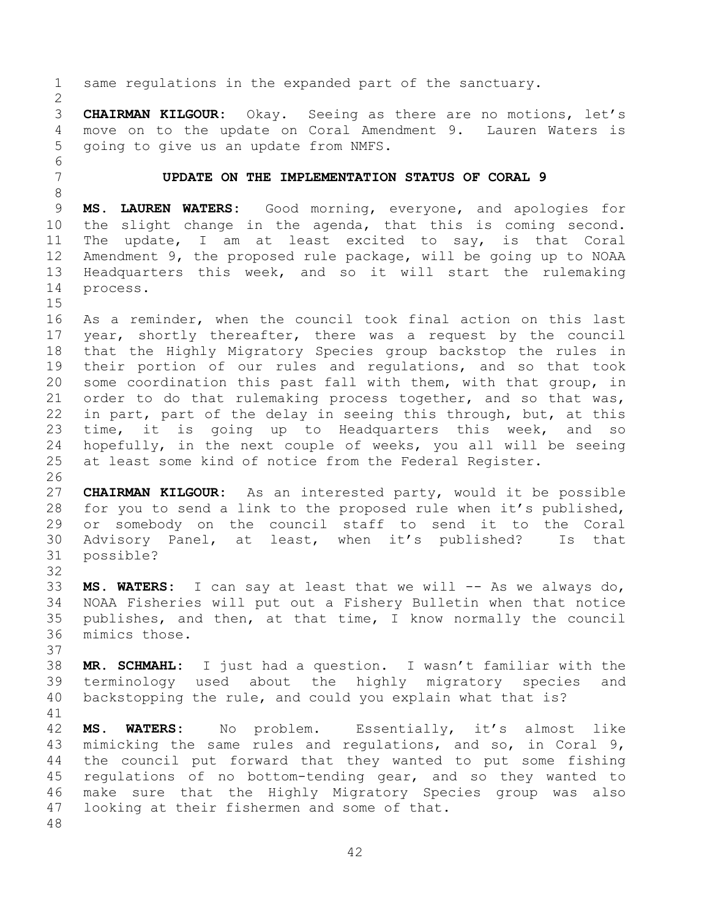same regulations in the expanded part of the sanctuary. **CHAIRMAN KILGOUR:** Okay. Seeing as there are no motions, let's move on to the update on Coral Amendment 9. Lauren Waters is going to give us an update from NMFS. **UPDATE ON THE IMPLEMENTATION STATUS OF CORAL 9 MS. LAUREN WATERS:** Good morning, everyone, and apologies for the slight change in the agenda, that this is coming second. The update, I am at least excited to say, is that Coral Amendment 9, the proposed rule package, will be going up to NOAA Headquarters this week, and so it will start the rulemaking process. As a reminder, when the council took final action on this last year, shortly thereafter, there was a request by the council that the Highly Migratory Species group backstop the rules in their portion of our rules and regulations, and so that took some coordination this past fall with them, with that group, in order to do that rulemaking process together, and so that was, in part, part of the delay in seeing this through, but, at this time, it is going up to Headquarters this week, and so hopefully, in the next couple of weeks, you all will be seeing at least some kind of notice from the Federal Register. **CHAIRMAN KILGOUR:** As an interested party, would it be possible for you to send a link to the proposed rule when it's published, or somebody on the council staff to send it to the Coral Advisory Panel, at least, when it's published? Is that possible? 33 MS. WATERS: I can say at least that we will -- As we always do, NOAA Fisheries will put out a Fishery Bulletin when that notice publishes, and then, at that time, I know normally the council mimics those. **MR. SCHMAHL:** I just had a question. I wasn't familiar with the terminology used about the highly migratory species and backstopping the rule, and could you explain what that is? **MS. WATERS:** No problem. Essentially, it's almost like mimicking the same rules and regulations, and so, in Coral 9, the council put forward that they wanted to put some fishing regulations of no bottom-tending gear, and so they wanted to make sure that the Highly Migratory Species group was also looking at their fishermen and some of that.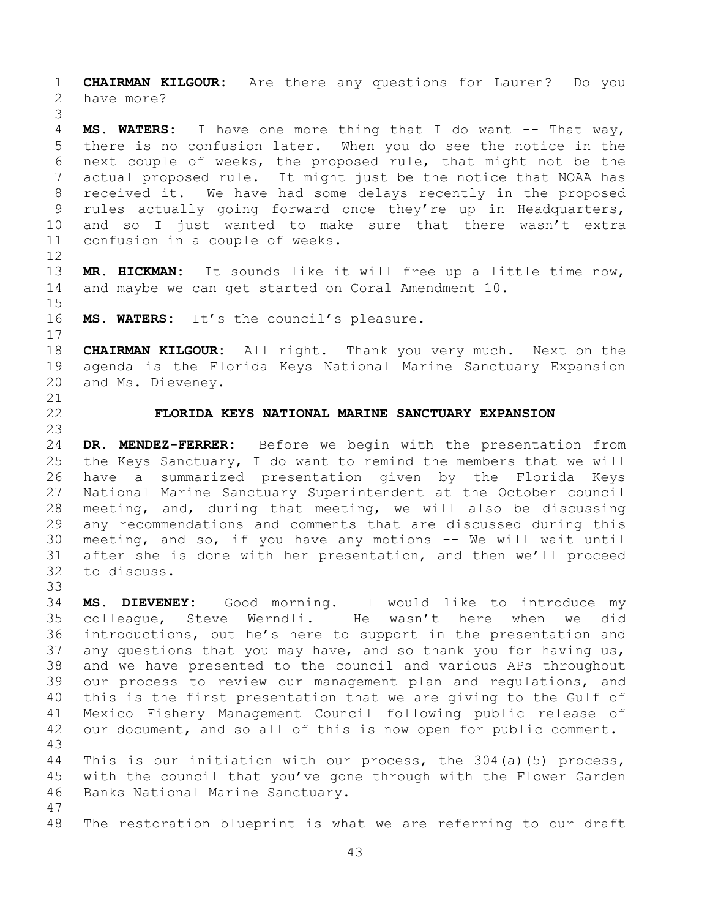**CHAIRMAN KILGOUR:** Are there any questions for Lauren? Do you have more?

 **MS. WATERS:** I have one more thing that I do want -- That way, there is no confusion later. When you do see the notice in the next couple of weeks, the proposed rule, that might not be the actual proposed rule. It might just be the notice that NOAA has received it. We have had some delays recently in the proposed rules actually going forward once they're up in Headquarters, and so I just wanted to make sure that there wasn't extra confusion in a couple of weeks.

 **MR. HICKMAN:** It sounds like it will free up a little time now, and maybe we can get started on Coral Amendment 10.

 

**MS. WATERS:** It's the council's pleasure.

 **CHAIRMAN KILGOUR:** All right. Thank you very much. Next on the agenda is the Florida Keys National Marine Sanctuary Expansion and Ms. Dieveney.

 

## **FLORIDA KEYS NATIONAL MARINE SANCTUARY EXPANSION**

 **DR. MENDEZ-FERRER:** Before we begin with the presentation from the Keys Sanctuary, I do want to remind the members that we will have a summarized presentation given by the Florida Keys National Marine Sanctuary Superintendent at the October council meeting, and, during that meeting, we will also be discussing any recommendations and comments that are discussed during this meeting, and so, if you have any motions -- We will wait until after she is done with her presentation, and then we'll proceed to discuss. 

 **MS. DIEVENEY:** Good morning. I would like to introduce my colleague, Steve Werndli. He wasn't here when we did introductions, but he's here to support in the presentation and any questions that you may have, and so thank you for having us, and we have presented to the council and various APs throughout our process to review our management plan and regulations, and this is the first presentation that we are giving to the Gulf of Mexico Fishery Management Council following public release of our document, and so all of this is now open for public comment. 

 This is our initiation with our process, the 304(a)(5) process, with the council that you've gone through with the Flower Garden Banks National Marine Sanctuary.

The restoration blueprint is what we are referring to our draft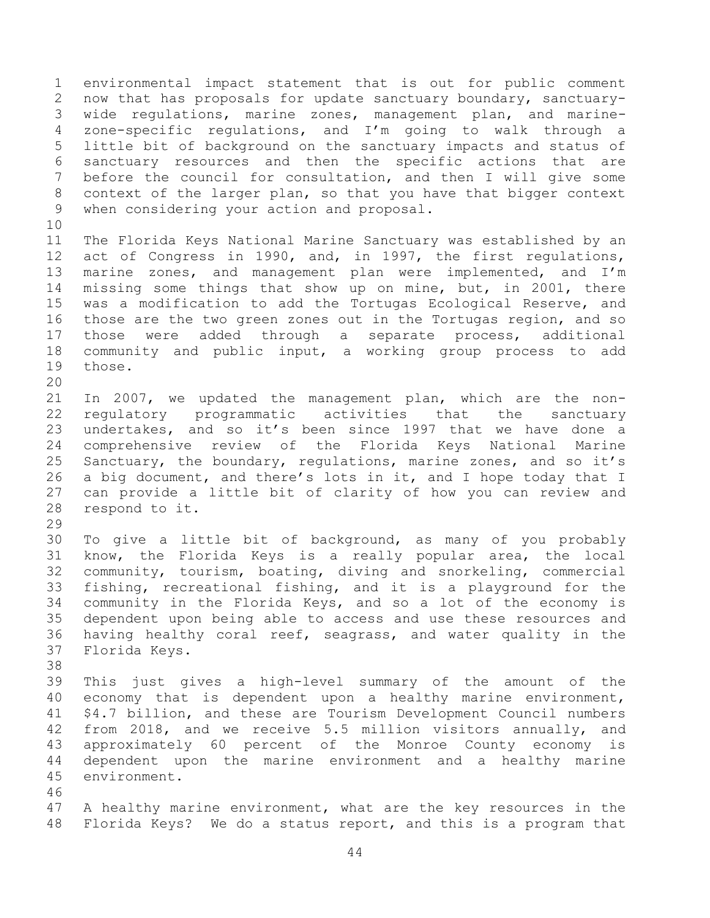environmental impact statement that is out for public comment now that has proposals for update sanctuary boundary, sanctuary- wide regulations, marine zones, management plan, and marine- zone-specific regulations, and I'm going to walk through a little bit of background on the sanctuary impacts and status of sanctuary resources and then the specific actions that are before the council for consultation, and then I will give some context of the larger plan, so that you have that bigger context when considering your action and proposal. 

 The Florida Keys National Marine Sanctuary was established by an act of Congress in 1990, and, in 1997, the first regulations, marine zones, and management plan were implemented, and I'm missing some things that show up on mine, but, in 2001, there was a modification to add the Tortugas Ecological Reserve, and those are the two green zones out in the Tortugas region, and so those were added through a separate process, additional community and public input, a working group process to add those.

 In 2007, we updated the management plan, which are the non- regulatory programmatic activities that the sanctuary undertakes, and so it's been since 1997 that we have done a comprehensive review of the Florida Keys National Marine Sanctuary, the boundary, regulations, marine zones, and so it's a big document, and there's lots in it, and I hope today that I can provide a little bit of clarity of how you can review and respond to it.

 To give a little bit of background, as many of you probably know, the Florida Keys is a really popular area, the local community, tourism, boating, diving and snorkeling, commercial fishing, recreational fishing, and it is a playground for the community in the Florida Keys, and so a lot of the economy is dependent upon being able to access and use these resources and having healthy coral reef, seagrass, and water quality in the Florida Keys.

 This just gives a high-level summary of the amount of the economy that is dependent upon a healthy marine environment, \$4.7 billion, and these are Tourism Development Council numbers from 2018, and we receive 5.5 million visitors annually, and approximately 60 percent of the Monroe County economy is dependent upon the marine environment and a healthy marine environment.

 A healthy marine environment, what are the key resources in the Florida Keys? We do a status report, and this is a program that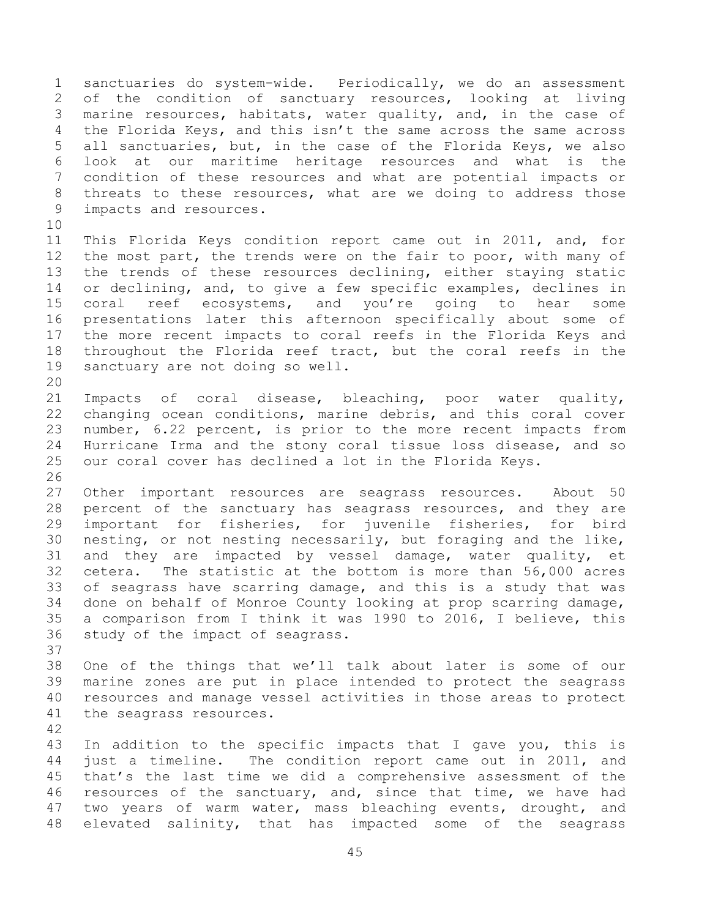sanctuaries do system-wide. Periodically, we do an assessment of the condition of sanctuary resources, looking at living marine resources, habitats, water quality, and, in the case of the Florida Keys, and this isn't the same across the same across all sanctuaries, but, in the case of the Florida Keys, we also look at our maritime heritage resources and what is the condition of these resources and what are potential impacts or threats to these resources, what are we doing to address those impacts and resources. 

 This Florida Keys condition report came out in 2011, and, for 12 the most part, the trends were on the fair to poor, with many of the trends of these resources declining, either staying static or declining, and, to give a few specific examples, declines in 15 coral reef ecosystems, and you're going to hear some presentations later this afternoon specifically about some of the more recent impacts to coral reefs in the Florida Keys and throughout the Florida reef tract, but the coral reefs in the sanctuary are not doing so well.

 Impacts of coral disease, bleaching, poor water quality, changing ocean conditions, marine debris, and this coral cover number, 6.22 percent, is prior to the more recent impacts from Hurricane Irma and the stony coral tissue loss disease, and so our coral cover has declined a lot in the Florida Keys.

 Other important resources are seagrass resources. About 50 percent of the sanctuary has seagrass resources, and they are important for fisheries, for juvenile fisheries, for bird nesting, or not nesting necessarily, but foraging and the like, and they are impacted by vessel damage, water quality, et cetera. The statistic at the bottom is more than 56,000 acres of seagrass have scarring damage, and this is a study that was done on behalf of Monroe County looking at prop scarring damage, a comparison from I think it was 1990 to 2016, I believe, this study of the impact of seagrass.

 One of the things that we'll talk about later is some of our marine zones are put in place intended to protect the seagrass resources and manage vessel activities in those areas to protect the seagrass resources.

 In addition to the specific impacts that I gave you, this is just a timeline. The condition report came out in 2011, and that's the last time we did a comprehensive assessment of the resources of the sanctuary, and, since that time, we have had two years of warm water, mass bleaching events, drought, and elevated salinity, that has impacted some of the seagrass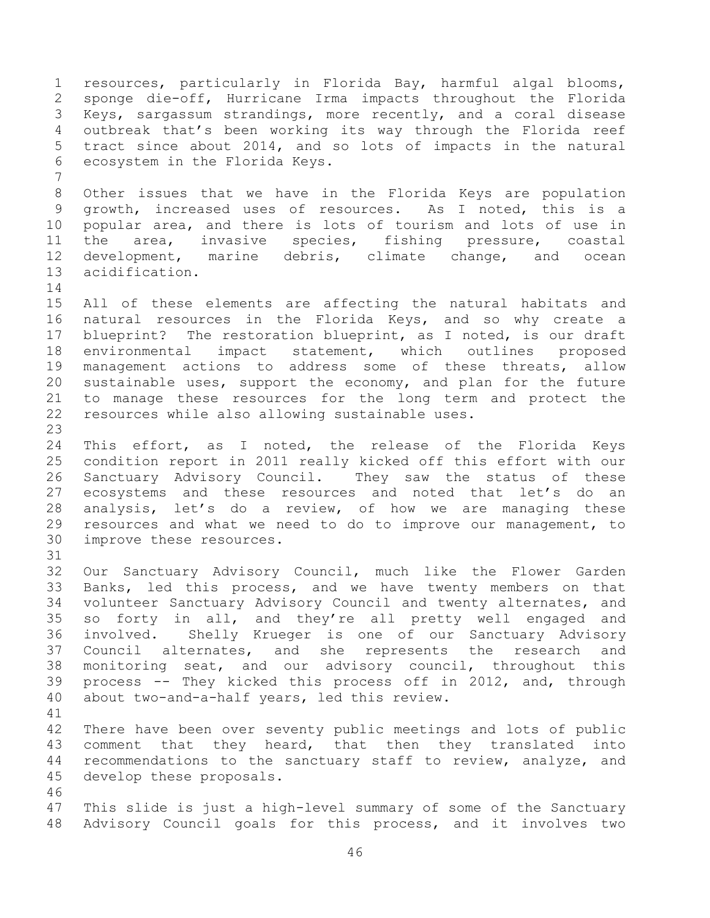resources, particularly in Florida Bay, harmful algal blooms, sponge die-off, Hurricane Irma impacts throughout the Florida Keys, sargassum strandings, more recently, and a coral disease outbreak that's been working its way through the Florida reef tract since about 2014, and so lots of impacts in the natural ecosystem in the Florida Keys. Other issues that we have in the Florida Keys are population growth, increased uses of resources. As I noted, this is a popular area, and there is lots of tourism and lots of use in the area, invasive species, fishing pressure, coastal development, marine debris, climate change, and ocean acidification. All of these elements are affecting the natural habitats and natural resources in the Florida Keys, and so why create a blueprint? The restoration blueprint, as I noted, is our draft environmental impact statement, which outlines proposed management actions to address some of these threats, allow sustainable uses, support the economy, and plan for the future to manage these resources for the long term and protect the resources while also allowing sustainable uses. This effort, as I noted, the release of the Florida Keys condition report in 2011 really kicked off this effort with our Sanctuary Advisory Council. They saw the status of these ecosystems and these resources and noted that let's do an analysis, let's do a review, of how we are managing these resources and what we need to do to improve our management, to improve these resources. Our Sanctuary Advisory Council, much like the Flower Garden Banks, led this process, and we have twenty members on that volunteer Sanctuary Advisory Council and twenty alternates, and so forty in all, and they're all pretty well engaged and involved. Shelly Krueger is one of our Sanctuary Advisory Council alternates, and she represents the research and monitoring seat, and our advisory council, throughout this process -- They kicked this process off in 2012, and, through about two-and-a-half years, led this review. There have been over seventy public meetings and lots of public comment that they heard, that then they translated into recommendations to the sanctuary staff to review, analyze, and develop these proposals. This slide is just a high-level summary of some of the Sanctuary Advisory Council goals for this process, and it involves two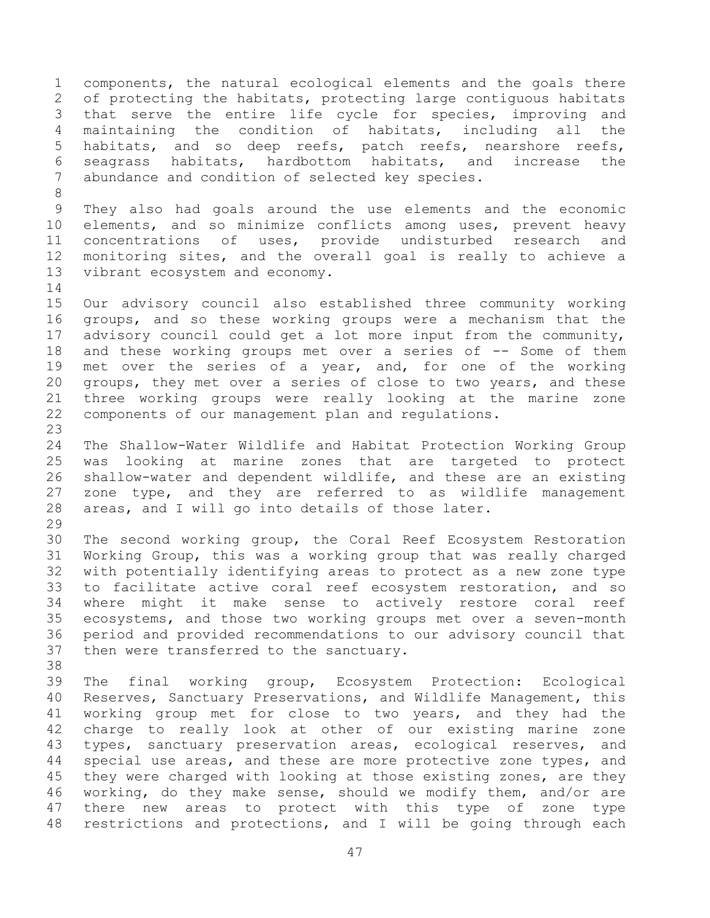components, the natural ecological elements and the goals there of protecting the habitats, protecting large contiguous habitats that serve the entire life cycle for species, improving and maintaining the condition of habitats, including all the habitats, and so deep reefs, patch reefs, nearshore reefs, seagrass habitats, hardbottom habitats, and increase the abundance and condition of selected key species. They also had goals around the use elements and the economic elements, and so minimize conflicts among uses, prevent heavy concentrations of uses, provide undisturbed research and monitoring sites, and the overall goal is really to achieve a vibrant ecosystem and economy. Our advisory council also established three community working groups, and so these working groups were a mechanism that the advisory council could get a lot more input from the community, and these working groups met over a series of -- Some of them 19 met over the series of a year, and, for one of the working groups, they met over a series of close to two years, and these three working groups were really looking at the marine zone components of our management plan and regulations. The Shallow-Water Wildlife and Habitat Protection Working Group was looking at marine zones that are targeted to protect shallow-water and dependent wildlife, and these are an existing zone type, and they are referred to as wildlife management areas, and I will go into details of those later. The second working group, the Coral Reef Ecosystem Restoration Working Group, this was a working group that was really charged with potentially identifying areas to protect as a new zone type to facilitate active coral reef ecosystem restoration, and so where might it make sense to actively restore coral reef ecosystems, and those two working groups met over a seven-month period and provided recommendations to our advisory council that then were transferred to the sanctuary. The final working group, Ecosystem Protection: Ecological Reserves, Sanctuary Preservations, and Wildlife Management, this working group met for close to two years, and they had the charge to really look at other of our existing marine zone types, sanctuary preservation areas, ecological reserves, and special use areas, and these are more protective zone types, and 45 they were charged with looking at those existing zones, are they working, do they make sense, should we modify them, and/or are there new areas to protect with this type of zone type restrictions and protections, and I will be going through each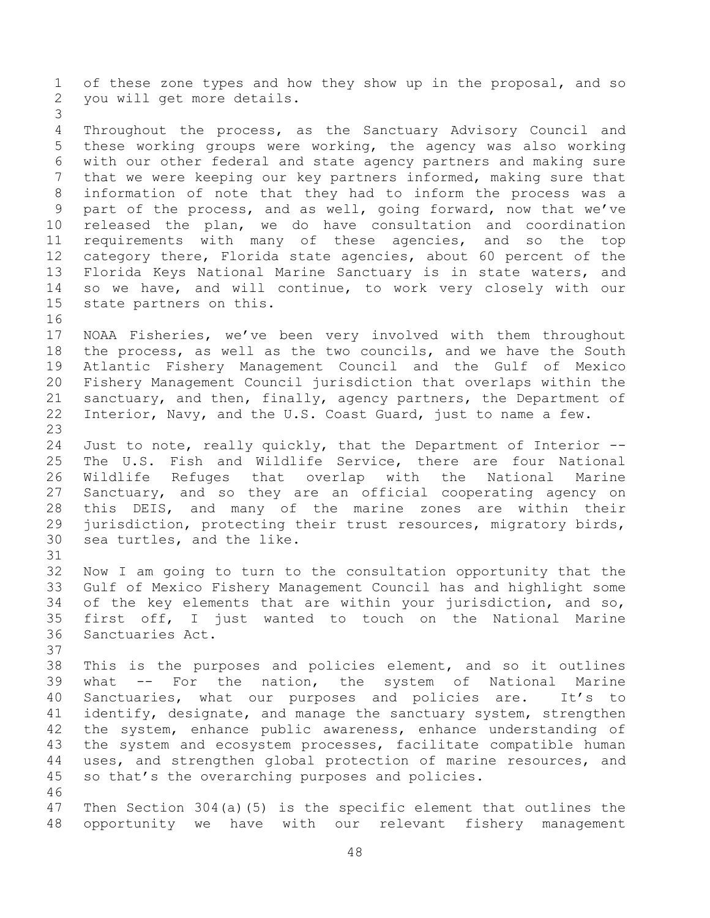of these zone types and how they show up in the proposal, and so you will get more details. Throughout the process, as the Sanctuary Advisory Council and these working groups were working, the agency was also working with our other federal and state agency partners and making sure that we were keeping our key partners informed, making sure that information of note that they had to inform the process was a part of the process, and as well, going forward, now that we've released the plan, we do have consultation and coordination requirements with many of these agencies, and so the top category there, Florida state agencies, about 60 percent of the Florida Keys National Marine Sanctuary is in state waters, and so we have, and will continue, to work very closely with our state partners on this. NOAA Fisheries, we've been very involved with them throughout the process, as well as the two councils, and we have the South Atlantic Fishery Management Council and the Gulf of Mexico Fishery Management Council jurisdiction that overlaps within the sanctuary, and then, finally, agency partners, the Department of Interior, Navy, and the U.S. Coast Guard, just to name a few. Just to note, really quickly, that the Department of Interior -- The U.S. Fish and Wildlife Service, there are four National Wildlife Refuges that overlap with the National Marine Sanctuary, and so they are an official cooperating agency on this DEIS, and many of the marine zones are within their jurisdiction, protecting their trust resources, migratory birds, sea turtles, and the like. Now I am going to turn to the consultation opportunity that the Gulf of Mexico Fishery Management Council has and highlight some of the key elements that are within your jurisdiction, and so, first off, I just wanted to touch on the National Marine Sanctuaries Act. This is the purposes and policies element, and so it outlines what -- For the nation, the system of National Marine Sanctuaries, what our purposes and policies are. It's to 41 identify, designate, and manage the sanctuary system, strengthen the system, enhance public awareness, enhance understanding of the system and ecosystem processes, facilitate compatible human uses, and strengthen global protection of marine resources, and so that's the overarching purposes and policies. Then Section 304(a)(5) is the specific element that outlines the opportunity we have with our relevant fishery management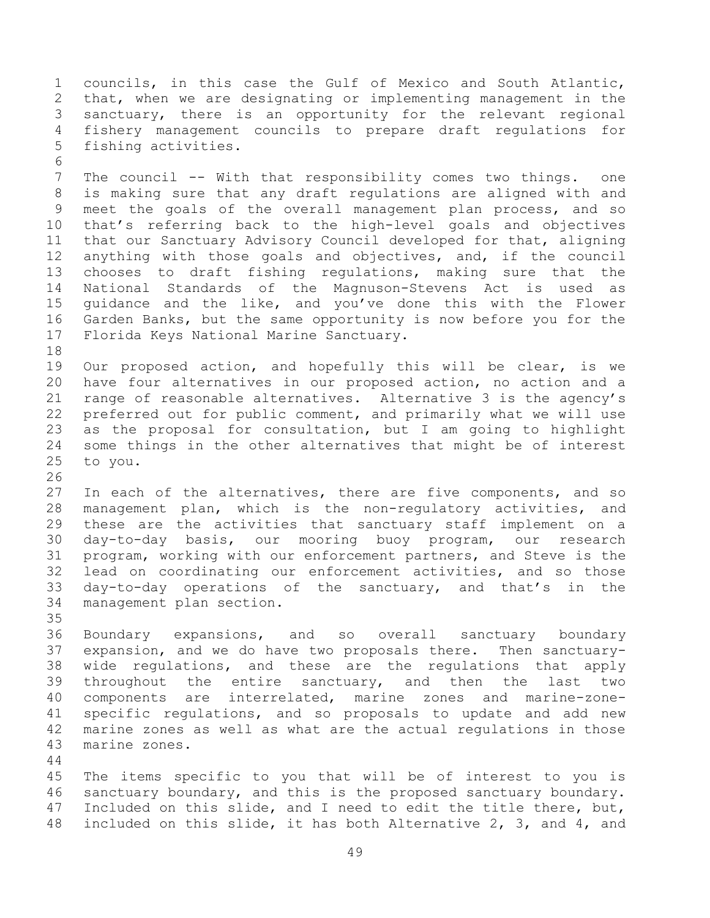councils, in this case the Gulf of Mexico and South Atlantic, that, when we are designating or implementing management in the sanctuary, there is an opportunity for the relevant regional fishery management councils to prepare draft regulations for fishing activities. The council -- With that responsibility comes two things. one is making sure that any draft regulations are aligned with and meet the goals of the overall management plan process, and so that's referring back to the high-level goals and objectives that our Sanctuary Advisory Council developed for that, aligning anything with those goals and objectives, and, if the council chooses to draft fishing regulations, making sure that the National Standards of the Magnuson-Stevens Act is used as guidance and the like, and you've done this with the Flower Garden Banks, but the same opportunity is now before you for the Florida Keys National Marine Sanctuary. Our proposed action, and hopefully this will be clear, is we have four alternatives in our proposed action, no action and a range of reasonable alternatives. Alternative 3 is the agency's preferred out for public comment, and primarily what we will use as the proposal for consultation, but I am going to highlight some things in the other alternatives that might be of interest to you. In each of the alternatives, there are five components, and so management plan, which is the non-regulatory activities, and these are the activities that sanctuary staff implement on a day-to-day basis, our mooring buoy program, our research program, working with our enforcement partners, and Steve is the lead on coordinating our enforcement activities, and so those day-to-day operations of the sanctuary, and that's in the management plan section. Boundary expansions, and so overall sanctuary boundary expansion, and we do have two proposals there. Then sanctuary-wide regulations, and these are the regulations that apply

 throughout the entire sanctuary, and then the last two components are interrelated, marine zones and marine-zone- specific regulations, and so proposals to update and add new marine zones as well as what are the actual regulations in those marine zones.

 The items specific to you that will be of interest to you is sanctuary boundary, and this is the proposed sanctuary boundary. Included on this slide, and I need to edit the title there, but, included on this slide, it has both Alternative 2, 3, and 4, and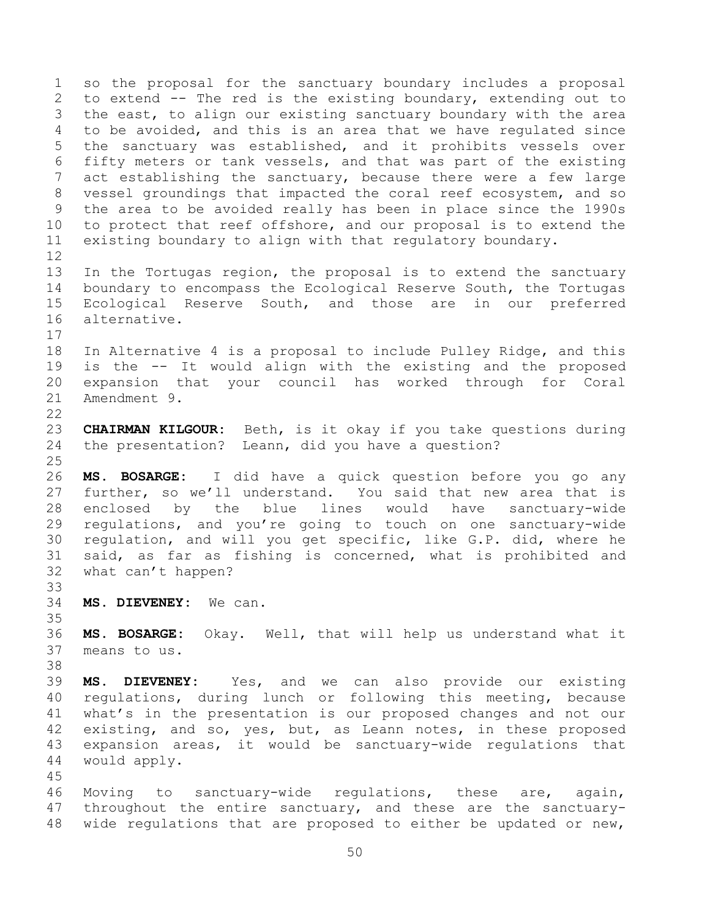so the proposal for the sanctuary boundary includes a proposal to extend -- The red is the existing boundary, extending out to the east, to align our existing sanctuary boundary with the area to be avoided, and this is an area that we have regulated since the sanctuary was established, and it prohibits vessels over fifty meters or tank vessels, and that was part of the existing act establishing the sanctuary, because there were a few large vessel groundings that impacted the coral reef ecosystem, and so the area to be avoided really has been in place since the 1990s to protect that reef offshore, and our proposal is to extend the existing boundary to align with that regulatory boundary. In the Tortugas region, the proposal is to extend the sanctuary boundary to encompass the Ecological Reserve South, the Tortugas Ecological Reserve South, and those are in our preferred alternative. In Alternative 4 is a proposal to include Pulley Ridge, and this is the -- It would align with the existing and the proposed expansion that your council has worked through for Coral Amendment 9. **CHAIRMAN KILGOUR:** Beth, is it okay if you take questions during the presentation? Leann, did you have a question? **MS. BOSARGE:** I did have a quick question before you go any further, so we'll understand. You said that new area that is enclosed by the blue lines would have sanctuary-wide regulations, and you're going to touch on one sanctuary-wide regulation, and will you get specific, like G.P. did, where he said, as far as fishing is concerned, what is prohibited and what can't happen? **MS. DIEVENEY:** We can. **MS. BOSARGE:** Okay. Well, that will help us understand what it means to us. **MS. DIEVENEY:** Yes, and we can also provide our existing regulations, during lunch or following this meeting, because what's in the presentation is our proposed changes and not our 42 existing, and so, yes, but, as Leann notes, in these proposed expansion areas, it would be sanctuary-wide regulations that would apply. Moving to sanctuary-wide regulations, these are, again, throughout the entire sanctuary, and these are the sanctuary-wide regulations that are proposed to either be updated or new,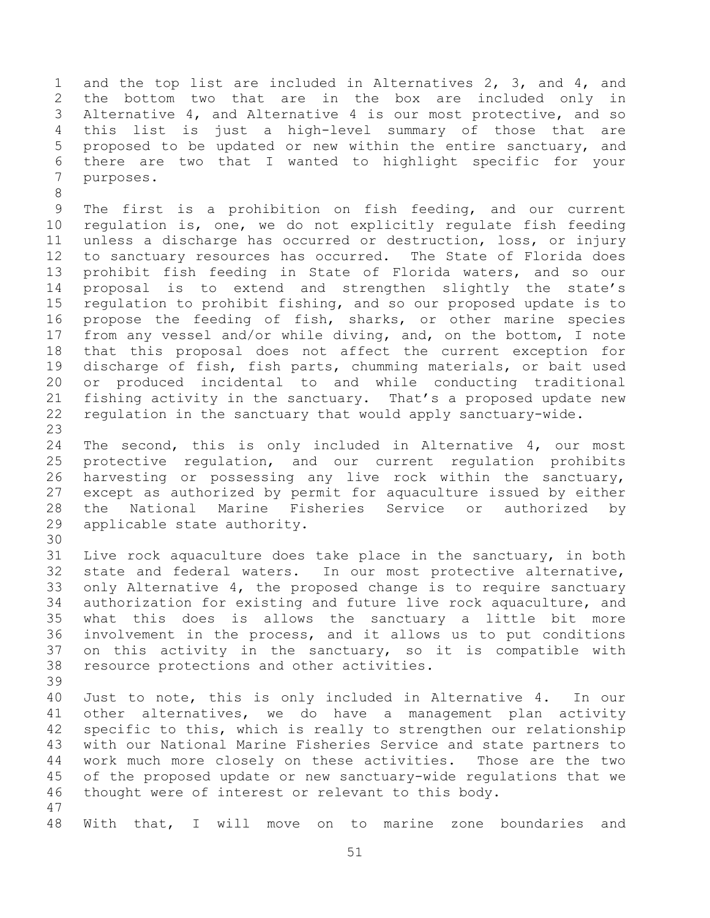and the top list are included in Alternatives 2, 3, and 4, and the bottom two that are in the box are included only in Alternative 4, and Alternative 4 is our most protective, and so this list is just a high-level summary of those that are proposed to be updated or new within the entire sanctuary, and there are two that I wanted to highlight specific for your purposes.

 The first is a prohibition on fish feeding, and our current regulation is, one, we do not explicitly regulate fish feeding unless a discharge has occurred or destruction, loss, or injury to sanctuary resources has occurred. The State of Florida does prohibit fish feeding in State of Florida waters, and so our proposal is to extend and strengthen slightly the state's regulation to prohibit fishing, and so our proposed update is to propose the feeding of fish, sharks, or other marine species from any vessel and/or while diving, and, on the bottom, I note that this proposal does not affect the current exception for discharge of fish, fish parts, chumming materials, or bait used or produced incidental to and while conducting traditional fishing activity in the sanctuary. That's a proposed update new regulation in the sanctuary that would apply sanctuary-wide. 

 The second, this is only included in Alternative 4, our most protective regulation, and our current regulation prohibits harvesting or possessing any live rock within the sanctuary, except as authorized by permit for aquaculture issued by either the National Marine Fisheries Service or authorized by applicable state authority.

 Live rock aquaculture does take place in the sanctuary, in both state and federal waters. In our most protective alternative, only Alternative 4, the proposed change is to require sanctuary authorization for existing and future live rock aquaculture, and what this does is allows the sanctuary a little bit more involvement in the process, and it allows us to put conditions on this activity in the sanctuary, so it is compatible with resource protections and other activities. 

 Just to note, this is only included in Alternative 4. In our other alternatives, we do have a management plan activity specific to this, which is really to strengthen our relationship with our National Marine Fisheries Service and state partners to work much more closely on these activities. Those are the two of the proposed update or new sanctuary-wide regulations that we thought were of interest or relevant to this body. 

With that, I will move on to marine zone boundaries and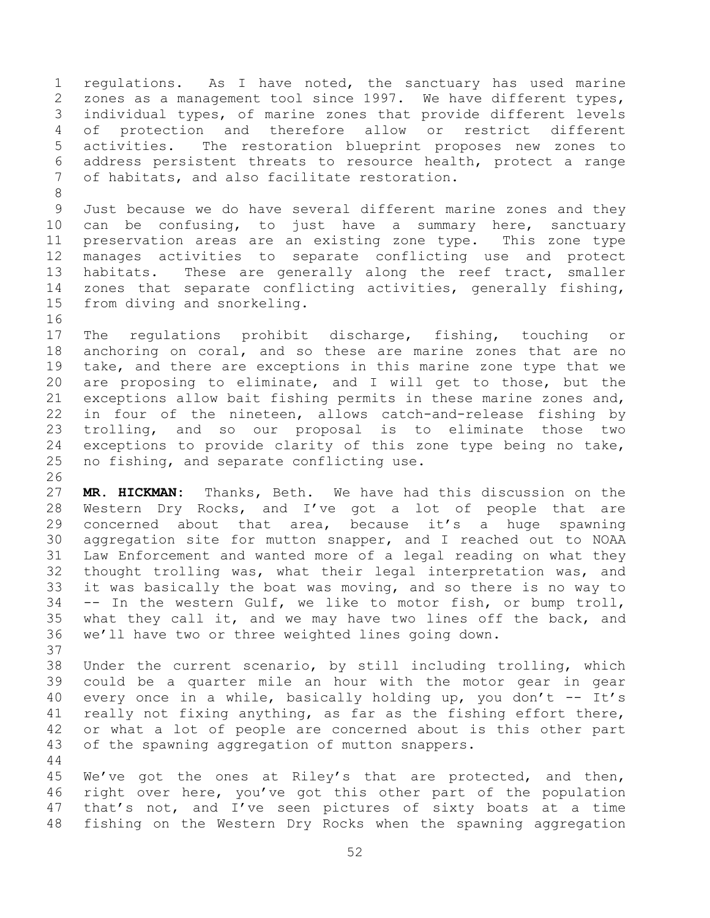regulations. As I have noted, the sanctuary has used marine zones as a management tool since 1997. We have different types, individual types, of marine zones that provide different levels of protection and therefore allow or restrict different activities. The restoration blueprint proposes new zones to address persistent threats to resource health, protect a range of habitats, and also facilitate restoration.

 Just because we do have several different marine zones and they can be confusing, to just have a summary here, sanctuary preservation areas are an existing zone type. This zone type manages activities to separate conflicting use and protect habitats. These are generally along the reef tract, smaller zones that separate conflicting activities, generally fishing, from diving and snorkeling. 

 The regulations prohibit discharge, fishing, touching or anchoring on coral, and so these are marine zones that are no take, and there are exceptions in this marine zone type that we are proposing to eliminate, and I will get to those, but the exceptions allow bait fishing permits in these marine zones and, in four of the nineteen, allows catch-and-release fishing by trolling, and so our proposal is to eliminate those two exceptions to provide clarity of this zone type being no take, no fishing, and separate conflicting use.

 **MR. HICKMAN:** Thanks, Beth. We have had this discussion on the Western Dry Rocks, and I've got a lot of people that are concerned about that area, because it's a huge spawning aggregation site for mutton snapper, and I reached out to NOAA Law Enforcement and wanted more of a legal reading on what they thought trolling was, what their legal interpretation was, and it was basically the boat was moving, and so there is no way to -- In the western Gulf, we like to motor fish, or bump troll, what they call it, and we may have two lines off the back, and we'll have two or three weighted lines going down.

 Under the current scenario, by still including trolling, which could be a quarter mile an hour with the motor gear in gear 40 every once in a while, basically holding up, you don't -- It's really not fixing anything, as far as the fishing effort there, or what a lot of people are concerned about is this other part of the spawning aggregation of mutton snappers.

 We've got the ones at Riley's that are protected, and then, right over here, you've got this other part of the population that's not, and I've seen pictures of sixty boats at a time fishing on the Western Dry Rocks when the spawning aggregation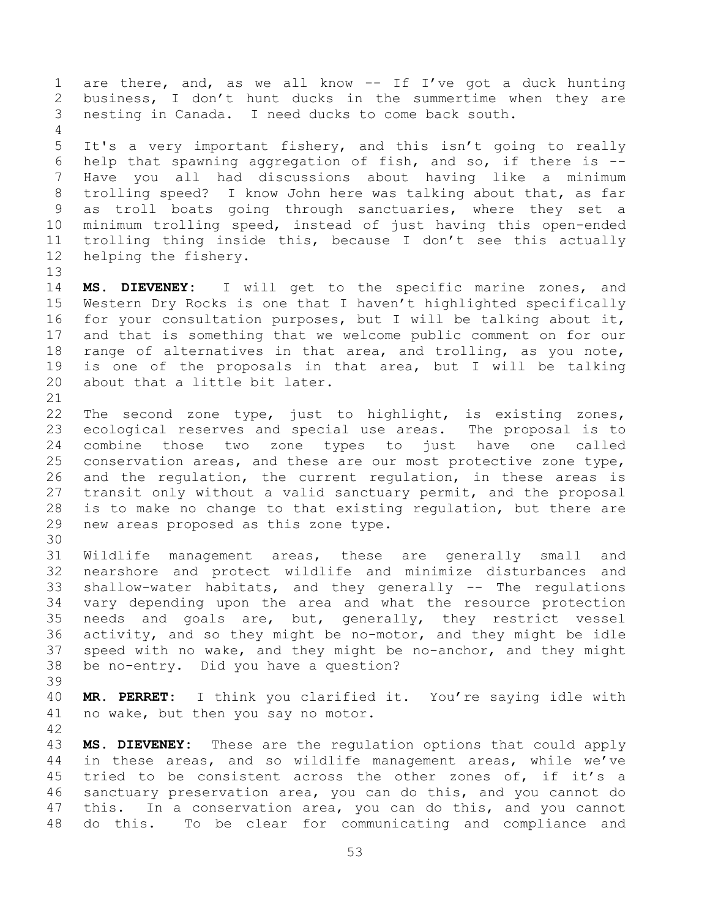1 are there, and, as we all know -- If I've got a duck hunting business, I don't hunt ducks in the summertime when they are nesting in Canada. I need ducks to come back south. It's a very important fishery, and this isn't going to really help that spawning aggregation of fish, and so, if there is -- Have you all had discussions about having like a minimum trolling speed? I know John here was talking about that, as far as troll boats going through sanctuaries, where they set a minimum trolling speed, instead of just having this open-ended trolling thing inside this, because I don't see this actually helping the fishery. **MS. DIEVENEY:** I will get to the specific marine zones, and Western Dry Rocks is one that I haven't highlighted specifically for your consultation purposes, but I will be talking about it, and that is something that we welcome public comment on for our range of alternatives in that area, and trolling, as you note, is one of the proposals in that area, but I will be talking about that a little bit later. The second zone type, just to highlight, is existing zones, ecological reserves and special use areas. The proposal is to combine those two zone types to just have one called conservation areas, and these are our most protective zone type, and the regulation, the current regulation, in these areas is transit only without a valid sanctuary permit, and the proposal is to make no change to that existing regulation, but there are new areas proposed as this zone type. Wildlife management areas, these are generally small and nearshore and protect wildlife and minimize disturbances and shallow-water habitats, and they generally -- The regulations vary depending upon the area and what the resource protection needs and goals are, but, generally, they restrict vessel activity, and so they might be no-motor, and they might be idle speed with no wake, and they might be no-anchor, and they might be no-entry. Did you have a question? **MR. PERRET:** I think you clarified it. You're saying idle with no wake, but then you say no motor. **MS. DIEVENEY:** These are the regulation options that could apply in these areas, and so wildlife management areas, while we've tried to be consistent across the other zones of, if it's a sanctuary preservation area, you can do this, and you cannot do this. In a conservation area, you can do this, and you cannot do this. To be clear for communicating and compliance and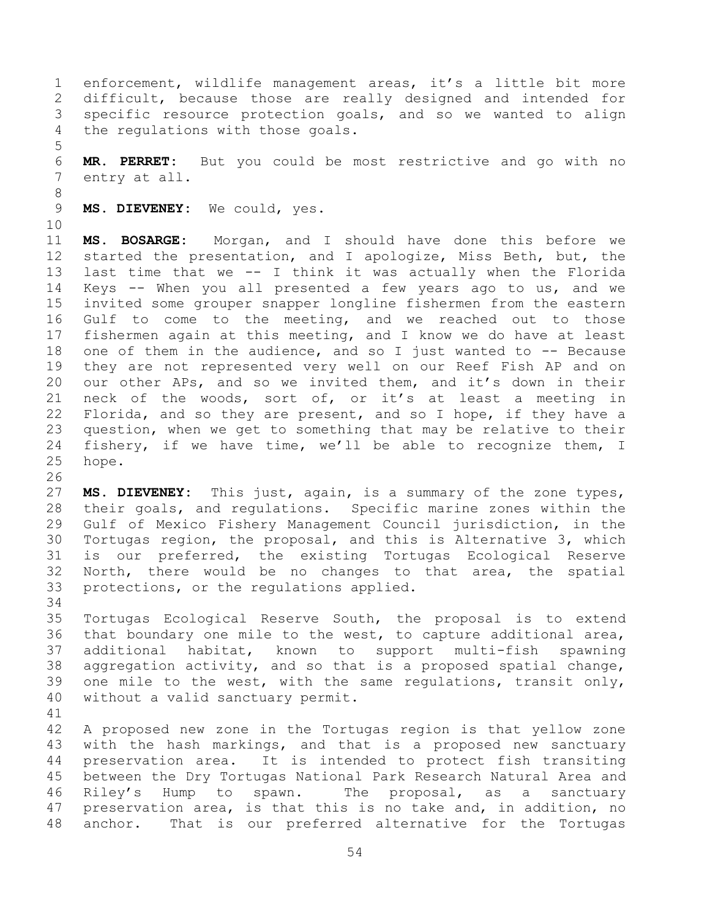enforcement, wildlife management areas, it's a little bit more difficult, because those are really designed and intended for specific resource protection goals, and so we wanted to align the regulations with those goals.

 **MR. PERRET:** But you could be most restrictive and go with no entry at all.

**MS. DIEVENEY:** We could, yes.

 **MS. BOSARGE:** Morgan, and I should have done this before we started the presentation, and I apologize, Miss Beth, but, the last time that we -- I think it was actually when the Florida Keys -- When you all presented a few years ago to us, and we invited some grouper snapper longline fishermen from the eastern Gulf to come to the meeting, and we reached out to those fishermen again at this meeting, and I know we do have at least one of them in the audience, and so I just wanted to -- Because they are not represented very well on our Reef Fish AP and on our other APs, and so we invited them, and it's down in their neck of the woods, sort of, or it's at least a meeting in Florida, and so they are present, and so I hope, if they have a question, when we get to something that may be relative to their fishery, if we have time, we'll be able to recognize them, I hope.

 **MS. DIEVENEY:** This just, again, is a summary of the zone types, their goals, and regulations. Specific marine zones within the Gulf of Mexico Fishery Management Council jurisdiction, in the Tortugas region, the proposal, and this is Alternative 3, which is our preferred, the existing Tortugas Ecological Reserve North, there would be no changes to that area, the spatial protections, or the regulations applied.

 Tortugas Ecological Reserve South, the proposal is to extend that boundary one mile to the west, to capture additional area, additional habitat, known to support multi-fish spawning aggregation activity, and so that is a proposed spatial change, one mile to the west, with the same regulations, transit only, without a valid sanctuary permit.

 A proposed new zone in the Tortugas region is that yellow zone with the hash markings, and that is a proposed new sanctuary preservation area. It is intended to protect fish transiting between the Dry Tortugas National Park Research Natural Area and Riley's Hump to spawn. The proposal, as a sanctuary preservation area, is that this is no take and, in addition, no anchor. That is our preferred alternative for the Tortugas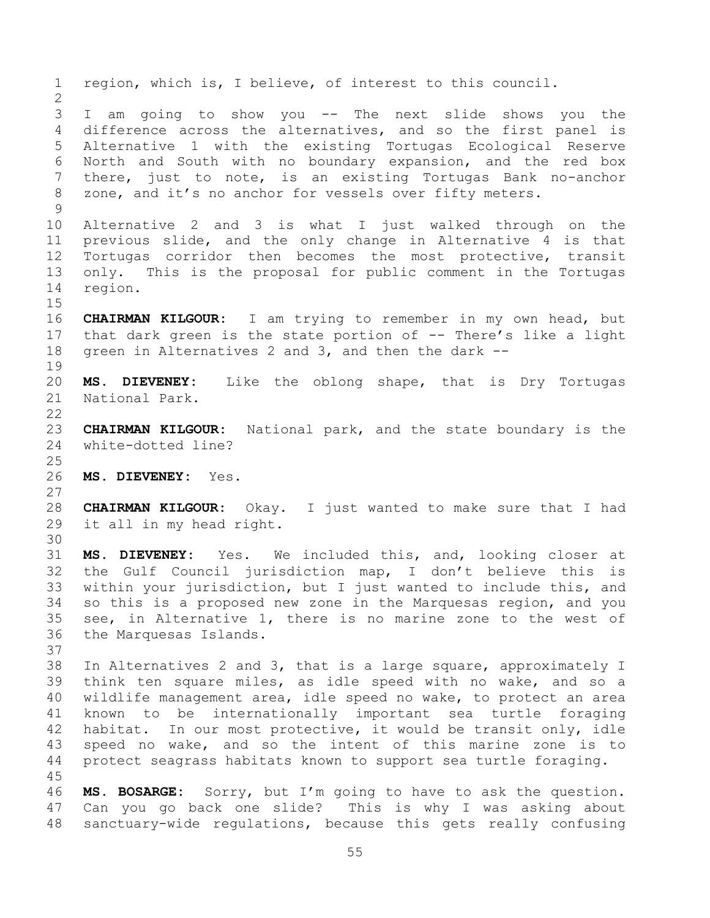region, which is, I believe, of interest to this council. I am going to show you -- The next slide shows you the difference across the alternatives, and so the first panel is Alternative 1 with the existing Tortugas Ecological Reserve North and South with no boundary expansion, and the red box there, just to note, is an existing Tortugas Bank no-anchor zone, and it's no anchor for vessels over fifty meters. Alternative 2 and 3 is what I just walked through on the previous slide, and the only change in Alternative 4 is that Tortugas corridor then becomes the most protective, transit only. This is the proposal for public comment in the Tortugas region. **CHAIRMAN KILGOUR:** I am trying to remember in my own head, but that dark green is the state portion of -- There's like a light green in Alternatives 2 and 3, and then the dark -- **MS. DIEVENEY:** Like the oblong shape, that is Dry Tortugas National Park. **CHAIRMAN KILGOUR:** National park, and the state boundary is the white-dotted line? **MS. DIEVENEY:** Yes. **CHAIRMAN KILGOUR:** Okay. I just wanted to make sure that I had it all in my head right. **MS. DIEVENEY:** Yes. We included this, and, looking closer at the Gulf Council jurisdiction map, I don't believe this is within your jurisdiction, but I just wanted to include this, and so this is a proposed new zone in the Marquesas region, and you see, in Alternative 1, there is no marine zone to the west of the Marquesas Islands. In Alternatives 2 and 3, that is a large square, approximately I think ten square miles, as idle speed with no wake, and so a wildlife management area, idle speed no wake, to protect an area known to be internationally important sea turtle foraging habitat. In our most protective, it would be transit only, idle speed no wake, and so the intent of this marine zone is to protect seagrass habitats known to support sea turtle foraging. **MS. BOSARGE:** Sorry, but I'm going to have to ask the question. Can you go back one slide? This is why I was asking about sanctuary-wide regulations, because this gets really confusing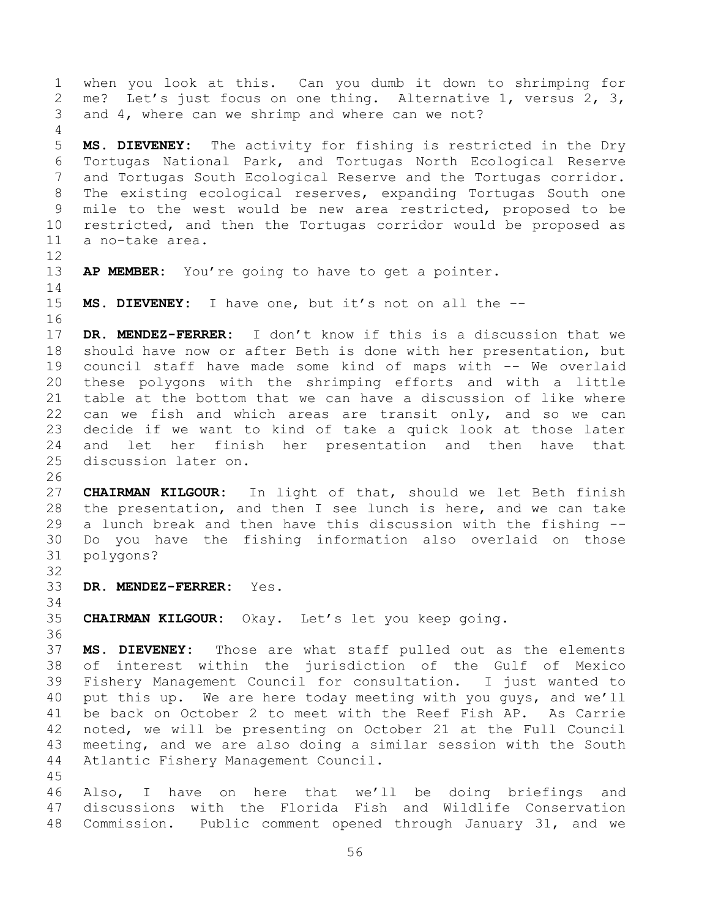when you look at this. Can you dumb it down to shrimping for me? Let's just focus on one thing. Alternative 1, versus 2, 3, and 4, where can we shrimp and where can we not? **MS. DIEVENEY:** The activity for fishing is restricted in the Dry Tortugas National Park, and Tortugas North Ecological Reserve and Tortugas South Ecological Reserve and the Tortugas corridor. The existing ecological reserves, expanding Tortugas South one mile to the west would be new area restricted, proposed to be restricted, and then the Tortugas corridor would be proposed as a no-take area. **AP MEMBER:** You're going to have to get a pointer. **MS. DIEVENEY:** I have one, but it's not on all the -- **DR. MENDEZ-FERRER:** I don't know if this is a discussion that we should have now or after Beth is done with her presentation, but council staff have made some kind of maps with -- We overlaid these polygons with the shrimping efforts and with a little table at the bottom that we can have a discussion of like where 22 can we fish and which areas are transit only, and so we can decide if we want to kind of take a quick look at those later and let her finish her presentation and then have that discussion later on. **CHAIRMAN KILGOUR:** In light of that, should we let Beth finish the presentation, and then I see lunch is here, and we can take a lunch break and then have this discussion with the fishing -- Do you have the fishing information also overlaid on those polygons? **DR. MENDEZ-FERRER:** Yes. **CHAIRMAN KILGOUR:** Okay. Let's let you keep going. **MS. DIEVENEY:** Those are what staff pulled out as the elements

 of interest within the jurisdiction of the Gulf of Mexico Fishery Management Council for consultation. I just wanted to put this up. We are here today meeting with you guys, and we'll be back on October 2 to meet with the Reef Fish AP. As Carrie noted, we will be presenting on October 21 at the Full Council meeting, and we are also doing a similar session with the South Atlantic Fishery Management Council. 

 Also, I have on here that we'll be doing briefings and discussions with the Florida Fish and Wildlife Conservation Commission. Public comment opened through January 31, and we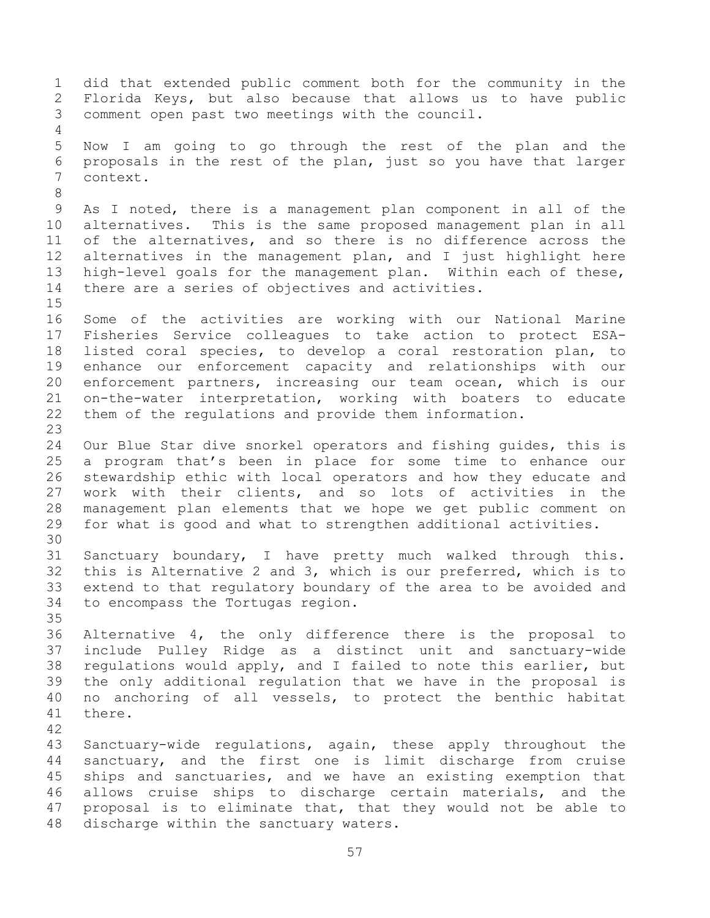did that extended public comment both for the community in the Florida Keys, but also because that allows us to have public comment open past two meetings with the council. Now I am going to go through the rest of the plan and the proposals in the rest of the plan, just so you have that larger context. As I noted, there is a management plan component in all of the alternatives. This is the same proposed management plan in all of the alternatives, and so there is no difference across the alternatives in the management plan, and I just highlight here high-level goals for the management plan. Within each of these, there are a series of objectives and activities. Some of the activities are working with our National Marine Fisheries Service colleagues to take action to protect ESA- listed coral species, to develop a coral restoration plan, to enhance our enforcement capacity and relationships with our enforcement partners, increasing our team ocean, which is our on-the-water interpretation, working with boaters to educate them of the regulations and provide them information. Our Blue Star dive snorkel operators and fishing guides, this is a program that's been in place for some time to enhance our stewardship ethic with local operators and how they educate and work with their clients, and so lots of activities in the management plan elements that we hope we get public comment on for what is good and what to strengthen additional activities. Sanctuary boundary, I have pretty much walked through this. this is Alternative 2 and 3, which is our preferred, which is to extend to that regulatory boundary of the area to be avoided and to encompass the Tortugas region. Alternative 4, the only difference there is the proposal to include Pulley Ridge as a distinct unit and sanctuary-wide regulations would apply, and I failed to note this earlier, but the only additional regulation that we have in the proposal is no anchoring of all vessels, to protect the benthic habitat there. Sanctuary-wide regulations, again, these apply throughout the sanctuary, and the first one is limit discharge from cruise ships and sanctuaries, and we have an existing exemption that allows cruise ships to discharge certain materials, and the proposal is to eliminate that, that they would not be able to discharge within the sanctuary waters.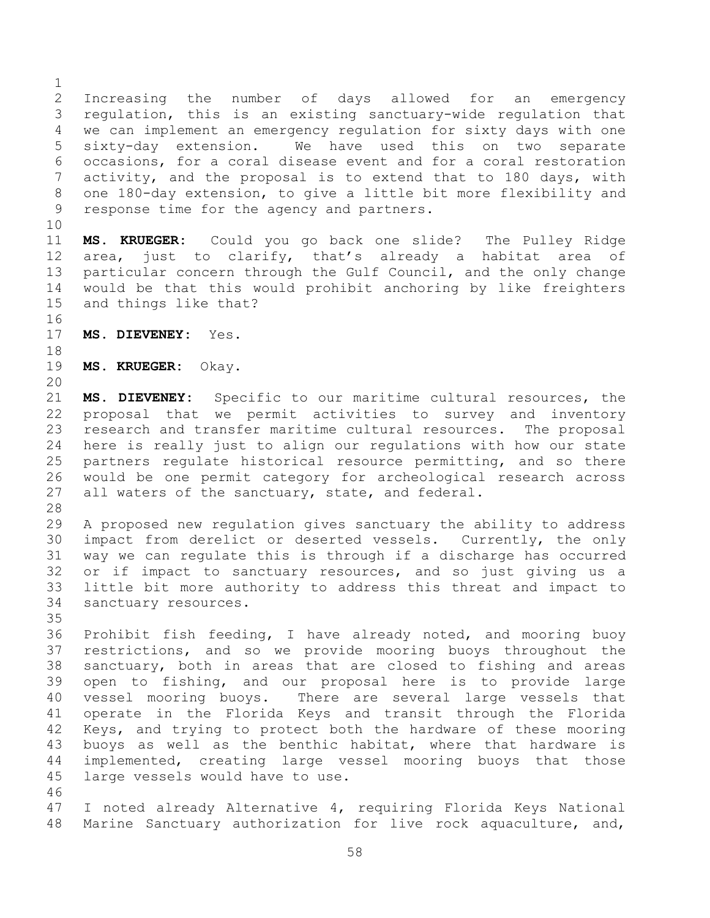Increasing the number of days allowed for an emergency regulation, this is an existing sanctuary-wide regulation that we can implement an emergency regulation for sixty days with one sixty-day extension. We have used this on two separate occasions, for a coral disease event and for a coral restoration activity, and the proposal is to extend that to 180 days, with one 180-day extension, to give a little bit more flexibility and response time for the agency and partners.

 **MS. KRUEGER:** Could you go back one slide? The Pulley Ridge area, just to clarify, that's already a habitat area of particular concern through the Gulf Council, and the only change would be that this would prohibit anchoring by like freighters and things like that?

- **MS. DIEVENEY:** Yes.
- **MS. KRUEGER:** Okay.
- 

 **MS. DIEVENEY:** Specific to our maritime cultural resources, the proposal that we permit activities to survey and inventory research and transfer maritime cultural resources. The proposal here is really just to align our regulations with how our state partners regulate historical resource permitting, and so there would be one permit category for archeological research across 27 all waters of the sanctuary, state, and federal.

 A proposed new regulation gives sanctuary the ability to address impact from derelict or deserted vessels. Currently, the only way we can regulate this is through if a discharge has occurred or if impact to sanctuary resources, and so just giving us a little bit more authority to address this threat and impact to sanctuary resources.

 Prohibit fish feeding, I have already noted, and mooring buoy restrictions, and so we provide mooring buoys throughout the sanctuary, both in areas that are closed to fishing and areas open to fishing, and our proposal here is to provide large vessel mooring buoys. There are several large vessels that operate in the Florida Keys and transit through the Florida Keys, and trying to protect both the hardware of these mooring buoys as well as the benthic habitat, where that hardware is implemented, creating large vessel mooring buoys that those large vessels would have to use. 

 I noted already Alternative 4, requiring Florida Keys National Marine Sanctuary authorization for live rock aquaculture, and,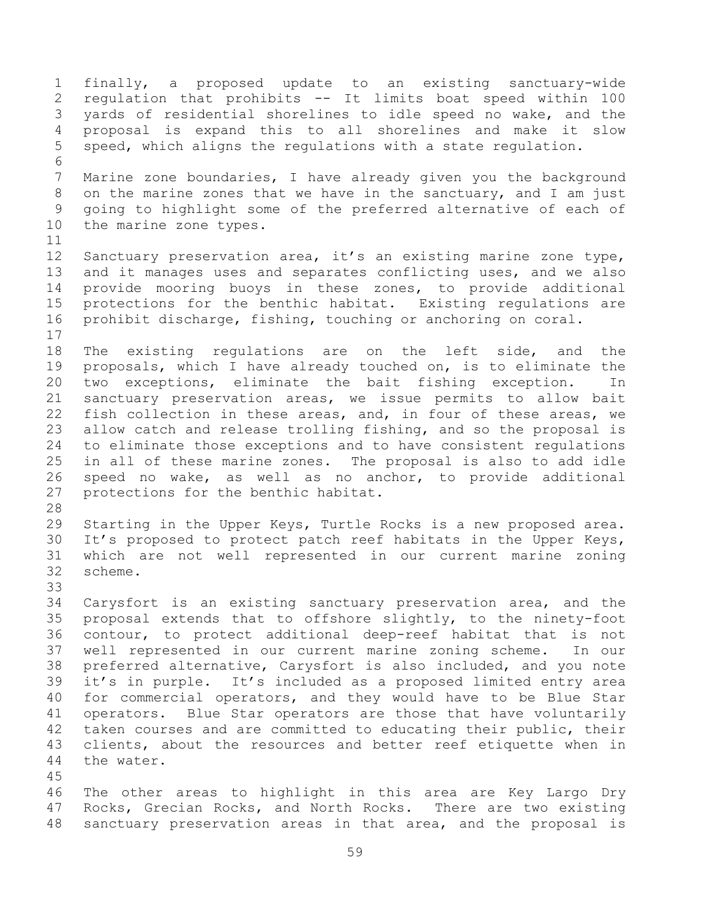finally, a proposed update to an existing sanctuary-wide regulation that prohibits -- It limits boat speed within 100 yards of residential shorelines to idle speed no wake, and the proposal is expand this to all shorelines and make it slow speed, which aligns the regulations with a state regulation. Marine zone boundaries, I have already given you the background on the marine zones that we have in the sanctuary, and I am just going to highlight some of the preferred alternative of each of the marine zone types. Sanctuary preservation area, it's an existing marine zone type, and it manages uses and separates conflicting uses, and we also provide mooring buoys in these zones, to provide additional protections for the benthic habitat. Existing regulations are prohibit discharge, fishing, touching or anchoring on coral. The existing regulations are on the left side, and the proposals, which I have already touched on, is to eliminate the two exceptions, eliminate the bait fishing exception. In sanctuary preservation areas, we issue permits to allow bait fish collection in these areas, and, in four of these areas, we allow catch and release trolling fishing, and so the proposal is to eliminate those exceptions and to have consistent regulations in all of these marine zones. The proposal is also to add idle speed no wake, as well as no anchor, to provide additional protections for the benthic habitat. Starting in the Upper Keys, Turtle Rocks is a new proposed area. It's proposed to protect patch reef habitats in the Upper Keys, which are not well represented in our current marine zoning scheme. Carysfort is an existing sanctuary preservation area, and the proposal extends that to offshore slightly, to the ninety-foot contour, to protect additional deep-reef habitat that is not well represented in our current marine zoning scheme. In our preferred alternative, Carysfort is also included, and you note it's in purple. It's included as a proposed limited entry area for commercial operators, and they would have to be Blue Star operators. Blue Star operators are those that have voluntarily 42 taken courses and are committed to educating their public, their clients, about the resources and better reef etiquette when in the water. The other areas to highlight in this area are Key Largo Dry Rocks, Grecian Rocks, and North Rocks. There are two existing sanctuary preservation areas in that area, and the proposal is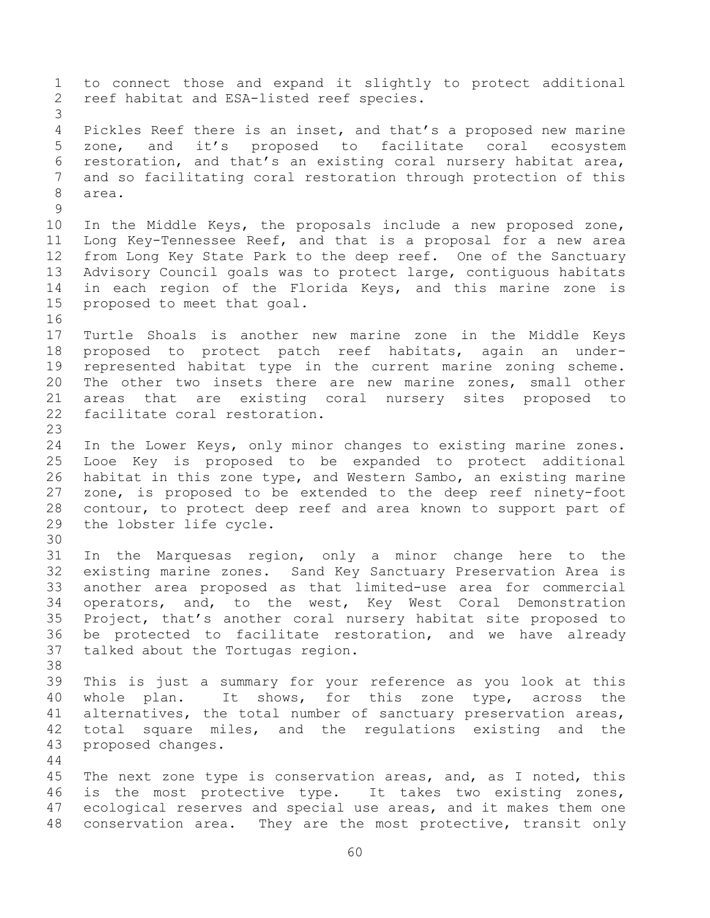to connect those and expand it slightly to protect additional reef habitat and ESA-listed reef species. Pickles Reef there is an inset, and that's a proposed new marine zone, and it's proposed to facilitate coral ecosystem restoration, and that's an existing coral nursery habitat area, and so facilitating coral restoration through protection of this area. In the Middle Keys, the proposals include a new proposed zone, Long Key-Tennessee Reef, and that is a proposal for a new area from Long Key State Park to the deep reef. One of the Sanctuary Advisory Council goals was to protect large, contiguous habitats in each region of the Florida Keys, and this marine zone is proposed to meet that goal. Turtle Shoals is another new marine zone in the Middle Keys proposed to protect patch reef habitats, again an under- represented habitat type in the current marine zoning scheme. The other two insets there are new marine zones, small other areas that are existing coral nursery sites proposed to facilitate coral restoration. In the Lower Keys, only minor changes to existing marine zones. Looe Key is proposed to be expanded to protect additional habitat in this zone type, and Western Sambo, an existing marine zone, is proposed to be extended to the deep reef ninety-foot contour, to protect deep reef and area known to support part of the lobster life cycle. In the Marquesas region, only a minor change here to the existing marine zones. Sand Key Sanctuary Preservation Area is another area proposed as that limited-use area for commercial operators, and, to the west, Key West Coral Demonstration Project, that's another coral nursery habitat site proposed to be protected to facilitate restoration, and we have already talked about the Tortugas region. This is just a summary for your reference as you look at this whole plan. It shows, for this zone type, across the alternatives, the total number of sanctuary preservation areas, total square miles, and the regulations existing and the proposed changes. The next zone type is conservation areas, and, as I noted, this is the most protective type. It takes two existing zones, ecological reserves and special use areas, and it makes them one conservation area. They are the most protective, transit only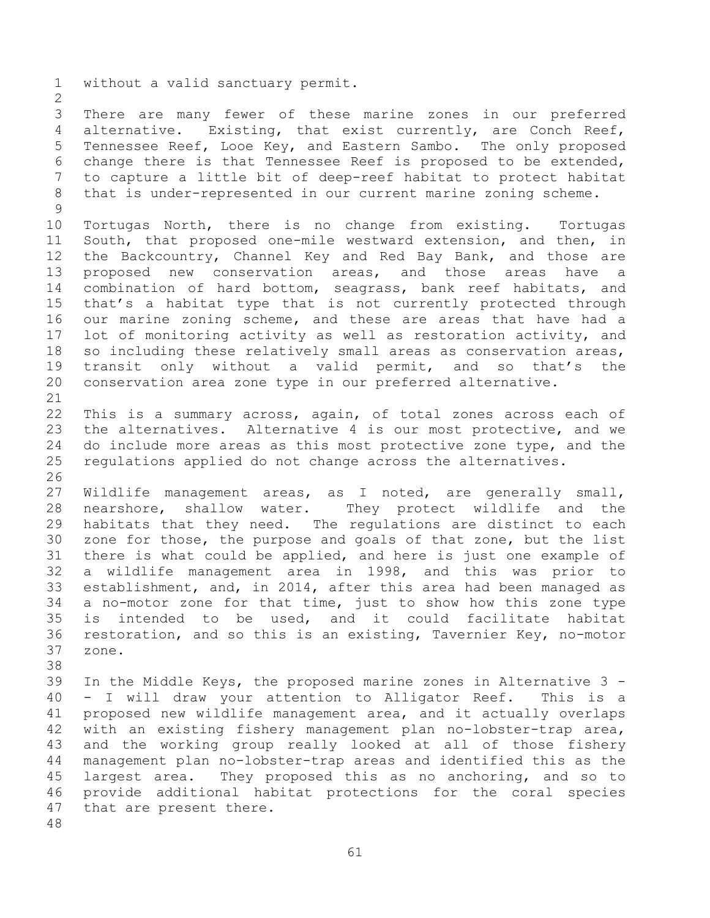without a valid sanctuary permit.

 There are many fewer of these marine zones in our preferred alternative. Existing, that exist currently, are Conch Reef, Tennessee Reef, Looe Key, and Eastern Sambo. The only proposed change there is that Tennessee Reef is proposed to be extended, to capture a little bit of deep-reef habitat to protect habitat that is under-represented in our current marine zoning scheme.

 Tortugas North, there is no change from existing. Tortugas South, that proposed one-mile westward extension, and then, in the Backcountry, Channel Key and Red Bay Bank, and those are proposed new conservation areas, and those areas have a combination of hard bottom, seagrass, bank reef habitats, and that's a habitat type that is not currently protected through our marine zoning scheme, and these are areas that have had a lot of monitoring activity as well as restoration activity, and so including these relatively small areas as conservation areas, transit only without a valid permit, and so that's the conservation area zone type in our preferred alternative.

 This is a summary across, again, of total zones across each of the alternatives. Alternative 4 is our most protective, and we 24 do include more areas as this most protective zone type, and the regulations applied do not change across the alternatives.

 Wildlife management areas, as I noted, are generally small, nearshore, shallow water. They protect wildlife and the habitats that they need. The regulations are distinct to each zone for those, the purpose and goals of that zone, but the list there is what could be applied, and here is just one example of a wildlife management area in 1998, and this was prior to establishment, and, in 2014, after this area had been managed as a no-motor zone for that time, just to show how this zone type is intended to be used, and it could facilitate habitat restoration, and so this is an existing, Tavernier Key, no-motor zone.

 In the Middle Keys, the proposed marine zones in Alternative 3 - - I will draw your attention to Alligator Reef. This is a proposed new wildlife management area, and it actually overlaps with an existing fishery management plan no-lobster-trap area, and the working group really looked at all of those fishery management plan no-lobster-trap areas and identified this as the largest area. They proposed this as no anchoring, and so to provide additional habitat protections for the coral species that are present there.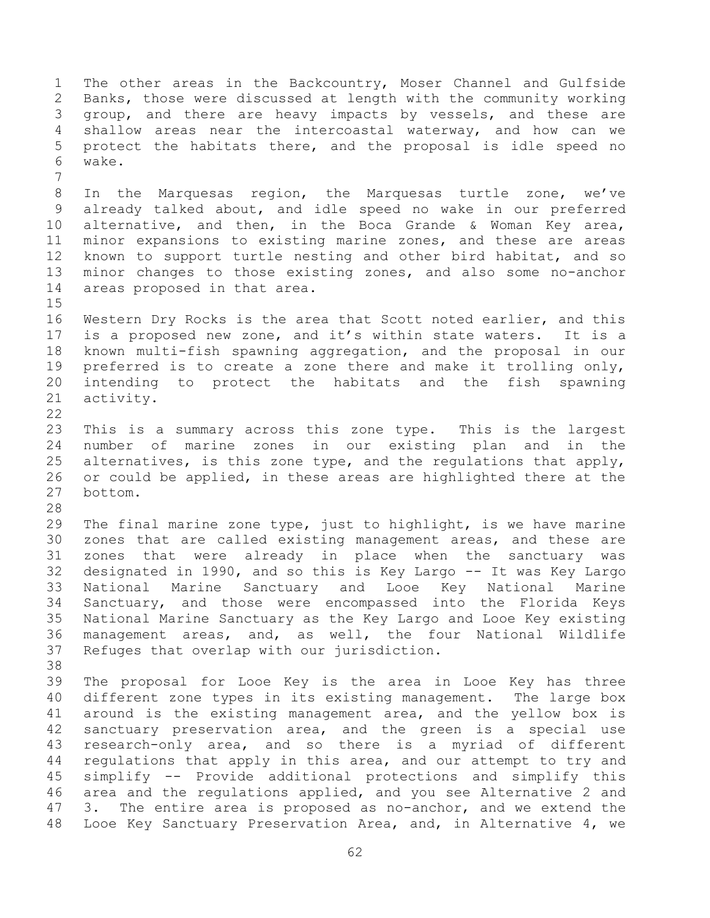The other areas in the Backcountry, Moser Channel and Gulfside Banks, those were discussed at length with the community working group, and there are heavy impacts by vessels, and these are shallow areas near the intercoastal waterway, and how can we protect the habitats there, and the proposal is idle speed no wake. In the Marquesas region, the Marquesas turtle zone, we've already talked about, and idle speed no wake in our preferred alternative, and then, in the Boca Grande & Woman Key area, minor expansions to existing marine zones, and these are areas known to support turtle nesting and other bird habitat, and so minor changes to those existing zones, and also some no-anchor areas proposed in that area. Western Dry Rocks is the area that Scott noted earlier, and this is a proposed new zone, and it's within state waters. It is a known multi-fish spawning aggregation, and the proposal in our preferred is to create a zone there and make it trolling only, intending to protect the habitats and the fish spawning activity. This is a summary across this zone type. This is the largest number of marine zones in our existing plan and in the 25 alternatives, is this zone type, and the regulations that apply, or could be applied, in these areas are highlighted there at the bottom. The final marine zone type, just to highlight, is we have marine zones that are called existing management areas, and these are zones that were already in place when the sanctuary was designated in 1990, and so this is Key Largo -- It was Key Largo National Marine Sanctuary and Looe Key National Marine Sanctuary, and those were encompassed into the Florida Keys National Marine Sanctuary as the Key Largo and Looe Key existing management areas, and, as well, the four National Wildlife Refuges that overlap with our jurisdiction. The proposal for Looe Key is the area in Looe Key has three different zone types in its existing management. The large box around is the existing management area, and the yellow box is sanctuary preservation area, and the green is a special use research-only area, and so there is a myriad of different regulations that apply in this area, and our attempt to try and simplify -- Provide additional protections and simplify this area and the regulations applied, and you see Alternative 2 and 3. The entire area is proposed as no-anchor, and we extend the Looe Key Sanctuary Preservation Area, and, in Alternative 4, we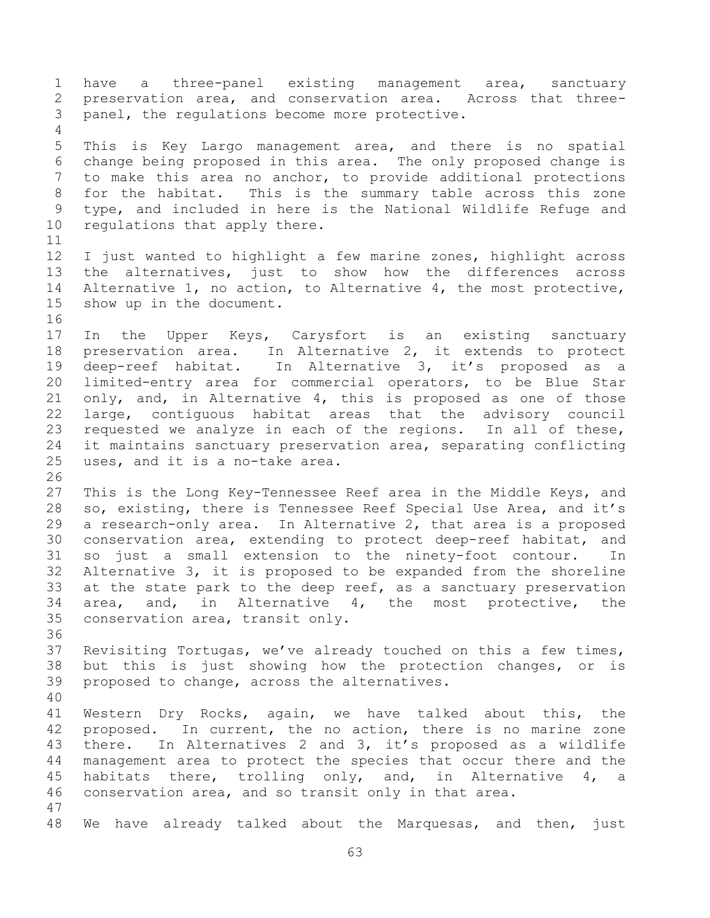have a three-panel existing management area, sanctuary preservation area, and conservation area. Across that three- panel, the regulations become more protective. This is Key Largo management area, and there is no spatial change being proposed in this area. The only proposed change is to make this area no anchor, to provide additional protections for the habitat. This is the summary table across this zone type, and included in here is the National Wildlife Refuge and regulations that apply there. I just wanted to highlight a few marine zones, highlight across the alternatives, just to show how the differences across Alternative 1, no action, to Alternative 4, the most protective, show up in the document. In the Upper Keys, Carysfort is an existing sanctuary preservation area. In Alternative 2, it extends to protect deep-reef habitat. In Alternative 3, it's proposed as a limited-entry area for commercial operators, to be Blue Star only, and, in Alternative 4, this is proposed as one of those large, contiguous habitat areas that the advisory council requested we analyze in each of the regions. In all of these, it maintains sanctuary preservation area, separating conflicting uses, and it is a no-take area. This is the Long Key-Tennessee Reef area in the Middle Keys, and so, existing, there is Tennessee Reef Special Use Area, and it's a research-only area. In Alternative 2, that area is a proposed conservation area, extending to protect deep-reef habitat, and so just a small extension to the ninety-foot contour. In Alternative 3, it is proposed to be expanded from the shoreline at the state park to the deep reef, as a sanctuary preservation area, and, in Alternative 4, the most protective, the conservation area, transit only. Revisiting Tortugas, we've already touched on this a few times, but this is just showing how the protection changes, or is proposed to change, across the alternatives. Western Dry Rocks, again, we have talked about this, the proposed. In current, the no action, there is no marine zone there. In Alternatives 2 and 3, it's proposed as a wildlife management area to protect the species that occur there and the habitats there, trolling only, and, in Alternative 4, a conservation area, and so transit only in that area. We have already talked about the Marquesas, and then, just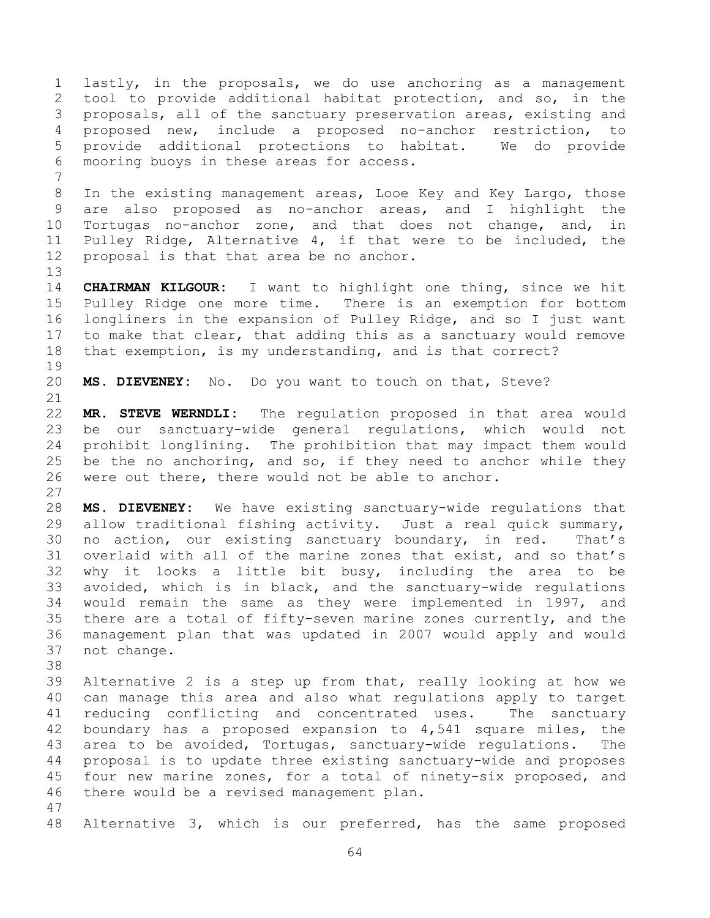lastly, in the proposals, we do use anchoring as a management tool to provide additional habitat protection, and so, in the proposals, all of the sanctuary preservation areas, existing and proposed new, include a proposed no-anchor restriction, to provide additional protections to habitat. We do provide mooring buoys in these areas for access.

 In the existing management areas, Looe Key and Key Largo, those are also proposed as no-anchor areas, and I highlight the Tortugas no-anchor zone, and that does not change, and, in Pulley Ridge, Alternative 4, if that were to be included, the proposal is that that area be no anchor.

 **CHAIRMAN KILGOUR:** I want to highlight one thing, since we hit Pulley Ridge one more time. There is an exemption for bottom longliners in the expansion of Pulley Ridge, and so I just want to make that clear, that adding this as a sanctuary would remove that exemption, is my understanding, and is that correct?

**MS. DIEVENEY:** No. Do you want to touch on that, Steve?

 **MR. STEVE WERNDLI:** The regulation proposed in that area would be our sanctuary-wide general regulations, which would not prohibit longlining. The prohibition that may impact them would be the no anchoring, and so, if they need to anchor while they were out there, there would not be able to anchor. 

 **MS. DIEVENEY:** We have existing sanctuary-wide regulations that allow traditional fishing activity. Just a real quick summary, no action, our existing sanctuary boundary, in red. That's overlaid with all of the marine zones that exist, and so that's why it looks a little bit busy, including the area to be avoided, which is in black, and the sanctuary-wide regulations would remain the same as they were implemented in 1997, and there are a total of fifty-seven marine zones currently, and the management plan that was updated in 2007 would apply and would not change.

 Alternative 2 is a step up from that, really looking at how we can manage this area and also what regulations apply to target reducing conflicting and concentrated uses. The sanctuary boundary has a proposed expansion to 4,541 square miles, the area to be avoided, Tortugas, sanctuary-wide regulations. The proposal is to update three existing sanctuary-wide and proposes four new marine zones, for a total of ninety-six proposed, and there would be a revised management plan. 

Alternative 3, which is our preferred, has the same proposed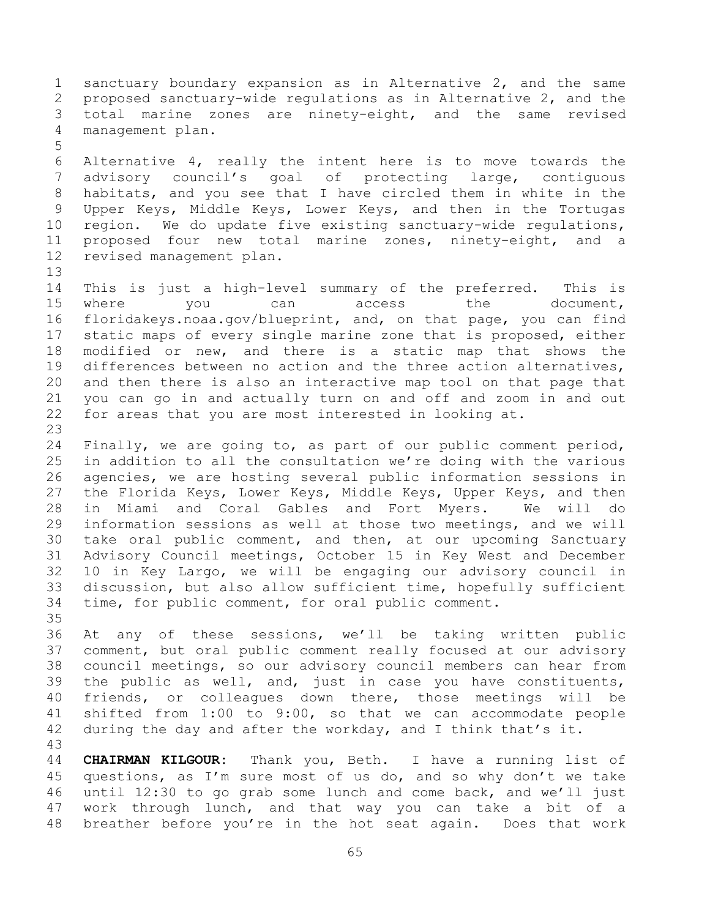sanctuary boundary expansion as in Alternative 2, and the same proposed sanctuary-wide regulations as in Alternative 2, and the total marine zones are ninety-eight, and the same revised management plan. Alternative 4, really the intent here is to move towards the advisory council's goal of protecting large, contiguous

 habitats, and you see that I have circled them in white in the Upper Keys, Middle Keys, Lower Keys, and then in the Tortugas region. We do update five existing sanctuary-wide regulations, proposed four new total marine zones, ninety-eight, and a revised management plan.

 This is just a high-level summary of the preferred. This is 15 where you can access the document, floridakeys.noaa.gov/blueprint, and, on that page, you can find static maps of every single marine zone that is proposed, either modified or new, and there is a static map that shows the differences between no action and the three action alternatives, and then there is also an interactive map tool on that page that you can go in and actually turn on and off and zoom in and out for areas that you are most interested in looking at. 

 Finally, we are going to, as part of our public comment period, in addition to all the consultation we're doing with the various agencies, we are hosting several public information sessions in the Florida Keys, Lower Keys, Middle Keys, Upper Keys, and then in Miami and Coral Gables and Fort Myers. We will do information sessions as well at those two meetings, and we will take oral public comment, and then, at our upcoming Sanctuary Advisory Council meetings, October 15 in Key West and December 10 in Key Largo, we will be engaging our advisory council in discussion, but also allow sufficient time, hopefully sufficient time, for public comment, for oral public comment. 

 At any of these sessions, we'll be taking written public comment, but oral public comment really focused at our advisory council meetings, so our advisory council members can hear from the public as well, and, just in case you have constituents, friends, or colleagues down there, those meetings will be shifted from 1:00 to 9:00, so that we can accommodate people during the day and after the workday, and I think that's it. 

 **CHAIRMAN KILGOUR:** Thank you, Beth. I have a running list of questions, as I'm sure most of us do, and so why don't we take until 12:30 to go grab some lunch and come back, and we'll just work through lunch, and that way you can take a bit of a breather before you're in the hot seat again. Does that work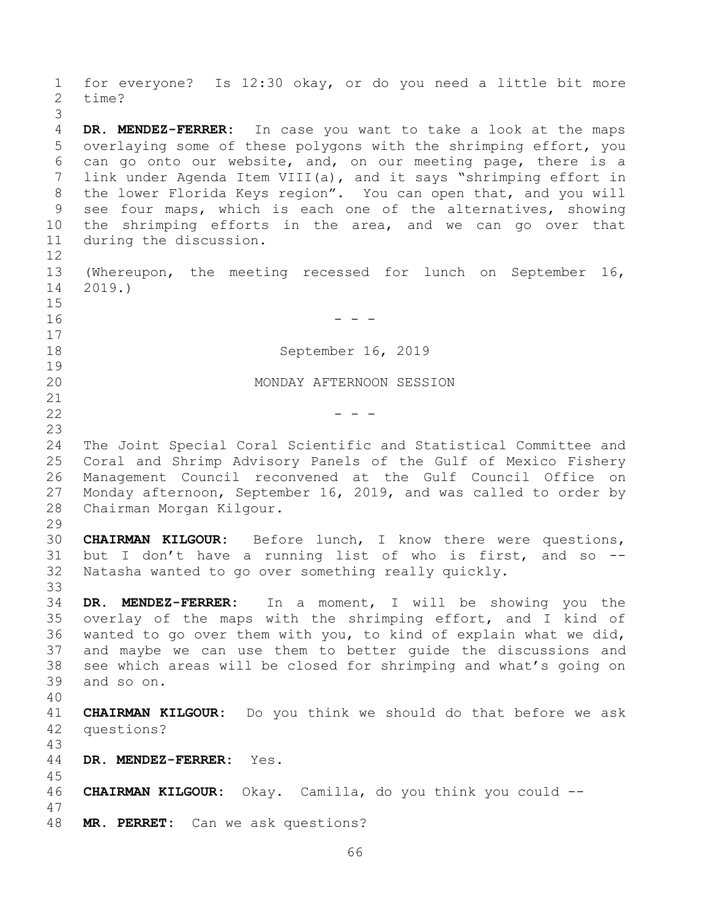for everyone? Is 12:30 okay, or do you need a little bit more time? **DR. MENDEZ-FERRER:** In case you want to take a look at the maps overlaying some of these polygons with the shrimping effort, you can go onto our website, and, on our meeting page, there is a link under Agenda Item VIII(a), and it says "shrimping effort in the lower Florida Keys region". You can open that, and you will see four maps, which is each one of the alternatives, showing the shrimping efforts in the area, and we can go over that during the discussion. (Whereupon, the meeting recessed for lunch on September 16, 2019.) - - - September 16, 2019 MONDAY AFTERNOON SESSION  $-$  The Joint Special Coral Scientific and Statistical Committee and Coral and Shrimp Advisory Panels of the Gulf of Mexico Fishery Management Council reconvened at the Gulf Council Office on Monday afternoon, September 16, 2019, and was called to order by Chairman Morgan Kilgour. **CHAIRMAN KILGOUR:** Before lunch, I know there were questions, but I don't have a running list of who is first, and so -- Natasha wanted to go over something really quickly. **DR. MENDEZ-FERRER:** In a moment, I will be showing you the overlay of the maps with the shrimping effort, and I kind of wanted to go over them with you, to kind of explain what we did, and maybe we can use them to better guide the discussions and see which areas will be closed for shrimping and what's going on and so on. **CHAIRMAN KILGOUR:** Do you think we should do that before we ask questions? **DR. MENDEZ-FERRER:** Yes. **CHAIRMAN KILGOUR:** Okay. Camilla, do you think you could -- **MR. PERRET:** Can we ask questions?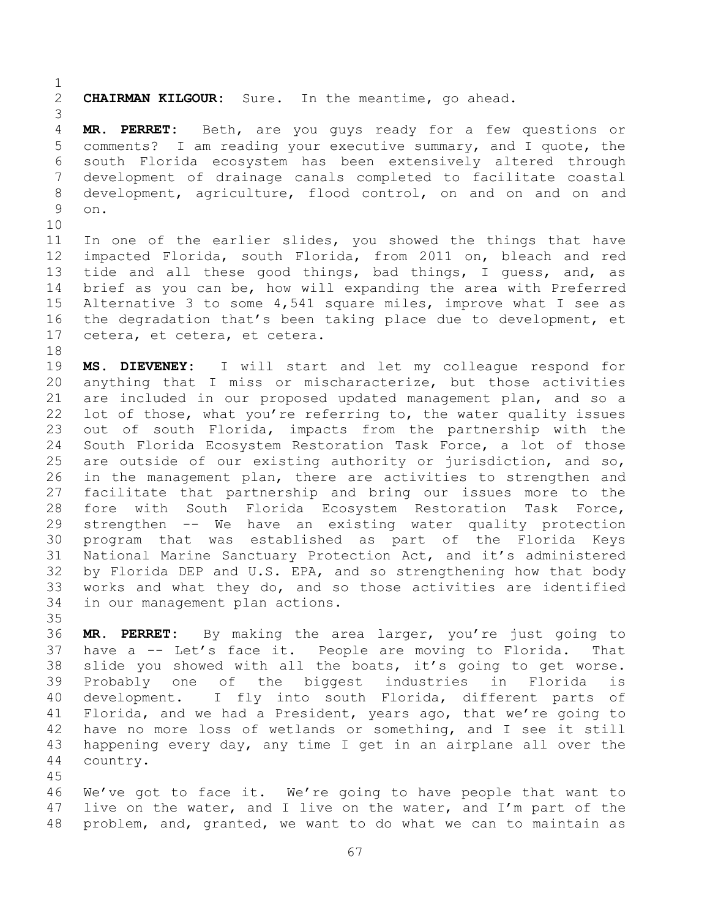**CHAIRMAN KILGOUR:** Sure. In the meantime, go ahead. **MR. PERRET:** Beth, are you guys ready for a few questions or comments? I am reading your executive summary, and I quote, the south Florida ecosystem has been extensively altered through development of drainage canals completed to facilitate coastal development, agriculture, flood control, on and on and on and on. In one of the earlier slides, you showed the things that have impacted Florida, south Florida, from 2011 on, bleach and red tide and all these good things, bad things, I guess, and, as brief as you can be, how will expanding the area with Preferred Alternative 3 to some 4,541 square miles, improve what I see as the degradation that's been taking place due to development, et cetera, et cetera, et cetera.

 **MS. DIEVENEY:** I will start and let my colleague respond for anything that I miss or mischaracterize, but those activities are included in our proposed updated management plan, and so a 22 lot of those, what you're referring to, the water quality issues out of south Florida, impacts from the partnership with the South Florida Ecosystem Restoration Task Force, a lot of those are outside of our existing authority or jurisdiction, and so, in the management plan, there are activities to strengthen and facilitate that partnership and bring our issues more to the fore with South Florida Ecosystem Restoration Task Force, strengthen -- We have an existing water quality protection program that was established as part of the Florida Keys National Marine Sanctuary Protection Act, and it's administered by Florida DEP and U.S. EPA, and so strengthening how that body works and what they do, and so those activities are identified in our management plan actions.

 **MR. PERRET:** By making the area larger, you're just going to have a -- Let's face it. People are moving to Florida. That slide you showed with all the boats, it's going to get worse. Probably one of the biggest industries in Florida is development. I fly into south Florida, different parts of Florida, and we had a President, years ago, that we're going to have no more loss of wetlands or something, and I see it still happening every day, any time I get in an airplane all over the country.

 We've got to face it. We're going to have people that want to live on the water, and I live on the water, and I'm part of the problem, and, granted, we want to do what we can to maintain as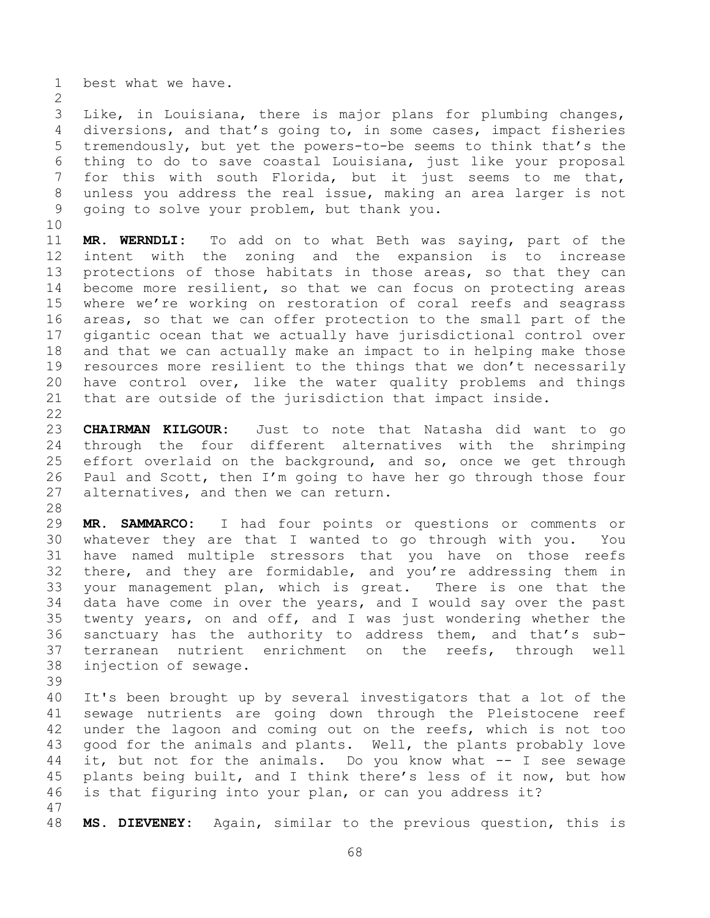best what we have.

 Like, in Louisiana, there is major plans for plumbing changes, diversions, and that's going to, in some cases, impact fisheries tremendously, but yet the powers-to-be seems to think that's the thing to do to save coastal Louisiana, just like your proposal for this with south Florida, but it just seems to me that, unless you address the real issue, making an area larger is not going to solve your problem, but thank you.

 **MR. WERNDLI:** To add on to what Beth was saying, part of the intent with the zoning and the expansion is to increase protections of those habitats in those areas, so that they can become more resilient, so that we can focus on protecting areas where we're working on restoration of coral reefs and seagrass areas, so that we can offer protection to the small part of the gigantic ocean that we actually have jurisdictional control over and that we can actually make an impact to in helping make those resources more resilient to the things that we don't necessarily have control over, like the water quality problems and things that are outside of the jurisdiction that impact inside. 

 **CHAIRMAN KILGOUR:** Just to note that Natasha did want to go through the four different alternatives with the shrimping effort overlaid on the background, and so, once we get through Paul and Scott, then I'm going to have her go through those four alternatives, and then we can return.

 **MR. SAMMARCO:** I had four points or questions or comments or whatever they are that I wanted to go through with you. You have named multiple stressors that you have on those reefs there, and they are formidable, and you're addressing them in your management plan, which is great. There is one that the data have come in over the years, and I would say over the past twenty years, on and off, and I was just wondering whether the sanctuary has the authority to address them, and that's sub- terranean nutrient enrichment on the reefs, through well injection of sewage. 

 It's been brought up by several investigators that a lot of the sewage nutrients are going down through the Pleistocene reef under the lagoon and coming out on the reefs, which is not too good for the animals and plants. Well, the plants probably love it, but not for the animals. Do you know what -- I see sewage plants being built, and I think there's less of it now, but how is that figuring into your plan, or can you address it? 

**MS. DIEVENEY:** Again, similar to the previous question, this is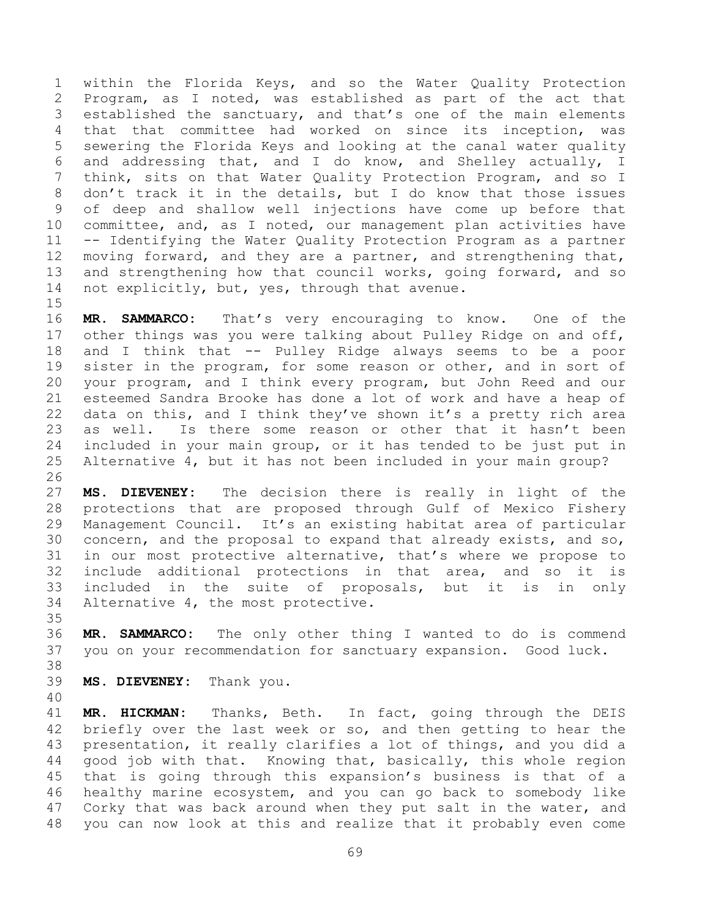within the Florida Keys, and so the Water Quality Protection Program, as I noted, was established as part of the act that established the sanctuary, and that's one of the main elements that that committee had worked on since its inception, was sewering the Florida Keys and looking at the canal water quality and addressing that, and I do know, and Shelley actually, I think, sits on that Water Quality Protection Program, and so I don't track it in the details, but I do know that those issues of deep and shallow well injections have come up before that committee, and, as I noted, our management plan activities have -- Identifying the Water Quality Protection Program as a partner moving forward, and they are a partner, and strengthening that, and strengthening how that council works, going forward, and so 14 not explicitly, but, yes, through that avenue.

 **MR. SAMMARCO:** That's very encouraging to know. One of the other things was you were talking about Pulley Ridge on and off, and I think that -- Pulley Ridge always seems to be a poor sister in the program, for some reason or other, and in sort of your program, and I think every program, but John Reed and our esteemed Sandra Brooke has done a lot of work and have a heap of data on this, and I think they've shown it's a pretty rich area as well. Is there some reason or other that it hasn't been included in your main group, or it has tended to be just put in Alternative 4, but it has not been included in your main group?

 **MS. DIEVENEY:** The decision there is really in light of the protections that are proposed through Gulf of Mexico Fishery Management Council. It's an existing habitat area of particular concern, and the proposal to expand that already exists, and so, in our most protective alternative, that's where we propose to include additional protections in that area, and so it is included in the suite of proposals, but it is in only Alternative 4, the most protective.

 **MR. SAMMARCO:** The only other thing I wanted to do is commend you on your recommendation for sanctuary expansion. Good luck.

**MS. DIEVENEY:** Thank you.

 **MR. HICKMAN:** Thanks, Beth. In fact, going through the DEIS briefly over the last week or so, and then getting to hear the presentation, it really clarifies a lot of things, and you did a good job with that. Knowing that, basically, this whole region that is going through this expansion's business is that of a healthy marine ecosystem, and you can go back to somebody like Corky that was back around when they put salt in the water, and you can now look at this and realize that it probably even come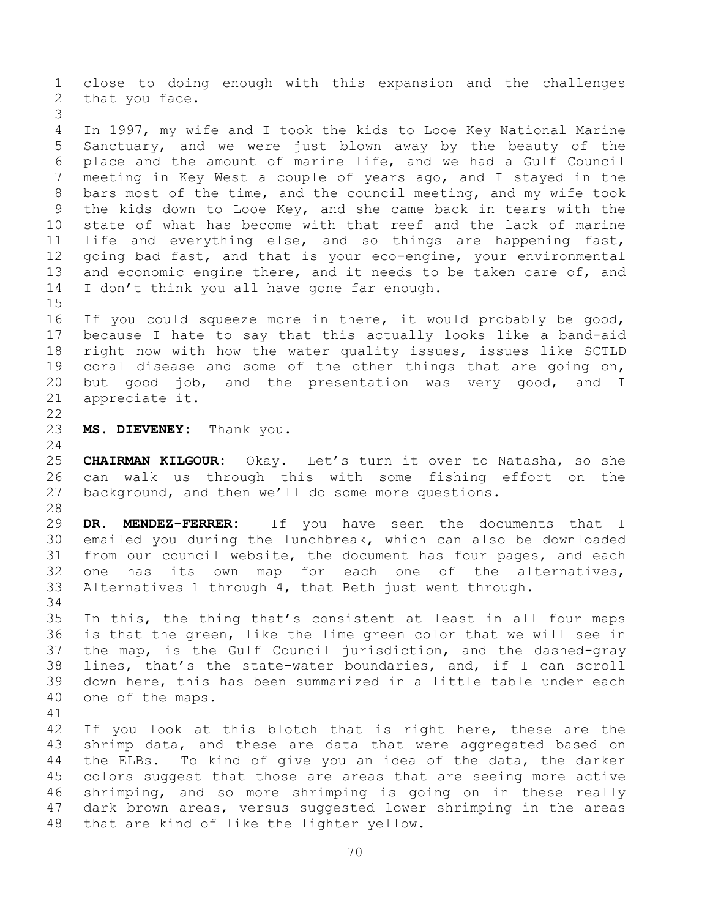close to doing enough with this expansion and the challenges that you face. In 1997, my wife and I took the kids to Looe Key National Marine Sanctuary, and we were just blown away by the beauty of the place and the amount of marine life, and we had a Gulf Council meeting in Key West a couple of years ago, and I stayed in the bars most of the time, and the council meeting, and my wife took the kids down to Looe Key, and she came back in tears with the state of what has become with that reef and the lack of marine life and everything else, and so things are happening fast, going bad fast, and that is your eco-engine, your environmental 13 and economic engine there, and it needs to be taken care of, and I don't think you all have gone far enough. If you could squeeze more in there, it would probably be good, because I hate to say that this actually looks like a band-aid right now with how the water quality issues, issues like SCTLD coral disease and some of the other things that are going on, but good job, and the presentation was very good, and I appreciate it. **MS. DIEVENEY:** Thank you. **CHAIRMAN KILGOUR:** Okay. Let's turn it over to Natasha, so she can walk us through this with some fishing effort on the background, and then we'll do some more questions. **DR. MENDEZ-FERRER:** If you have seen the documents that I emailed you during the lunchbreak, which can also be downloaded from our council website, the document has four pages, and each one has its own map for each one of the alternatives, Alternatives 1 through 4, that Beth just went through. In this, the thing that's consistent at least in all four maps is that the green, like the lime green color that we will see in the map, is the Gulf Council jurisdiction, and the dashed-gray lines, that's the state-water boundaries, and, if I can scroll down here, this has been summarized in a little table under each one of the maps. If you look at this blotch that is right here, these are the shrimp data, and these are data that were aggregated based on the ELBs. To kind of give you an idea of the data, the darker colors suggest that those are areas that are seeing more active shrimping, and so more shrimping is going on in these really dark brown areas, versus suggested lower shrimping in the areas that are kind of like the lighter yellow.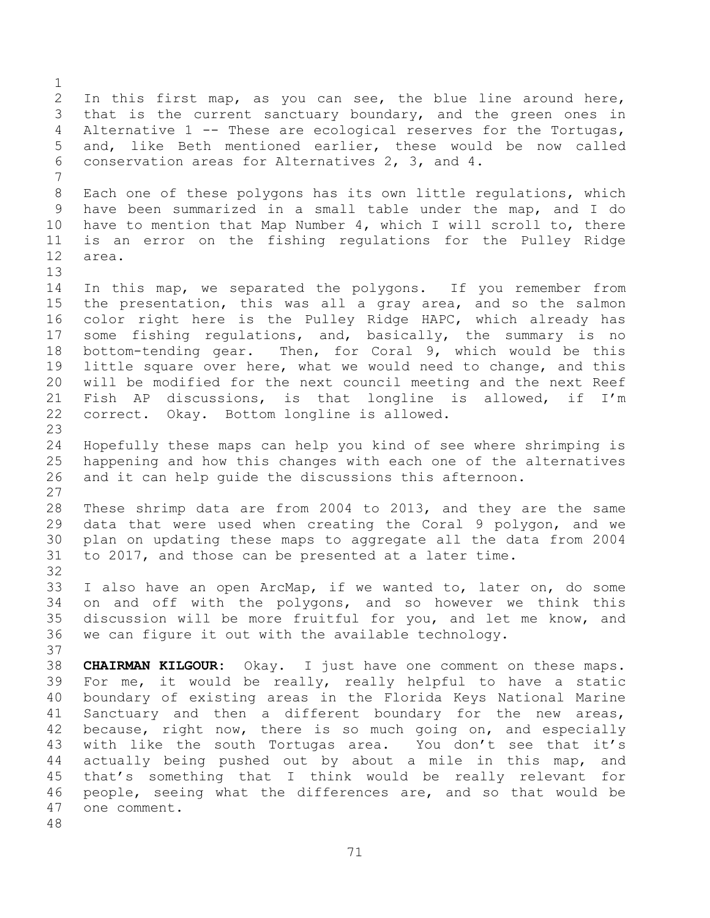In this first map, as you can see, the blue line around here, that is the current sanctuary boundary, and the green ones in Alternative 1 -- These are ecological reserves for the Tortugas, and, like Beth mentioned earlier, these would be now called conservation areas for Alternatives 2, 3, and 4. Each one of these polygons has its own little regulations, which have been summarized in a small table under the map, and I do have to mention that Map Number 4, which I will scroll to, there is an error on the fishing regulations for the Pulley Ridge area. In this map, we separated the polygons. If you remember from the presentation, this was all a gray area, and so the salmon color right here is the Pulley Ridge HAPC, which already has some fishing regulations, and, basically, the summary is no bottom-tending gear. Then, for Coral 9, which would be this little square over here, what we would need to change, and this will be modified for the next council meeting and the next Reef Fish AP discussions, is that longline is allowed, if I'm correct. Okay. Bottom longline is allowed. Hopefully these maps can help you kind of see where shrimping is happening and how this changes with each one of the alternatives and it can help guide the discussions this afternoon. These shrimp data are from 2004 to 2013, and they are the same data that were used when creating the Coral 9 polygon, and we plan on updating these maps to aggregate all the data from 2004 to 2017, and those can be presented at a later time. I also have an open ArcMap, if we wanted to, later on, do some on and off with the polygons, and so however we think this discussion will be more fruitful for you, and let me know, and we can figure it out with the available technology. **CHAIRMAN KILGOUR:** Okay. I just have one comment on these maps. For me, it would be really, really helpful to have a static boundary of existing areas in the Florida Keys National Marine Sanctuary and then a different boundary for the new areas, because, right now, there is so much going on, and especially with like the south Tortugas area. You don't see that it's actually being pushed out by about a mile in this map, and that's something that I think would be really relevant for people, seeing what the differences are, and so that would be one comment.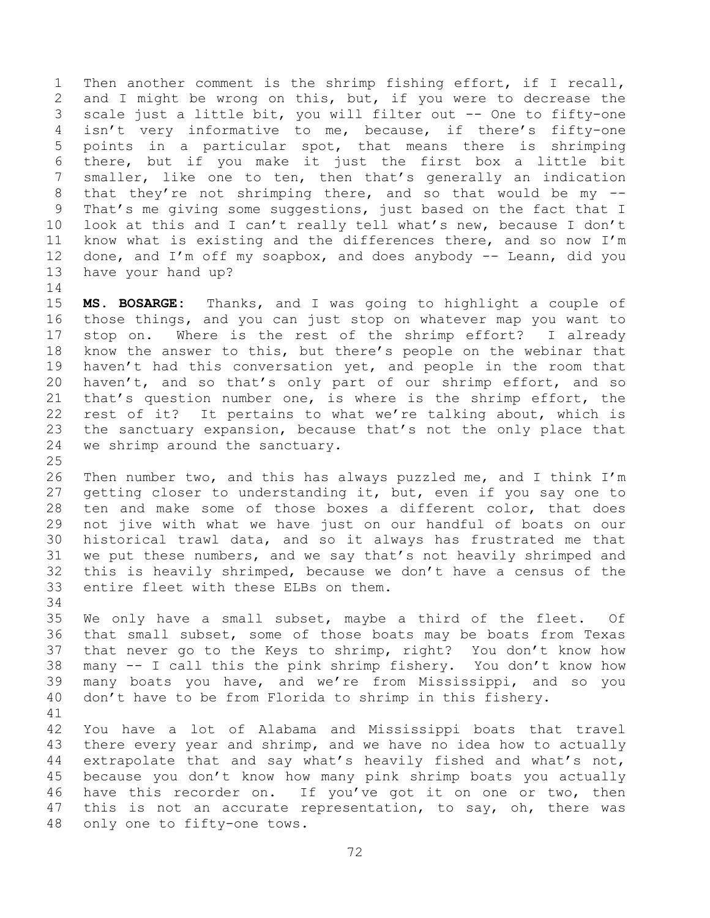Then another comment is the shrimp fishing effort, if I recall, and I might be wrong on this, but, if you were to decrease the scale just a little bit, you will filter out -- One to fifty-one isn't very informative to me, because, if there's fifty-one points in a particular spot, that means there is shrimping there, but if you make it just the first box a little bit smaller, like one to ten, then that's generally an indication that they're not shrimping there, and so that would be my -- That's me giving some suggestions, just based on the fact that I look at this and I can't really tell what's new, because I don't know what is existing and the differences there, and so now I'm done, and I'm off my soapbox, and does anybody -- Leann, did you have your hand up?

 **MS. BOSARGE:** Thanks, and I was going to highlight a couple of those things, and you can just stop on whatever map you want to stop on. Where is the rest of the shrimp effort? I already know the answer to this, but there's people on the webinar that haven't had this conversation yet, and people in the room that haven't, and so that's only part of our shrimp effort, and so that's question number one, is where is the shrimp effort, the rest of it? It pertains to what we're talking about, which is the sanctuary expansion, because that's not the only place that we shrimp around the sanctuary.

 Then number two, and this has always puzzled me, and I think I'm getting closer to understanding it, but, even if you say one to ten and make some of those boxes a different color, that does not jive with what we have just on our handful of boats on our historical trawl data, and so it always has frustrated me that we put these numbers, and we say that's not heavily shrimped and this is heavily shrimped, because we don't have a census of the entire fleet with these ELBs on them.

 We only have a small subset, maybe a third of the fleet. Of that small subset, some of those boats may be boats from Texas that never go to the Keys to shrimp, right? You don't know how many -- I call this the pink shrimp fishery. You don't know how many boats you have, and we're from Mississippi, and so you don't have to be from Florida to shrimp in this fishery.

 You have a lot of Alabama and Mississippi boats that travel there every year and shrimp, and we have no idea how to actually extrapolate that and say what's heavily fished and what's not, because you don't know how many pink shrimp boats you actually have this recorder on. If you've got it on one or two, then 47 this is not an accurate representation, to say, oh, there was only one to fifty-one tows.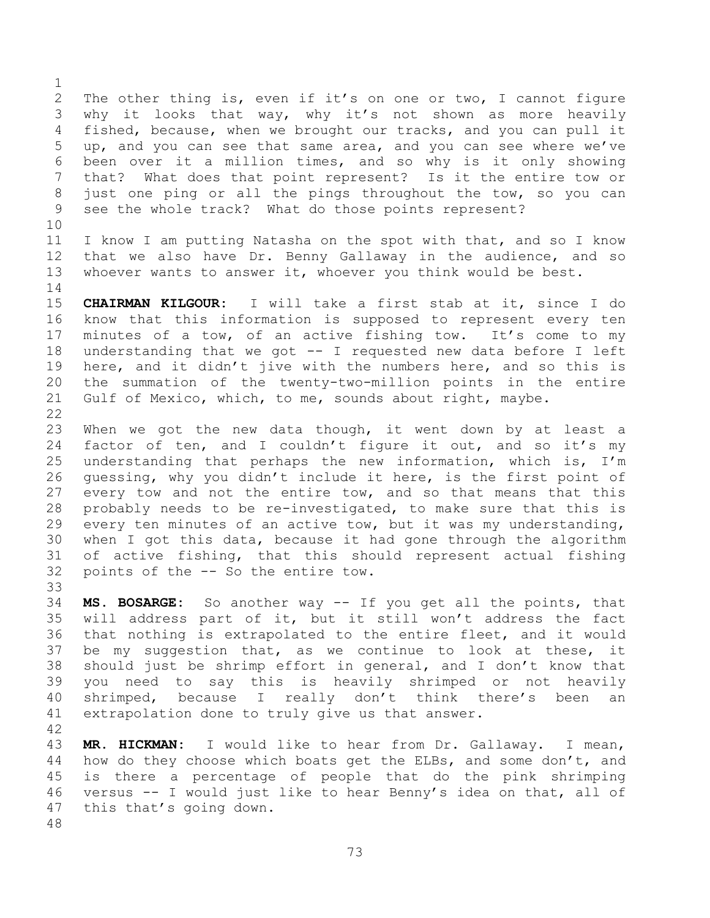The other thing is, even if it's on one or two, I cannot figure why it looks that way, why it's not shown as more heavily fished, because, when we brought our tracks, and you can pull it up, and you can see that same area, and you can see where we've been over it a million times, and so why is it only showing that? What does that point represent? Is it the entire tow or just one ping or all the pings throughout the tow, so you can see the whole track? What do those points represent?

 I know I am putting Natasha on the spot with that, and so I know that we also have Dr. Benny Gallaway in the audience, and so whoever wants to answer it, whoever you think would be best.

 **CHAIRMAN KILGOUR:** I will take a first stab at it, since I do know that this information is supposed to represent every ten minutes of a tow, of an active fishing tow. It's come to my understanding that we got -- I requested new data before I left here, and it didn't jive with the numbers here, and so this is the summation of the twenty-two-million points in the entire Gulf of Mexico, which, to me, sounds about right, maybe. 

 When we got the new data though, it went down by at least a 24 factor of ten, and I couldn't figure it out, and so it's my understanding that perhaps the new information, which is, I'm guessing, why you didn't include it here, is the first point of every tow and not the entire tow, and so that means that this probably needs to be re-investigated, to make sure that this is every ten minutes of an active tow, but it was my understanding, when I got this data, because it had gone through the algorithm of active fishing, that this should represent actual fishing points of the -- So the entire tow.

 **MS. BOSARGE:** So another way -- If you get all the points, that will address part of it, but it still won't address the fact that nothing is extrapolated to the entire fleet, and it would be my suggestion that, as we continue to look at these, it should just be shrimp effort in general, and I don't know that you need to say this is heavily shrimped or not heavily shrimped, because I really don't think there's been an extrapolation done to truly give us that answer.

 **MR. HICKMAN:** I would like to hear from Dr. Gallaway. I mean, 44 how do they choose which boats get the ELBs, and some don't, and is there a percentage of people that do the pink shrimping versus -- I would just like to hear Benny's idea on that, all of this that's going down.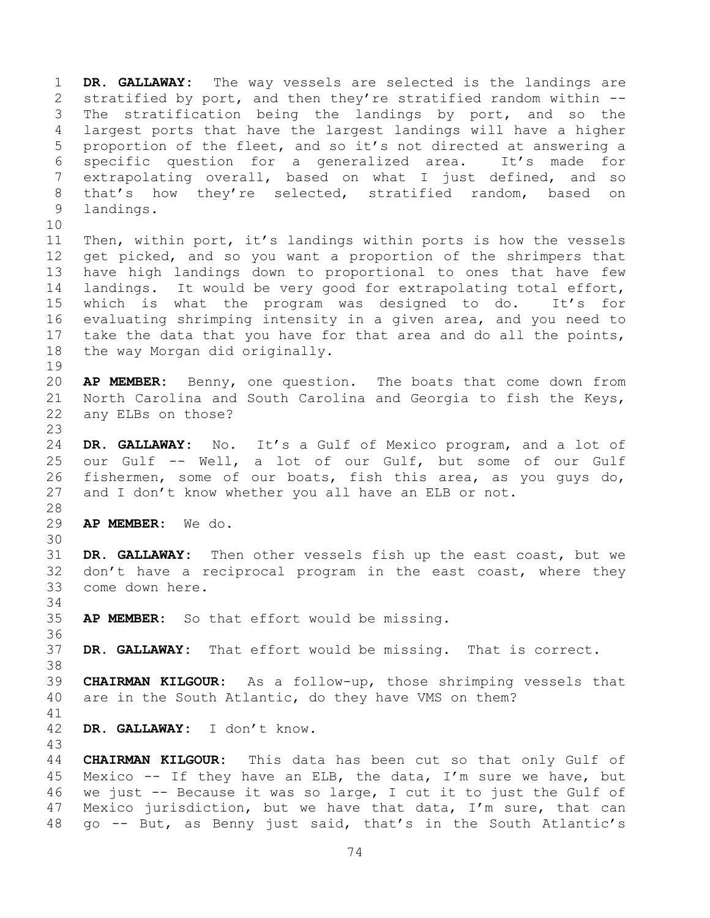**DR. GALLAWAY:** The way vessels are selected is the landings are stratified by port, and then they're stratified random within -- The stratification being the landings by port, and so the largest ports that have the largest landings will have a higher proportion of the fleet, and so it's not directed at answering a specific question for a generalized area. It's made for extrapolating overall, based on what I just defined, and so that's how they're selected, stratified random, based on landings. Then, within port, it's landings within ports is how the vessels get picked, and so you want a proportion of the shrimpers that have high landings down to proportional to ones that have few landings. It would be very good for extrapolating total effort, which is what the program was designed to do. It's for evaluating shrimping intensity in a given area, and you need to take the data that you have for that area and do all the points, the way Morgan did originally. **AP MEMBER:** Benny, one question. The boats that come down from North Carolina and South Carolina and Georgia to fish the Keys, any ELBs on those? **DR. GALLAWAY:** No. It's a Gulf of Mexico program, and a lot of our Gulf -- Well, a lot of our Gulf, but some of our Gulf fishermen, some of our boats, fish this area, as you guys do, and I don't know whether you all have an ELB or not. **AP MEMBER:** We do. **DR. GALLAWAY:** Then other vessels fish up the east coast, but we don't have a reciprocal program in the east coast, where they come down here. **AP MEMBER:** So that effort would be missing. **DR. GALLAWAY:** That effort would be missing. That is correct. **CHAIRMAN KILGOUR:** As a follow-up, those shrimping vessels that are in the South Atlantic, do they have VMS on them? **DR. GALLAWAY:** I don't know. **CHAIRMAN KILGOUR:** This data has been cut so that only Gulf of Mexico -- If they have an ELB, the data, I'm sure we have, but we just -- Because it was so large, I cut it to just the Gulf of Mexico jurisdiction, but we have that data, I'm sure, that can go -- But, as Benny just said, that's in the South Atlantic's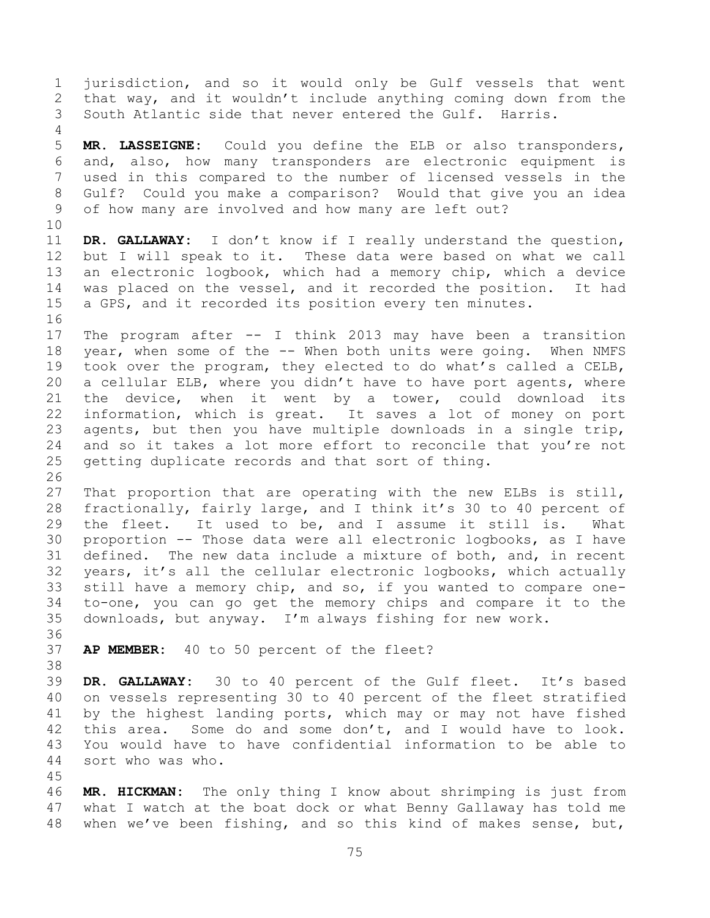jurisdiction, and so it would only be Gulf vessels that went that way, and it wouldn't include anything coming down from the South Atlantic side that never entered the Gulf. Harris.

 **MR. LASSEIGNE:** Could you define the ELB or also transponders, and, also, how many transponders are electronic equipment is used in this compared to the number of licensed vessels in the Gulf? Could you make a comparison? Would that give you an idea of how many are involved and how many are left out?

 **DR. GALLAWAY:** I don't know if I really understand the question, but I will speak to it. These data were based on what we call an electronic logbook, which had a memory chip, which a device was placed on the vessel, and it recorded the position. It had a GPS, and it recorded its position every ten minutes.

 The program after -- I think 2013 may have been a transition year, when some of the -- When both units were going. When NMFS took over the program, they elected to do what's called a CELB, a cellular ELB, where you didn't have to have port agents, where the device, when it went by a tower, could download its information, which is great. It saves a lot of money on port agents, but then you have multiple downloads in a single trip, and so it takes a lot more effort to reconcile that you're not getting duplicate records and that sort of thing.

 That proportion that are operating with the new ELBs is still, fractionally, fairly large, and I think it's 30 to 40 percent of the fleet. It used to be, and I assume it still is. What proportion -- Those data were all electronic logbooks, as I have defined. The new data include a mixture of both, and, in recent years, it's all the cellular electronic logbooks, which actually still have a memory chip, and so, if you wanted to compare one- to-one, you can go get the memory chips and compare it to the downloads, but anyway. I'm always fishing for new work.

**AP MEMBER:** 40 to 50 percent of the fleet?

 **DR. GALLAWAY:** 30 to 40 percent of the Gulf fleet. It's based on vessels representing 30 to 40 percent of the fleet stratified by the highest landing ports, which may or may not have fished this area. Some do and some don't, and I would have to look. You would have to have confidential information to be able to sort who was who.

 **MR. HICKMAN:** The only thing I know about shrimping is just from what I watch at the boat dock or what Benny Gallaway has told me when we've been fishing, and so this kind of makes sense, but,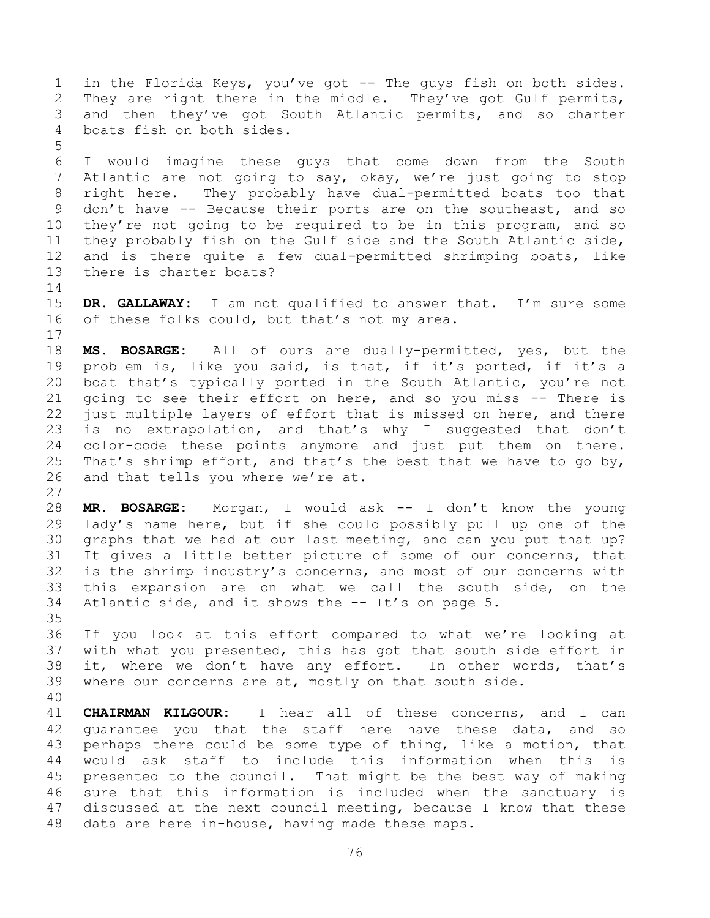in the Florida Keys, you've got -- The guys fish on both sides. They are right there in the middle. They've got Gulf permits, and then they've got South Atlantic permits, and so charter boats fish on both sides. 

 I would imagine these guys that come down from the South Atlantic are not going to say, okay, we're just going to stop right here. They probably have dual-permitted boats too that don't have -- Because their ports are on the southeast, and so they're not going to be required to be in this program, and so they probably fish on the Gulf side and the South Atlantic side, and is there quite a few dual-permitted shrimping boats, like there is charter boats?

 **DR. GALLAWAY:** I am not qualified to answer that. I'm sure some of these folks could, but that's not my area.

 **MS. BOSARGE:** All of ours are dually-permitted, yes, but the problem is, like you said, is that, if it's ported, if it's a boat that's typically ported in the South Atlantic, you're not going to see their effort on here, and so you miss -- There is just multiple layers of effort that is missed on here, and there is no extrapolation, and that's why I suggested that don't color-code these points anymore and just put them on there. 25 That's shrimp effort, and that's the best that we have to go by, and that tells you where we're at.

 **MR. BOSARGE:** Morgan, I would ask -- I don't know the young lady's name here, but if she could possibly pull up one of the graphs that we had at our last meeting, and can you put that up? It gives a little better picture of some of our concerns, that is the shrimp industry's concerns, and most of our concerns with this expansion are on what we call the south side, on the Atlantic side, and it shows the -- It's on page 5. 

 If you look at this effort compared to what we're looking at with what you presented, this has got that south side effort in it, where we don't have any effort. In other words, that's where our concerns are at, mostly on that south side.

 **CHAIRMAN KILGOUR:** I hear all of these concerns, and I can guarantee you that the staff here have these data, and so perhaps there could be some type of thing, like a motion, that would ask staff to include this information when this is presented to the council. That might be the best way of making sure that this information is included when the sanctuary is discussed at the next council meeting, because I know that these data are here in-house, having made these maps.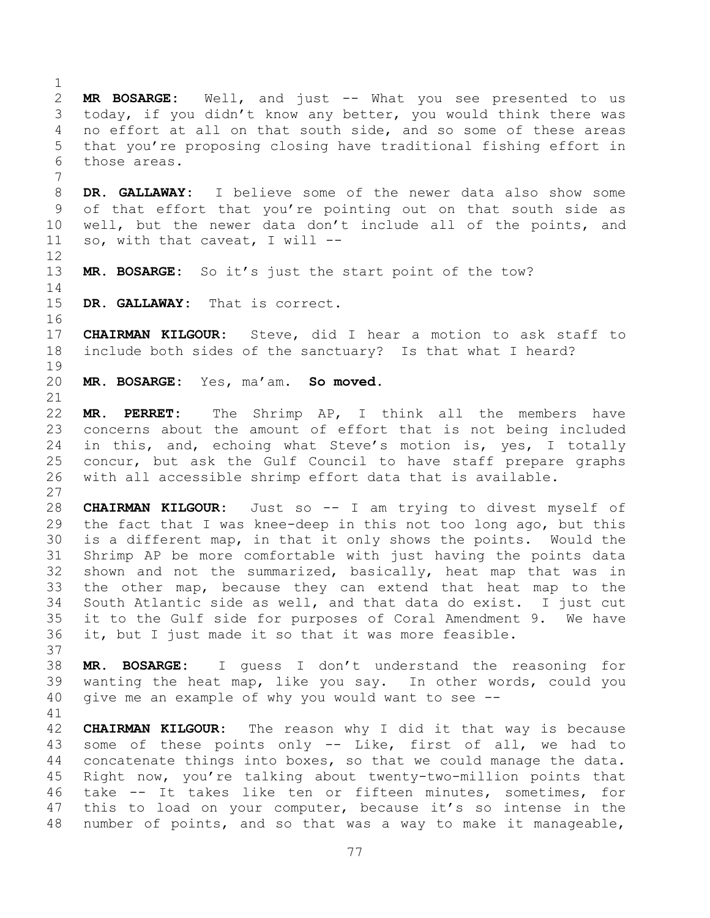**MR BOSARGE:** Well, and just -- What you see presented to us today, if you didn't know any better, you would think there was no effort at all on that south side, and so some of these areas that you're proposing closing have traditional fishing effort in those areas. **DR. GALLAWAY:** I believe some of the newer data also show some of that effort that you're pointing out on that south side as well, but the newer data don't include all of the points, and so, with that caveat, I will -- **MR. BOSARGE:** So it's just the start point of the tow? **DR. GALLAWAY:** That is correct. **CHAIRMAN KILGOUR:** Steve, did I hear a motion to ask staff to include both sides of the sanctuary? Is that what I heard? **MR. BOSARGE:** Yes, ma'am. **So moved. MR. PERRET:** The Shrimp AP, I think all the members have concerns about the amount of effort that is not being included in this, and, echoing what Steve's motion is, yes, I totally concur, but ask the Gulf Council to have staff prepare graphs with all accessible shrimp effort data that is available. **CHAIRMAN KILGOUR:** Just so -- I am trying to divest myself of the fact that I was knee-deep in this not too long ago, but this is a different map, in that it only shows the points. Would the Shrimp AP be more comfortable with just having the points data shown and not the summarized, basically, heat map that was in the other map, because they can extend that heat map to the South Atlantic side as well, and that data do exist. I just cut it to the Gulf side for purposes of Coral Amendment 9. We have it, but I just made it so that it was more feasible. **MR. BOSARGE:** I guess I don't understand the reasoning for wanting the heat map, like you say. In other words, could you give me an example of why you would want to see -- **CHAIRMAN KILGOUR:** The reason why I did it that way is because some of these points only -- Like, first of all, we had to concatenate things into boxes, so that we could manage the data. Right now, you're talking about twenty-two-million points that take -- It takes like ten or fifteen minutes, sometimes, for this to load on your computer, because it's so intense in the number of points, and so that was a way to make it manageable,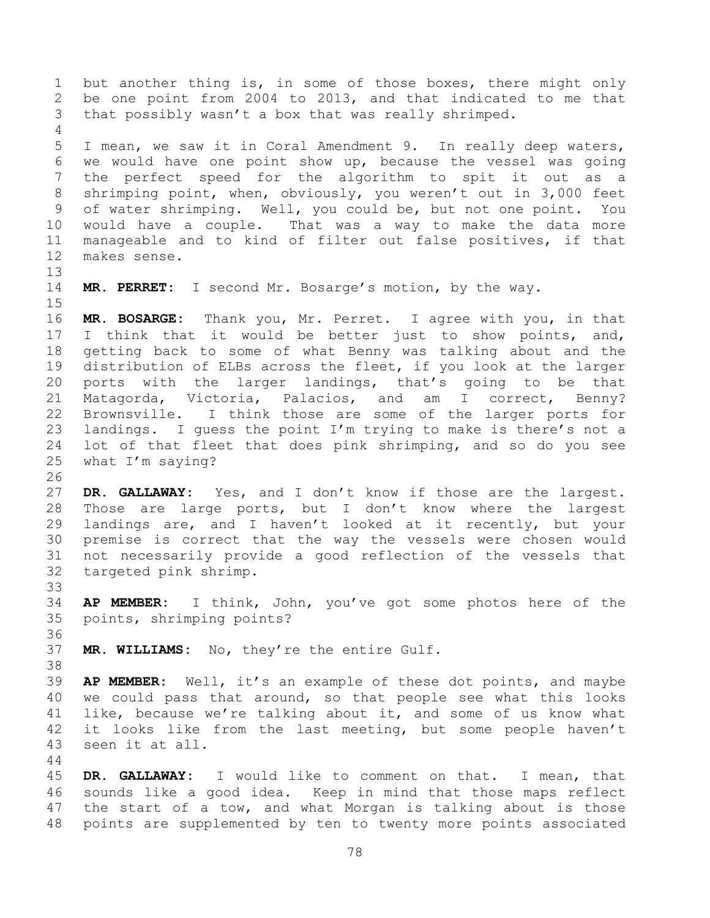but another thing is, in some of those boxes, there might only be one point from 2004 to 2013, and that indicated to me that that possibly wasn't a box that was really shrimped. I mean, we saw it in Coral Amendment 9. In really deep waters, we would have one point show up, because the vessel was going the perfect speed for the algorithm to spit it out as a shrimping point, when, obviously, you weren't out in 3,000 feet of water shrimping. Well, you could be, but not one point. You would have a couple. That was a way to make the data more manageable and to kind of filter out false positives, if that makes sense. **MR. PERRET:** I second Mr. Bosarge's motion, by the way. **MR. BOSARGE:** Thank you, Mr. Perret. I agree with you, in that I think that it would be better just to show points, and, getting back to some of what Benny was talking about and the distribution of ELBs across the fleet, if you look at the larger ports with the larger landings, that's going to be that Matagorda, Victoria, Palacios, and am I correct, Benny? Brownsville. I think those are some of the larger ports for landings. I guess the point I'm trying to make is there's not a lot of that fleet that does pink shrimping, and so do you see what I'm saying? **DR. GALLAWAY:** Yes, and I don't know if those are the largest. Those are large ports, but I don't know where the largest landings are, and I haven't looked at it recently, but your premise is correct that the way the vessels were chosen would not necessarily provide a good reflection of the vessels that targeted pink shrimp. **AP MEMBER:** I think, John, you've got some photos here of the points, shrimping points? **MR. WILLIAMS:** No, they're the entire Gulf. **AP MEMBER:** Well, it's an example of these dot points, and maybe we could pass that around, so that people see what this looks like, because we're talking about it, and some of us know what it looks like from the last meeting, but some people haven't seen it at all. 

 **DR. GALLAWAY:** I would like to comment on that. I mean, that sounds like a good idea. Keep in mind that those maps reflect the start of a tow, and what Morgan is talking about is those points are supplemented by ten to twenty more points associated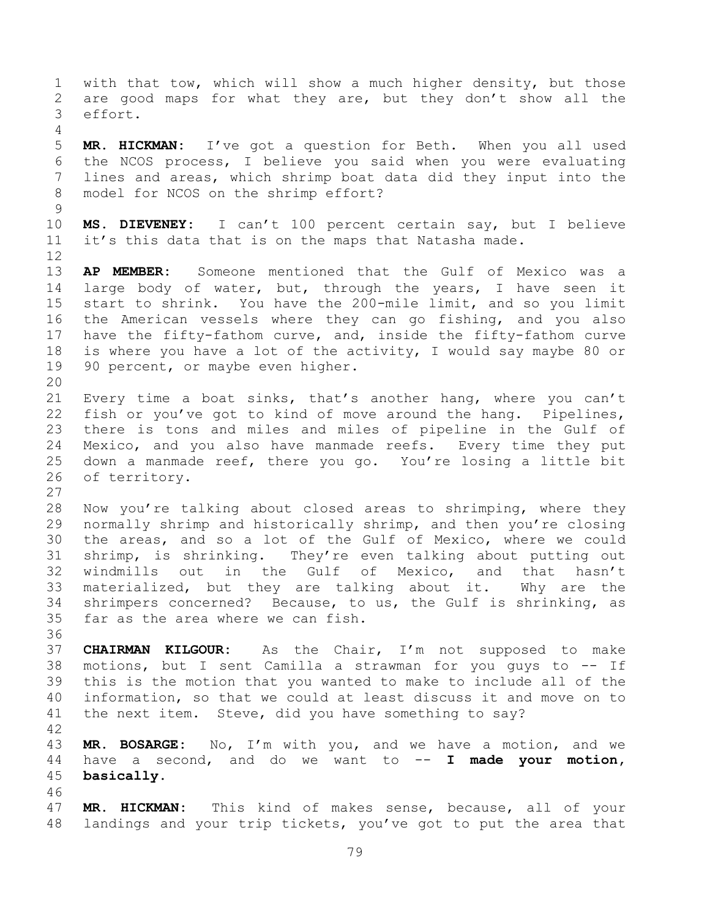with that tow, which will show a much higher density, but those are good maps for what they are, but they don't show all the effort. **MR. HICKMAN:** I've got a question for Beth. When you all used the NCOS process, I believe you said when you were evaluating lines and areas, which shrimp boat data did they input into the model for NCOS on the shrimp effort? **MS. DIEVENEY:** I can't 100 percent certain say, but I believe it's this data that is on the maps that Natasha made. **AP MEMBER:** Someone mentioned that the Gulf of Mexico was a 14 large body of water, but, through the years, I have seen it start to shrink. You have the 200-mile limit, and so you limit the American vessels where they can go fishing, and you also have the fifty-fathom curve, and, inside the fifty-fathom curve is where you have a lot of the activity, I would say maybe 80 or 19 90 percent, or maybe even higher. Every time a boat sinks, that's another hang, where you can't fish or you've got to kind of move around the hang. Pipelines, there is tons and miles and miles of pipeline in the Gulf of Mexico, and you also have manmade reefs. Every time they put down a manmade reef, there you go. You're losing a little bit of territory. Now you're talking about closed areas to shrimping, where they normally shrimp and historically shrimp, and then you're closing the areas, and so a lot of the Gulf of Mexico, where we could shrimp, is shrinking. They're even talking about putting out windmills out in the Gulf of Mexico, and that hasn't materialized, but they are talking about it. Why are the shrimpers concerned? Because, to us, the Gulf is shrinking, as far as the area where we can fish. **CHAIRMAN KILGOUR:** As the Chair, I'm not supposed to make motions, but I sent Camilla a strawman for you guys to -- If this is the motion that you wanted to make to include all of the information, so that we could at least discuss it and move on to the next item. Steve, did you have something to say? **MR. BOSARGE:** No, I'm with you, and we have a motion, and we have a second, and do we want to -- **I made your motion, basically. MR. HICKMAN:** This kind of makes sense, because, all of your landings and your trip tickets, you've got to put the area that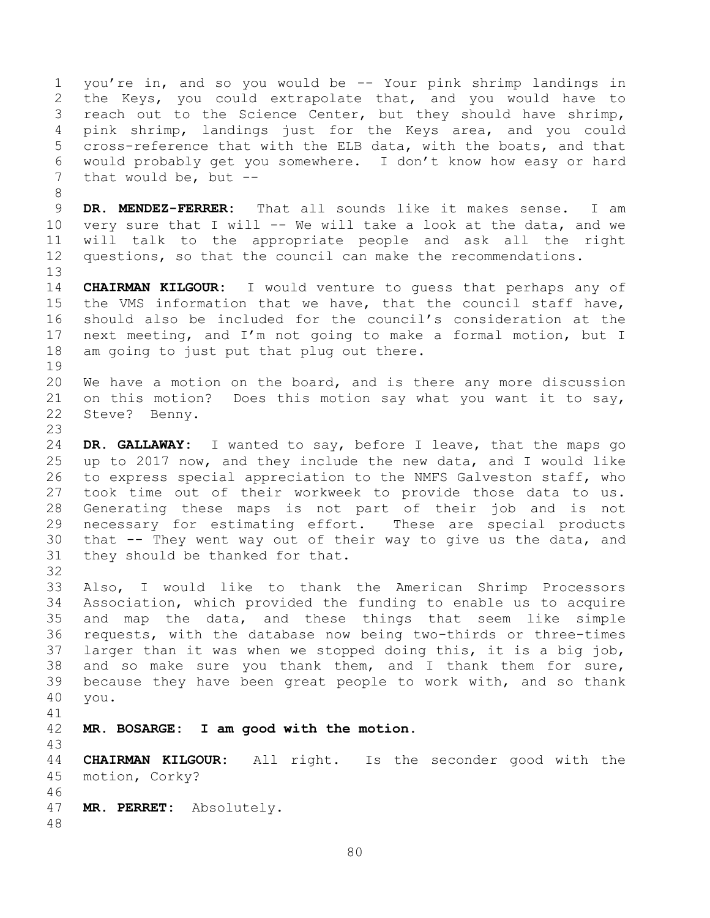you're in, and so you would be -- Your pink shrimp landings in the Keys, you could extrapolate that, and you would have to 3 reach out to the Science Center, but they should have shrimp, pink shrimp, landings just for the Keys area, and you could cross-reference that with the ELB data, with the boats, and that would probably get you somewhere. I don't know how easy or hard 7 that would be, but --

 **DR. MENDEZ-FERRER:** That all sounds like it makes sense. I am very sure that I will -- We will take a look at the data, and we will talk to the appropriate people and ask all the right questions, so that the council can make the recommendations.

 **CHAIRMAN KILGOUR:** I would venture to guess that perhaps any of the VMS information that we have, that the council staff have, should also be included for the council's consideration at the next meeting, and I'm not going to make a formal motion, but I am going to just put that plug out there.

 We have a motion on the board, and is there any more discussion on this motion? Does this motion say what you want it to say, Steve? Benny.

 **DR. GALLAWAY:** I wanted to say, before I leave, that the maps go up to 2017 now, and they include the new data, and I would like to express special appreciation to the NMFS Galveston staff, who took time out of their workweek to provide those data to us. Generating these maps is not part of their job and is not necessary for estimating effort. These are special products that -- They went way out of their way to give us the data, and they should be thanked for that.

 Also, I would like to thank the American Shrimp Processors Association, which provided the funding to enable us to acquire and map the data, and these things that seem like simple requests, with the database now being two-thirds or three-times larger than it was when we stopped doing this, it is a big job, and so make sure you thank them, and I thank them for sure, because they have been great people to work with, and so thank you.

**MR. BOSARGE: I am good with the motion.**

 **CHAIRMAN KILGOUR:** All right. Is the seconder good with the motion, Corky? 

**MR. PERRET:** Absolutely.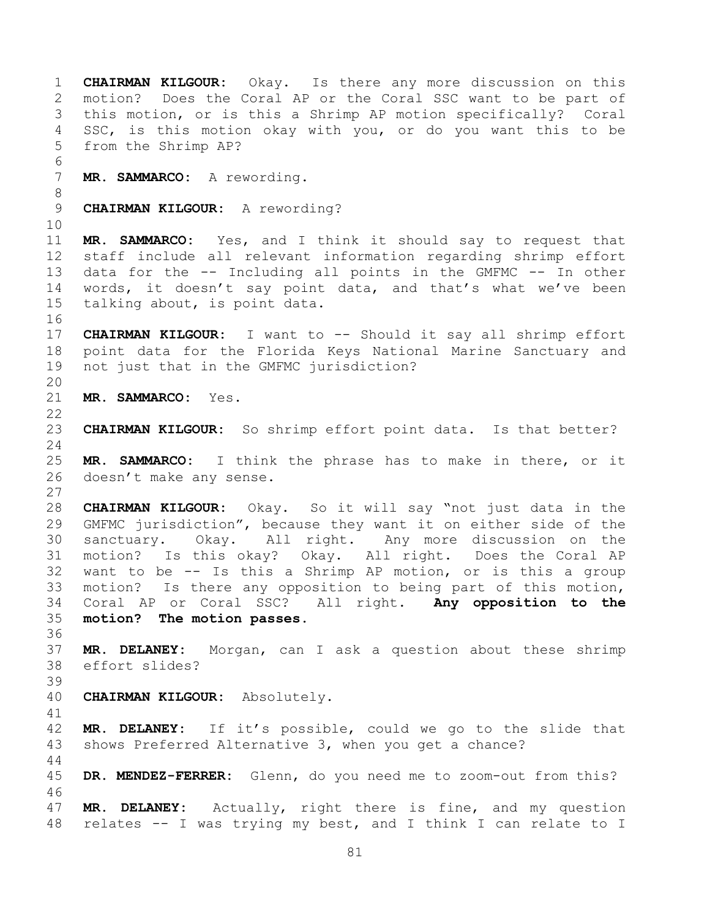**CHAIRMAN KILGOUR:** Okay. Is there any more discussion on this motion? Does the Coral AP or the Coral SSC want to be part of this motion, or is this a Shrimp AP motion specifically? Coral SSC, is this motion okay with you, or do you want this to be from the Shrimp AP? **MR. SAMMARCO:** A rewording. **CHAIRMAN KILGOUR:** A rewording? **MR. SAMMARCO:** Yes, and I think it should say to request that staff include all relevant information regarding shrimp effort data for the -- Including all points in the GMFMC -- In other words, it doesn't say point data, and that's what we've been talking about, is point data. **CHAIRMAN KILGOUR:** I want to -- Should it say all shrimp effort point data for the Florida Keys National Marine Sanctuary and not just that in the GMFMC jurisdiction? **MR. SAMMARCO:** Yes. **CHAIRMAN KILGOUR:** So shrimp effort point data. Is that better? **MR. SAMMARCO:** I think the phrase has to make in there, or it doesn't make any sense. **CHAIRMAN KILGOUR:** Okay. So it will say "not just data in the GMFMC jurisdiction", because they want it on either side of the sanctuary. Okay. All right. Any more discussion on the motion? Is this okay? Okay. All right. Does the Coral AP want to be -- Is this a Shrimp AP motion, or is this a group motion? Is there any opposition to being part of this motion, Coral AP or Coral SSC? All right. **Any opposition to the motion? The motion passes. MR. DELANEY:** Morgan, can I ask a question about these shrimp effort slides? **CHAIRMAN KILGOUR:** Absolutely. **MR. DELANEY:** If it's possible, could we go to the slide that shows Preferred Alternative 3, when you get a chance? **DR. MENDEZ-FERRER:** Glenn, do you need me to zoom-out from this? **MR. DELANEY:** Actually, right there is fine, and my question relates -- I was trying my best, and I think I can relate to I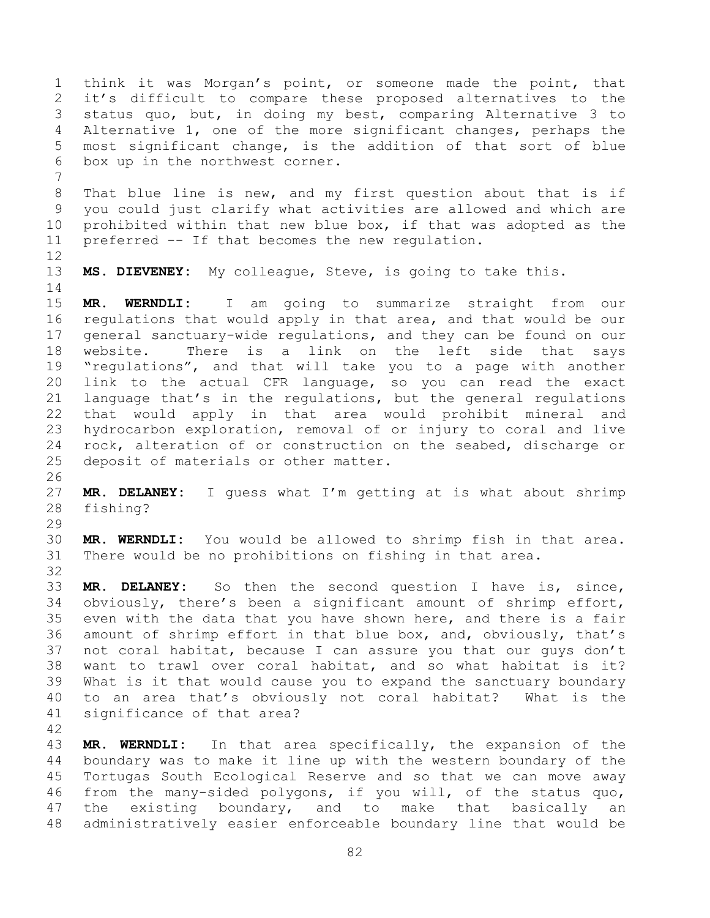think it was Morgan's point, or someone made the point, that it's difficult to compare these proposed alternatives to the status quo, but, in doing my best, comparing Alternative 3 to Alternative 1, one of the more significant changes, perhaps the most significant change, is the addition of that sort of blue box up in the northwest corner.

 That blue line is new, and my first question about that is if you could just clarify what activities are allowed and which are prohibited within that new blue box, if that was adopted as the preferred -- If that becomes the new regulation.

**MS. DIEVENEY:** My colleague, Steve, is going to take this.

 **MR. WERNDLI:** I am going to summarize straight from our regulations that would apply in that area, and that would be our general sanctuary-wide regulations, and they can be found on our website. There is a link on the left side that says "regulations", and that will take you to a page with another link to the actual CFR language, so you can read the exact language that's in the regulations, but the general regulations that would apply in that area would prohibit mineral and hydrocarbon exploration, removal of or injury to coral and live rock, alteration of or construction on the seabed, discharge or deposit of materials or other matter.

 **MR. DELANEY:** I guess what I'm getting at is what about shrimp fishing?

 **MR. WERNDLI:** You would be allowed to shrimp fish in that area. There would be no prohibitions on fishing in that area.

 **MR. DELANEY:** So then the second question I have is, since, obviously, there's been a significant amount of shrimp effort, even with the data that you have shown here, and there is a fair amount of shrimp effort in that blue box, and, obviously, that's not coral habitat, because I can assure you that our guys don't want to trawl over coral habitat, and so what habitat is it? What is it that would cause you to expand the sanctuary boundary to an area that's obviously not coral habitat? What is the significance of that area?

 **MR. WERNDLI:** In that area specifically, the expansion of the boundary was to make it line up with the western boundary of the Tortugas South Ecological Reserve and so that we can move away from the many-sided polygons, if you will, of the status quo, the existing boundary, and to make that basically an administratively easier enforceable boundary line that would be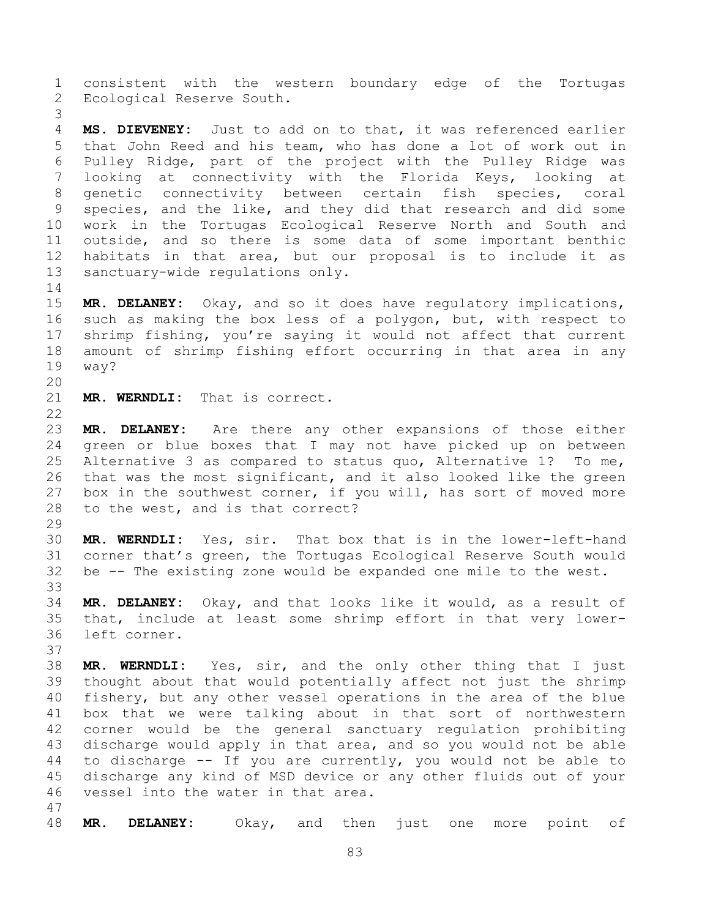consistent with the western boundary edge of the Tortugas Ecological Reserve South.

 **MS. DIEVENEY:** Just to add on to that, it was referenced earlier that John Reed and his team, who has done a lot of work out in Pulley Ridge, part of the project with the Pulley Ridge was looking at connectivity with the Florida Keys, looking at genetic connectivity between certain fish species, coral species, and the like, and they did that research and did some work in the Tortugas Ecological Reserve North and South and outside, and so there is some data of some important benthic habitats in that area, but our proposal is to include it as sanctuary-wide regulations only.

 **MR. DELANEY:** Okay, and so it does have regulatory implications, such as making the box less of a polygon, but, with respect to shrimp fishing, you're saying it would not affect that current amount of shrimp fishing effort occurring in that area in any way?

**MR. WERNDLI:** That is correct.

 **MR. DELANEY:** Are there any other expansions of those either green or blue boxes that I may not have picked up on between Alternative 3 as compared to status quo, Alternative 1? To me, that was the most significant, and it also looked like the green box in the southwest corner, if you will, has sort of moved more to the west, and is that correct?

 **MR. WERNDLI:** Yes, sir. That box that is in the lower-left-hand corner that's green, the Tortugas Ecological Reserve South would be -- The existing zone would be expanded one mile to the west. 

 **MR. DELANEY:** Okay, and that looks like it would, as a result of that, include at least some shrimp effort in that very lower-left corner.

 **MR. WERNDLI:** Yes, sir, and the only other thing that I just thought about that would potentially affect not just the shrimp fishery, but any other vessel operations in the area of the blue box that we were talking about in that sort of northwestern corner would be the general sanctuary regulation prohibiting discharge would apply in that area, and so you would not be able to discharge -- If you are currently, you would not be able to discharge any kind of MSD device or any other fluids out of your vessel into the water in that area. 

**MR. DELANEY:** Okay, and then just one more point of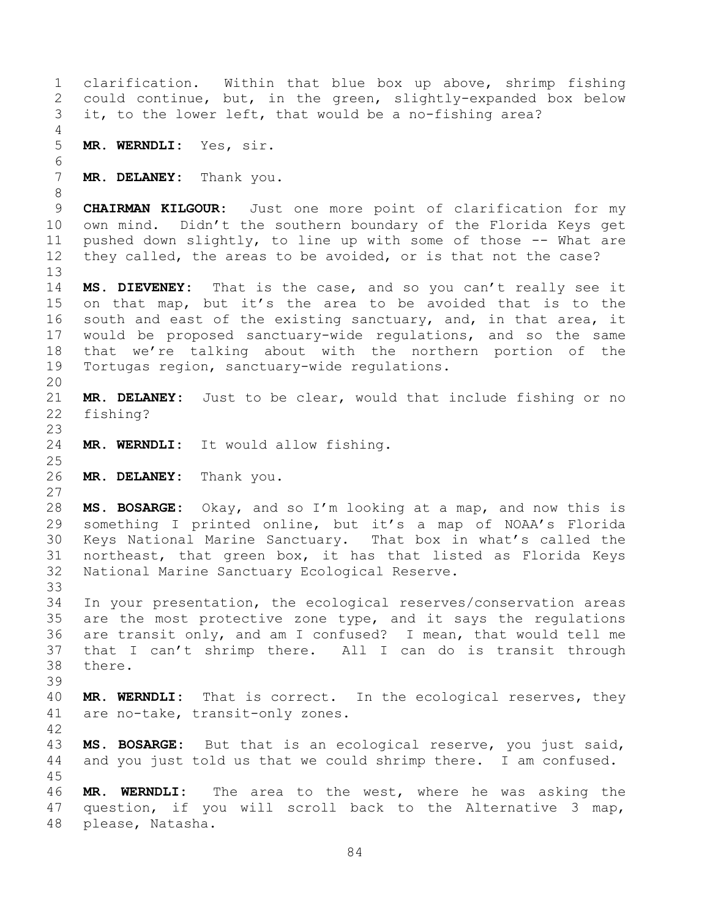clarification. Within that blue box up above, shrimp fishing could continue, but, in the green, slightly-expanded box below it, to the lower left, that would be a no-fishing area? **MR. WERNDLI:** Yes, sir. **MR. DELANEY:** Thank you. **CHAIRMAN KILGOUR:** Just one more point of clarification for my own mind. Didn't the southern boundary of the Florida Keys get pushed down slightly, to line up with some of those -- What are they called, the areas to be avoided, or is that not the case? **MS. DIEVENEY:** That is the case, and so you can't really see it on that map, but it's the area to be avoided that is to the south and east of the existing sanctuary, and, in that area, it would be proposed sanctuary-wide regulations, and so the same that we're talking about with the northern portion of the Tortugas region, sanctuary-wide regulations. **MR. DELANEY:** Just to be clear, would that include fishing or no fishing? **MR. WERNDLI:** It would allow fishing. **MR. DELANEY:** Thank you. **MS. BOSARGE:** Okay, and so I'm looking at a map, and now this is something I printed online, but it's a map of NOAA's Florida Keys National Marine Sanctuary. That box in what's called the northeast, that green box, it has that listed as Florida Keys National Marine Sanctuary Ecological Reserve. In your presentation, the ecological reserves/conservation areas are the most protective zone type, and it says the regulations are transit only, and am I confused? I mean, that would tell me that I can't shrimp there. All I can do is transit through there. **MR. WERNDLI:** That is correct. In the ecological reserves, they are no-take, transit-only zones. **MS. BOSARGE:** But that is an ecological reserve, you just said, and you just told us that we could shrimp there. I am confused. **MR. WERNDLI:** The area to the west, where he was asking the question, if you will scroll back to the Alternative 3 map, please, Natasha.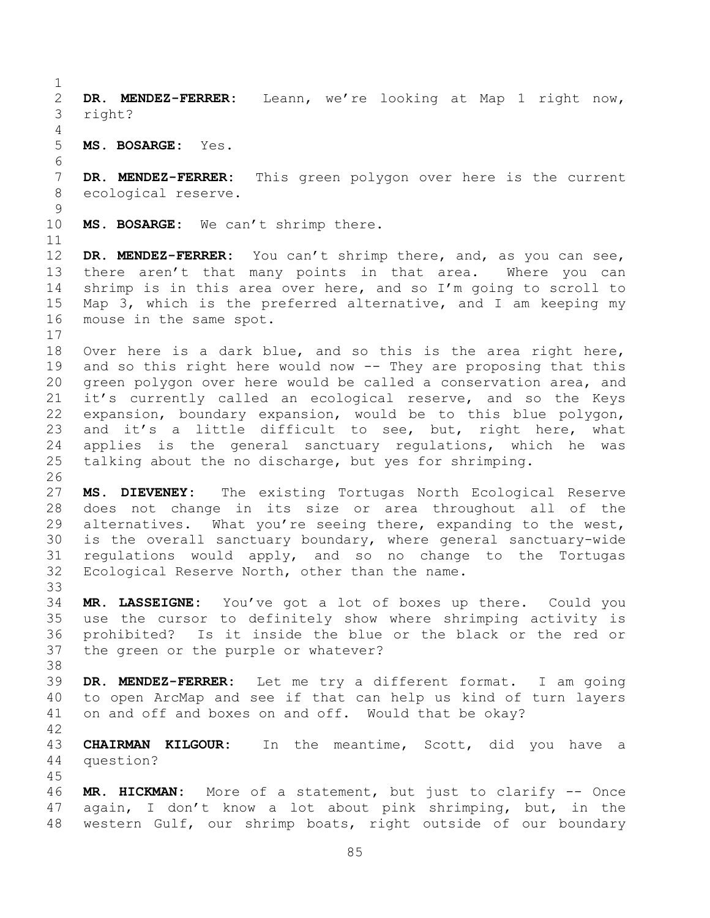**DR. MENDEZ-FERRER:** Leann, we're looking at Map 1 right now, right? **MS. BOSARGE:** Yes. **DR. MENDEZ-FERRER:** This green polygon over here is the current ecological reserve.

**MS. BOSARGE:** We can't shrimp there.

 **DR. MENDEZ-FERRER:** You can't shrimp there, and, as you can see, there aren't that many points in that area. Where you can shrimp is in this area over here, and so I'm going to scroll to Map 3, which is the preferred alternative, and I am keeping my mouse in the same spot.

 Over here is a dark blue, and so this is the area right here, and so this right here would now -- They are proposing that this green polygon over here would be called a conservation area, and it's currently called an ecological reserve, and so the Keys expansion, boundary expansion, would be to this blue polygon, and it's a little difficult to see, but, right here, what applies is the general sanctuary regulations, which he was talking about the no discharge, but yes for shrimping.

 **MS. DIEVENEY:** The existing Tortugas North Ecological Reserve does not change in its size or area throughout all of the alternatives. What you're seeing there, expanding to the west, is the overall sanctuary boundary, where general sanctuary-wide regulations would apply, and so no change to the Tortugas Ecological Reserve North, other than the name. 

 **MR. LASSEIGNE:** You've got a lot of boxes up there. Could you use the cursor to definitely show where shrimping activity is prohibited? Is it inside the blue or the black or the red or the green or the purple or whatever?

 **DR. MENDEZ-FERRER:** Let me try a different format. I am going to open ArcMap and see if that can help us kind of turn layers on and off and boxes on and off. Would that be okay?

 **CHAIRMAN KILGOUR:** In the meantime, Scott, did you have a question?

 **MR. HICKMAN:** More of a statement, but just to clarify -- Once again, I don't know a lot about pink shrimping, but, in the western Gulf, our shrimp boats, right outside of our boundary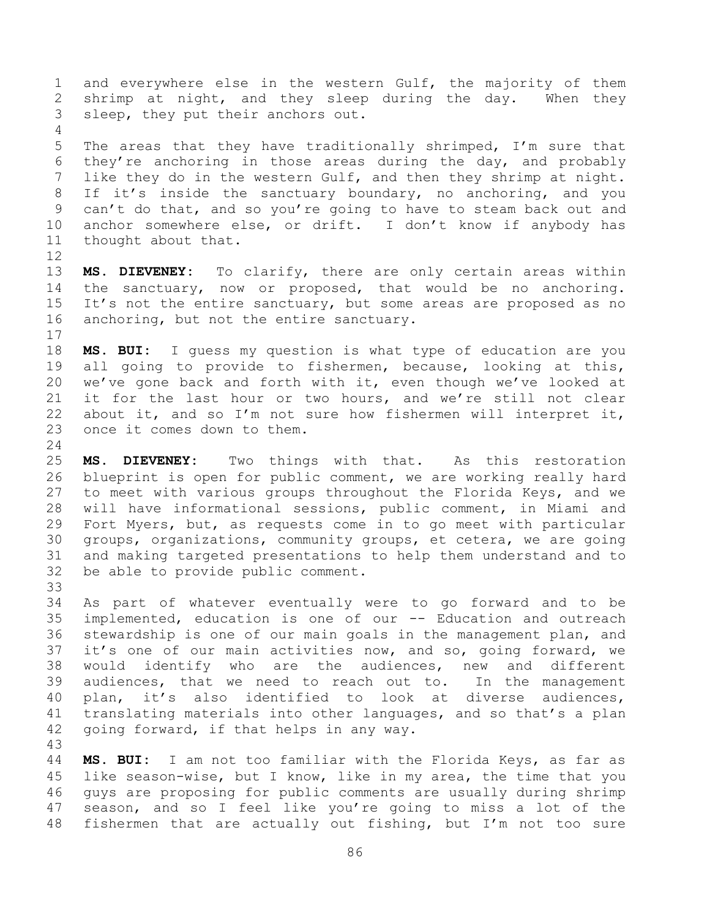and everywhere else in the western Gulf, the majority of them shrimp at night, and they sleep during the day. When they sleep, they put their anchors out. 

 The areas that they have traditionally shrimped, I'm sure that they're anchoring in those areas during the day, and probably like they do in the western Gulf, and then they shrimp at night. 8 If it's inside the sanctuary boundary, no anchoring, and you can't do that, and so you're going to have to steam back out and anchor somewhere else, or drift. I don't know if anybody has thought about that.

 **MS. DIEVENEY:** To clarify, there are only certain areas within the sanctuary, now or proposed, that would be no anchoring. It's not the entire sanctuary, but some areas are proposed as no 16 anchoring, but not the entire sanctuary. 

 **MS. BUI:** I guess my question is what type of education are you all going to provide to fishermen, because, looking at this, we've gone back and forth with it, even though we've looked at it for the last hour or two hours, and we're still not clear about it, and so I'm not sure how fishermen will interpret it, once it comes down to them.

 **MS. DIEVENEY:** Two things with that. As this restoration blueprint is open for public comment, we are working really hard to meet with various groups throughout the Florida Keys, and we will have informational sessions, public comment, in Miami and Fort Myers, but, as requests come in to go meet with particular groups, organizations, community groups, et cetera, we are going and making targeted presentations to help them understand and to be able to provide public comment. 

 As part of whatever eventually were to go forward and to be implemented, education is one of our -- Education and outreach stewardship is one of our main goals in the management plan, and it's one of our main activities now, and so, going forward, we would identify who are the audiences, new and different audiences, that we need to reach out to. In the management plan, it's also identified to look at diverse audiences, translating materials into other languages, and so that's a plan going forward, if that helps in any way.

 **MS. BUI:** I am not too familiar with the Florida Keys, as far as like season-wise, but I know, like in my area, the time that you guys are proposing for public comments are usually during shrimp season, and so I feel like you're going to miss a lot of the fishermen that are actually out fishing, but I'm not too sure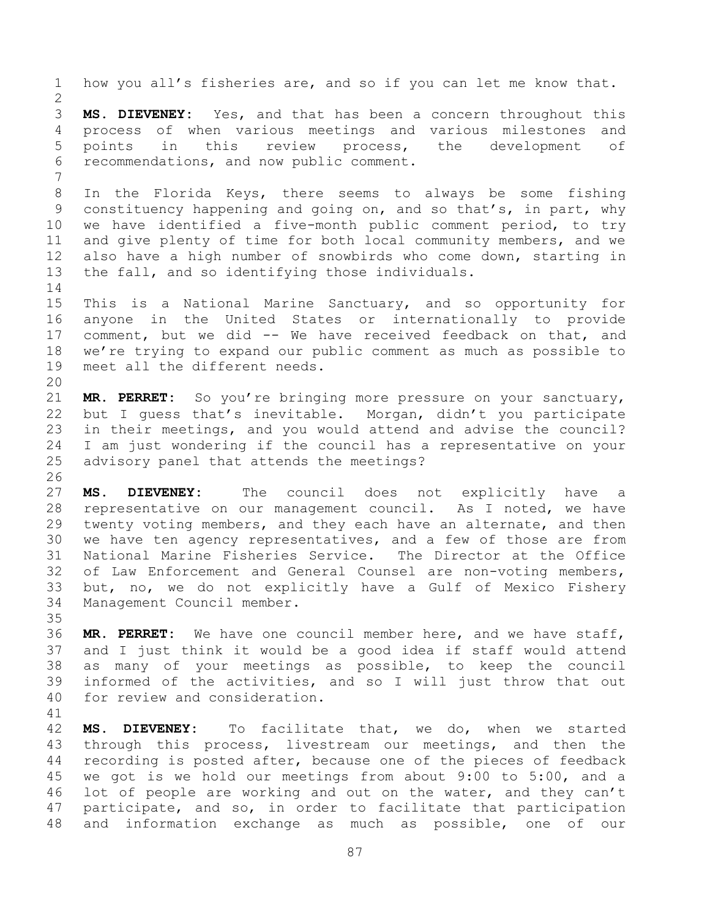how you all's fisheries are, and so if you can let me know that. **MS. DIEVENEY:** Yes, and that has been a concern throughout this process of when various meetings and various milestones and points in this review process, the development of recommendations, and now public comment. In the Florida Keys, there seems to always be some fishing constituency happening and going on, and so that's, in part, why we have identified a five-month public comment period, to try and give plenty of time for both local community members, and we also have a high number of snowbirds who come down, starting in the fall, and so identifying those individuals. This is a National Marine Sanctuary, and so opportunity for anyone in the United States or internationally to provide comment, but we did -- We have received feedback on that, and we're trying to expand our public comment as much as possible to meet all the different needs. **MR. PERRET:** So you're bringing more pressure on your sanctuary, but I guess that's inevitable. Morgan, didn't you participate in their meetings, and you would attend and advise the council? I am just wondering if the council has a representative on your advisory panel that attends the meetings? **MS. DIEVENEY:** The council does not explicitly have a representative on our management council. As I noted, we have twenty voting members, and they each have an alternate, and then we have ten agency representatives, and a few of those are from National Marine Fisheries Service. The Director at the Office of Law Enforcement and General Counsel are non-voting members, but, no, we do not explicitly have a Gulf of Mexico Fishery Management Council member. **MR. PERRET:** We have one council member here, and we have staff, and I just think it would be a good idea if staff would attend as many of your meetings as possible, to keep the council informed of the activities, and so I will just throw that out for review and consideration. **MS. DIEVENEY:** To facilitate that, we do, when we started

 through this process, livestream our meetings, and then the recording is posted after, because one of the pieces of feedback we got is we hold our meetings from about 9:00 to 5:00, and a lot of people are working and out on the water, and they can't participate, and so, in order to facilitate that participation and information exchange as much as possible, one of our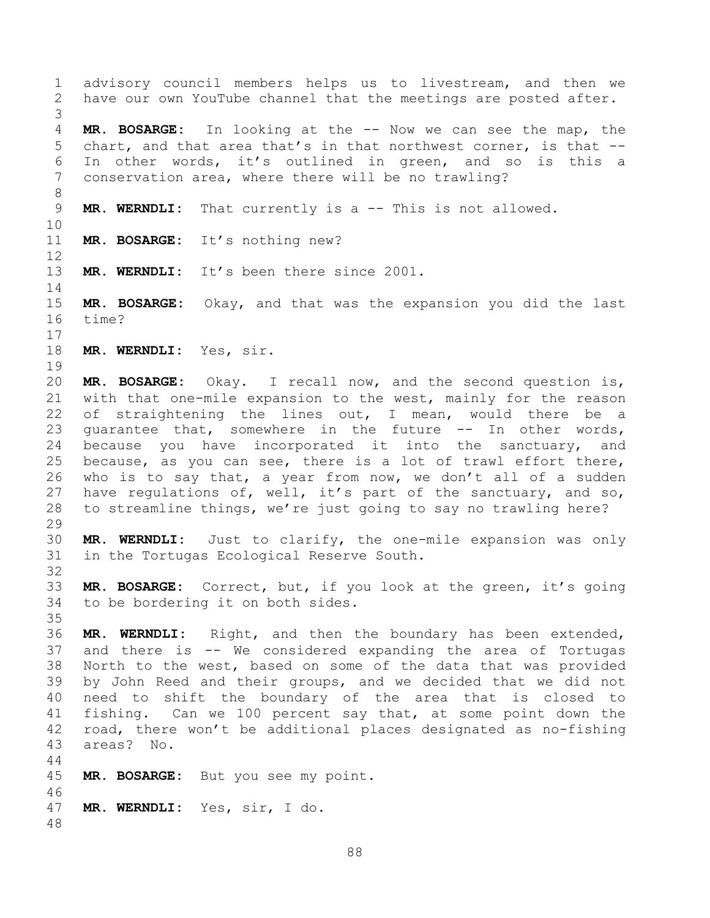advisory council members helps us to livestream, and then we have our own YouTube channel that the meetings are posted after. **MR. BOSARGE:** In looking at the -- Now we can see the map, the chart, and that area that's in that northwest corner, is that -- In other words, it's outlined in green, and so is this a conservation area, where there will be no trawling? **MR. WERNDLI:** That currently is a -- This is not allowed. **MR. BOSARGE:** It's nothing new? **MR. WERNDLI:** It's been there since 2001. **MR. BOSARGE:** Okay, and that was the expansion you did the last time? **MR. WERNDLI:** Yes, sir. **MR. BOSARGE:** Okay. I recall now, and the second question is, with that one-mile expansion to the west, mainly for the reason 22 of straightening the lines out, I mean, would there be a guarantee that, somewhere in the future -- In other words, 24 because you have incorporated it into the sanctuary, and because, as you can see, there is a lot of trawl effort there, who is to say that, a year from now, we don't all of a sudden have regulations of, well, it's part of the sanctuary, and so, to streamline things, we're just going to say no trawling here? **MR. WERNDLI:** Just to clarify, the one-mile expansion was only in the Tortugas Ecological Reserve South. **MR. BOSARGE:** Correct, but, if you look at the green, it's going to be bordering it on both sides. **MR. WERNDLI:** Right, and then the boundary has been extended, and there is -- We considered expanding the area of Tortugas North to the west, based on some of the data that was provided by John Reed and their groups, and we decided that we did not need to shift the boundary of the area that is closed to fishing. Can we 100 percent say that, at some point down the road, there won't be additional places designated as no-fishing areas? No. **MR. BOSARGE:** But you see my point. **MR. WERNDLI:** Yes, sir, I do.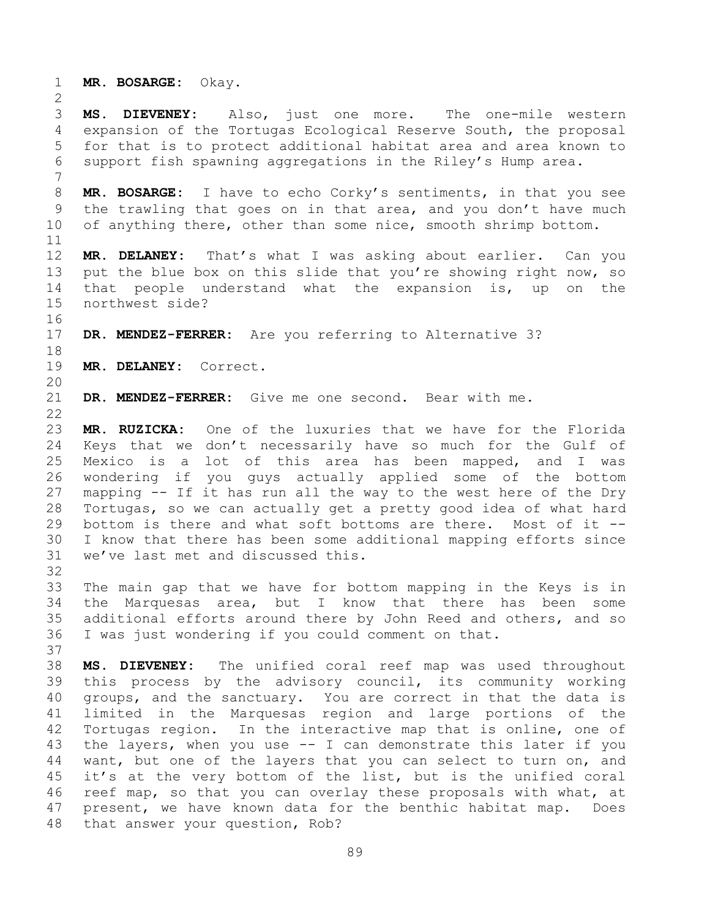**MR. BOSARGE:** Okay.

 **MS. DIEVENEY:** Also, just one more. The one-mile western expansion of the Tortugas Ecological Reserve South, the proposal for that is to protect additional habitat area and area known to support fish spawning aggregations in the Riley's Hump area.

 **MR. BOSARGE:** I have to echo Corky's sentiments, in that you see the trawling that goes on in that area, and you don't have much of anything there, other than some nice, smooth shrimp bottom.

 **MR. DELANEY:** That's what I was asking about earlier. Can you 13 put the blue box on this slide that you're showing right now, so that people understand what the expansion is, up on the northwest side?

**DR. MENDEZ-FERRER:** Are you referring to Alternative 3?

**MR. DELANEY:** Correct.

**DR. MENDEZ-FERRER:** Give me one second. Bear with me.

 **MR. RUZICKA:** One of the luxuries that we have for the Florida Keys that we don't necessarily have so much for the Gulf of Mexico is a lot of this area has been mapped, and I was wondering if you guys actually applied some of the bottom mapping -- If it has run all the way to the west here of the Dry Tortugas, so we can actually get a pretty good idea of what hard bottom is there and what soft bottoms are there. Most of it -- I know that there has been some additional mapping efforts since we've last met and discussed this.

 The main gap that we have for bottom mapping in the Keys is in the Marquesas area, but I know that there has been some additional efforts around there by John Reed and others, and so I was just wondering if you could comment on that.

 **MS. DIEVENEY:** The unified coral reef map was used throughout this process by the advisory council, its community working groups, and the sanctuary. You are correct in that the data is limited in the Marquesas region and large portions of the Tortugas region. In the interactive map that is online, one of the layers, when you use -- I can demonstrate this later if you want, but one of the layers that you can select to turn on, and it's at the very bottom of the list, but is the unified coral reef map, so that you can overlay these proposals with what, at present, we have known data for the benthic habitat map. Does that answer your question, Rob?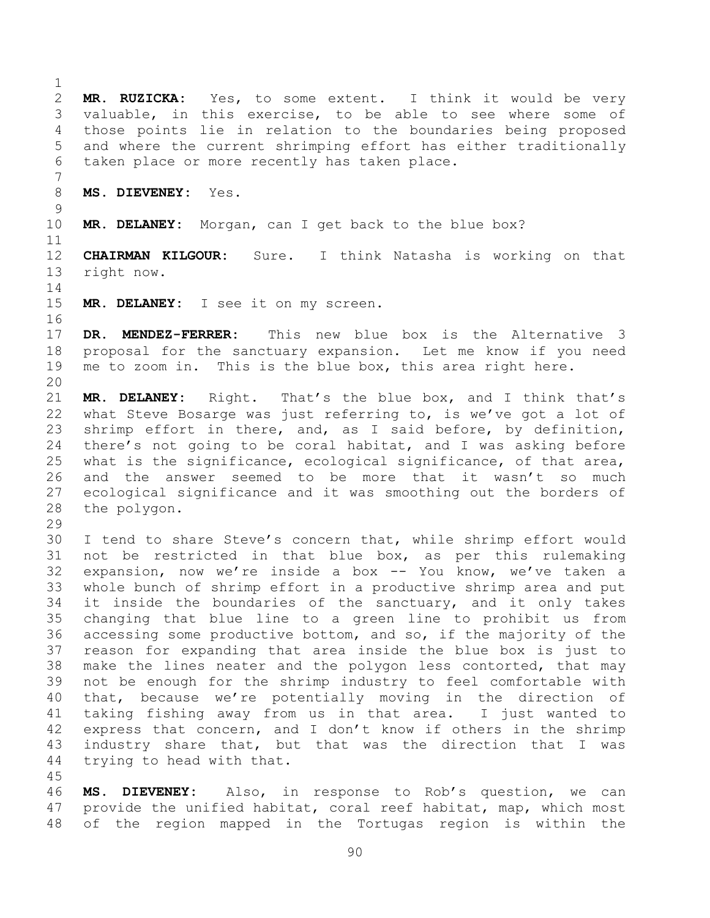**MR. RUZICKA:** Yes, to some extent. I think it would be very valuable, in this exercise, to be able to see where some of those points lie in relation to the boundaries being proposed and where the current shrimping effort has either traditionally taken place or more recently has taken place. **MS. DIEVENEY:** Yes. **MR. DELANEY:** Morgan, can I get back to the blue box? **CHAIRMAN KILGOUR:** Sure. I think Natasha is working on that right now. **MR. DELANEY:** I see it on my screen. **DR. MENDEZ-FERRER:** This new blue box is the Alternative 3 proposal for the sanctuary expansion. Let me know if you need me to zoom in. This is the blue box, this area right here. **MR. DELANEY:** Right. That's the blue box, and I think that's what Steve Bosarge was just referring to, is we've got a lot of shrimp effort in there, and, as I said before, by definition, there's not going to be coral habitat, and I was asking before what is the significance, ecological significance, of that area, and the answer seemed to be more that it wasn't so much ecological significance and it was smoothing out the borders of the polygon. I tend to share Steve's concern that, while shrimp effort would not be restricted in that blue box, as per this rulemaking expansion, now we're inside a box -- You know, we've taken a whole bunch of shrimp effort in a productive shrimp area and put it inside the boundaries of the sanctuary, and it only takes changing that blue line to a green line to prohibit us from accessing some productive bottom, and so, if the majority of the reason for expanding that area inside the blue box is just to make the lines neater and the polygon less contorted, that may not be enough for the shrimp industry to feel comfortable with that, because we're potentially moving in the direction of taking fishing away from us in that area. I just wanted to express that concern, and I don't know if others in the shrimp industry share that, but that was the direction that I was trying to head with that. **MS. DIEVENEY:** Also, in response to Rob's question, we can provide the unified habitat, coral reef habitat, map, which most of the region mapped in the Tortugas region is within the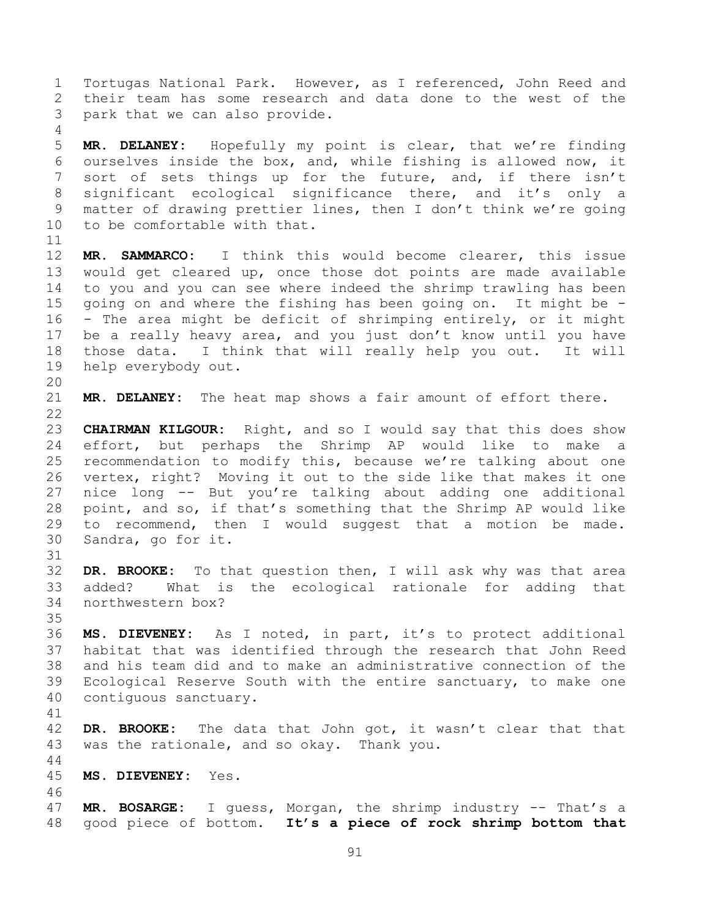Tortugas National Park. However, as I referenced, John Reed and their team has some research and data done to the west of the park that we can also provide.

 **MR. DELANEY:** Hopefully my point is clear, that we're finding ourselves inside the box, and, while fishing is allowed now, it 7 sort of sets things up for the future, and, if there isn't significant ecological significance there, and it's only a matter of drawing prettier lines, then I don't think we're going to be comfortable with that.

 **MR. SAMMARCO:** I think this would become clearer, this issue would get cleared up, once those dot points are made available to you and you can see where indeed the shrimp trawling has been going on and where the fishing has been going on. It might be - - The area might be deficit of shrimping entirely, or it might be a really heavy area, and you just don't know until you have those data. I think that will really help you out. It will help everybody out.

**MR. DELANEY:** The heat map shows a fair amount of effort there.

 **CHAIRMAN KILGOUR:** Right, and so I would say that this does show effort, but perhaps the Shrimp AP would like to make a recommendation to modify this, because we're talking about one vertex, right? Moving it out to the side like that makes it one nice long -- But you're talking about adding one additional point, and so, if that's something that the Shrimp AP would like to recommend, then I would suggest that a motion be made. Sandra, go for it.

 **DR. BROOKE:** To that question then, I will ask why was that area added? What is the ecological rationale for adding that northwestern box?

 **MS. DIEVENEY:** As I noted, in part, it's to protect additional habitat that was identified through the research that John Reed and his team did and to make an administrative connection of the Ecological Reserve South with the entire sanctuary, to make one contiguous sanctuary.

 **DR. BROOKE:** The data that John got, it wasn't clear that that was the rationale, and so okay. Thank you. 

**MS. DIEVENEY:** Yes.

 **MR. BOSARGE:** I guess, Morgan, the shrimp industry -- That's a good piece of bottom. **It's a piece of rock shrimp bottom that**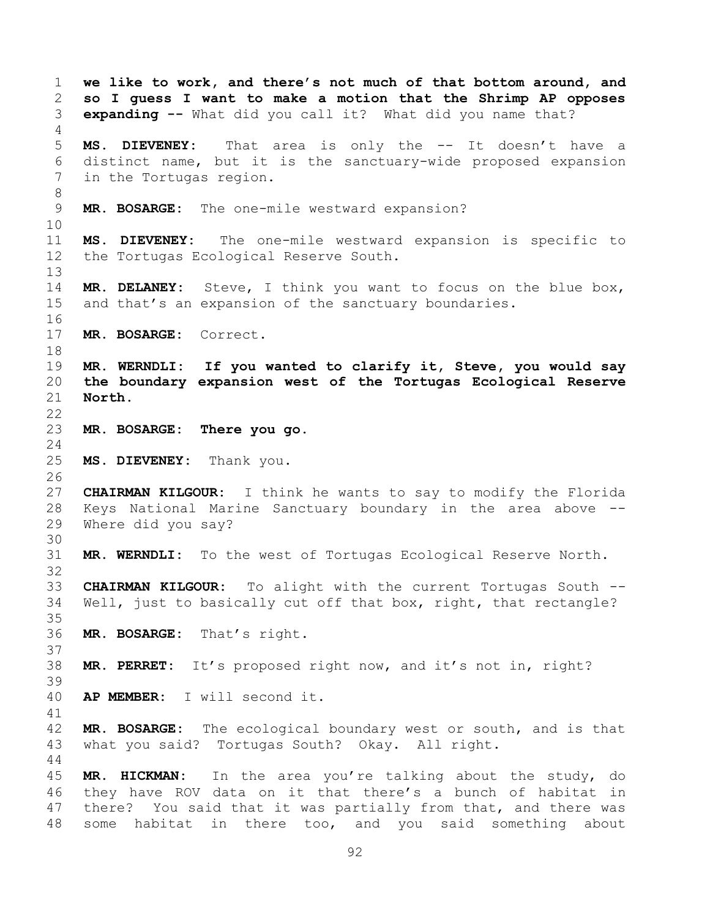**we like to work, and there's not much of that bottom around, and so I guess I want to make a motion that the Shrimp AP opposes expanding --** What did you call it? What did you name that? **MS. DIEVENEY:** That area is only the -- It doesn't have a distinct name, but it is the sanctuary-wide proposed expansion in the Tortugas region. **MR. BOSARGE:** The one-mile westward expansion? **MS. DIEVENEY:** The one-mile westward expansion is specific to the Tortugas Ecological Reserve South. **MR. DELANEY:** Steve, I think you want to focus on the blue box, and that's an expansion of the sanctuary boundaries. **MR. BOSARGE:** Correct. **MR. WERNDLI: If you wanted to clarify it, Steve, you would say the boundary expansion west of the Tortugas Ecological Reserve North. MR. BOSARGE: There you go. MS. DIEVENEY:** Thank you. **CHAIRMAN KILGOUR:** I think he wants to say to modify the Florida Keys National Marine Sanctuary boundary in the area above -- Where did you say? **MR. WERNDLI:** To the west of Tortugas Ecological Reserve North. **CHAIRMAN KILGOUR:** To alight with the current Tortugas South -- Well, just to basically cut off that box, right, that rectangle? **MR. BOSARGE:** That's right. **MR. PERRET:** It's proposed right now, and it's not in, right? **AP MEMBER:** I will second it. **MR. BOSARGE:** The ecological boundary west or south, and is that what you said? Tortugas South? Okay. All right. **MR. HICKMAN:** In the area you're talking about the study, do they have ROV data on it that there's a bunch of habitat in there? You said that it was partially from that, and there was some habitat in there too, and you said something about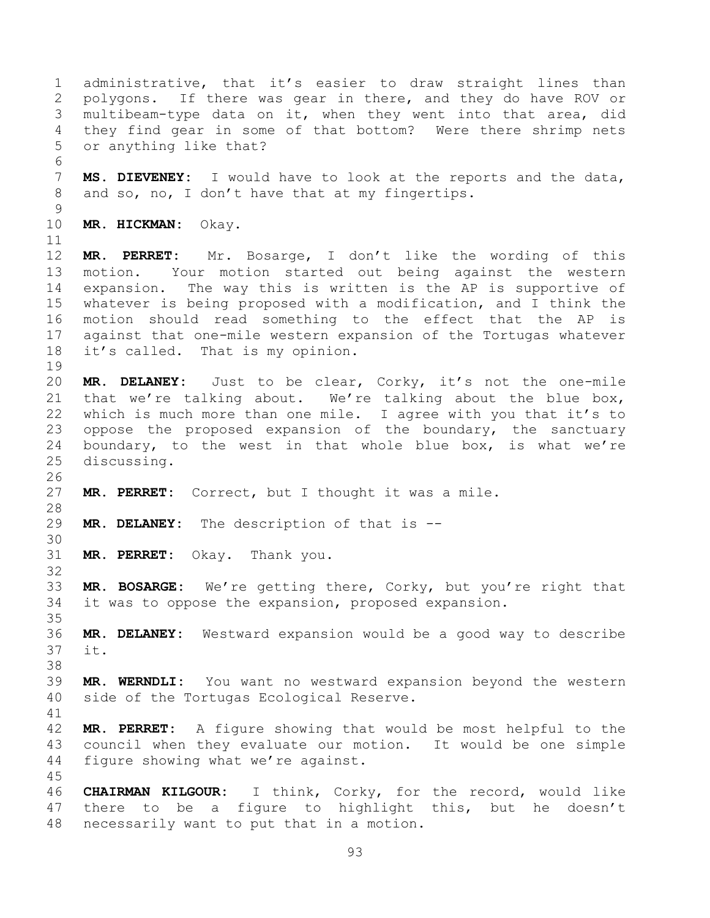administrative, that it's easier to draw straight lines than polygons. If there was gear in there, and they do have ROV or multibeam-type data on it, when they went into that area, did they find gear in some of that bottom? Were there shrimp nets or anything like that? **MS. DIEVENEY:** I would have to look at the reports and the data, 8 and so, no, I don't have that at my fingertips. **MR. HICKMAN:** Okay. **MR. PERRET:** Mr. Bosarge, I don't like the wording of this motion. Your motion started out being against the western expansion. The way this is written is the AP is supportive of whatever is being proposed with a modification, and I think the motion should read something to the effect that the AP is against that one-mile western expansion of the Tortugas whatever it's called. That is my opinion. **MR. DELANEY:** Just to be clear, Corky, it's not the one-mile that we're talking about. We're talking about the blue box, which is much more than one mile. I agree with you that it's to oppose the proposed expansion of the boundary, the sanctuary boundary, to the west in that whole blue box, is what we're discussing. **MR. PERRET:** Correct, but I thought it was a mile. **MR. DELANEY:** The description of that is -- **MR. PERRET:** Okay. Thank you. **MR. BOSARGE:** We're getting there, Corky, but you're right that it was to oppose the expansion, proposed expansion. **MR. DELANEY:** Westward expansion would be a good way to describe it. **MR. WERNDLI:** You want no westward expansion beyond the western side of the Tortugas Ecological Reserve. **MR. PERRET:** A figure showing that would be most helpful to the council when they evaluate our motion. It would be one simple figure showing what we're against. **CHAIRMAN KILGOUR:** I think, Corky, for the record, would like there to be a figure to highlight this, but he doesn't necessarily want to put that in a motion.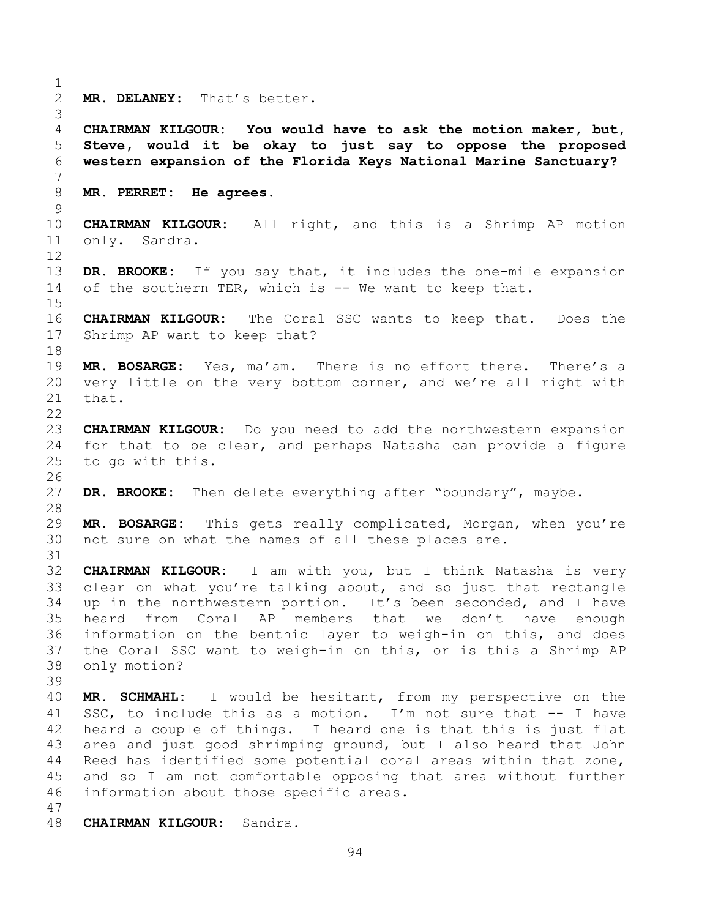**MR. DELANEY:** That's better. **CHAIRMAN KILGOUR: You would have to ask the motion maker, but, Steve, would it be okay to just say to oppose the proposed western expansion of the Florida Keys National Marine Sanctuary? MR. PERRET: He agrees. CHAIRMAN KILGOUR:** All right, and this is a Shrimp AP motion only. Sandra. **DR. BROOKE:** If you say that, it includes the one-mile expansion of the southern TER, which is -- We want to keep that. **CHAIRMAN KILGOUR:** The Coral SSC wants to keep that. Does the Shrimp AP want to keep that? **MR. BOSARGE:** Yes, ma'am. There is no effort there. There's a very little on the very bottom corner, and we're all right with that. **CHAIRMAN KILGOUR:** Do you need to add the northwestern expansion for that to be clear, and perhaps Natasha can provide a figure to go with this. **DR. BROOKE:** Then delete everything after "boundary", maybe. **MR. BOSARGE:** This gets really complicated, Morgan, when you're not sure on what the names of all these places are. **CHAIRMAN KILGOUR:** I am with you, but I think Natasha is very clear on what you're talking about, and so just that rectangle up in the northwestern portion. It's been seconded, and I have heard from Coral AP members that we don't have enough information on the benthic layer to weigh-in on this, and does the Coral SSC want to weigh-in on this, or is this a Shrimp AP only motion? **MR. SCHMAHL:** I would be hesitant, from my perspective on the SSC, to include this as a motion. I'm not sure that -- I have heard a couple of things. I heard one is that this is just flat area and just good shrimping ground, but I also heard that John Reed has identified some potential coral areas within that zone, and so I am not comfortable opposing that area without further information about those specific areas. **CHAIRMAN KILGOUR:** Sandra.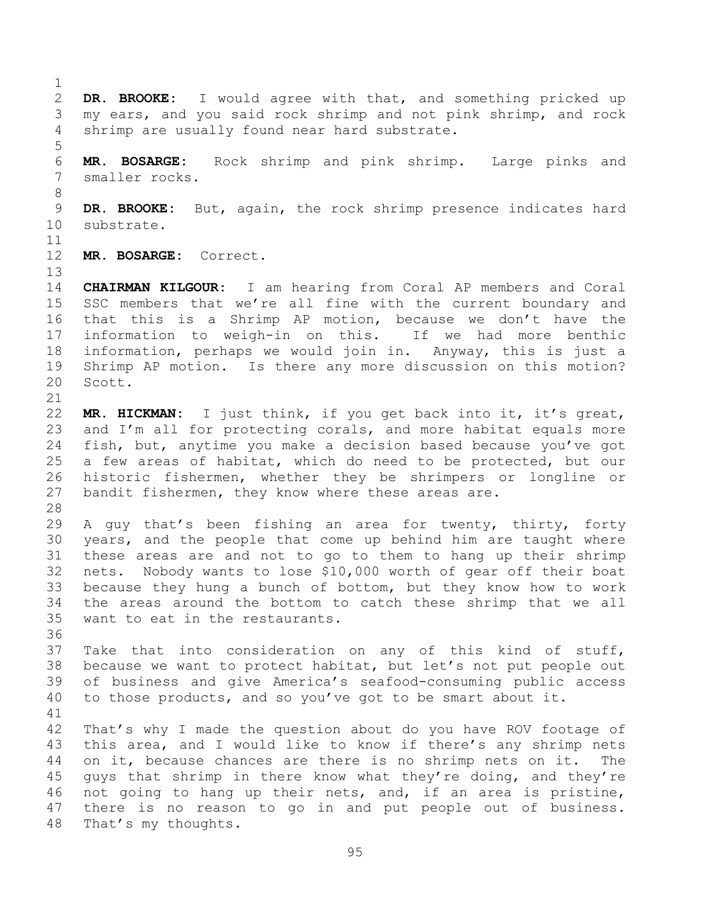**DR. BROOKE:** I would agree with that, and something pricked up my ears, and you said rock shrimp and not pink shrimp, and rock shrimp are usually found near hard substrate. **MR. BOSARGE:** Rock shrimp and pink shrimp. Large pinks and smaller rocks. **DR. BROOKE:** But, again, the rock shrimp presence indicates hard substrate. **MR. BOSARGE:** Correct. **CHAIRMAN KILGOUR:** I am hearing from Coral AP members and Coral SSC members that we're all fine with the current boundary and that this is a Shrimp AP motion, because we don't have the information to weigh-in on this. If we had more benthic information, perhaps we would join in. Anyway, this is just a Shrimp AP motion. Is there any more discussion on this motion? Scott. **MR. HICKMAN:** I just think, if you get back into it, it's great, 23 and I'm all for protecting corals, and more habitat equals more fish, but, anytime you make a decision based because you've got a few areas of habitat, which do need to be protected, but our historic fishermen, whether they be shrimpers or longline or 27 bandit fishermen, they know where these areas are. A guy that's been fishing an area for twenty, thirty, forty years, and the people that come up behind him are taught where these areas are and not to go to them to hang up their shrimp nets. Nobody wants to lose \$10,000 worth of gear off their boat because they hung a bunch of bottom, but they know how to work the areas around the bottom to catch these shrimp that we all want to eat in the restaurants. Take that into consideration on any of this kind of stuff, because we want to protect habitat, but let's not put people out of business and give America's seafood-consuming public access to those products, and so you've got to be smart about it. That's why I made the question about do you have ROV footage of this area, and I would like to know if there's any shrimp nets on it, because chances are there is no shrimp nets on it. The 45 guys that shrimp in there know what they're doing, and they're not going to hang up their nets, and, if an area is pristine, there is no reason to go in and put people out of business. That's my thoughts.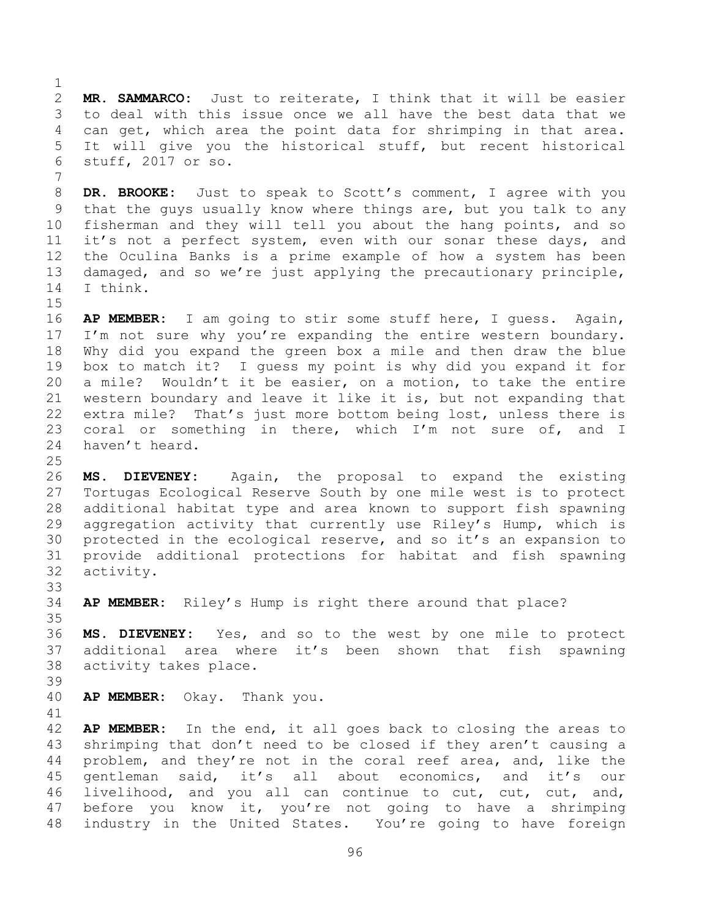**MR. SAMMARCO:** Just to reiterate, I think that it will be easier to deal with this issue once we all have the best data that we can get, which area the point data for shrimping in that area. It will give you the historical stuff, but recent historical stuff, 2017 or so.

 **DR. BROOKE:** Just to speak to Scott's comment, I agree with you that the guys usually know where things are, but you talk to any fisherman and they will tell you about the hang points, and so it's not a perfect system, even with our sonar these days, and the Oculina Banks is a prime example of how a system has been damaged, and so we're just applying the precautionary principle, I think.

 **AP MEMBER:** I am going to stir some stuff here, I guess. Again, 17 I'm not sure why you're expanding the entire western boundary. Why did you expand the green box a mile and then draw the blue box to match it? I guess my point is why did you expand it for a mile? Wouldn't it be easier, on a motion, to take the entire western boundary and leave it like it is, but not expanding that extra mile? That's just more bottom being lost, unless there is 23 coral or something in there, which I'm not sure of, and I haven't heard.

 **MS. DIEVENEY:** Again, the proposal to expand the existing Tortugas Ecological Reserve South by one mile west is to protect additional habitat type and area known to support fish spawning aggregation activity that currently use Riley's Hump, which is protected in the ecological reserve, and so it's an expansion to provide additional protections for habitat and fish spawning activity.

**AP MEMBER:** Riley's Hump is right there around that place?

 **MS. DIEVENEY:** Yes, and so to the west by one mile to protect additional area where it's been shown that fish spawning activity takes place.

**AP MEMBER:** Okay. Thank you.

 **AP MEMBER:** In the end, it all goes back to closing the areas to shrimping that don't need to be closed if they aren't causing a problem, and they're not in the coral reef area, and, like the gentleman said, it's all about economics, and it's our livelihood, and you all can continue to cut, cut, cut, and, before you know it, you're not going to have a shrimping industry in the United States. You're going to have foreign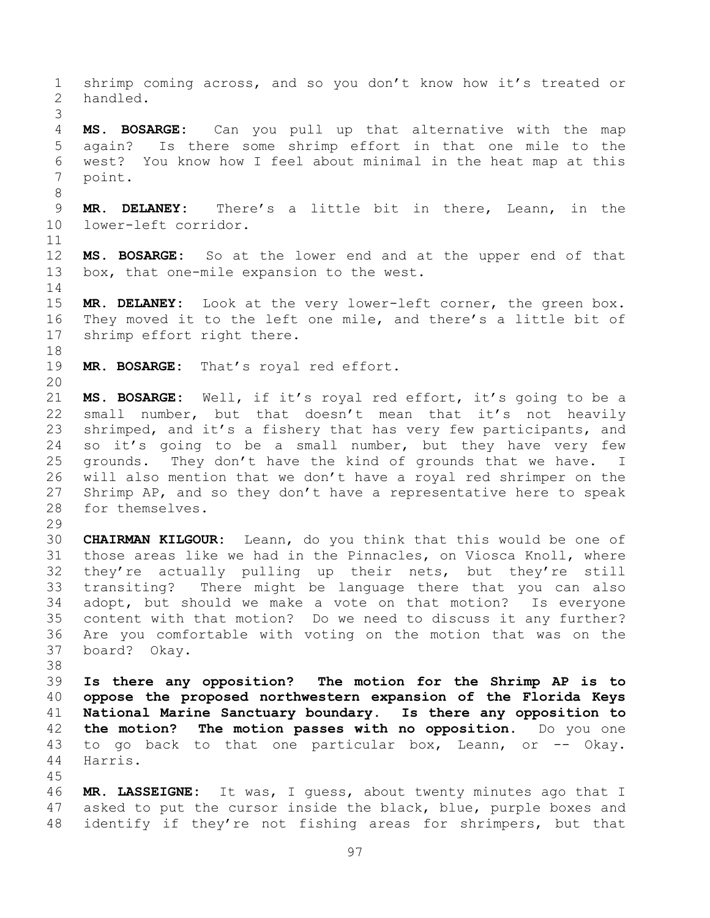shrimp coming across, and so you don't know how it's treated or handled. **MS. BOSARGE:** Can you pull up that alternative with the map again? Is there some shrimp effort in that one mile to the west? You know how I feel about minimal in the heat map at this point. **MR. DELANEY:** There's a little bit in there, Leann, in the lower-left corridor. **MS. BOSARGE:** So at the lower end and at the upper end of that box, that one-mile expansion to the west. **MR. DELANEY:** Look at the very lower-left corner, the green box. They moved it to the left one mile, and there's a little bit of shrimp effort right there. **MR. BOSARGE:** That's royal red effort. **MS. BOSARGE:** Well, if it's royal red effort, it's going to be a small number, but that doesn't mean that it's not heavily 23 shrimped, and it's a fishery that has very few participants, and 24 so it's going to be a small number, but they have very few grounds. They don't have the kind of grounds that we have. I will also mention that we don't have a royal red shrimper on the Shrimp AP, and so they don't have a representative here to speak for themselves. **CHAIRMAN KILGOUR:** Leann, do you think that this would be one of those areas like we had in the Pinnacles, on Viosca Knoll, where they're actually pulling up their nets, but they're still transiting? There might be language there that you can also adopt, but should we make a vote on that motion? Is everyone content with that motion? Do we need to discuss it any further? Are you comfortable with voting on the motion that was on the board? Okay. **Is there any opposition? The motion for the Shrimp AP is to oppose the proposed northwestern expansion of the Florida Keys National Marine Sanctuary boundary. Is there any opposition to the motion? The motion passes with no opposition.** Do you one to go back to that one particular box, Leann, or -- Okay. Harris. **MR. LASSEIGNE:** It was, I guess, about twenty minutes ago that I 47 asked to put the cursor inside the black, blue, purple boxes and identify if they're not fishing areas for shrimpers, but that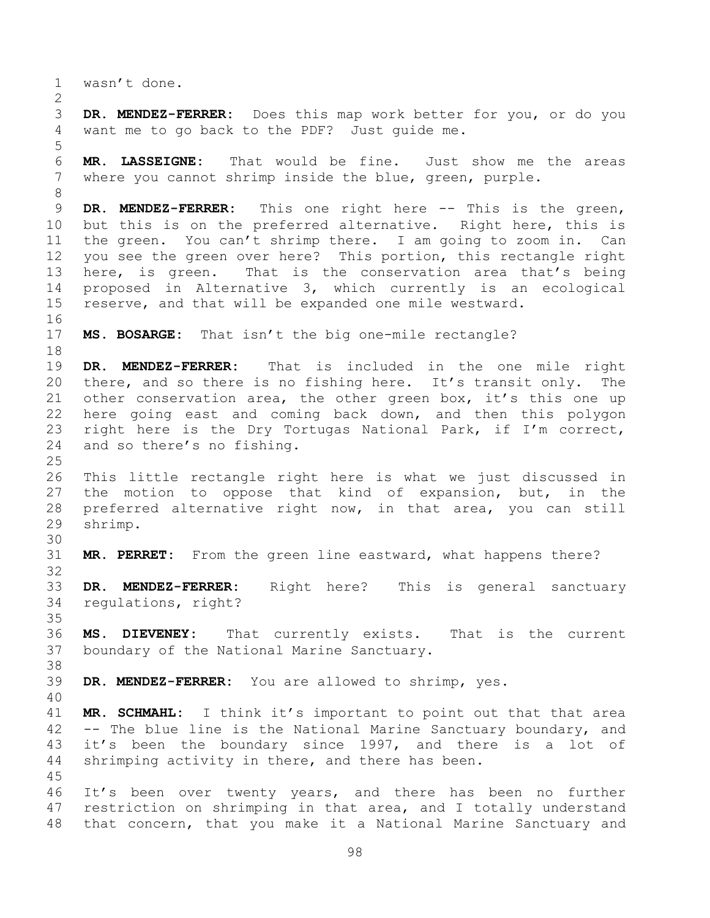wasn't done.

 **DR. MENDEZ-FERRER:** Does this map work better for you, or do you want me to go back to the PDF? Just guide me.

 **MR. LASSEIGNE:** That would be fine. Just show me the areas where you cannot shrimp inside the blue, green, purple.

 **DR. MENDEZ-FERRER:** This one right here -- This is the green, but this is on the preferred alternative. Right here, this is the green. You can't shrimp there. I am going to zoom in. Can you see the green over here? This portion, this rectangle right here, is green. That is the conservation area that's being proposed in Alternative 3, which currently is an ecological reserve, and that will be expanded one mile westward.

**MS. BOSARGE:** That isn't the big one-mile rectangle?

 **DR. MENDEZ-FERRER:** That is included in the one mile right there, and so there is no fishing here. It's transit only. The other conservation area, the other green box, it's this one up here going east and coming back down, and then this polygon right here is the Dry Tortugas National Park, if I'm correct, and so there's no fishing.

 This little rectangle right here is what we just discussed in the motion to oppose that kind of expansion, but, in the preferred alternative right now, in that area, you can still shrimp.

**MR. PERRET:** From the green line eastward, what happens there?

 **DR. MENDEZ-FERRER:** Right here? This is general sanctuary regulations, right?

 **MS. DIEVENEY:** That currently exists. That is the current boundary of the National Marine Sanctuary.

**DR. MENDEZ-FERRER:** You are allowed to shrimp, yes.

 **MR. SCHMAHL:** I think it's important to point out that that area -- The blue line is the National Marine Sanctuary boundary, and it's been the boundary since 1997, and there is a lot of shrimping activity in there, and there has been.

 It's been over twenty years, and there has been no further restriction on shrimping in that area, and I totally understand that concern, that you make it a National Marine Sanctuary and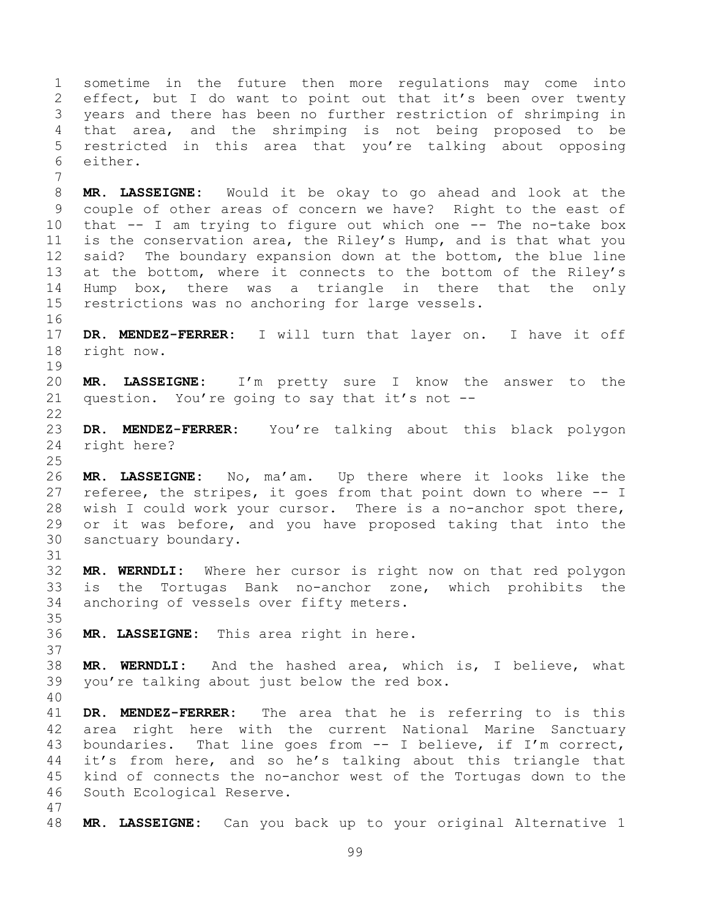sometime in the future then more regulations may come into effect, but I do want to point out that it's been over twenty years and there has been no further restriction of shrimping in that area, and the shrimping is not being proposed to be restricted in this area that you're talking about opposing either.

 **MR. LASSEIGNE:** Would it be okay to go ahead and look at the couple of other areas of concern we have? Right to the east of that -- I am trying to figure out which one -- The no-take box is the conservation area, the Riley's Hump, and is that what you said? The boundary expansion down at the bottom, the blue line at the bottom, where it connects to the bottom of the Riley's Hump box, there was a triangle in there that the only restrictions was no anchoring for large vessels.

- **DR. MENDEZ-FERRER:** I will turn that layer on. I have it off right now.
- **MR. LASSEIGNE:** I'm pretty sure I know the answer to the question. You're going to say that it's not --
- **DR. MENDEZ-FERRER:** You're talking about this black polygon right here?
- **MR. LASSEIGNE:** No, ma'am. Up there where it looks like the referee, the stripes, it goes from that point down to where -- I wish I could work your cursor. There is a no-anchor spot there, or it was before, and you have proposed taking that into the sanctuary boundary.
- **MR. WERNDLI:** Where her cursor is right now on that red polygon is the Tortugas Bank no-anchor zone, which prohibits the anchoring of vessels over fifty meters.
- **MR. LASSEIGNE:** This area right in here.
- **MR. WERNDLI:** And the hashed area, which is, I believe, what you're talking about just below the red box.
- 

 **DR. MENDEZ-FERRER:** The area that he is referring to is this area right here with the current National Marine Sanctuary boundaries. That line goes from -- I believe, if I'm correct, it's from here, and so he's talking about this triangle that kind of connects the no-anchor west of the Tortugas down to the South Ecological Reserve.

- 
- **MR. LASSEIGNE:** Can you back up to your original Alternative 1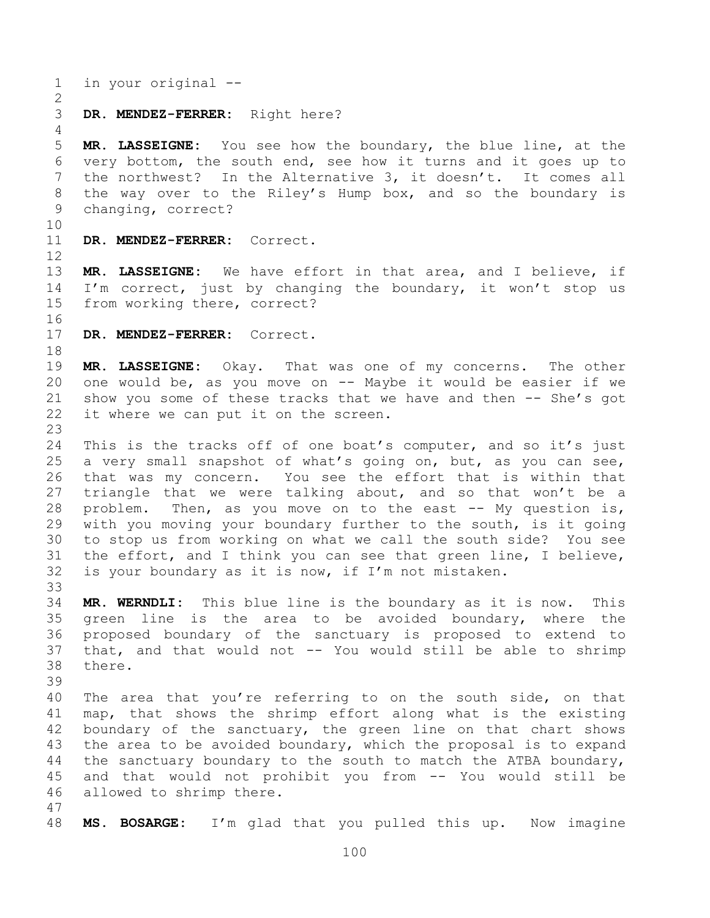in your original --

**DR. MENDEZ-FERRER:** Right here?

 **MR. LASSEIGNE:** You see how the boundary, the blue line, at the very bottom, the south end, see how it turns and it goes up to the northwest? In the Alternative 3, it doesn't. It comes all the way over to the Riley's Hump box, and so the boundary is changing, correct?

**DR. MENDEZ-FERRER:** Correct.

 **MR. LASSEIGNE:** We have effort in that area, and I believe, if I'm correct, just by changing the boundary, it won't stop us from working there, correct?

**DR. MENDEZ-FERRER:** Correct.

 **MR. LASSEIGNE:** Okay. That was one of my concerns. The other one would be, as you move on -- Maybe it would be easier if we 21 show you some of these tracks that we have and then -- She's got it where we can put it on the screen.

 This is the tracks off of one boat's computer, and so it's just a very small snapshot of what's going on, but, as you can see, that was my concern. You see the effort that is within that triangle that we were talking about, and so that won't be a problem. Then, as you move on to the east -- My question is, with you moving your boundary further to the south, is it going to stop us from working on what we call the south side? You see the effort, and I think you can see that green line, I believe, is your boundary as it is now, if I'm not mistaken.

 **MR. WERNDLI:** This blue line is the boundary as it is now. This green line is the area to be avoided boundary, where the proposed boundary of the sanctuary is proposed to extend to that, and that would not -- You would still be able to shrimp there.

 The area that you're referring to on the south side, on that map, that shows the shrimp effort along what is the existing boundary of the sanctuary, the green line on that chart shows 43 the area to be avoided boundary, which the proposal is to expand the sanctuary boundary to the south to match the ATBA boundary, and that would not prohibit you from -- You would still be allowed to shrimp there.

**MS. BOSARGE:** I'm glad that you pulled this up. Now imagine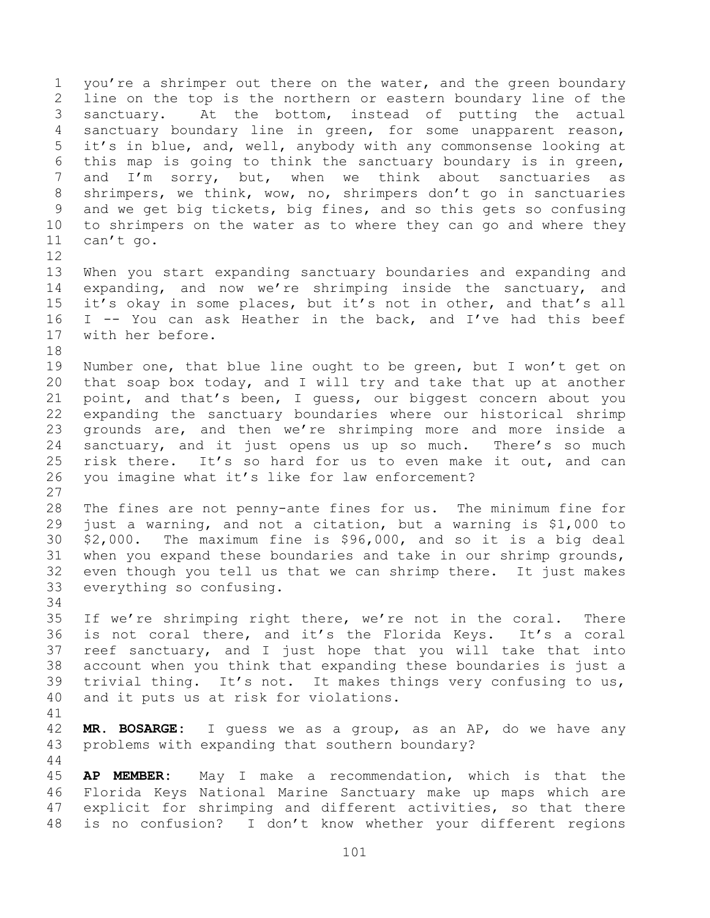1 you're a shrimper out there on the water, and the green boundary line on the top is the northern or eastern boundary line of the sanctuary. At the bottom, instead of putting the actual sanctuary boundary line in green, for some unapparent reason, it's in blue, and, well, anybody with any commonsense looking at this map is going to think the sanctuary boundary is in green, and I'm sorry, but, when we think about sanctuaries as shrimpers, we think, wow, no, shrimpers don't go in sanctuaries and we get big tickets, big fines, and so this gets so confusing to shrimpers on the water as to where they can go and where they can't go. 

 When you start expanding sanctuary boundaries and expanding and expanding, and now we're shrimping inside the sanctuary, and it's okay in some places, but it's not in other, and that's all I -- You can ask Heather in the back, and I've had this beef with her before. 

 Number one, that blue line ought to be green, but I won't get on that soap box today, and I will try and take that up at another point, and that's been, I guess, our biggest concern about you expanding the sanctuary boundaries where our historical shrimp grounds are, and then we're shrimping more and more inside a sanctuary, and it just opens us up so much. There's so much risk there. It's so hard for us to even make it out, and can you imagine what it's like for law enforcement? 

 The fines are not penny-ante fines for us. The minimum fine for just a warning, and not a citation, but a warning is \$1,000 to \$2,000. The maximum fine is \$96,000, and so it is a big deal when you expand these boundaries and take in our shrimp grounds, even though you tell us that we can shrimp there. It just makes everything so confusing.

 If we're shrimping right there, we're not in the coral. There is not coral there, and it's the Florida Keys. It's a coral reef sanctuary, and I just hope that you will take that into account when you think that expanding these boundaries is just a trivial thing. It's not. It makes things very confusing to us, and it puts us at risk for violations.

 **MR. BOSARGE:** I guess we as a group, as an AP, do we have any problems with expanding that southern boundary?

 **AP MEMBER:** May I make a recommendation, which is that the Florida Keys National Marine Sanctuary make up maps which are explicit for shrimping and different activities, so that there is no confusion? I don't know whether your different regions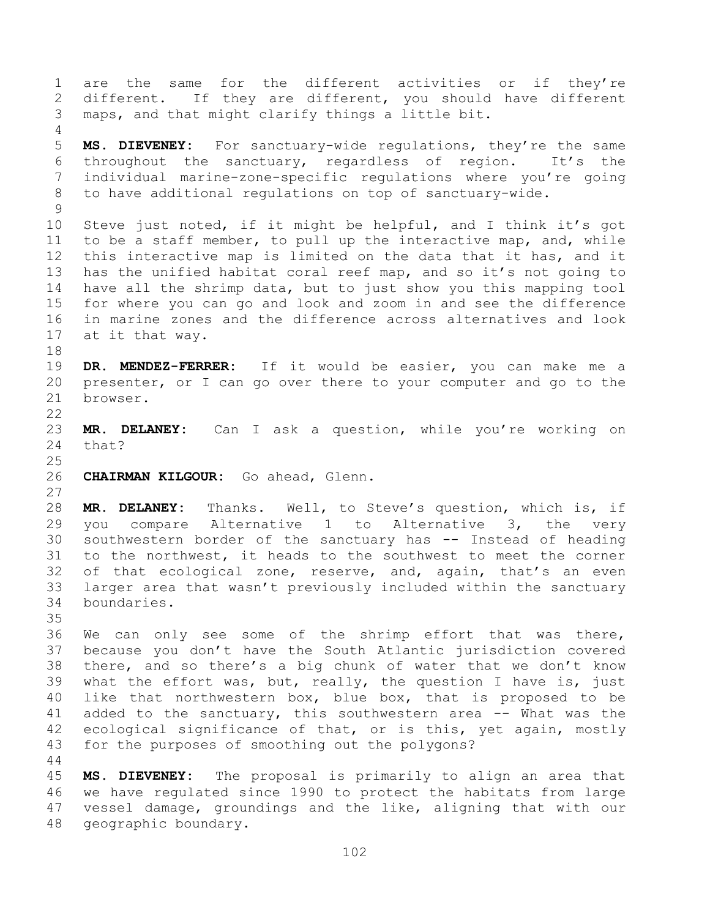are the same for the different activities or if they're different. If they are different, you should have different maps, and that might clarify things a little bit. **MS. DIEVENEY:** For sanctuary-wide regulations, they're the same throughout the sanctuary, regardless of region. It's the individual marine-zone-specific regulations where you're going to have additional regulations on top of sanctuary-wide. Steve just noted, if it might be helpful, and I think it's got to be a staff member, to pull up the interactive map, and, while this interactive map is limited on the data that it has, and it has the unified habitat coral reef map, and so it's not going to have all the shrimp data, but to just show you this mapping tool for where you can go and look and zoom in and see the difference in marine zones and the difference across alternatives and look at it that way. **DR. MENDEZ-FERRER:** If it would be easier, you can make me a presenter, or I can go over there to your computer and go to the browser. **MR. DELANEY:** Can I ask a question, while you're working on that? **CHAIRMAN KILGOUR:** Go ahead, Glenn. **MR. DELANEY:** Thanks. Well, to Steve's question, which is, if you compare Alternative 1 to Alternative 3, the very southwestern border of the sanctuary has -- Instead of heading to the northwest, it heads to the southwest to meet the corner of that ecological zone, reserve, and, again, that's an even larger area that wasn't previously included within the sanctuary boundaries. We can only see some of the shrimp effort that was there, because you don't have the South Atlantic jurisdiction covered there, and so there's a big chunk of water that we don't know what the effort was, but, really, the question I have is, just like that northwestern box, blue box, that is proposed to be added to the sanctuary, this southwestern area -- What was the ecological significance of that, or is this, yet again, mostly for the purposes of smoothing out the polygons? **MS. DIEVENEY:** The proposal is primarily to align an area that we have regulated since 1990 to protect the habitats from large

 vessel damage, groundings and the like, aligning that with our geographic boundary.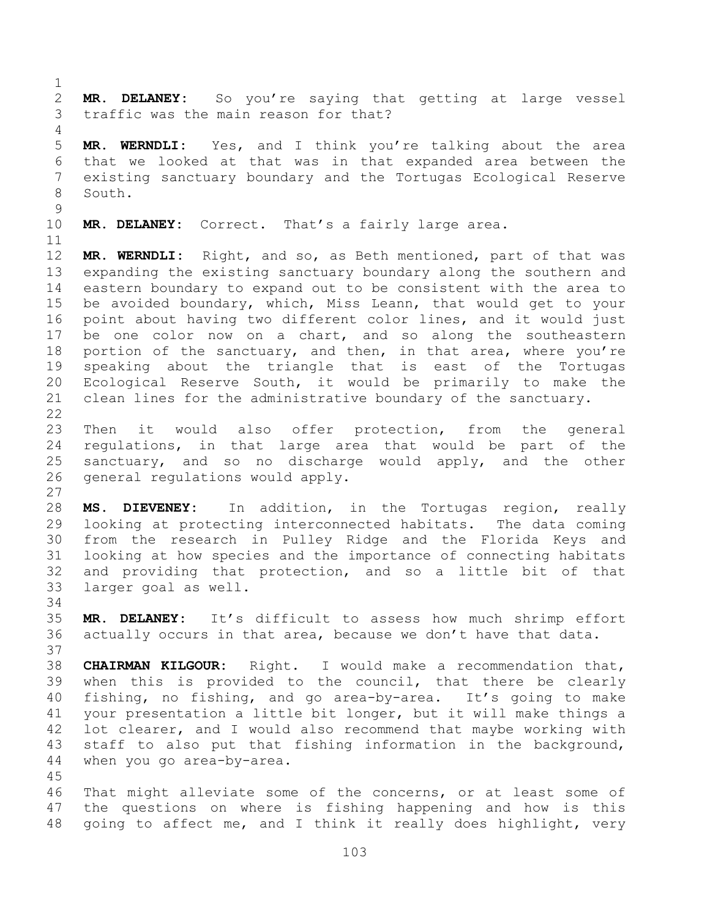traffic was the main reason for that? **MR. WERNDLI:** Yes, and I think you're talking about the area that we looked at that was in that expanded area between the existing sanctuary boundary and the Tortugas Ecological Reserve South. **MR. DELANEY:** Correct. That's a fairly large area. **MR. WERNDLI:** Right, and so, as Beth mentioned, part of that was expanding the existing sanctuary boundary along the southern and eastern boundary to expand out to be consistent with the area to be avoided boundary, which, Miss Leann, that would get to your point about having two different color lines, and it would just be one color now on a chart, and so along the southeastern 18 portion of the sanctuary, and then, in that area, where you're speaking about the triangle that is east of the Tortugas Ecological Reserve South, it would be primarily to make the clean lines for the administrative boundary of the sanctuary. Then it would also offer protection, from the general regulations, in that large area that would be part of the sanctuary, and so no discharge would apply, and the other general regulations would apply. **MS. DIEVENEY:** In addition, in the Tortugas region, really looking at protecting interconnected habitats. The data coming from the research in Pulley Ridge and the Florida Keys and looking at how species and the importance of connecting habitats and providing that protection, and so a little bit of that larger goal as well. **MR. DELANEY:** It's difficult to assess how much shrimp effort actually occurs in that area, because we don't have that data. **CHAIRMAN KILGOUR:** Right. I would make a recommendation that, when this is provided to the council, that there be clearly fishing, no fishing, and go area-by-area. It's going to make

**MR. DELANEY:** So you're saying that getting at large vessel

 your presentation a little bit longer, but it will make things a lot clearer, and I would also recommend that maybe working with staff to also put that fishing information in the background, when you go area-by-area. 

 That might alleviate some of the concerns, or at least some of the questions on where is fishing happening and how is this going to affect me, and I think it really does highlight, very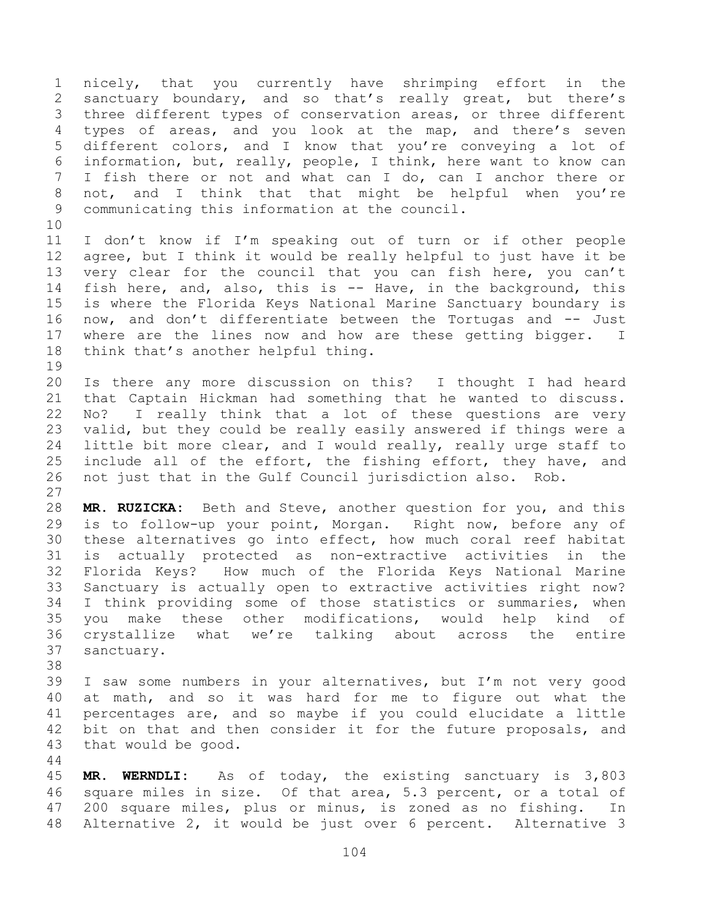nicely, that you currently have shrimping effort in the sanctuary boundary, and so that's really great, but there's three different types of conservation areas, or three different types of areas, and you look at the map, and there's seven different colors, and I know that you're conveying a lot of information, but, really, people, I think, here want to know can I fish there or not and what can I do, can I anchor there or not, and I think that that might be helpful when you're communicating this information at the council. I don't know if I'm speaking out of turn or if other people agree, but I think it would be really helpful to just have it be very clear for the council that you can fish here, you can't fish here, and, also, this is -- Have, in the background, this is where the Florida Keys National Marine Sanctuary boundary is now, and don't differentiate between the Tortugas and -- Just where are the lines now and how are these getting bigger. I think that's another helpful thing. Is there any more discussion on this? I thought I had heard that Captain Hickman had something that he wanted to discuss. No? I really think that a lot of these questions are very valid, but they could be really easily answered if things were a little bit more clear, and I would really, really urge staff to include all of the effort, the fishing effort, they have, and not just that in the Gulf Council jurisdiction also. Rob. **MR. RUZICKA:** Beth and Steve, another question for you, and this is to follow-up your point, Morgan. Right now, before any of these alternatives go into effect, how much coral reef habitat is actually protected as non-extractive activities in the Florida Keys? How much of the Florida Keys National Marine Sanctuary is actually open to extractive activities right now? I think providing some of those statistics or summaries, when you make these other modifications, would help kind of crystallize what we're talking about across the entire sanctuary. I saw some numbers in your alternatives, but I'm not very good at math, and so it was hard for me to figure out what the percentages are, and so maybe if you could elucidate a little bit on that and then consider it for the future proposals, and that would be good. **MR. WERNDLI:** As of today, the existing sanctuary is 3,803 square miles in size. Of that area, 5.3 percent, or a total of 200 square miles, plus or minus, is zoned as no fishing. In

Alternative 2, it would be just over 6 percent. Alternative 3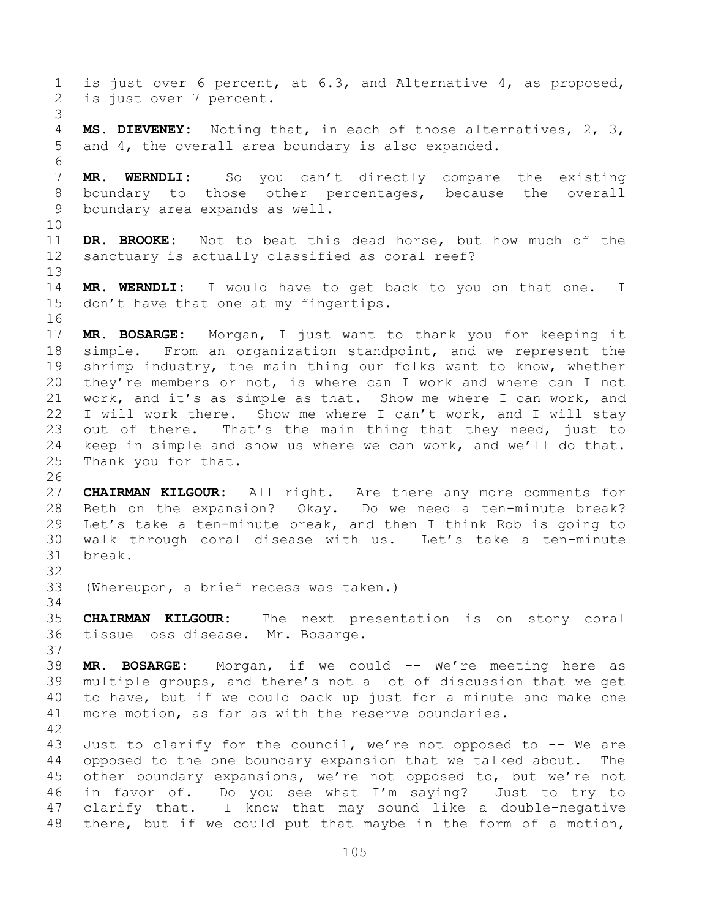is just over 6 percent, at 6.3, and Alternative 4, as proposed, is just over 7 percent. **MS. DIEVENEY:** Noting that, in each of those alternatives, 2, 3, and 4, the overall area boundary is also expanded. **MR. WERNDLI:** So you can't directly compare the existing boundary to those other percentages, because the overall boundary area expands as well. **DR. BROOKE:** Not to beat this dead horse, but how much of the sanctuary is actually classified as coral reef? **MR. WERNDLI:** I would have to get back to you on that one. I don't have that one at my fingertips. **MR. BOSARGE:** Morgan, I just want to thank you for keeping it simple. From an organization standpoint, and we represent the shrimp industry, the main thing our folks want to know, whether 20 they're members or not, is where can I work and where can I not work, and it's as simple as that. Show me where I can work, and I will work there. Show me where I can't work, and I will stay out of there. That's the main thing that they need, just to keep in simple and show us where we can work, and we'll do that. Thank you for that. **CHAIRMAN KILGOUR:** All right. Are there any more comments for Beth on the expansion? Okay. Do we need a ten-minute break? Let's take a ten-minute break, and then I think Rob is going to walk through coral disease with us. Let's take a ten-minute break. (Whereupon, a brief recess was taken.) **CHAIRMAN KILGOUR:** The next presentation is on stony coral tissue loss disease. Mr. Bosarge. **MR. BOSARGE:** Morgan, if we could -- We're meeting here as multiple groups, and there's not a lot of discussion that we get to have, but if we could back up just for a minute and make one more motion, as far as with the reserve boundaries. Just to clarify for the council, we're not opposed to -- We are opposed to the one boundary expansion that we talked about. The other boundary expansions, we're not opposed to, but we're not in favor of. Do you see what I'm saying? Just to try to clarify that. I know that may sound like a double-negative there, but if we could put that maybe in the form of a motion,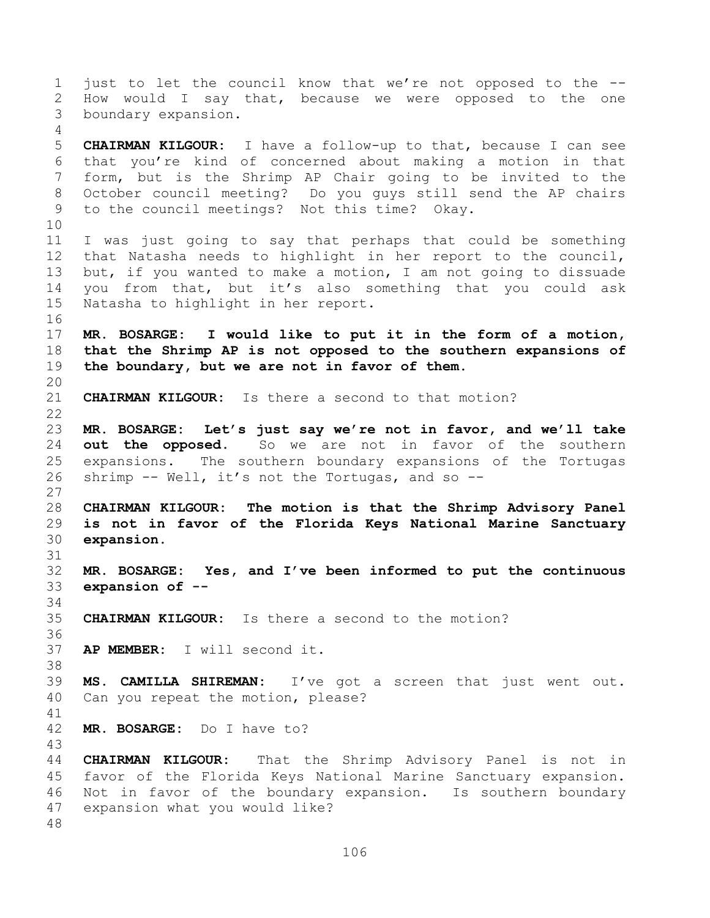just to let the council know that we're not opposed to the -- How would I say that, because we were opposed to the one boundary expansion. **CHAIRMAN KILGOUR:** I have a follow-up to that, because I can see that you're kind of concerned about making a motion in that form, but is the Shrimp AP Chair going to be invited to the October council meeting? Do you guys still send the AP chairs to the council meetings? Not this time? Okay. I was just going to say that perhaps that could be something that Natasha needs to highlight in her report to the council, but, if you wanted to make a motion, I am not going to dissuade you from that, but it's also something that you could ask Natasha to highlight in her report. **MR. BOSARGE: I would like to put it in the form of a motion, that the Shrimp AP is not opposed to the southern expansions of the boundary, but we are not in favor of them. CHAIRMAN KILGOUR:** Is there a second to that motion? **MR. BOSARGE: Let's just say we're not in favor, and we'll take out the opposed.** So we are not in favor of the southern expansions. The southern boundary expansions of the Tortugas shrimp -- Well, it's not the Tortugas, and so -- **CHAIRMAN KILGOUR: The motion is that the Shrimp Advisory Panel is not in favor of the Florida Keys National Marine Sanctuary expansion. MR. BOSARGE: Yes, and I've been informed to put the continuous expansion of -- CHAIRMAN KILGOUR:** Is there a second to the motion? **AP MEMBER:** I will second it. **MS. CAMILLA SHIREMAN:** I've got a screen that just went out. Can you repeat the motion, please? **MR. BOSARGE:** Do I have to? **CHAIRMAN KILGOUR:** That the Shrimp Advisory Panel is not in favor of the Florida Keys National Marine Sanctuary expansion. Not in favor of the boundary expansion. Is southern boundary expansion what you would like?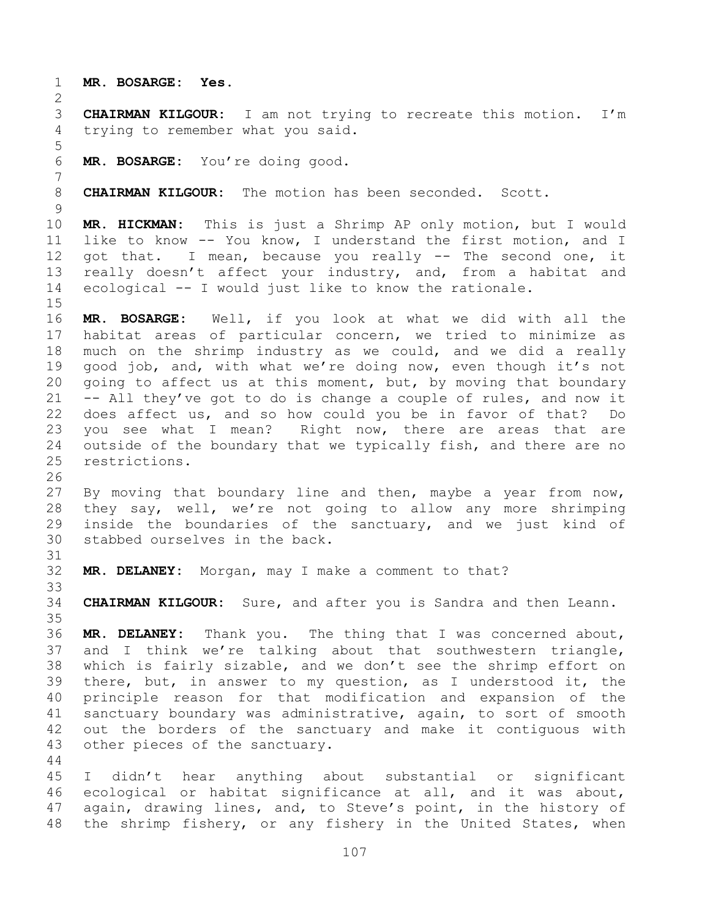**MR. BOSARGE: Yes.**

 **CHAIRMAN KILGOUR:** I am not trying to recreate this motion. I'm trying to remember what you said.

**MR. BOSARGE:** You're doing good.

**CHAIRMAN KILGOUR:** The motion has been seconded. Scott.

 **MR. HICKMAN:** This is just a Shrimp AP only motion, but I would like to know -- You know, I understand the first motion, and I 12 got that. I mean, because you really -- The second one, it really doesn't affect your industry, and, from a habitat and ecological -- I would just like to know the rationale.

 **MR. BOSARGE:** Well, if you look at what we did with all the habitat areas of particular concern, we tried to minimize as much on the shrimp industry as we could, and we did a really good job, and, with what we're doing now, even though it's not going to affect us at this moment, but, by moving that boundary -- All they've got to do is change a couple of rules, and now it does affect us, and so how could you be in favor of that? Do you see what I mean? Right now, there are areas that are outside of the boundary that we typically fish, and there are no restrictions.

 By moving that boundary line and then, maybe a year from now, they say, well, we're not going to allow any more shrimping inside the boundaries of the sanctuary, and we just kind of stabbed ourselves in the back.

**MR. DELANEY:** Morgan, may I make a comment to that?

**CHAIRMAN KILGOUR:** Sure, and after you is Sandra and then Leann.

 **MR. DELANEY:** Thank you. The thing that I was concerned about, and I think we're talking about that southwestern triangle, which is fairly sizable, and we don't see the shrimp effort on there, but, in answer to my question, as I understood it, the principle reason for that modification and expansion of the sanctuary boundary was administrative, again, to sort of smooth out the borders of the sanctuary and make it contiguous with other pieces of the sanctuary.

 I didn't hear anything about substantial or significant ecological or habitat significance at all, and it was about, again, drawing lines, and, to Steve's point, in the history of the shrimp fishery, or any fishery in the United States, when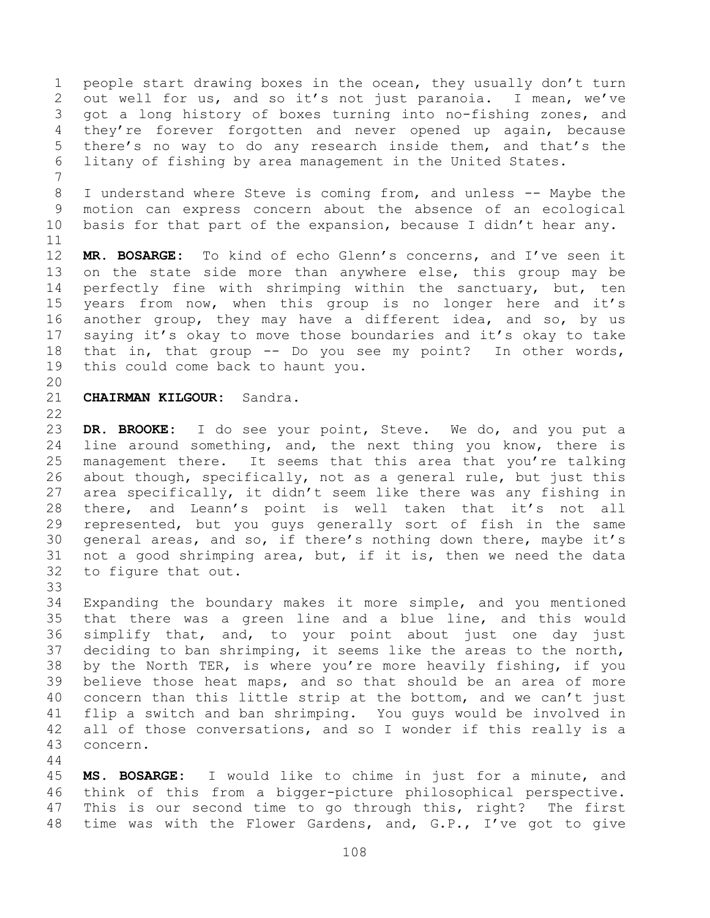people start drawing boxes in the ocean, they usually don't turn out well for us, and so it's not just paranoia. I mean, we've got a long history of boxes turning into no-fishing zones, and they're forever forgotten and never opened up again, because there's no way to do any research inside them, and that's the litany of fishing by area management in the United States.

 I understand where Steve is coming from, and unless -- Maybe the motion can express concern about the absence of an ecological basis for that part of the expansion, because I didn't hear any.

 **MR. BOSARGE:** To kind of echo Glenn's concerns, and I've seen it on the state side more than anywhere else, this group may be 14 perfectly fine with shrimping within the sanctuary, but, ten years from now, when this group is no longer here and it's another group, they may have a different idea, and so, by us saying it's okay to move those boundaries and it's okay to take that in, that group -- Do you see my point? In other words, this could come back to haunt you.

## **CHAIRMAN KILGOUR:** Sandra.

 **DR. BROOKE:** I do see your point, Steve. We do, and you put a line around something, and, the next thing you know, there is management there. It seems that this area that you're talking about though, specifically, not as a general rule, but just this area specifically, it didn't seem like there was any fishing in there, and Leann's point is well taken that it's not all represented, but you guys generally sort of fish in the same general areas, and so, if there's nothing down there, maybe it's not a good shrimping area, but, if it is, then we need the data to figure that out.

 Expanding the boundary makes it more simple, and you mentioned that there was a green line and a blue line, and this would simplify that, and, to your point about just one day just deciding to ban shrimping, it seems like the areas to the north, by the North TER, is where you're more heavily fishing, if you believe those heat maps, and so that should be an area of more concern than this little strip at the bottom, and we can't just flip a switch and ban shrimping. You guys would be involved in 42 all of those conversations, and so I wonder if this really is a concern.

 **MS. BOSARGE:** I would like to chime in just for a minute, and think of this from a bigger-picture philosophical perspective. This is our second time to go through this, right? The first time was with the Flower Gardens, and, G.P., I've got to give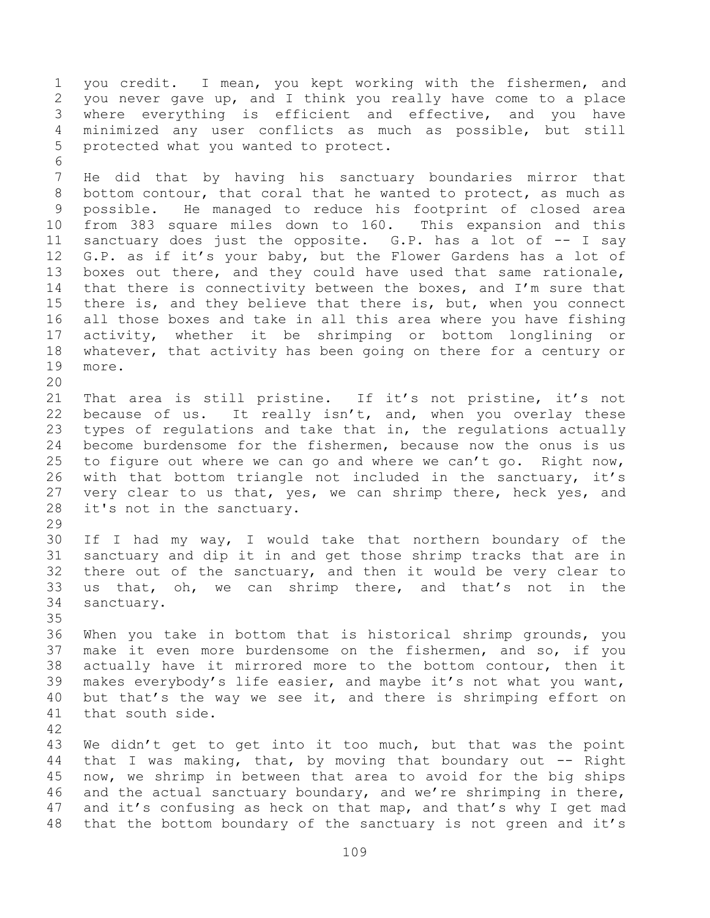you credit. I mean, you kept working with the fishermen, and you never gave up, and I think you really have come to a place where everything is efficient and effective, and you have minimized any user conflicts as much as possible, but still protected what you wanted to protect. 

 He did that by having his sanctuary boundaries mirror that bottom contour, that coral that he wanted to protect, as much as possible. He managed to reduce his footprint of closed area from 383 square miles down to 160. This expansion and this sanctuary does just the opposite. G.P. has a lot of -- I say G.P. as if it's your baby, but the Flower Gardens has a lot of boxes out there, and they could have used that same rationale, that there is connectivity between the boxes, and I'm sure that there is, and they believe that there is, but, when you connect all those boxes and take in all this area where you have fishing activity, whether it be shrimping or bottom longlining or 18 whatever, that activity has been going on there for a century or more.

 That area is still pristine. If it's not pristine, it's not 22 because of us. It really isn't, and, when you overlay these types of regulations and take that in, the regulations actually become burdensome for the fishermen, because now the onus is us to figure out where we can go and where we can't go. Right now, with that bottom triangle not included in the sanctuary, it's very clear to us that, yes, we can shrimp there, heck yes, and it's not in the sanctuary.

 If I had my way, I would take that northern boundary of the sanctuary and dip it in and get those shrimp tracks that are in there out of the sanctuary, and then it would be very clear to us that, oh, we can shrimp there, and that's not in the sanctuary.

 When you take in bottom that is historical shrimp grounds, you make it even more burdensome on the fishermen, and so, if you actually have it mirrored more to the bottom contour, then it makes everybody's life easier, and maybe it's not what you want, but that's the way we see it, and there is shrimping effort on that south side.

 We didn't get to get into it too much, but that was the point that I was making, that, by moving that boundary out -- Right now, we shrimp in between that area to avoid for the big ships and the actual sanctuary boundary, and we're shrimping in there, and it's confusing as heck on that map, and that's why I get mad that the bottom boundary of the sanctuary is not green and it's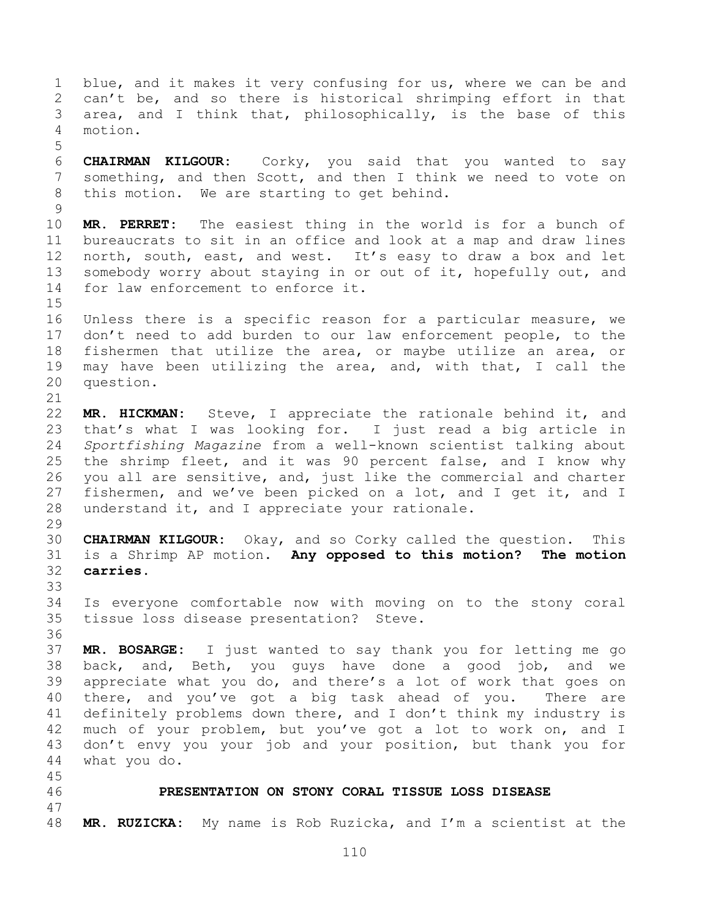blue, and it makes it very confusing for us, where we can be and can't be, and so there is historical shrimping effort in that area, and I think that, philosophically, is the base of this motion. **CHAIRMAN KILGOUR:** Corky, you said that you wanted to say something, and then Scott, and then I think we need to vote on this motion. We are starting to get behind. **MR. PERRET:** The easiest thing in the world is for a bunch of bureaucrats to sit in an office and look at a map and draw lines north, south, east, and west. It's easy to draw a box and let somebody worry about staying in or out of it, hopefully out, and for law enforcement to enforce it. Unless there is a specific reason for a particular measure, we don't need to add burden to our law enforcement people, to the fishermen that utilize the area, or maybe utilize an area, or may have been utilizing the area, and, with that, I call the question. **MR. HICKMAN:** Steve, I appreciate the rationale behind it, and that's what I was looking for. I just read a big article in *Sportfishing Magazine* from a well-known scientist talking about the shrimp fleet, and it was 90 percent false, and I know why you all are sensitive, and, just like the commercial and charter fishermen, and we've been picked on a lot, and I get it, and I understand it, and I appreciate your rationale. **CHAIRMAN KILGOUR:** Okay, and so Corky called the question. This is a Shrimp AP motion. **Any opposed to this motion? The motion carries.** Is everyone comfortable now with moving on to the stony coral tissue loss disease presentation? Steve. **MR. BOSARGE:** I just wanted to say thank you for letting me go back, and, Beth, you guys have done a good job, and we appreciate what you do, and there's a lot of work that goes on there, and you've got a big task ahead of you. There are definitely problems down there, and I don't think my industry is much of your problem, but you've got a lot to work on, and I don't envy you your job and your position, but thank you for what you do. **PRESENTATION ON STONY CORAL TISSUE LOSS DISEASE MR. RUZICKA:** My name is Rob Ruzicka, and I'm a scientist at the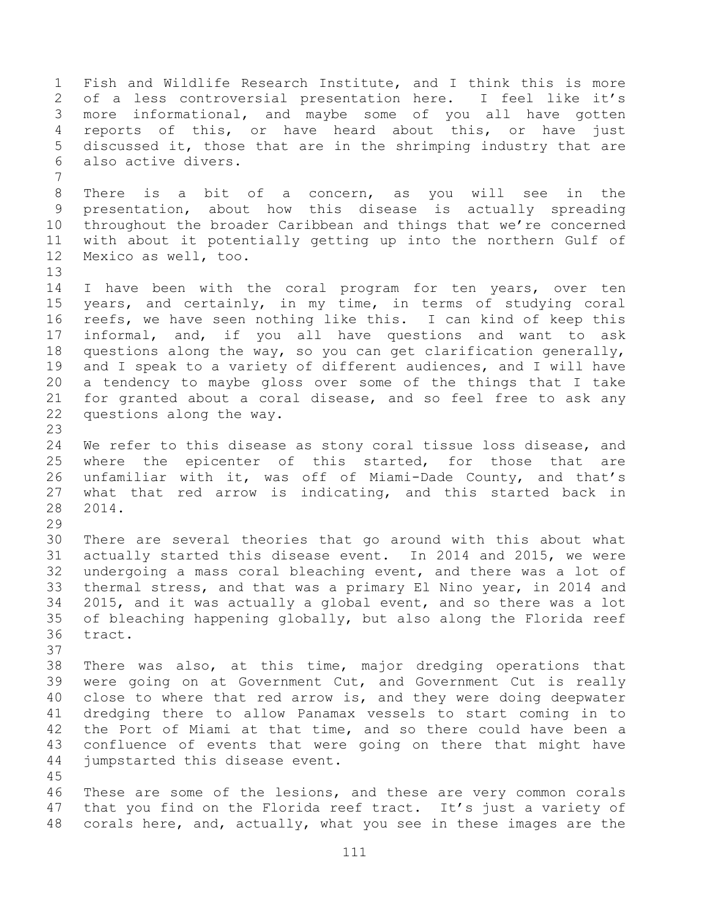Fish and Wildlife Research Institute, and I think this is more of a less controversial presentation here. I feel like it's more informational, and maybe some of you all have gotten reports of this, or have heard about this, or have just discussed it, those that are in the shrimping industry that are also active divers. There is a bit of a concern, as you will see in the presentation, about how this disease is actually spreading throughout the broader Caribbean and things that we're concerned with about it potentially getting up into the northern Gulf of Mexico as well, too. 14 I have been with the coral program for ten years, over ten years, and certainly, in my time, in terms of studying coral reefs, we have seen nothing like this. I can kind of keep this informal, and, if you all have questions and want to ask questions along the way, so you can get clarification generally, and I speak to a variety of different audiences, and I will have a tendency to maybe gloss over some of the things that I take for granted about a coral disease, and so feel free to ask any questions along the way. We refer to this disease as stony coral tissue loss disease, and where the epicenter of this started, for those that are unfamiliar with it, was off of Miami-Dade County, and that's what that red arrow is indicating, and this started back in 2014. There are several theories that go around with this about what actually started this disease event. In 2014 and 2015, we were undergoing a mass coral bleaching event, and there was a lot of thermal stress, and that was a primary El Nino year, in 2014 and 2015, and it was actually a global event, and so there was a lot of bleaching happening globally, but also along the Florida reef tract. There was also, at this time, major dredging operations that were going on at Government Cut, and Government Cut is really close to where that red arrow is, and they were doing deepwater dredging there to allow Panamax vessels to start coming in to the Port of Miami at that time, and so there could have been a confluence of events that were going on there that might have jumpstarted this disease event. These are some of the lesions, and these are very common corals 47 that you find on the Florida reef tract. It's just a variety of corals here, and, actually, what you see in these images are the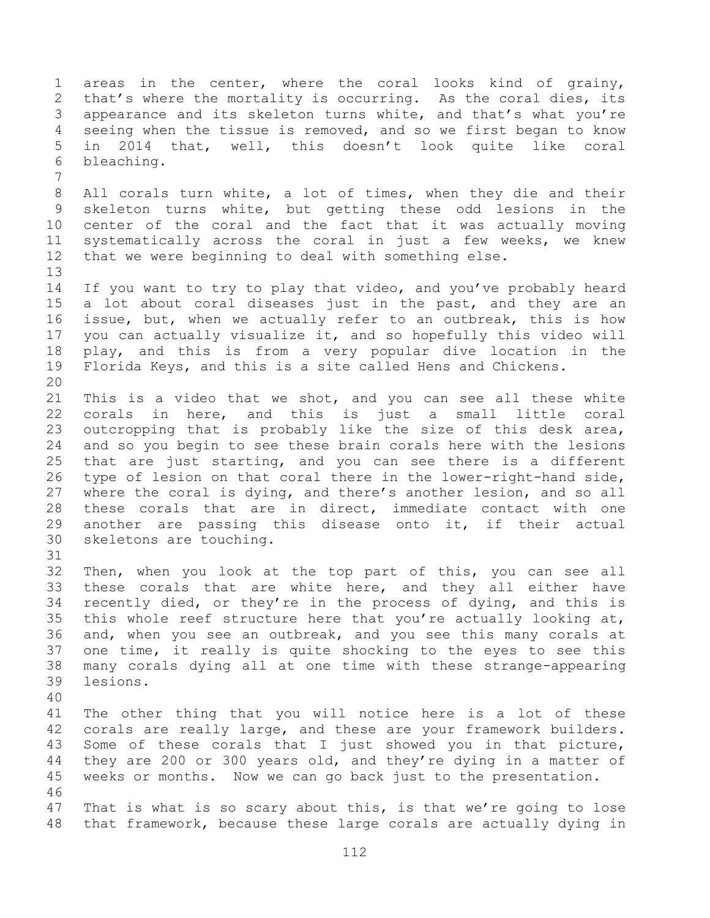areas in the center, where the coral looks kind of grainy, that's where the mortality is occurring. As the coral dies, its appearance and its skeleton turns white, and that's what you're seeing when the tissue is removed, and so we first began to know in 2014 that, well, this doesn't look quite like coral bleaching. All corals turn white, a lot of times, when they die and their skeleton turns white, but getting these odd lesions in the center of the coral and the fact that it was actually moving systematically across the coral in just a few weeks, we knew that we were beginning to deal with something else. If you want to try to play that video, and you've probably heard a lot about coral diseases just in the past, and they are an issue, but, when we actually refer to an outbreak, this is how you can actually visualize it, and so hopefully this video will play, and this is from a very popular dive location in the Florida Keys, and this is a site called Hens and Chickens. This is a video that we shot, and you can see all these white corals in here, and this is just a small little coral outcropping that is probably like the size of this desk area, and so you begin to see these brain corals here with the lesions that are just starting, and you can see there is a different type of lesion on that coral there in the lower-right-hand side, where the coral is dying, and there's another lesion, and so all these corals that are in direct, immediate contact with one another are passing this disease onto it, if their actual skeletons are touching. Then, when you look at the top part of this, you can see all these corals that are white here, and they all either have recently died, or they're in the process of dying, and this is this whole reef structure here that you're actually looking at, and, when you see an outbreak, and you see this many corals at one time, it really is quite shocking to the eyes to see this many corals dying all at one time with these strange-appearing lesions. The other thing that you will notice here is a lot of these corals are really large, and these are your framework builders. Some of these corals that I just showed you in that picture, they are 200 or 300 years old, and they're dying in a matter of weeks or months. Now we can go back just to the presentation. That is what is so scary about this, is that we're going to lose that framework, because these large corals are actually dying in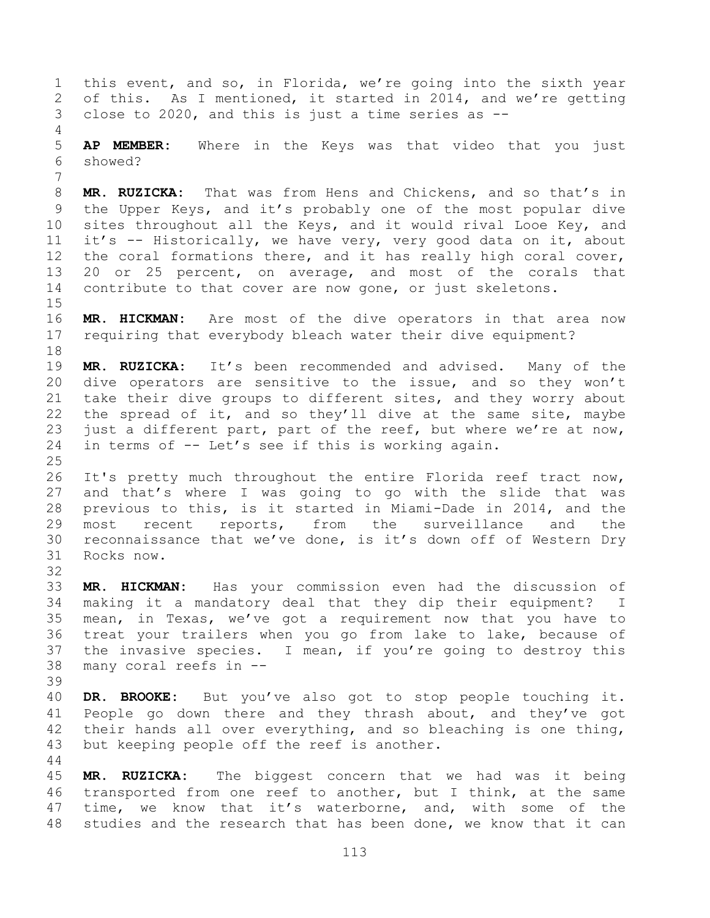this event, and so, in Florida, we're going into the sixth year of this. As I mentioned, it started in 2014, and we're getting close to 2020, and this is just a time series as -- **AP MEMBER:** Where in the Keys was that video that you just showed? **MR. RUZICKA:** That was from Hens and Chickens, and so that's in the Upper Keys, and it's probably one of the most popular dive sites throughout all the Keys, and it would rival Looe Key, and it's -- Historically, we have very, very good data on it, about the coral formations there, and it has really high coral cover, 20 or 25 percent, on average, and most of the corals that contribute to that cover are now gone, or just skeletons. **MR. HICKMAN:** Are most of the dive operators in that area now requiring that everybody bleach water their dive equipment? **MR. RUZICKA:** It's been recommended and advised. Many of the dive operators are sensitive to the issue, and so they won't take their dive groups to different sites, and they worry about the spread of it, and so they'll dive at the same site, maybe just a different part, part of the reef, but where we're at now, in terms of -- Let's see if this is working again. It's pretty much throughout the entire Florida reef tract now, and that's where I was going to go with the slide that was previous to this, is it started in Miami-Dade in 2014, and the most recent reports, from the surveillance and the reconnaissance that we've done, is it's down off of Western Dry Rocks now. **MR. HICKMAN:** Has your commission even had the discussion of making it a mandatory deal that they dip their equipment? I mean, in Texas, we've got a requirement now that you have to treat your trailers when you go from lake to lake, because of the invasive species. I mean, if you're going to destroy this many coral reefs in -- **DR. BROOKE:** But you've also got to stop people touching it. 41 People go down there and they thrash about, and they've got their hands all over everything, and so bleaching is one thing, but keeping people off the reef is another. **MR. RUZICKA:** The biggest concern that we had was it being transported from one reef to another, but I think, at the same time, we know that it's waterborne, and, with some of the

studies and the research that has been done, we know that it can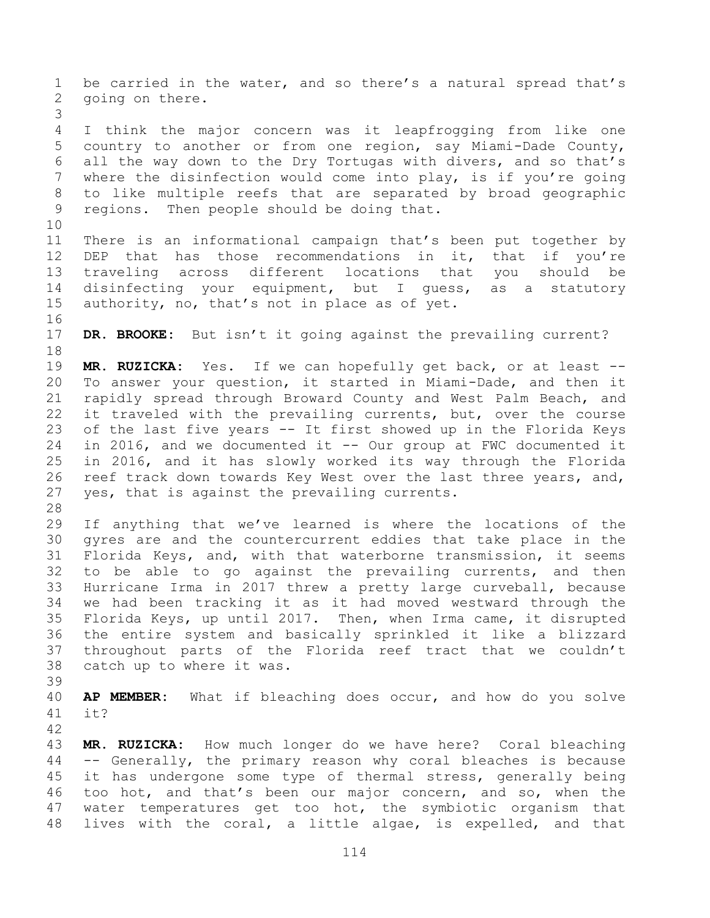be carried in the water, and so there's a natural spread that's going on there. I think the major concern was it leapfrogging from like one country to another or from one region, say Miami-Dade County, all the way down to the Dry Tortugas with divers, and so that's where the disinfection would come into play, is if you're going to like multiple reefs that are separated by broad geographic regions. Then people should be doing that. There is an informational campaign that's been put together by DEP that has those recommendations in it, that if you're traveling across different locations that you should be disinfecting your equipment, but I guess, as a statutory authority, no, that's not in place as of yet. **DR. BROOKE:** But isn't it going against the prevailing current? **MR. RUZICKA:** Yes. If we can hopefully get back, or at least -- To answer your question, it started in Miami-Dade, and then it rapidly spread through Broward County and West Palm Beach, and it traveled with the prevailing currents, but, over the course of the last five years -- It first showed up in the Florida Keys in 2016, and we documented it -- Our group at FWC documented it in 2016, and it has slowly worked its way through the Florida reef track down towards Key West over the last three years, and, yes, that is against the prevailing currents. If anything that we've learned is where the locations of the gyres are and the countercurrent eddies that take place in the Florida Keys, and, with that waterborne transmission, it seems to be able to go against the prevailing currents, and then Hurricane Irma in 2017 threw a pretty large curveball, because we had been tracking it as it had moved westward through the Florida Keys, up until 2017. Then, when Irma came, it disrupted the entire system and basically sprinkled it like a blizzard throughout parts of the Florida reef tract that we couldn't catch up to where it was. **AP MEMBER:** What if bleaching does occur, and how do you solve it? **MR. RUZICKA:** How much longer do we have here? Coral bleaching -- Generally, the primary reason why coral bleaches is because it has undergone some type of thermal stress, generally being too hot, and that's been our major concern, and so, when the water temperatures get too hot, the symbiotic organism that lives with the coral, a little algae, is expelled, and that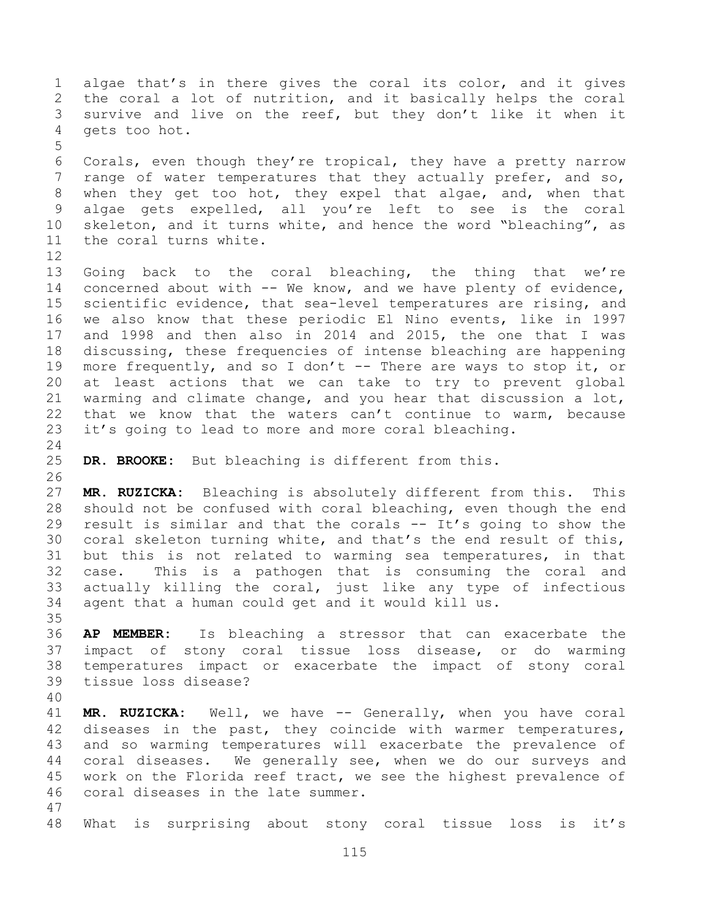algae that's in there gives the coral its color, and it gives the coral a lot of nutrition, and it basically helps the coral survive and live on the reef, but they don't like it when it gets too hot. Corals, even though they're tropical, they have a pretty narrow range of water temperatures that they actually prefer, and so, when they get too hot, they expel that algae, and, when that algae gets expelled, all you're left to see is the coral skeleton, and it turns white, and hence the word "bleaching", as the coral turns white. 13 Going back to the coral bleaching, the thing that we're concerned about with -- We know, and we have plenty of evidence, scientific evidence, that sea-level temperatures are rising, and we also know that these periodic El Nino events, like in 1997 and 1998 and then also in 2014 and 2015, the one that I was discussing, these frequencies of intense bleaching are happening more frequently, and so I don't -- There are ways to stop it, or at least actions that we can take to try to prevent global warming and climate change, and you hear that discussion a lot, that we know that the waters can't continue to warm, because it's going to lead to more and more coral bleaching. **DR. BROOKE:** But bleaching is different from this. **MR. RUZICKA:** Bleaching is absolutely different from this. This should not be confused with coral bleaching, even though the end 29 result is similar and that the corals  $--$  It's going to show the coral skeleton turning white, and that's the end result of this, but this is not related to warming sea temperatures, in that case. This is a pathogen that is consuming the coral and actually killing the coral, just like any type of infectious agent that a human could get and it would kill us. **AP MEMBER:** Is bleaching a stressor that can exacerbate the impact of stony coral tissue loss disease, or do warming temperatures impact or exacerbate the impact of stony coral tissue loss disease? **MR. RUZICKA:** Well, we have -- Generally, when you have coral 42 diseases in the past, they coincide with warmer temperatures, and so warming temperatures will exacerbate the prevalence of coral diseases. We generally see, when we do our surveys and work on the Florida reef tract, we see the highest prevalence of coral diseases in the late summer. What is surprising about stony coral tissue loss is it's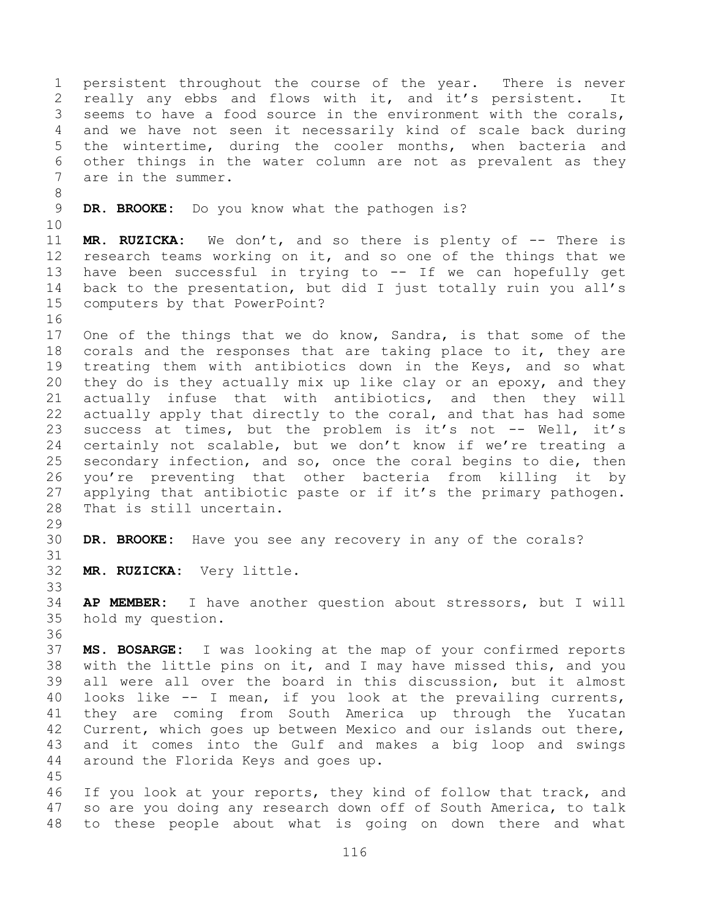persistent throughout the course of the year. There is never really any ebbs and flows with it, and it's persistent. It seems to have a food source in the environment with the corals, and we have not seen it necessarily kind of scale back during the wintertime, during the cooler months, when bacteria and other things in the water column are not as prevalent as they are in the summer. **DR. BROOKE:** Do you know what the pathogen is? **MR. RUZICKA:** We don't, and so there is plenty of -- There is research teams working on it, and so one of the things that we have been successful in trying to -- If we can hopefully get back to the presentation, but did I just totally ruin you all's computers by that PowerPoint? One of the things that we do know, Sandra, is that some of the corals and the responses that are taking place to it, they are treating them with antibiotics down in the Keys, and so what they do is they actually mix up like clay or an epoxy, and they actually infuse that with antibiotics, and then they will actually apply that directly to the coral, and that has had some 23 success at times, but the problem is it's not -- Well, it's certainly not scalable, but we don't know if we're treating a secondary infection, and so, once the coral begins to die, then you're preventing that other bacteria from killing it by applying that antibiotic paste or if it's the primary pathogen. That is still uncertain. **DR. BROOKE:** Have you see any recovery in any of the corals? **MR. RUZICKA:** Very little. **AP MEMBER:** I have another question about stressors, but I will hold my question. **MS. BOSARGE:** I was looking at the map of your confirmed reports with the little pins on it, and I may have missed this, and you all were all over the board in this discussion, but it almost looks like -- I mean, if you look at the prevailing currents, they are coming from South America up through the Yucatan Current, which goes up between Mexico and our islands out there, and it comes into the Gulf and makes a big loop and swings around the Florida Keys and goes up. If you look at your reports, they kind of follow that track, and so are you doing any research down off of South America, to talk to these people about what is going on down there and what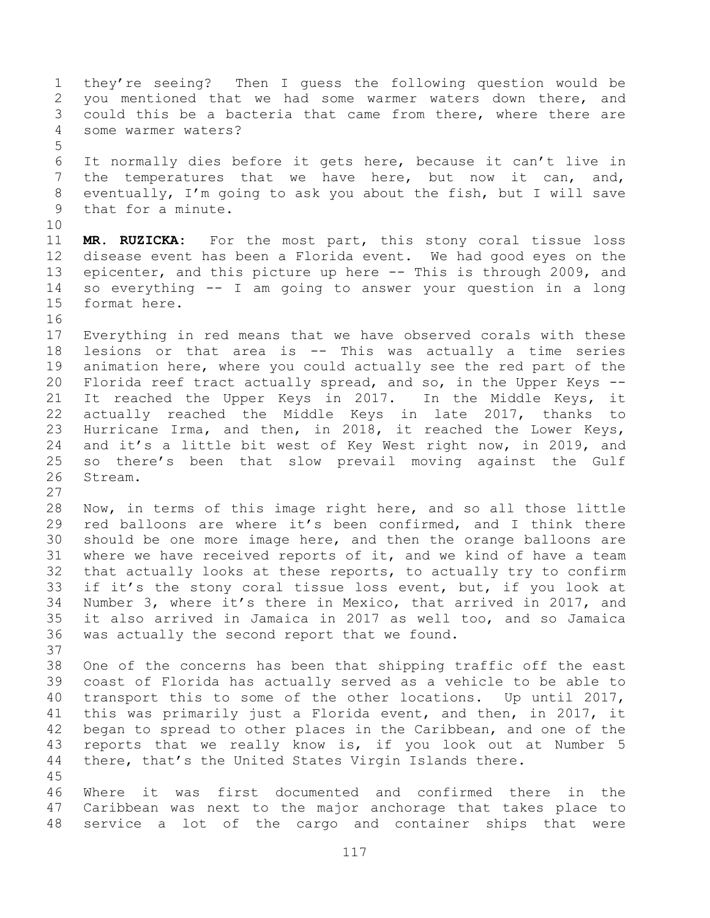they're seeing? Then I guess the following question would be you mentioned that we had some warmer waters down there, and could this be a bacteria that came from there, where there are some warmer waters? It normally dies before it gets here, because it can't live in the temperatures that we have here, but now it can, and, eventually, I'm going to ask you about the fish, but I will save that for a minute. **MR. RUZICKA:** For the most part, this stony coral tissue loss disease event has been a Florida event. We had good eyes on the 13 epicenter, and this picture up here -- This is through 2009, and so everything -- I am going to answer your question in a long format here. Everything in red means that we have observed corals with these lesions or that area is -- This was actually a time series animation here, where you could actually see the red part of the Florida reef tract actually spread, and so, in the Upper Keys -- It reached the Upper Keys in 2017. In the Middle Keys, it actually reached the Middle Keys in late 2017, thanks to Hurricane Irma, and then, in 2018, it reached the Lower Keys, and it's a little bit west of Key West right now, in 2019, and so there's been that slow prevail moving against the Gulf Stream. Now, in terms of this image right here, and so all those little red balloons are where it's been confirmed, and I think there should be one more image here, and then the orange balloons are where we have received reports of it, and we kind of have a team that actually looks at these reports, to actually try to confirm if it's the stony coral tissue loss event, but, if you look at Number 3, where it's there in Mexico, that arrived in 2017, and it also arrived in Jamaica in 2017 as well too, and so Jamaica was actually the second report that we found. One of the concerns has been that shipping traffic off the east coast of Florida has actually served as a vehicle to be able to transport this to some of the other locations. Up until 2017, this was primarily just a Florida event, and then, in 2017, it began to spread to other places in the Caribbean, and one of the reports that we really know is, if you look out at Number 5 there, that's the United States Virgin Islands there. Where it was first documented and confirmed there in the Caribbean was next to the major anchorage that takes place to service a lot of the cargo and container ships that were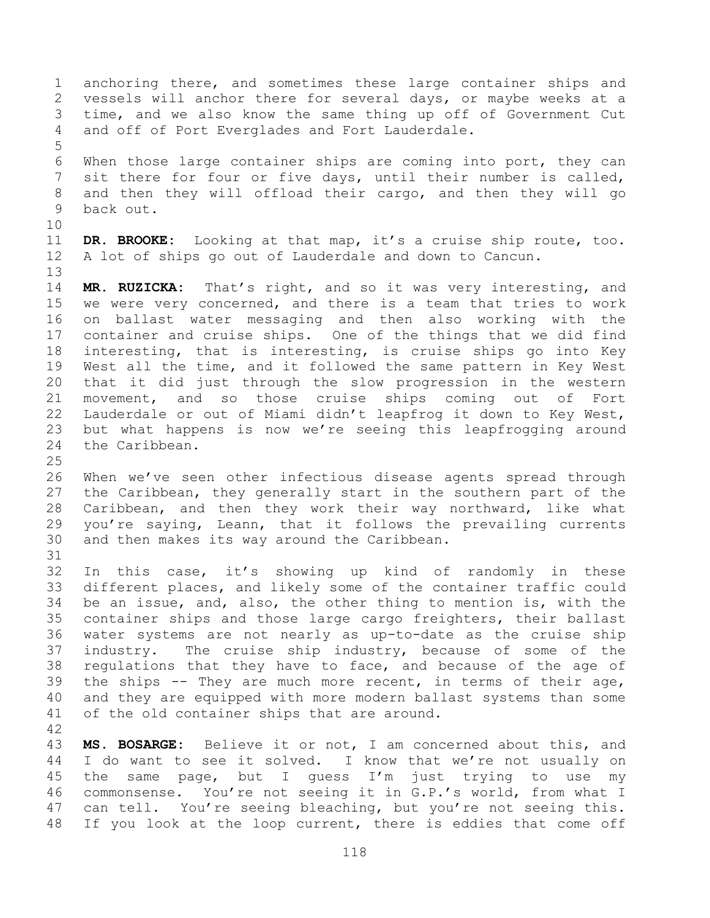anchoring there, and sometimes these large container ships and vessels will anchor there for several days, or maybe weeks at a time, and we also know the same thing up off of Government Cut and off of Port Everglades and Fort Lauderdale. When those large container ships are coming into port, they can sit there for four or five days, until their number is called, and then they will offload their cargo, and then they will go back out. **DR. BROOKE:** Looking at that map, it's a cruise ship route, too. A lot of ships go out of Lauderdale and down to Cancun. **MR. RUZICKA:** That's right, and so it was very interesting, and we were very concerned, and there is a team that tries to work on ballast water messaging and then also working with the container and cruise ships. One of the things that we did find interesting, that is interesting, is cruise ships go into Key West all the time, and it followed the same pattern in Key West that it did just through the slow progression in the western movement, and so those cruise ships coming out of Fort Lauderdale or out of Miami didn't leapfrog it down to Key West, but what happens is now we're seeing this leapfrogging around the Caribbean. When we've seen other infectious disease agents spread through the Caribbean, they generally start in the southern part of the Caribbean, and then they work their way northward, like what you're saying, Leann, that it follows the prevailing currents and then makes its way around the Caribbean. In this case, it's showing up kind of randomly in these different places, and likely some of the container traffic could be an issue, and, also, the other thing to mention is, with the container ships and those large cargo freighters, their ballast water systems are not nearly as up-to-date as the cruise ship industry. The cruise ship industry, because of some of the regulations that they have to face, and because of the age of the ships -- They are much more recent, in terms of their age, and they are equipped with more modern ballast systems than some of the old container ships that are around. **MS. BOSARGE:** Believe it or not, I am concerned about this, and I do want to see it solved. I know that we're not usually on

 the same page, but I guess I'm just trying to use my commonsense. You're not seeing it in G.P.'s world, from what I can tell. You're seeing bleaching, but you're not seeing this. If you look at the loop current, there is eddies that come off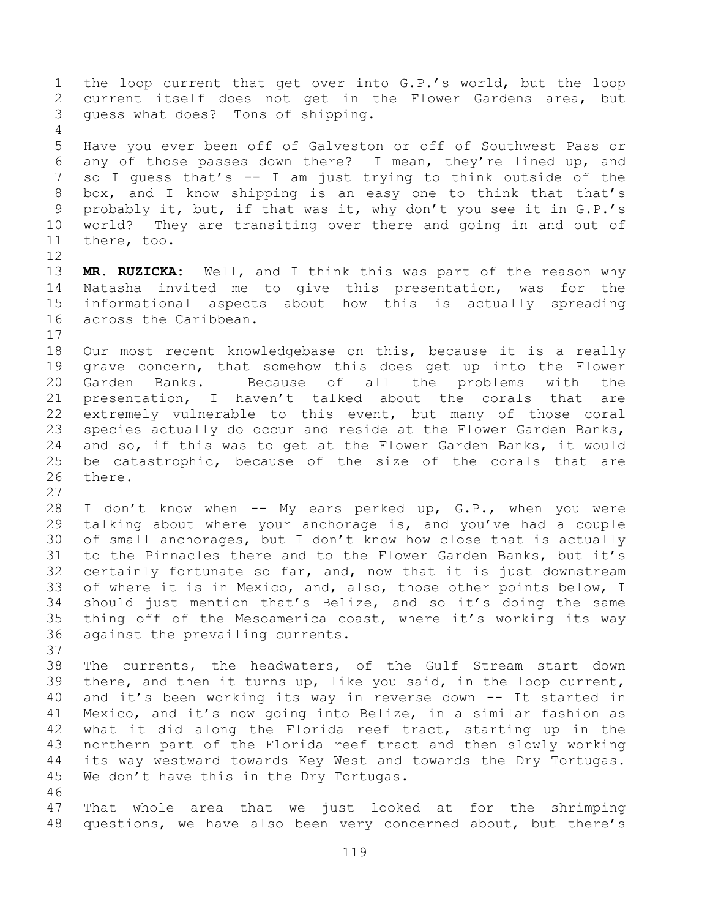the loop current that get over into G.P.'s world, but the loop current itself does not get in the Flower Gardens area, but guess what does? Tons of shipping. Have you ever been off of Galveston or off of Southwest Pass or any of those passes down there? I mean, they're lined up, and so I guess that's -- I am just trying to think outside of the box, and I know shipping is an easy one to think that that's probably it, but, if that was it, why don't you see it in G.P.'s world? They are transiting over there and going in and out of there, too. **MR. RUZICKA:** Well, and I think this was part of the reason why Natasha invited me to give this presentation, was for the informational aspects about how this is actually spreading across the Caribbean. Our most recent knowledgebase on this, because it is a really grave concern, that somehow this does get up into the Flower Garden Banks. Because of all the problems with the presentation, I haven't talked about the corals that are extremely vulnerable to this event, but many of those coral species actually do occur and reside at the Flower Garden Banks, and so, if this was to get at the Flower Garden Banks, it would be catastrophic, because of the size of the corals that are there. I don't know when -- My ears perked up, G.P., when you were talking about where your anchorage is, and you've had a couple of small anchorages, but I don't know how close that is actually to the Pinnacles there and to the Flower Garden Banks, but it's certainly fortunate so far, and, now that it is just downstream 33 of where it is in Mexico, and, also, those other points below, I should just mention that's Belize, and so it's doing the same thing off of the Mesoamerica coast, where it's working its way against the prevailing currents. The currents, the headwaters, of the Gulf Stream start down there, and then it turns up, like you said, in the loop current, and it's been working its way in reverse down -- It started in Mexico, and it's now going into Belize, in a similar fashion as what it did along the Florida reef tract, starting up in the northern part of the Florida reef tract and then slowly working its way westward towards Key West and towards the Dry Tortugas. We don't have this in the Dry Tortugas. That whole area that we just looked at for the shrimping questions, we have also been very concerned about, but there's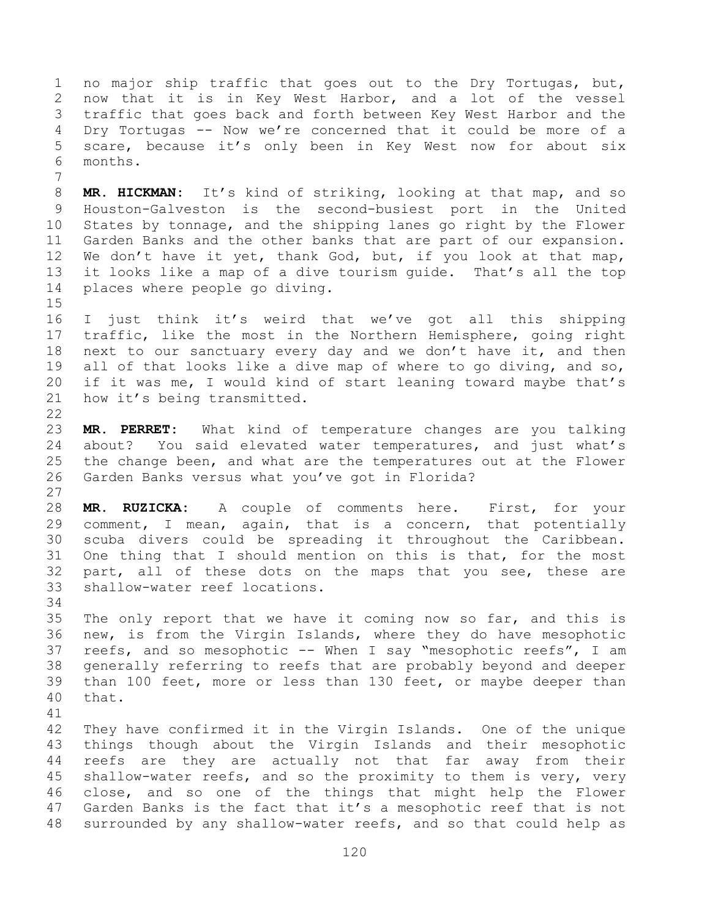no major ship traffic that goes out to the Dry Tortugas, but, now that it is in Key West Harbor, and a lot of the vessel traffic that goes back and forth between Key West Harbor and the Dry Tortugas -- Now we're concerned that it could be more of a scare, because it's only been in Key West now for about six months.

 **MR. HICKMAN:** It's kind of striking, looking at that map, and so Houston-Galveston is the second-busiest port in the United States by tonnage, and the shipping lanes go right by the Flower Garden Banks and the other banks that are part of our expansion. 12 We don't have it yet, thank God, but, if you look at that map, it looks like a map of a dive tourism guide. That's all the top places where people go diving.

 I just think it's weird that we've got all this shipping traffic, like the most in the Northern Hemisphere, going right next to our sanctuary every day and we don't have it, and then all of that looks like a dive map of where to go diving, and so, if it was me, I would kind of start leaning toward maybe that's how it's being transmitted.

 **MR. PERRET:** What kind of temperature changes are you talking about? You said elevated water temperatures, and just what's the change been, and what are the temperatures out at the Flower Garden Banks versus what you've got in Florida? 

 **MR. RUZICKA:** A couple of comments here. First, for your comment, I mean, again, that is a concern, that potentially scuba divers could be spreading it throughout the Caribbean. One thing that I should mention on this is that, for the most part, all of these dots on the maps that you see, these are shallow-water reef locations.

 The only report that we have it coming now so far, and this is new, is from the Virgin Islands, where they do have mesophotic reefs, and so mesophotic -- When I say "mesophotic reefs", I am generally referring to reefs that are probably beyond and deeper than 100 feet, more or less than 130 feet, or maybe deeper than that.

 They have confirmed it in the Virgin Islands. One of the unique things though about the Virgin Islands and their mesophotic reefs are they are actually not that far away from their shallow-water reefs, and so the proximity to them is very, very close, and so one of the things that might help the Flower Garden Banks is the fact that it's a mesophotic reef that is not surrounded by any shallow-water reefs, and so that could help as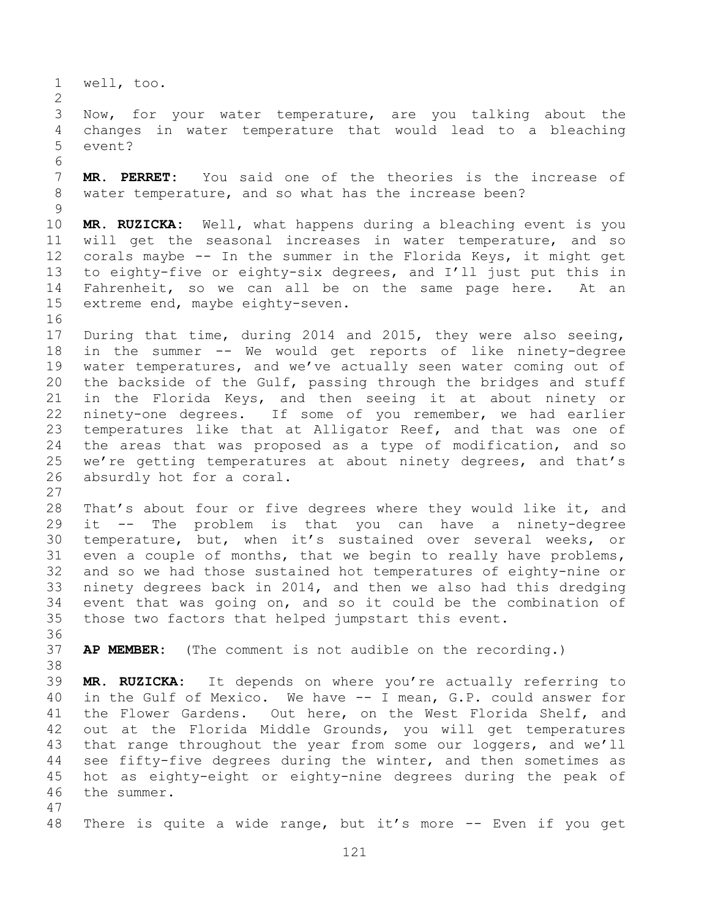well, too.

 Now, for your water temperature, are you talking about the changes in water temperature that would lead to a bleaching event?

 **MR. PERRET:** You said one of the theories is the increase of water temperature, and so what has the increase been?

 **MR. RUZICKA:** Well, what happens during a bleaching event is you will get the seasonal increases in water temperature, and so corals maybe -- In the summer in the Florida Keys, it might get to eighty-five or eighty-six degrees, and I'll just put this in Fahrenheit, so we can all be on the same page here. At an extreme end, maybe eighty-seven.

 During that time, during 2014 and 2015, they were also seeing, in the summer -- We would get reports of like ninety-degree water temperatures, and we've actually seen water coming out of the backside of the Gulf, passing through the bridges and stuff in the Florida Keys, and then seeing it at about ninety or ninety-one degrees. If some of you remember, we had earlier temperatures like that at Alligator Reef, and that was one of the areas that was proposed as a type of modification, and so we're getting temperatures at about ninety degrees, and that's absurdly hot for a coral.

 That's about four or five degrees where they would like it, and it -- The problem is that you can have a ninety-degree temperature, but, when it's sustained over several weeks, or even a couple of months, that we begin to really have problems, and so we had those sustained hot temperatures of eighty-nine or ninety degrees back in 2014, and then we also had this dredging event that was going on, and so it could be the combination of those two factors that helped jumpstart this event.

**AP MEMBER:** (The comment is not audible on the recording.)

 **MR. RUZICKA:** It depends on where you're actually referring to in the Gulf of Mexico. We have -- I mean, G.P. could answer for the Flower Gardens. Out here, on the West Florida Shelf, and out at the Florida Middle Grounds, you will get temperatures that range throughout the year from some our loggers, and we'll see fifty-five degrees during the winter, and then sometimes as hot as eighty-eight or eighty-nine degrees during the peak of the summer.

48 There is quite a wide range, but it's more -- Even if you get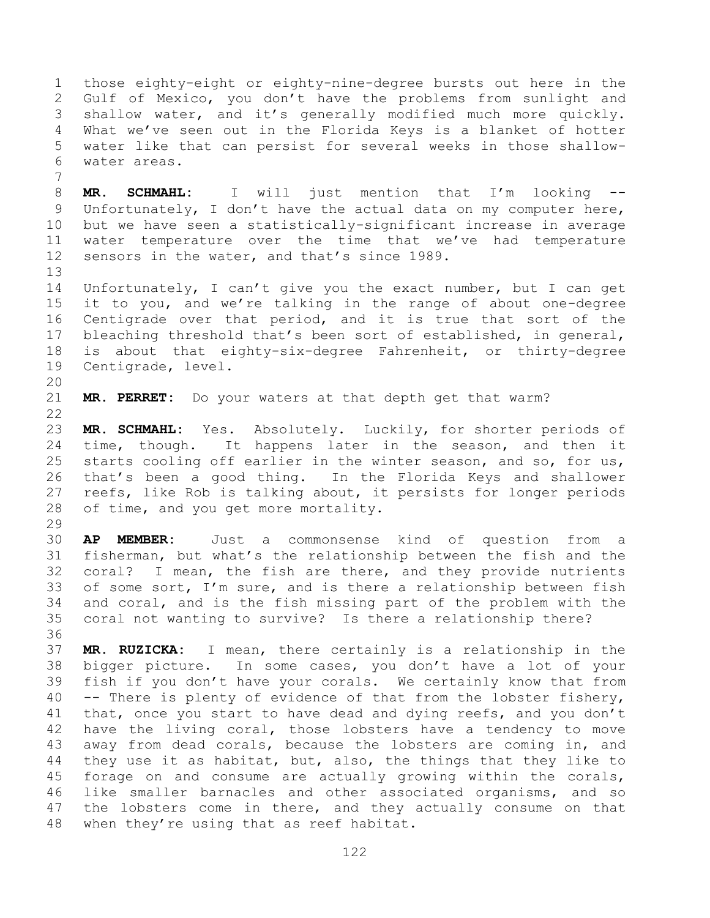those eighty-eight or eighty-nine-degree bursts out here in the Gulf of Mexico, you don't have the problems from sunlight and shallow water, and it's generally modified much more quickly. What we've seen out in the Florida Keys is a blanket of hotter water like that can persist for several weeks in those shallow- water areas. 

 **MR. SCHMAHL:** I will just mention that I'm looking -- Unfortunately, I don't have the actual data on my computer here, but we have seen a statistically-significant increase in average water temperature over the time that we've had temperature sensors in the water, and that's since 1989.

 Unfortunately, I can't give you the exact number, but I can get it to you, and we're talking in the range of about one-degree Centigrade over that period, and it is true that sort of the bleaching threshold that's been sort of established, in general, is about that eighty-six-degree Fahrenheit, or thirty-degree Centigrade, level.

**MR. PERRET:** Do your waters at that depth get that warm?

 **MR. SCHMAHL:** Yes. Absolutely. Luckily, for shorter periods of 24 time, though. It happens later in the season, and then it 25 starts cooling off earlier in the winter season, and so, for us, that's been a good thing. In the Florida Keys and shallower reefs, like Rob is talking about, it persists for longer periods of time, and you get more mortality.

 **AP MEMBER:** Just a commonsense kind of question from a fisherman, but what's the relationship between the fish and the coral? I mean, the fish are there, and they provide nutrients of some sort, I'm sure, and is there a relationship between fish and coral, and is the fish missing part of the problem with the coral not wanting to survive? Is there a relationship there?

 **MR. RUZICKA:** I mean, there certainly is a relationship in the bigger picture. In some cases, you don't have a lot of your fish if you don't have your corals. We certainly know that from -- There is plenty of evidence of that from the lobster fishery, 41 that, once you start to have dead and dying reefs, and you don't have the living coral, those lobsters have a tendency to move away from dead corals, because the lobsters are coming in, and they use it as habitat, but, also, the things that they like to forage on and consume are actually growing within the corals, like smaller barnacles and other associated organisms, and so the lobsters come in there, and they actually consume on that when they're using that as reef habitat.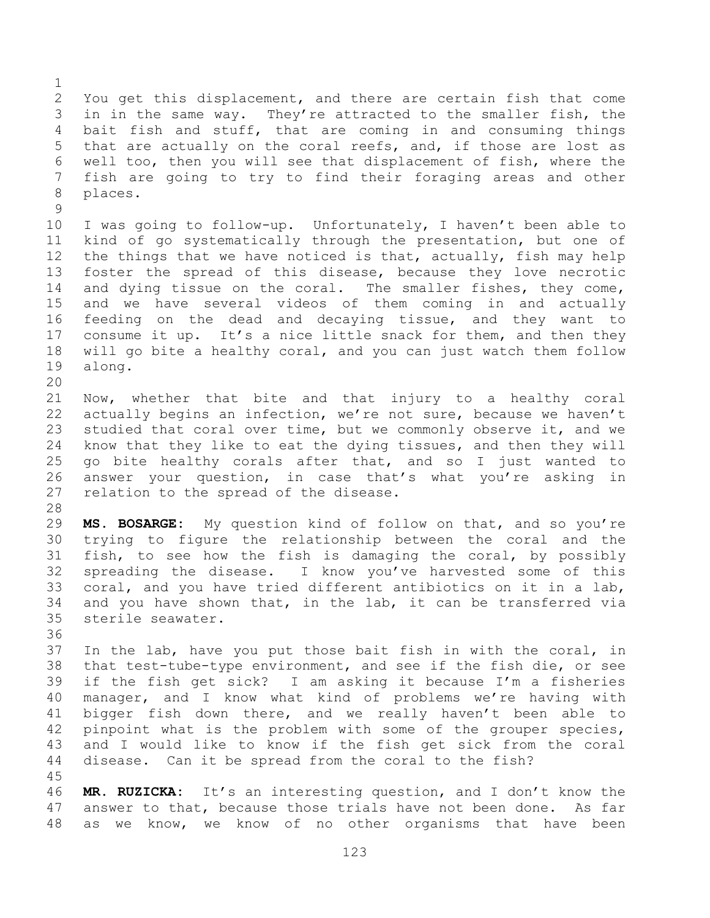You get this displacement, and there are certain fish that come in in the same way. They're attracted to the smaller fish, the bait fish and stuff, that are coming in and consuming things that are actually on the coral reefs, and, if those are lost as well too, then you will see that displacement of fish, where the fish are going to try to find their foraging areas and other places. 

 I was going to follow-up. Unfortunately, I haven't been able to kind of go systematically through the presentation, but one of the things that we have noticed is that, actually, fish may help foster the spread of this disease, because they love necrotic 14 and dying tissue on the coral. The smaller fishes, they come, and we have several videos of them coming in and actually feeding on the dead and decaying tissue, and they want to 17 consume it up. It's a nice little snack for them, and then they will go bite a healthy coral, and you can just watch them follow along.

 Now, whether that bite and that injury to a healthy coral actually begins an infection, we're not sure, because we haven't studied that coral over time, but we commonly observe it, and we know that they like to eat the dying tissues, and then they will go bite healthy corals after that, and so I just wanted to answer your question, in case that's what you're asking in relation to the spread of the disease.

 **MS. BOSARGE:** My question kind of follow on that, and so you're trying to figure the relationship between the coral and the fish, to see how the fish is damaging the coral, by possibly spreading the disease. I know you've harvested some of this coral, and you have tried different antibiotics on it in a lab, and you have shown that, in the lab, it can be transferred via sterile seawater.

 In the lab, have you put those bait fish in with the coral, in that test-tube-type environment, and see if the fish die, or see if the fish get sick? I am asking it because I'm a fisheries manager, and I know what kind of problems we're having with 41 bigger fish down there, and we really haven't been able to pinpoint what is the problem with some of the grouper species, and I would like to know if the fish get sick from the coral disease. Can it be spread from the coral to the fish?

 **MR. RUZICKA:** It's an interesting question, and I don't know the answer to that, because those trials have not been done. As far as we know, we know of no other organisms that have been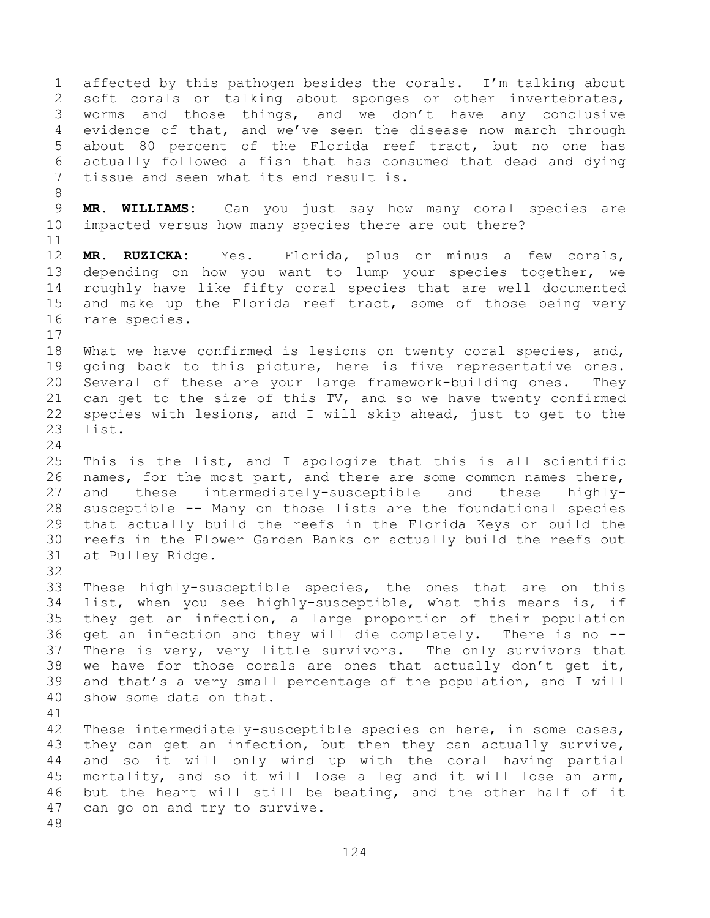affected by this pathogen besides the corals. I'm talking about soft corals or talking about sponges or other invertebrates, worms and those things, and we don't have any conclusive evidence of that, and we've seen the disease now march through about 80 percent of the Florida reef tract, but no one has actually followed a fish that has consumed that dead and dying tissue and seen what its end result is. **MR. WILLIAMS:** Can you just say how many coral species are impacted versus how many species there are out there? **MR. RUZICKA:** Yes. Florida, plus or minus a few corals, depending on how you want to lump your species together, we roughly have like fifty coral species that are well documented and make up the Florida reef tract, some of those being very rare species. What we have confirmed is lesions on twenty coral species, and, going back to this picture, here is five representative ones. Several of these are your large framework-building ones. They can get to the size of this TV, and so we have twenty confirmed species with lesions, and I will skip ahead, just to get to the list. This is the list, and I apologize that this is all scientific names, for the most part, and there are some common names there, and these intermediately-susceptible and these highly- susceptible -- Many on those lists are the foundational species that actually build the reefs in the Florida Keys or build the reefs in the Flower Garden Banks or actually build the reefs out at Pulley Ridge. These highly-susceptible species, the ones that are on this list, when you see highly-susceptible, what this means is, if they get an infection, a large proportion of their population get an infection and they will die completely. There is no -- There is very, very little survivors. The only survivors that we have for those corals are ones that actually don't get it, and that's a very small percentage of the population, and I will show some data on that. These intermediately-susceptible species on here, in some cases, they can get an infection, but then they can actually survive, and so it will only wind up with the coral having partial mortality, and so it will lose a leg and it will lose an arm, but the heart will still be beating, and the other half of it can go on and try to survive.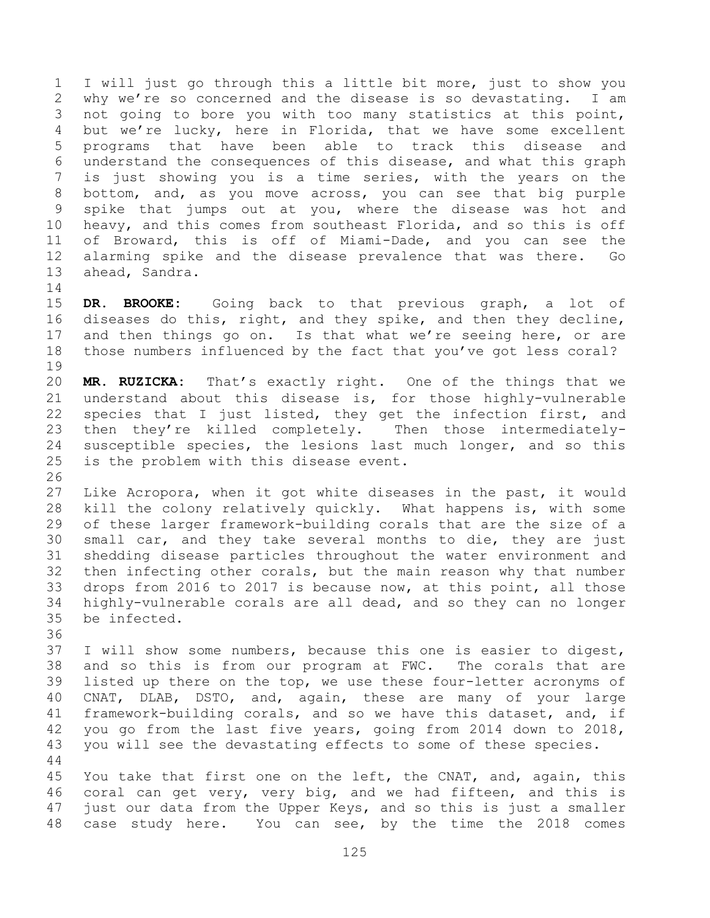I will just go through this a little bit more, just to show you why we're so concerned and the disease is so devastating. I am not going to bore you with too many statistics at this point, but we're lucky, here in Florida, that we have some excellent programs that have been able to track this disease and understand the consequences of this disease, and what this graph is just showing you is a time series, with the years on the bottom, and, as you move across, you can see that big purple spike that jumps out at you, where the disease was hot and heavy, and this comes from southeast Florida, and so this is off of Broward, this is off of Miami-Dade, and you can see the alarming spike and the disease prevalence that was there. Go ahead, Sandra. 

 **DR. BROOKE:** Going back to that previous graph, a lot of diseases do this, right, and they spike, and then they decline, 17 and then things go on. Is that what we're seeing here, or are those numbers influenced by the fact that you've got less coral? 

 **MR. RUZICKA:** That's exactly right. One of the things that we understand about this disease is, for those highly-vulnerable species that I just listed, they get the infection first, and then they're killed completely. Then those intermediately- susceptible species, the lesions last much longer, and so this is the problem with this disease event.

 Like Acropora, when it got white diseases in the past, it would kill the colony relatively quickly. What happens is, with some of these larger framework-building corals that are the size of a small car, and they take several months to die, they are just shedding disease particles throughout the water environment and then infecting other corals, but the main reason why that number drops from 2016 to 2017 is because now, at this point, all those highly-vulnerable corals are all dead, and so they can no longer be infected.

 I will show some numbers, because this one is easier to digest, and so this is from our program at FWC. The corals that are listed up there on the top, we use these four-letter acronyms of CNAT, DLAB, DSTO, and, again, these are many of your large framework-building corals, and so we have this dataset, and, if you go from the last five years, going from 2014 down to 2018, you will see the devastating effects to some of these species. 

 You take that first one on the left, the CNAT, and, again, this coral can get very, very big, and we had fifteen, and this is just our data from the Upper Keys, and so this is just a smaller case study here. You can see, by the time the 2018 comes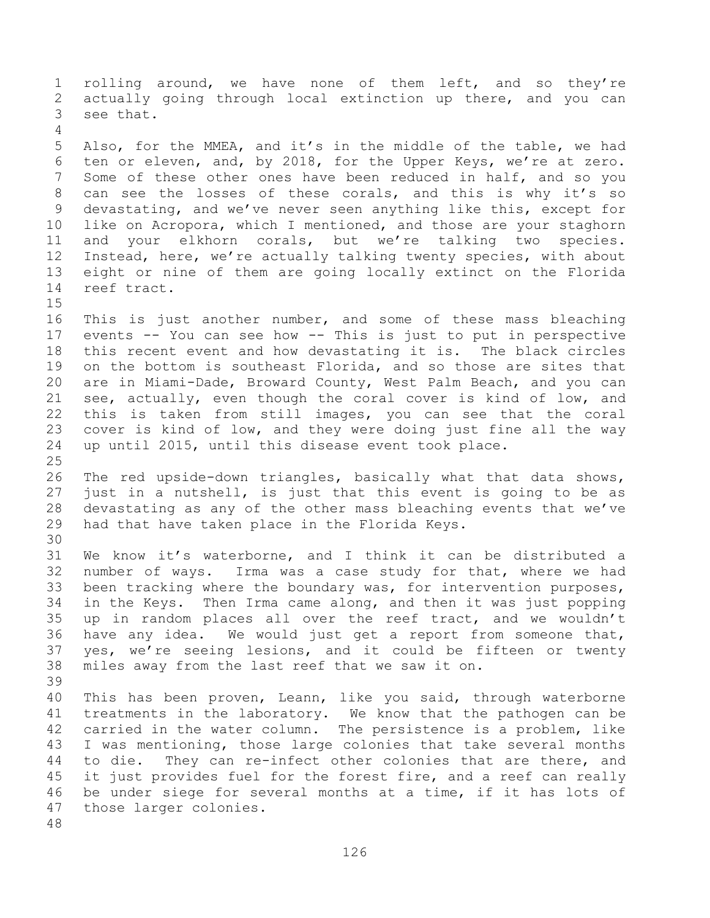rolling around, we have none of them left, and so they're actually going through local extinction up there, and you can see that. Also, for the MMEA, and it's in the middle of the table, we had ten or eleven, and, by 2018, for the Upper Keys, we're at zero. Some of these other ones have been reduced in half, and so you can see the losses of these corals, and this is why it's so devastating, and we've never seen anything like this, except for like on Acropora, which I mentioned, and those are your staghorn and your elkhorn corals, but we're talking two species. Instead, here, we're actually talking twenty species, with about eight or nine of them are going locally extinct on the Florida reef tract. This is just another number, and some of these mass bleaching events -- You can see how -- This is just to put in perspective this recent event and how devastating it is. The black circles on the bottom is southeast Florida, and so those are sites that are in Miami-Dade, Broward County, West Palm Beach, and you can see, actually, even though the coral cover is kind of low, and this is taken from still images, you can see that the coral cover is kind of low, and they were doing just fine all the way up until 2015, until this disease event took place. The red upside-down triangles, basically what that data shows, just in a nutshell, is just that this event is going to be as devastating as any of the other mass bleaching events that we've had that have taken place in the Florida Keys. We know it's waterborne, and I think it can be distributed a number of ways. Irma was a case study for that, where we had been tracking where the boundary was, for intervention purposes, in the Keys. Then Irma came along, and then it was just popping up in random places all over the reef tract, and we wouldn't have any idea. We would just get a report from someone that, yes, we're seeing lesions, and it could be fifteen or twenty miles away from the last reef that we saw it on. This has been proven, Leann, like you said, through waterborne treatments in the laboratory. We know that the pathogen can be carried in the water column. The persistence is a problem, like I was mentioning, those large colonies that take several months to die. They can re-infect other colonies that are there, and 45 it just provides fuel for the forest fire, and a reef can really be under siege for several months at a time, if it has lots of those larger colonies.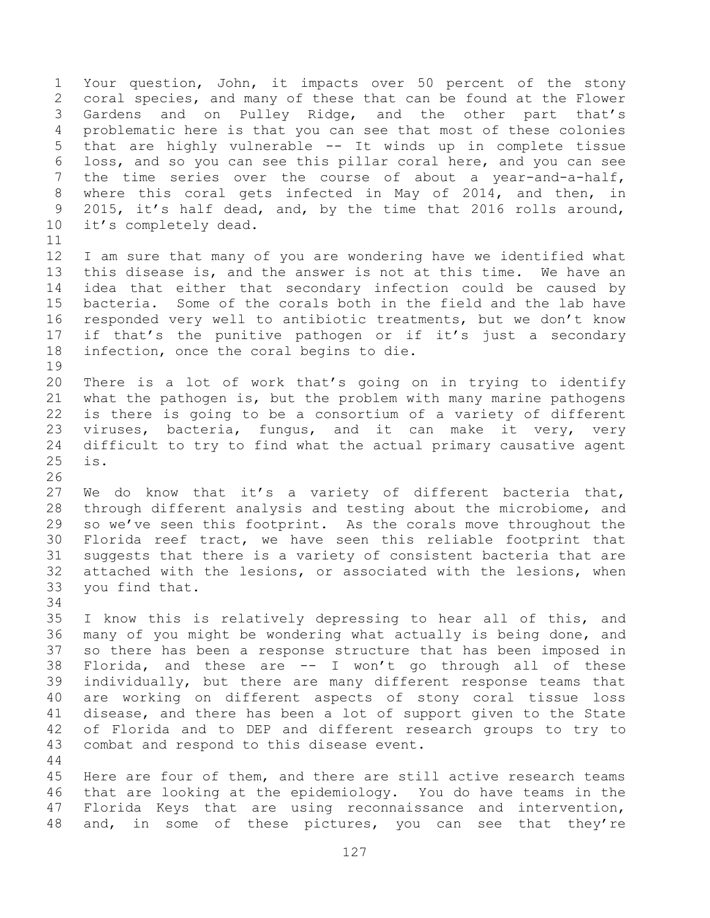Your question, John, it impacts over 50 percent of the stony coral species, and many of these that can be found at the Flower Gardens and on Pulley Ridge, and the other part that's problematic here is that you can see that most of these colonies that are highly vulnerable -- It winds up in complete tissue loss, and so you can see this pillar coral here, and you can see the time series over the course of about a year-and-a-half, where this coral gets infected in May of 2014, and then, in 2015, it's half dead, and, by the time that 2016 rolls around, it's completely dead. I am sure that many of you are wondering have we identified what this disease is, and the answer is not at this time. We have an idea that either that secondary infection could be caused by bacteria. Some of the corals both in the field and the lab have responded very well to antibiotic treatments, but we don't know if that's the punitive pathogen or if it's just a secondary infection, once the coral begins to die. There is a lot of work that's going on in trying to identify what the pathogen is, but the problem with many marine pathogens is there is going to be a consortium of a variety of different viruses, bacteria, fungus, and it can make it very, very difficult to try to find what the actual primary causative agent is. We do know that it's a variety of different bacteria that, through different analysis and testing about the microbiome, and so we've seen this footprint. As the corals move throughout the Florida reef tract, we have seen this reliable footprint that suggests that there is a variety of consistent bacteria that are attached with the lesions, or associated with the lesions, when you find that. I know this is relatively depressing to hear all of this, and many of you might be wondering what actually is being done, and so there has been a response structure that has been imposed in Florida, and these are -- I won't go through all of these individually, but there are many different response teams that are working on different aspects of stony coral tissue loss disease, and there has been a lot of support given to the State of Florida and to DEP and different research groups to try to combat and respond to this disease event. Here are four of them, and there are still active research teams that are looking at the epidemiology. You do have teams in the Florida Keys that are using reconnaissance and intervention,

48 and, in some of these pictures, you can see that they're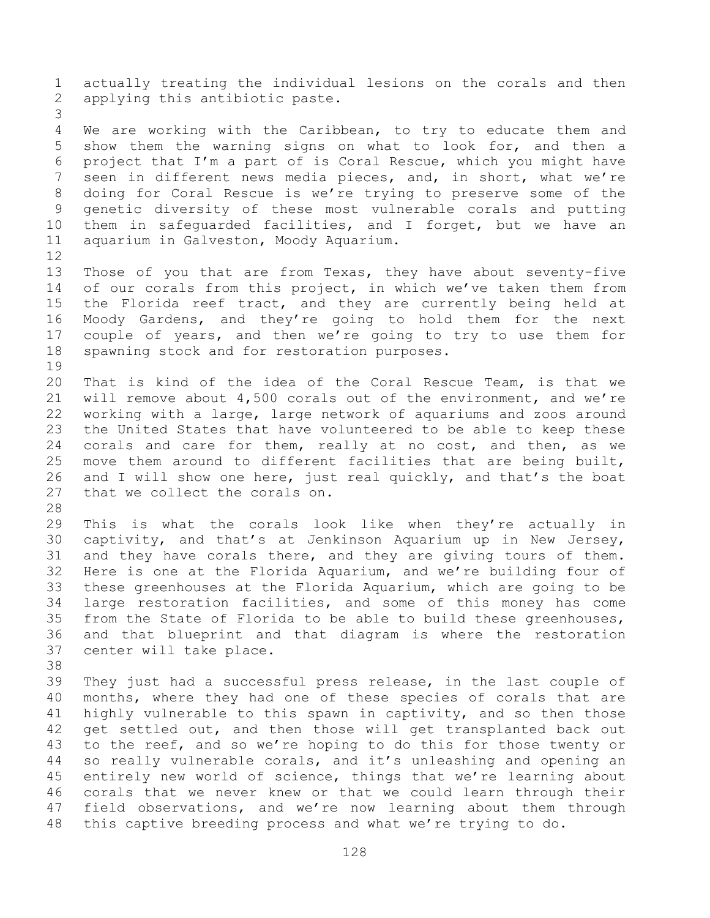actually treating the individual lesions on the corals and then applying this antibiotic paste. We are working with the Caribbean, to try to educate them and show them the warning signs on what to look for, and then a project that I'm a part of is Coral Rescue, which you might have seen in different news media pieces, and, in short, what we're doing for Coral Rescue is we're trying to preserve some of the genetic diversity of these most vulnerable corals and putting them in safeguarded facilities, and I forget, but we have an aquarium in Galveston, Moody Aquarium. Those of you that are from Texas, they have about seventy-five 14 of our corals from this project, in which we've taken them from the Florida reef tract, and they are currently being held at Moody Gardens, and they're going to hold them for the next couple of years, and then we're going to try to use them for spawning stock and for restoration purposes. That is kind of the idea of the Coral Rescue Team, is that we will remove about 4,500 corals out of the environment, and we're working with a large, large network of aquariums and zoos around the United States that have volunteered to be able to keep these corals and care for them, really at no cost, and then, as we move them around to different facilities that are being built, and I will show one here, just real quickly, and that's the boat that we collect the corals on. This is what the corals look like when they're actually in captivity, and that's at Jenkinson Aquarium up in New Jersey, and they have corals there, and they are giving tours of them. Here is one at the Florida Aquarium, and we're building four of these greenhouses at the Florida Aquarium, which are going to be large restoration facilities, and some of this money has come from the State of Florida to be able to build these greenhouses, and that blueprint and that diagram is where the restoration center will take place. They just had a successful press release, in the last couple of months, where they had one of these species of corals that are highly vulnerable to this spawn in captivity, and so then those get settled out, and then those will get transplanted back out to the reef, and so we're hoping to do this for those twenty or so really vulnerable corals, and it's unleashing and opening an entirely new world of science, things that we're learning about corals that we never knew or that we could learn through their

 field observations, and we're now learning about them through this captive breeding process and what we're trying to do.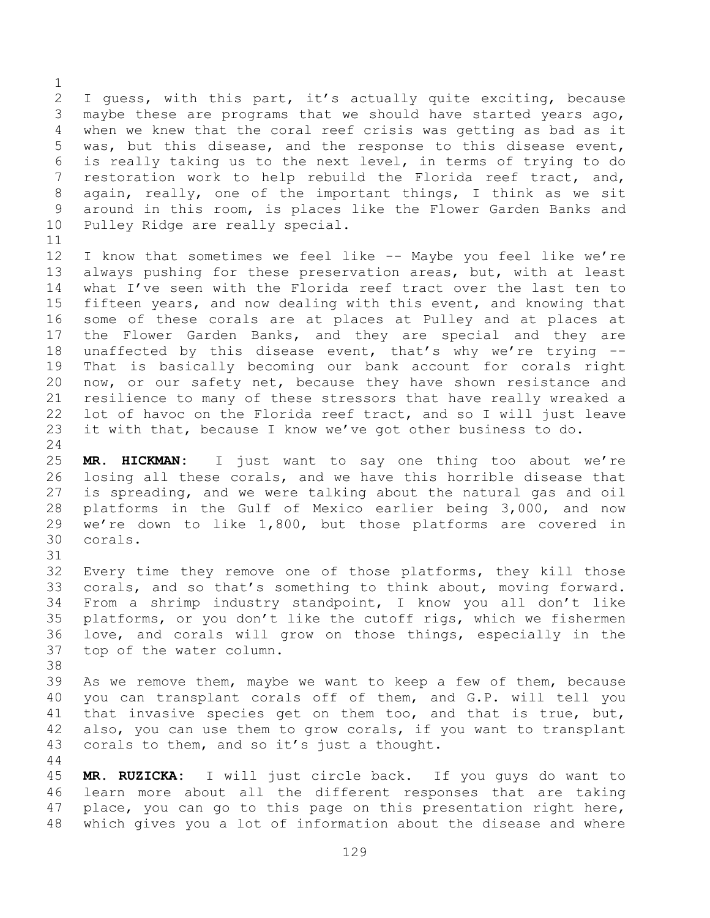I guess, with this part, it's actually quite exciting, because maybe these are programs that we should have started years ago, when we knew that the coral reef crisis was getting as bad as it was, but this disease, and the response to this disease event, is really taking us to the next level, in terms of trying to do restoration work to help rebuild the Florida reef tract, and, again, really, one of the important things, I think as we sit around in this room, is places like the Flower Garden Banks and Pulley Ridge are really special.

 I know that sometimes we feel like -- Maybe you feel like we're always pushing for these preservation areas, but, with at least what I've seen with the Florida reef tract over the last ten to fifteen years, and now dealing with this event, and knowing that some of these corals are at places at Pulley and at places at the Flower Garden Banks, and they are special and they are unaffected by this disease event, that's why we're trying -- That is basically becoming our bank account for corals right now, or our safety net, because they have shown resistance and resilience to many of these stressors that have really wreaked a lot of havoc on the Florida reef tract, and so I will just leave it with that, because I know we've got other business to do.

 **MR. HICKMAN:** I just want to say one thing too about we're losing all these corals, and we have this horrible disease that is spreading, and we were talking about the natural gas and oil platforms in the Gulf of Mexico earlier being 3,000, and now we're down to like 1,800, but those platforms are covered in corals.

 Every time they remove one of those platforms, they kill those corals, and so that's something to think about, moving forward. From a shrimp industry standpoint, I know you all don't like platforms, or you don't like the cutoff rigs, which we fishermen love, and corals will grow on those things, especially in the top of the water column.

 As we remove them, maybe we want to keep a few of them, because you can transplant corals off of them, and G.P. will tell you that invasive species get on them too, and that is true, but, also, you can use them to grow corals, if you want to transplant corals to them, and so it's just a thought.

 **MR. RUZICKA:** I will just circle back. If you guys do want to learn more about all the different responses that are taking place, you can go to this page on this presentation right here, which gives you a lot of information about the disease and where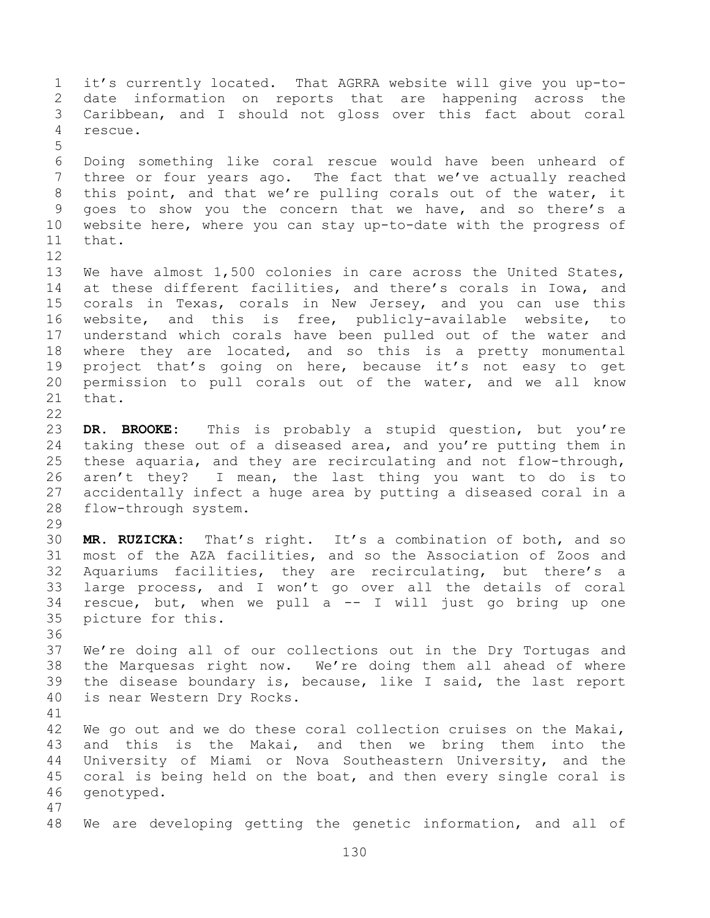it's currently located. That AGRRA website will give you up-to- date information on reports that are happening across the Caribbean, and I should not gloss over this fact about coral rescue. Doing something like coral rescue would have been unheard of three or four years ago. The fact that we've actually reached this point, and that we're pulling corals out of the water, it goes to show you the concern that we have, and so there's a website here, where you can stay up-to-date with the progress of that. We have almost 1,500 colonies in care across the United States, at these different facilities, and there's corals in Iowa, and corals in Texas, corals in New Jersey, and you can use this website, and this is free, publicly-available website, to understand which corals have been pulled out of the water and 18 where they are located, and so this is a pretty monumental project that's going on here, because it's not easy to get permission to pull corals out of the water, and we all know that. **DR. BROOKE:** This is probably a stupid question, but you're taking these out of a diseased area, and you're putting them in these aquaria, and they are recirculating and not flow-through, aren't they? I mean, the last thing you want to do is to accidentally infect a huge area by putting a diseased coral in a flow-through system. **MR. RUZICKA:** That's right. It's a combination of both, and so most of the AZA facilities, and so the Association of Zoos and Aquariums facilities, they are recirculating, but there's a large process, and I won't go over all the details of coral 34 rescue, but, when we pull  $a$  -- I will just go bring up one picture for this. We're doing all of our collections out in the Dry Tortugas and the Marquesas right now. We're doing them all ahead of where the disease boundary is, because, like I said, the last report is near Western Dry Rocks. We go out and we do these coral collection cruises on the Makai, and this is the Makai, and then we bring them into the University of Miami or Nova Southeastern University, and the coral is being held on the boat, and then every single coral is genotyped. We are developing getting the genetic information, and all of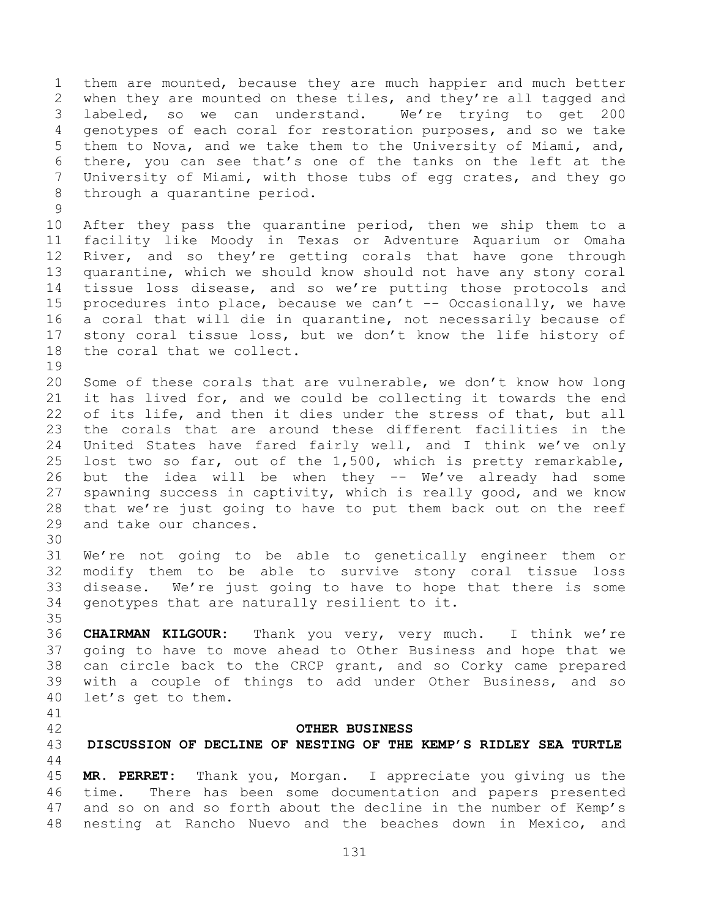them are mounted, because they are much happier and much better when they are mounted on these tiles, and they're all tagged and labeled, so we can understand. We're trying to get 200 genotypes of each coral for restoration purposes, and so we take them to Nova, and we take them to the University of Miami, and, there, you can see that's one of the tanks on the left at the University of Miami, with those tubs of egg crates, and they go through a quarantine period. 

 After they pass the quarantine period, then we ship them to a facility like Moody in Texas or Adventure Aquarium or Omaha 12 River, and so they're getting corals that have gone through quarantine, which we should know should not have any stony coral tissue loss disease, and so we're putting those protocols and procedures into place, because we can't -- Occasionally, we have a coral that will die in quarantine, not necessarily because of stony coral tissue loss, but we don't know the life history of the coral that we collect.

 Some of these corals that are vulnerable, we don't know how long it has lived for, and we could be collecting it towards the end of its life, and then it dies under the stress of that, but all the corals that are around these different facilities in the United States have fared fairly well, and I think we've only lost two so far, out of the 1,500, which is pretty remarkable, but the idea will be when they -- We've already had some spawning success in captivity, which is really good, and we know that we're just going to have to put them back out on the reef and take our chances.

 We're not going to be able to genetically engineer them or modify them to be able to survive stony coral tissue loss disease. We're just going to have to hope that there is some genotypes that are naturally resilient to it.

 **CHAIRMAN KILGOUR:** Thank you very, very much. I think we're going to have to move ahead to Other Business and hope that we can circle back to the CRCP grant, and so Corky came prepared with a couple of things to add under Other Business, and so let's get to them.

## **OTHER BUSINESS**

## **DISCUSSION OF DECLINE OF NESTING OF THE KEMP'S RIDLEY SEA TURTLE**

 **MR. PERRET:** Thank you, Morgan. I appreciate you giving us the time. There has been some documentation and papers presented and so on and so forth about the decline in the number of Kemp's nesting at Rancho Nuevo and the beaches down in Mexico, and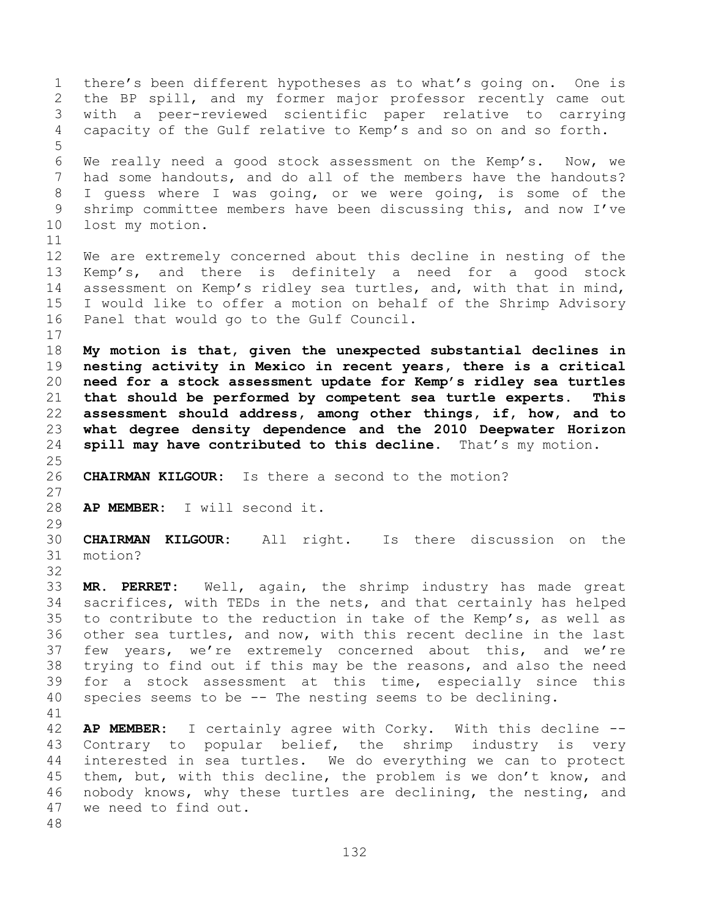there's been different hypotheses as to what's going on. One is the BP spill, and my former major professor recently came out with a peer-reviewed scientific paper relative to carrying capacity of the Gulf relative to Kemp's and so on and so forth. We really need a good stock assessment on the Kemp's. Now, we had some handouts, and do all of the members have the handouts? I guess where I was going, or we were going, is some of the shrimp committee members have been discussing this, and now I've lost my motion. We are extremely concerned about this decline in nesting of the Kemp's, and there is definitely a need for a good stock assessment on Kemp's ridley sea turtles, and, with that in mind, I would like to offer a motion on behalf of the Shrimp Advisory Panel that would go to the Gulf Council. **My motion is that, given the unexpected substantial declines in nesting activity in Mexico in recent years, there is a critical need for a stock assessment update for Kemp's ridley sea turtles that should be performed by competent sea turtle experts. This assessment should address, among other things, if, how, and to what degree density dependence and the 2010 Deepwater Horizon spill may have contributed to this decline.** That's my motion. **CHAIRMAN KILGOUR:** Is there a second to the motion? **AP MEMBER:** I will second it. **CHAIRMAN KILGOUR:** All right. Is there discussion on the motion? **MR. PERRET:** Well, again, the shrimp industry has made great sacrifices, with TEDs in the nets, and that certainly has helped to contribute to the reduction in take of the Kemp's, as well as other sea turtles, and now, with this recent decline in the last few years, we're extremely concerned about this, and we're trying to find out if this may be the reasons, and also the need for a stock assessment at this time, especially since this species seems to be -- The nesting seems to be declining. **AP MEMBER:** I certainly agree with Corky. With this decline -- Contrary to popular belief, the shrimp industry is very interested in sea turtles. We do everything we can to protect them, but, with this decline, the problem is we don't know, and nobody knows, why these turtles are declining, the nesting, and we need to find out.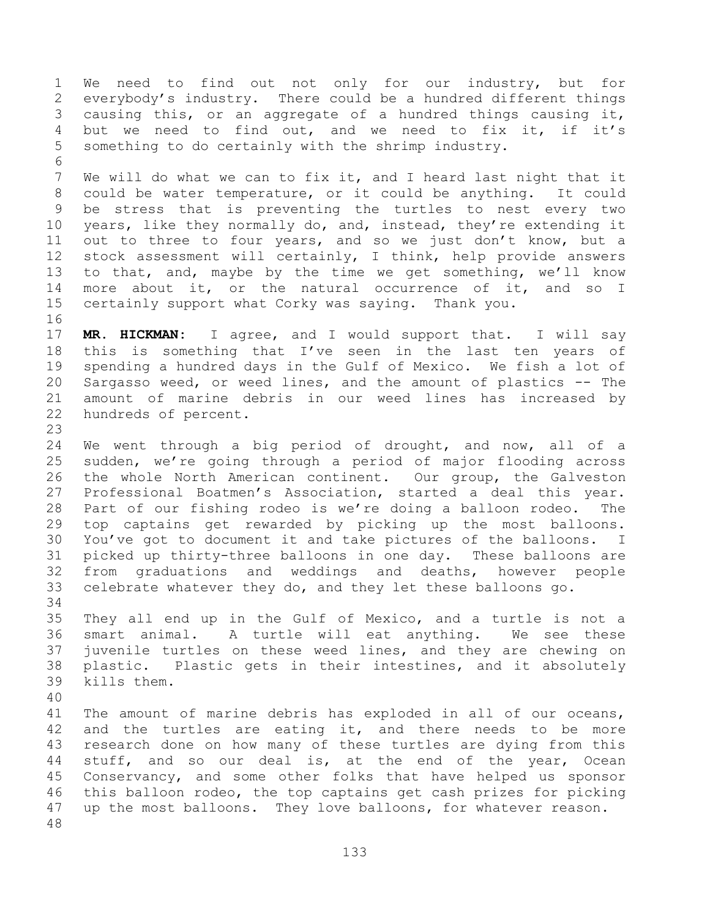We need to find out not only for our industry, but for everybody's industry. There could be a hundred different things causing this, or an aggregate of a hundred things causing it, but we need to find out, and we need to fix it, if it's something to do certainly with the shrimp industry. 

 We will do what we can to fix it, and I heard last night that it could be water temperature, or it could be anything. It could be stress that is preventing the turtles to nest every two years, like they normally do, and, instead, they're extending it out to three to four years, and so we just don't know, but a stock assessment will certainly, I think, help provide answers to that, and, maybe by the time we get something, we'll know more about it, or the natural occurrence of it, and so I certainly support what Corky was saying. Thank you.

 **MR. HICKMAN:** I agree, and I would support that. I will say this is something that I've seen in the last ten years of spending a hundred days in the Gulf of Mexico. We fish a lot of Sargasso weed, or weed lines, and the amount of plastics -- The amount of marine debris in our weed lines has increased by hundreds of percent.

 We went through a big period of drought, and now, all of a sudden, we're going through a period of major flooding across the whole North American continent. Our group, the Galveston Professional Boatmen's Association, started a deal this year. Part of our fishing rodeo is we're doing a balloon rodeo. The top captains get rewarded by picking up the most balloons. You've got to document it and take pictures of the balloons. I picked up thirty-three balloons in one day. These balloons are from graduations and weddings and deaths, however people celebrate whatever they do, and they let these balloons go. 

 They all end up in the Gulf of Mexico, and a turtle is not a smart animal. A turtle will eat anything. We see these juvenile turtles on these weed lines, and they are chewing on plastic. Plastic gets in their intestines, and it absolutely kills them.

 The amount of marine debris has exploded in all of our oceans, and the turtles are eating it, and there needs to be more research done on how many of these turtles are dying from this stuff, and so our deal is, at the end of the year, Ocean Conservancy, and some other folks that have helped us sponsor this balloon rodeo, the top captains get cash prizes for picking up the most balloons. They love balloons, for whatever reason.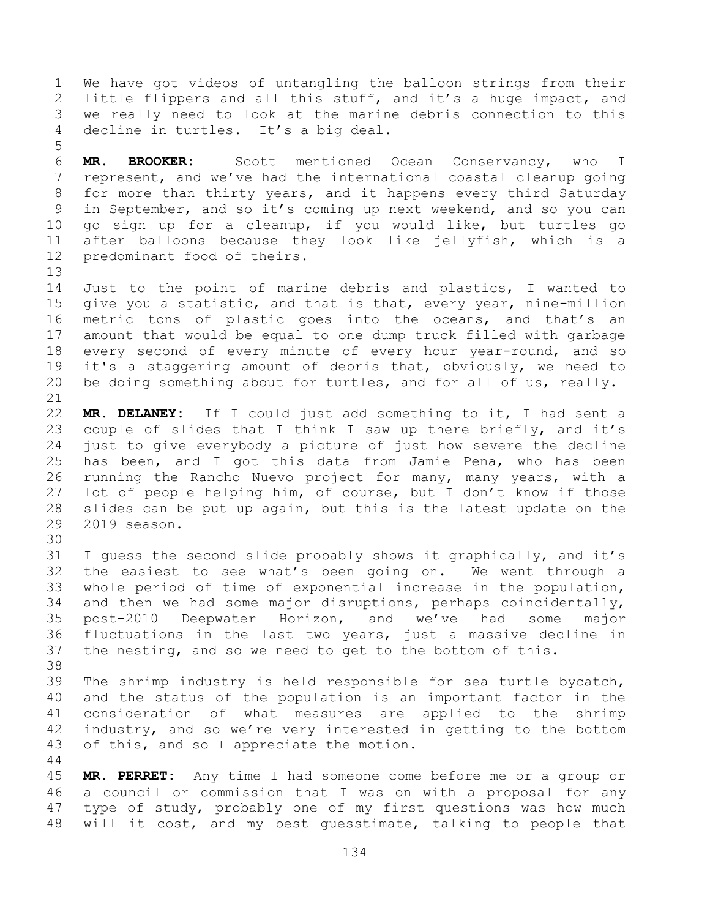We have got videos of untangling the balloon strings from their little flippers and all this stuff, and it's a huge impact, and we really need to look at the marine debris connection to this decline in turtles. It's a big deal.

 **MR. BROOKER:** Scott mentioned Ocean Conservancy, who I represent, and we've had the international coastal cleanup going for more than thirty years, and it happens every third Saturday in September, and so it's coming up next weekend, and so you can go sign up for a cleanup, if you would like, but turtles go after balloons because they look like jellyfish, which is a predominant food of theirs.

 Just to the point of marine debris and plastics, I wanted to give you a statistic, and that is that, every year, nine-million metric tons of plastic goes into the oceans, and that's an amount that would be equal to one dump truck filled with garbage 18 every second of every minute of every hour year-round, and so it's a staggering amount of debris that, obviously, we need to be doing something about for turtles, and for all of us, really.

 **MR. DELANEY:** If I could just add something to it, I had sent a couple of slides that I think I saw up there briefly, and it's just to give everybody a picture of just how severe the decline has been, and I got this data from Jamie Pena, who has been running the Rancho Nuevo project for many, many years, with a lot of people helping him, of course, but I don't know if those slides can be put up again, but this is the latest update on the 2019 season.

 I guess the second slide probably shows it graphically, and it's the easiest to see what's been going on. We went through a whole period of time of exponential increase in the population, and then we had some major disruptions, perhaps coincidentally, post-2010 Deepwater Horizon, and we've had some major fluctuations in the last two years, just a massive decline in the nesting, and so we need to get to the bottom of this. 

 The shrimp industry is held responsible for sea turtle bycatch, and the status of the population is an important factor in the consideration of what measures are applied to the shrimp industry, and so we're very interested in getting to the bottom of this, and so I appreciate the motion.

 **MR. PERRET:** Any time I had someone come before me or a group or a council or commission that I was on with a proposal for any type of study, probably one of my first questions was how much will it cost, and my best guesstimate, talking to people that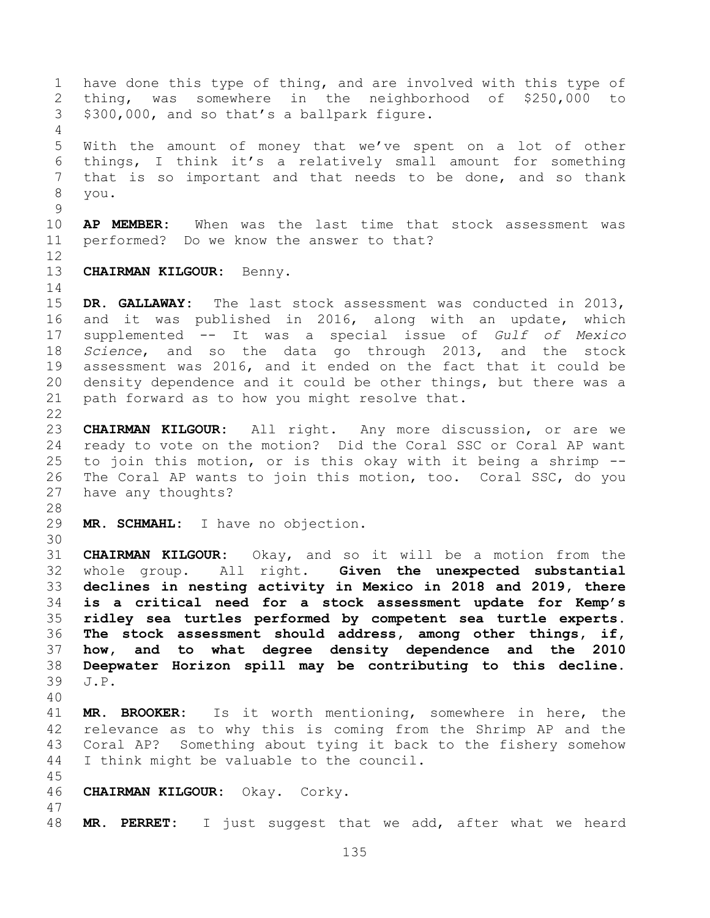have done this type of thing, and are involved with this type of thing, was somewhere in the neighborhood of \$250,000 to \$300,000, and so that's a ballpark figure. With the amount of money that we've spent on a lot of other things, I think it's a relatively small amount for something that is so important and that needs to be done, and so thank you. **AP MEMBER:** When was the last time that stock assessment was performed? Do we know the answer to that? **CHAIRMAN KILGOUR:** Benny. **DR. GALLAWAY:** The last stock assessment was conducted in 2013, and it was published in 2016, along with an update, which supplemented -- It was a special issue of *Gulf of Mexico Science*, and so the data go through 2013, and the stock assessment was 2016, and it ended on the fact that it could be density dependence and it could be other things, but there was a path forward as to how you might resolve that. **CHAIRMAN KILGOUR:** All right. Any more discussion, or are we ready to vote on the motion? Did the Coral SSC or Coral AP want to join this motion, or is this okay with it being a shrimp -- The Coral AP wants to join this motion, too. Coral SSC, do you have any thoughts? **MR. SCHMAHL:** I have no objection. **CHAIRMAN KILGOUR:** Okay, and so it will be a motion from the whole group. All right. **Given the unexpected substantial declines in nesting activity in Mexico in 2018 and 2019, there is a critical need for a stock assessment update for Kemp's ridley sea turtles performed by competent sea turtle experts. The stock assessment should address, among other things, if, how, and to what degree density dependence and the 2010 Deepwater Horizon spill may be contributing to this decline.**  J.P. **MR. BROOKER:** Is it worth mentioning, somewhere in here, the relevance as to why this is coming from the Shrimp AP and the Coral AP? Something about tying it back to the fishery somehow I think might be valuable to the council. **CHAIRMAN KILGOUR:** Okay. Corky. **MR. PERRET:** I just suggest that we add, after what we heard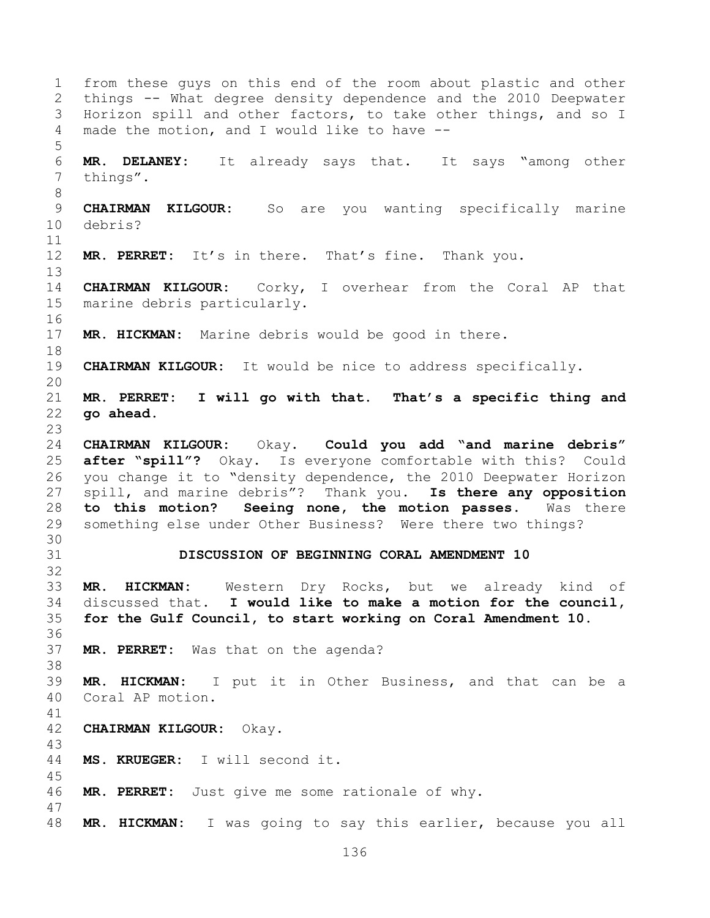from these guys on this end of the room about plastic and other things -- What degree density dependence and the 2010 Deepwater Horizon spill and other factors, to take other things, and so I made the motion, and I would like to have -- **MR. DELANEY:** It already says that. It says "among other things". **CHAIRMAN KILGOUR:** So are you wanting specifically marine debris? **MR. PERRET:** It's in there. That's fine. Thank you. **CHAIRMAN KILGOUR:** Corky, I overhear from the Coral AP that marine debris particularly. **MR. HICKMAN:** Marine debris would be good in there. **CHAIRMAN KILGOUR:** It would be nice to address specifically. **MR. PERRET: I will go with that. That's a specific thing and go ahead. CHAIRMAN KILGOUR:** Okay. **Could you add "and marine debris" after "spill"?** Okay. Is everyone comfortable with this? Could you change it to "density dependence, the 2010 Deepwater Horizon spill, and marine debris"? Thank you. **Is there any opposition to this motion? Seeing none, the motion passes.** Was there something else under Other Business? Were there two things? **DISCUSSION OF BEGINNING CORAL AMENDMENT 10 MR. HICKMAN:** Western Dry Rocks, but we already kind of discussed that. **I would like to make a motion for the council, for the Gulf Council, to start working on Coral Amendment 10. MR. PERRET:** Was that on the agenda? **MR. HICKMAN:** I put it in Other Business, and that can be a Coral AP motion. **CHAIRMAN KILGOUR:** Okay. **MS. KRUEGER:** I will second it. **MR. PERRET:** Just give me some rationale of why. **MR. HICKMAN:** I was going to say this earlier, because you all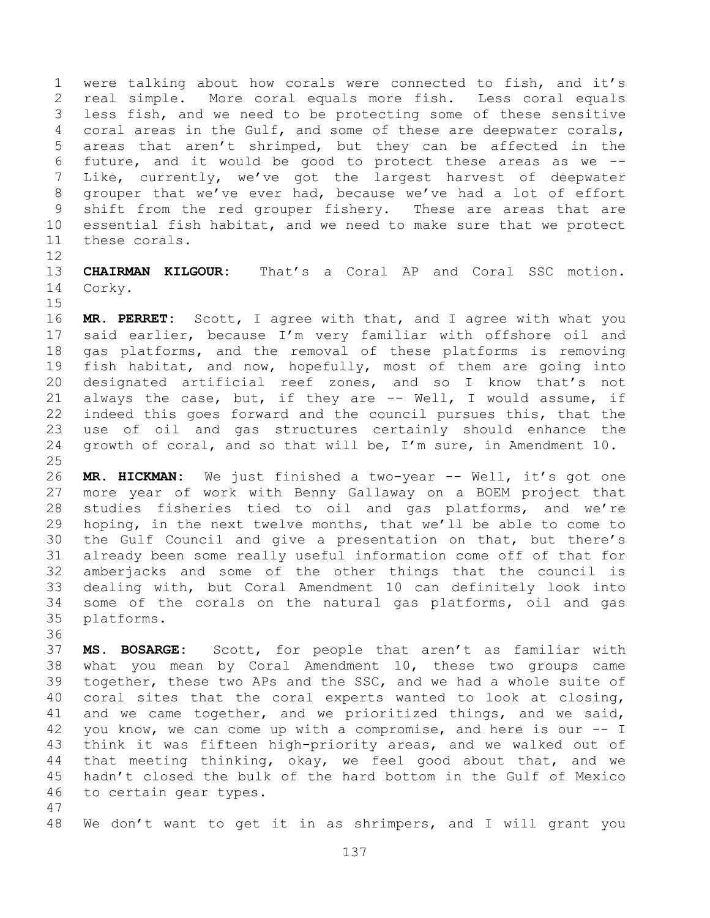were talking about how corals were connected to fish, and it's real simple. More coral equals more fish. Less coral equals less fish, and we need to be protecting some of these sensitive coral areas in the Gulf, and some of these are deepwater corals, areas that aren't shrimped, but they can be affected in the future, and it would be good to protect these areas as we -- Like, currently, we've got the largest harvest of deepwater grouper that we've ever had, because we've had a lot of effort shift from the red grouper fishery. These are areas that are essential fish habitat, and we need to make sure that we protect these corals.

 **CHAIRMAN KILGOUR:** That's a Coral AP and Coral SSC motion. Corky. 

 **MR. PERRET:** Scott, I agree with that, and I agree with what you said earlier, because I'm very familiar with offshore oil and gas platforms, and the removal of these platforms is removing fish habitat, and now, hopefully, most of them are going into designated artificial reef zones, and so I know that's not always the case, but, if they are -- Well, I would assume, if indeed this goes forward and the council pursues this, that the use of oil and gas structures certainly should enhance the growth of coral, and so that will be, I'm sure, in Amendment 10.

 **MR. HICKMAN:** We just finished a two-year -- Well, it's got one more year of work with Benny Gallaway on a BOEM project that studies fisheries tied to oil and gas platforms, and we're hoping, in the next twelve months, that we'll be able to come to the Gulf Council and give a presentation on that, but there's already been some really useful information come off of that for amberjacks and some of the other things that the council is dealing with, but Coral Amendment 10 can definitely look into some of the corals on the natural gas platforms, oil and gas platforms.

 **MS. BOSARGE:** Scott, for people that aren't as familiar with what you mean by Coral Amendment 10, these two groups came together, these two APs and the SSC, and we had a whole suite of coral sites that the coral experts wanted to look at closing, and we came together, and we prioritized things, and we said, you know, we can come up with a compromise, and here is our -- I think it was fifteen high-priority areas, and we walked out of that meeting thinking, okay, we feel good about that, and we hadn't closed the bulk of the hard bottom in the Gulf of Mexico to certain gear types. 

We don't want to get it in as shrimpers, and I will grant you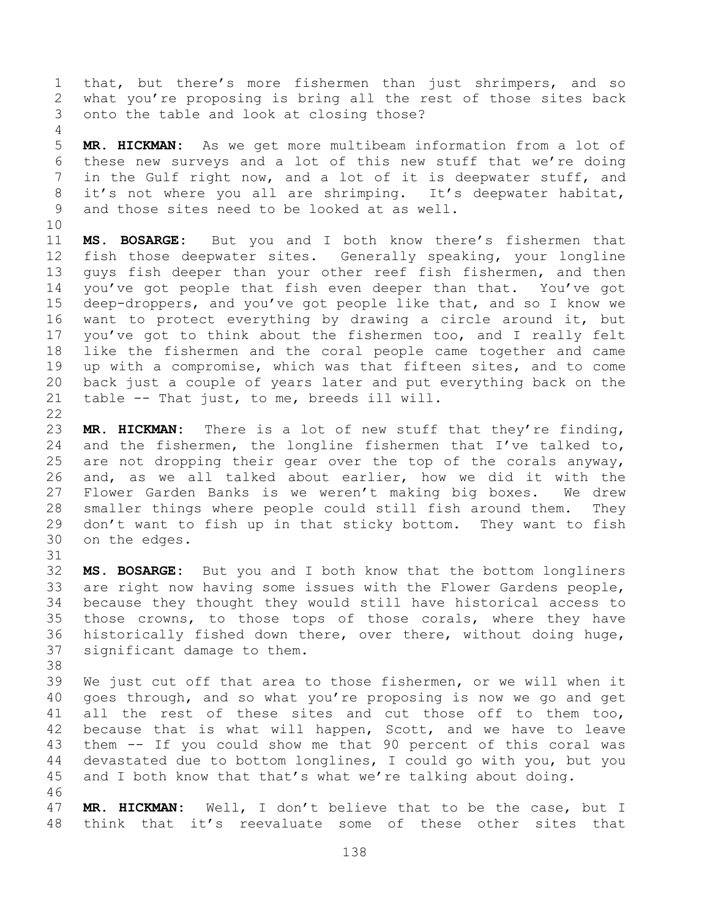that, but there's more fishermen than just shrimpers, and so what you're proposing is bring all the rest of those sites back onto the table and look at closing those?

 **MR. HICKMAN:** As we get more multibeam information from a lot of these new surveys and a lot of this new stuff that we're doing in the Gulf right now, and a lot of it is deepwater stuff, and it's not where you all are shrimping. It's deepwater habitat, and those sites need to be looked at as well.

 **MS. BOSARGE:** But you and I both know there's fishermen that fish those deepwater sites. Generally speaking, your longline guys fish deeper than your other reef fish fishermen, and then you've got people that fish even deeper than that. You've got deep-droppers, and you've got people like that, and so I know we want to protect everything by drawing a circle around it, but you've got to think about the fishermen too, and I really felt like the fishermen and the coral people came together and came up with a compromise, which was that fifteen sites, and to come back just a couple of years later and put everything back on the table -- That just, to me, breeds ill will. 

 **MR. HICKMAN:** There is a lot of new stuff that they're finding, 24 and the fishermen, the longline fishermen that  $I'$  ve talked to, are not dropping their gear over the top of the corals anyway, and, as we all talked about earlier, how we did it with the Flower Garden Banks is we weren't making big boxes. We drew smaller things where people could still fish around them. They don't want to fish up in that sticky bottom. They want to fish on the edges.

 **MS. BOSARGE:** But you and I both know that the bottom longliners are right now having some issues with the Flower Gardens people, because they thought they would still have historical access to those crowns, to those tops of those corals, where they have historically fished down there, over there, without doing huge, significant damage to them.

 We just cut off that area to those fishermen, or we will when it goes through, and so what you're proposing is now we go and get all the rest of these sites and cut those off to them too, because that is what will happen, Scott, and we have to leave them -- If you could show me that 90 percent of this coral was devastated due to bottom longlines, I could go with you, but you and I both know that that's what we're talking about doing. 

 **MR. HICKMAN:** Well, I don't believe that to be the case, but I think that it's reevaluate some of these other sites that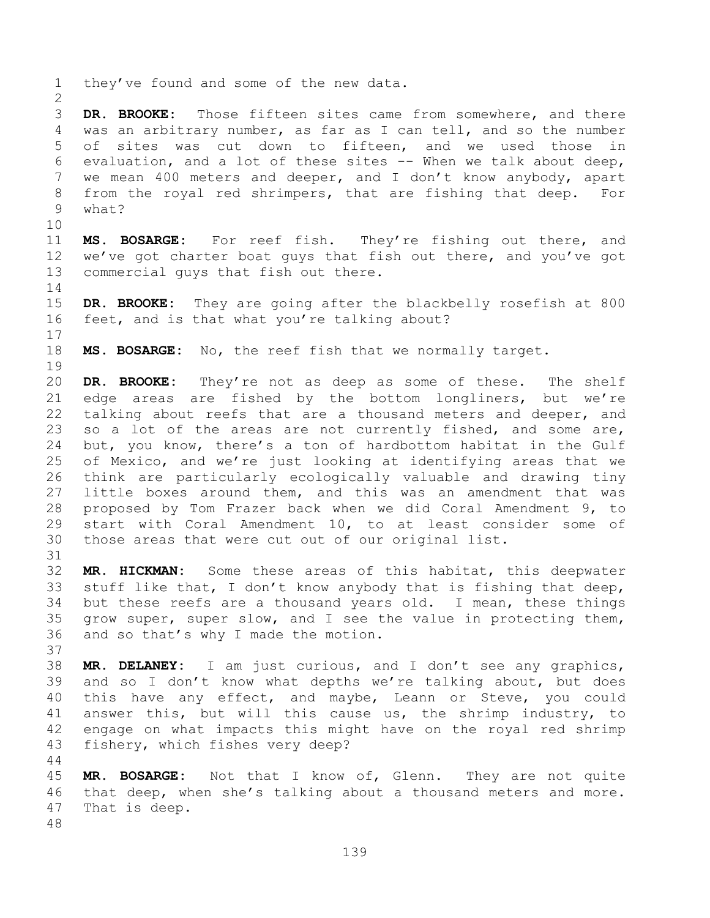they've found and some of the new data. **DR. BROOKE:** Those fifteen sites came from somewhere, and there was an arbitrary number, as far as I can tell, and so the number of sites was cut down to fifteen, and we used those in evaluation, and a lot of these sites -- When we talk about deep, we mean 400 meters and deeper, and I don't know anybody, apart from the royal red shrimpers, that are fishing that deep. For what? **MS. BOSARGE:** For reef fish. They're fishing out there, and we've got charter boat guys that fish out there, and you've got commercial guys that fish out there. **DR. BROOKE:** They are going after the blackbelly rosefish at 800 feet, and is that what you're talking about? **MS. BOSARGE:** No, the reef fish that we normally target. **DR. BROOKE:** They're not as deep as some of these. The shelf edge areas are fished by the bottom longliners, but we're talking about reefs that are a thousand meters and deeper, and so a lot of the areas are not currently fished, and some are, but, you know, there's a ton of hardbottom habitat in the Gulf of Mexico, and we're just looking at identifying areas that we think are particularly ecologically valuable and drawing tiny little boxes around them, and this was an amendment that was proposed by Tom Frazer back when we did Coral Amendment 9, to start with Coral Amendment 10, to at least consider some of those areas that were cut out of our original list. **MR. HICKMAN:** Some these areas of this habitat, this deepwater stuff like that, I don't know anybody that is fishing that deep, but these reefs are a thousand years old. I mean, these things grow super, super slow, and I see the value in protecting them, and so that's why I made the motion. **MR. DELANEY:** I am just curious, and I don't see any graphics, and so I don't know what depths we're talking about, but does this have any effect, and maybe, Leann or Steve, you could answer this, but will this cause us, the shrimp industry, to engage on what impacts this might have on the royal red shrimp fishery, which fishes very deep? **MR. BOSARGE:** Not that I know of, Glenn. They are not quite that deep, when she's talking about a thousand meters and more. That is deep.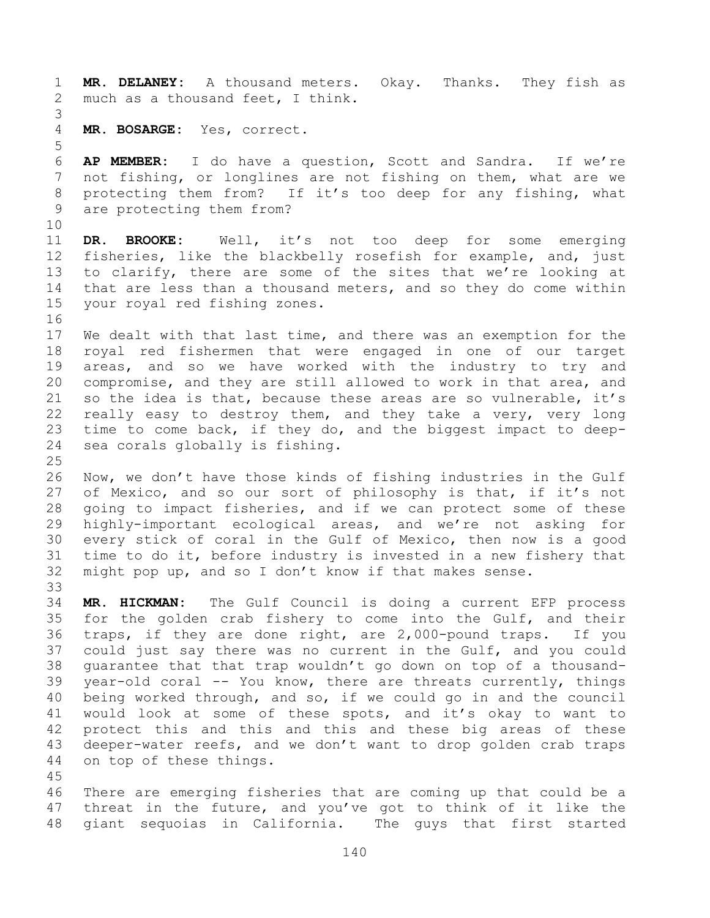**MR. DELANEY:** A thousand meters. Okay. Thanks. They fish as much as a thousand feet, I think. **MR. BOSARGE:** Yes, correct. **AP MEMBER:** I do have a question, Scott and Sandra. If we're not fishing, or longlines are not fishing on them, what are we protecting them from? If it's too deep for any fishing, what are protecting them from? **DR. BROOKE:** Well, it's not too deep for some emerging fisheries, like the blackbelly rosefish for example, and, just to clarify, there are some of the sites that we're looking at that are less than a thousand meters, and so they do come within your royal red fishing zones. We dealt with that last time, and there was an exemption for the royal red fishermen that were engaged in one of our target areas, and so we have worked with the industry to try and compromise, and they are still allowed to work in that area, and so the idea is that, because these areas are so vulnerable, it's really easy to destroy them, and they take a very, very long time to come back, if they do, and the biggest impact to deep- sea corals globally is fishing. Now, we don't have those kinds of fishing industries in the Gulf of Mexico, and so our sort of philosophy is that, if it's not going to impact fisheries, and if we can protect some of these highly-important ecological areas, and we're not asking for every stick of coral in the Gulf of Mexico, then now is a good time to do it, before industry is invested in a new fishery that might pop up, and so I don't know if that makes sense. **MR. HICKMAN:** The Gulf Council is doing a current EFP process for the golden crab fishery to come into the Gulf, and their traps, if they are done right, are 2,000-pound traps. If you could just say there was no current in the Gulf, and you could guarantee that that trap wouldn't go down on top of a thousand- year-old coral -- You know, there are threats currently, things being worked through, and so, if we could go in and the council would look at some of these spots, and it's okay to want to protect this and this and this and these big areas of these deeper-water reefs, and we don't want to drop golden crab traps on top of these things. There are emerging fisheries that are coming up that could be a threat in the future, and you've got to think of it like the giant sequoias in California. The guys that first started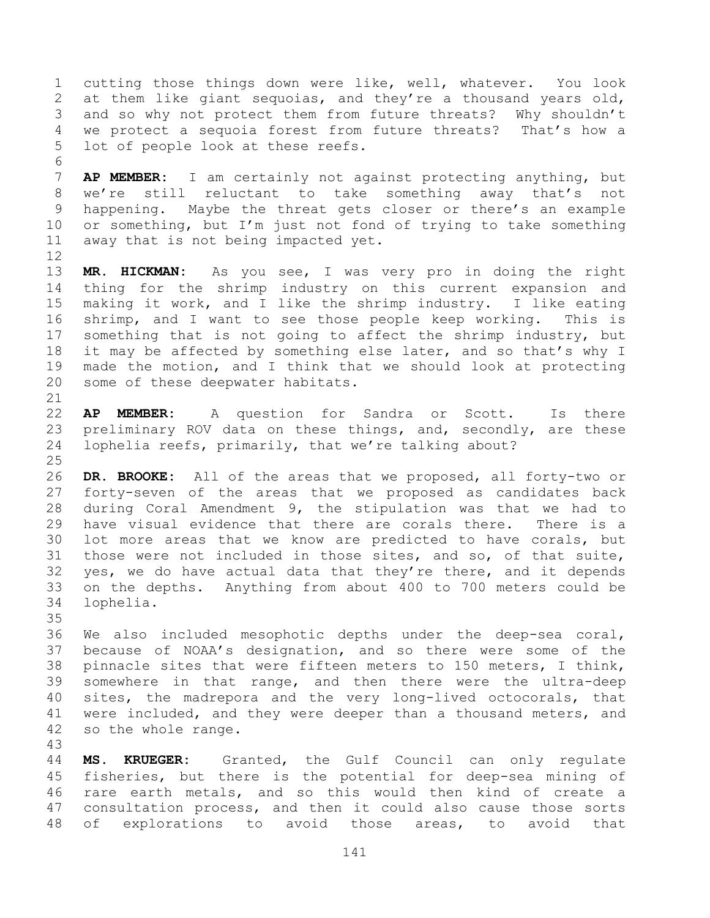cutting those things down were like, well, whatever. You look at them like giant sequoias, and they're a thousand years old, and so why not protect them from future threats? Why shouldn't we protect a sequoia forest from future threats? That's how a lot of people look at these reefs.

 **AP MEMBER:** I am certainly not against protecting anything, but we're still reluctant to take something away that's not happening. Maybe the threat gets closer or there's an example or something, but I'm just not fond of trying to take something away that is not being impacted yet. 

 **MR. HICKMAN:** As you see, I was very pro in doing the right thing for the shrimp industry on this current expansion and making it work, and I like the shrimp industry. I like eating shrimp, and I want to see those people keep working. This is something that is not going to affect the shrimp industry, but 18 it may be affected by something else later, and so that's why I made the motion, and I think that we should look at protecting some of these deepwater habitats.

 **AP MEMBER:** A question for Sandra or Scott. Is there preliminary ROV data on these things, and, secondly, are these lophelia reefs, primarily, that we're talking about?

 **DR. BROOKE:** All of the areas that we proposed, all forty-two or forty-seven of the areas that we proposed as candidates back during Coral Amendment 9, the stipulation was that we had to have visual evidence that there are corals there. There is a lot more areas that we know are predicted to have corals, but those were not included in those sites, and so, of that suite, yes, we do have actual data that they're there, and it depends on the depths. Anything from about 400 to 700 meters could be lophelia.

 We also included mesophotic depths under the deep-sea coral, because of NOAA's designation, and so there were some of the pinnacle sites that were fifteen meters to 150 meters, I think, somewhere in that range, and then there were the ultra-deep sites, the madrepora and the very long-lived octocorals, that were included, and they were deeper than a thousand meters, and so the whole range.

 **MS. KRUEGER:** Granted, the Gulf Council can only regulate fisheries, but there is the potential for deep-sea mining of rare earth metals, and so this would then kind of create a consultation process, and then it could also cause those sorts of explorations to avoid those areas, to avoid that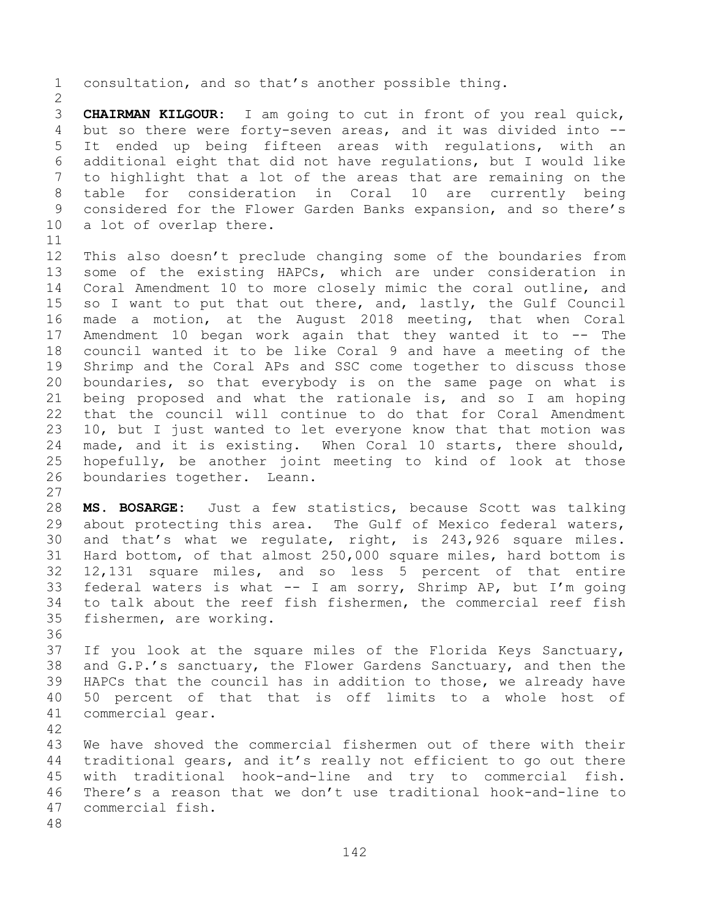**CHAIRMAN KILGOUR:** I am going to cut in front of you real quick, but so there were forty-seven areas, and it was divided into -- It ended up being fifteen areas with regulations, with an additional eight that did not have regulations, but I would like to highlight that a lot of the areas that are remaining on the table for consideration in Coral 10 are currently being considered for the Flower Garden Banks expansion, and so there's a lot of overlap there.

consultation, and so that's another possible thing.

 This also doesn't preclude changing some of the boundaries from some of the existing HAPCs, which are under consideration in Coral Amendment 10 to more closely mimic the coral outline, and so I want to put that out there, and, lastly, the Gulf Council made a motion, at the August 2018 meeting, that when Coral Amendment 10 began work again that they wanted it to -- The council wanted it to be like Coral 9 and have a meeting of the Shrimp and the Coral APs and SSC come together to discuss those boundaries, so that everybody is on the same page on what is being proposed and what the rationale is, and so I am hoping that the council will continue to do that for Coral Amendment 10, but I just wanted to let everyone know that that motion was made, and it is existing. When Coral 10 starts, there should, hopefully, be another joint meeting to kind of look at those boundaries together. Leann.

 **MS. BOSARGE:** Just a few statistics, because Scott was talking about protecting this area. The Gulf of Mexico federal waters, and that's what we regulate, right, is 243,926 square miles. Hard bottom, of that almost 250,000 square miles, hard bottom is 12,131 square miles, and so less 5 percent of that entire federal waters is what -- I am sorry, Shrimp AP, but I'm going to talk about the reef fish fishermen, the commercial reef fish fishermen, are working.

 If you look at the square miles of the Florida Keys Sanctuary, and G.P.'s sanctuary, the Flower Gardens Sanctuary, and then the HAPCs that the council has in addition to those, we already have 50 percent of that that is off limits to a whole host of commercial gear.

 We have shoved the commercial fishermen out of there with their traditional gears, and it's really not efficient to go out there with traditional hook-and-line and try to commercial fish. There's a reason that we don't use traditional hook-and-line to commercial fish.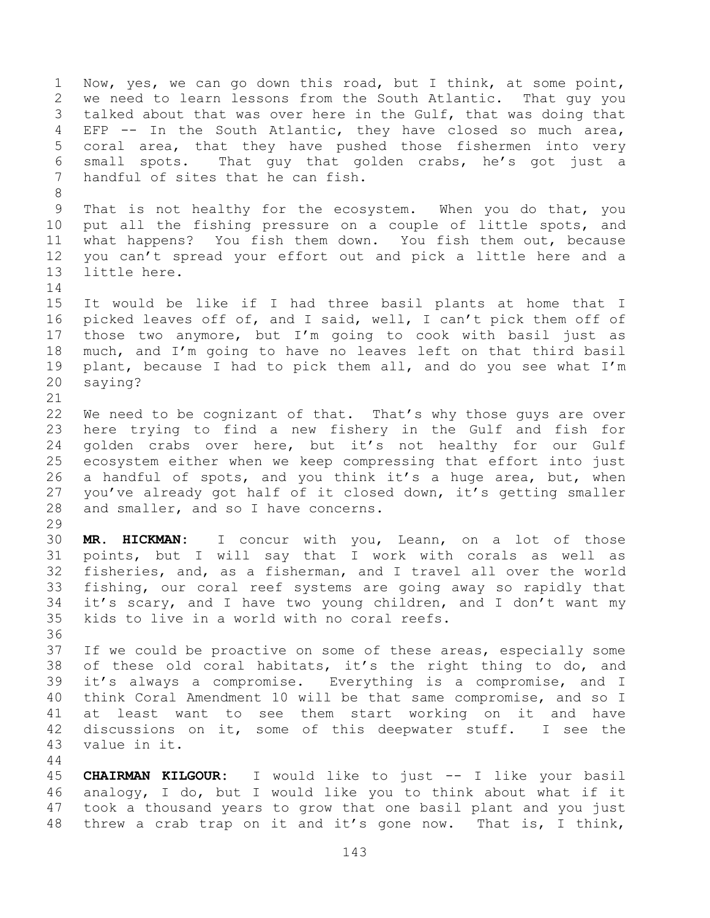Now, yes, we can go down this road, but I think, at some point, we need to learn lessons from the South Atlantic. That guy you talked about that was over here in the Gulf, that was doing that EFP -- In the South Atlantic, they have closed so much area, coral area, that they have pushed those fishermen into very small spots. That guy that golden crabs, he's got just a handful of sites that he can fish. That is not healthy for the ecosystem. When you do that, you put all the fishing pressure on a couple of little spots, and what happens? You fish them down. You fish them out, because you can't spread your effort out and pick a little here and a little here. It would be like if I had three basil plants at home that I picked leaves off of, and I said, well, I can't pick them off of those two anymore, but I'm going to cook with basil just as much, and I'm going to have no leaves left on that third basil plant, because I had to pick them all, and do you see what I'm saying? 22 We need to be cognizant of that. That's why those guys are over here trying to find a new fishery in the Gulf and fish for golden crabs over here, but it's not healthy for our Gulf ecosystem either when we keep compressing that effort into just a handful of spots, and you think it's a huge area, but, when you've already got half of it closed down, it's getting smaller and smaller, and so I have concerns. **MR. HICKMAN:** I concur with you, Leann, on a lot of those points, but I will say that I work with corals as well as fisheries, and, as a fisherman, and I travel all over the world fishing, our coral reef systems are going away so rapidly that it's scary, and I have two young children, and I don't want my kids to live in a world with no coral reefs. 37 If we could be proactive on some of these areas, especially some of these old coral habitats, it's the right thing to do, and it's always a compromise. Everything is a compromise, and I think Coral Amendment 10 will be that same compromise, and so I at least want to see them start working on it and have discussions on it, some of this deepwater stuff. I see the value in it. **CHAIRMAN KILGOUR:** I would like to just -- I like your basil analogy, I do, but I would like you to think about what if it took a thousand years to grow that one basil plant and you just

threw a crab trap on it and it's gone now. That is, I think,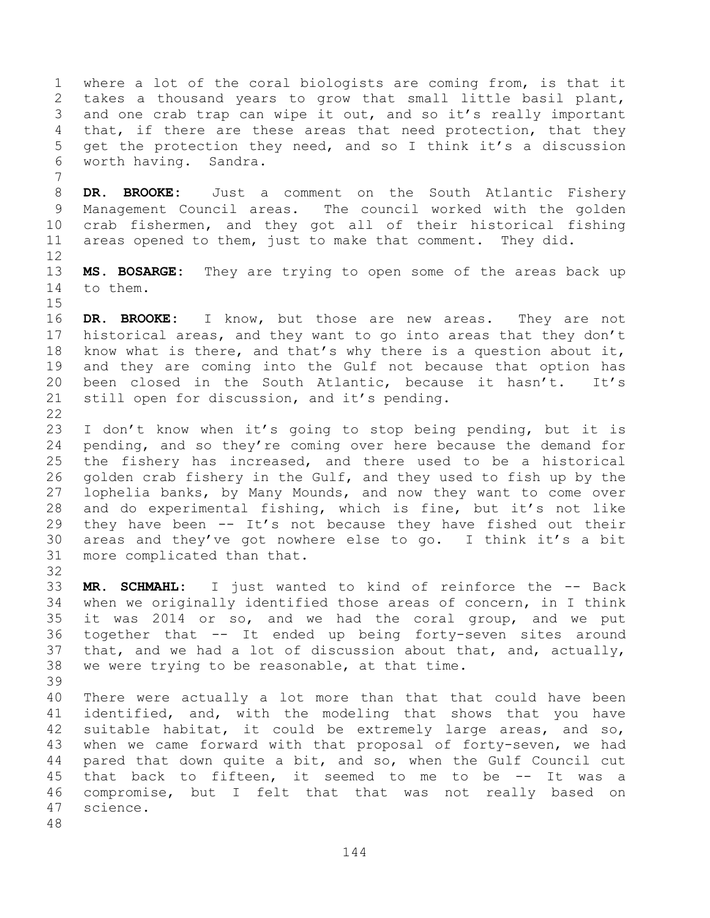where a lot of the coral biologists are coming from, is that it takes a thousand years to grow that small little basil plant, and one crab trap can wipe it out, and so it's really important 4 that, if there are these areas that need protection, that they get the protection they need, and so I think it's a discussion worth having. Sandra.

 **DR. BROOKE:** Just a comment on the South Atlantic Fishery Management Council areas. The council worked with the golden crab fishermen, and they got all of their historical fishing areas opened to them, just to make that comment. They did.

 **MS. BOSARGE:** They are trying to open some of the areas back up to them.

 **DR. BROOKE:** I know, but those are new areas. They are not historical areas, and they want to go into areas that they don't know what is there, and that's why there is a question about it, and they are coming into the Gulf not because that option has been closed in the South Atlantic, because it hasn't. It's still open for discussion, and it's pending.

 I don't know when it's going to stop being pending, but it is pending, and so they're coming over here because the demand for the fishery has increased, and there used to be a historical golden crab fishery in the Gulf, and they used to fish up by the lophelia banks, by Many Mounds, and now they want to come over and do experimental fishing, which is fine, but it's not like they have been -- It's not because they have fished out their areas and they've got nowhere else to go. I think it's a bit more complicated than that.

 **MR. SCHMAHL:** I just wanted to kind of reinforce the -- Back when we originally identified those areas of concern, in I think it was 2014 or so, and we had the coral group, and we put together that -- It ended up being forty-seven sites around that, and we had a lot of discussion about that, and, actually, we were trying to be reasonable, at that time. 

 There were actually a lot more than that that could have been identified, and, with the modeling that shows that you have suitable habitat, it could be extremely large areas, and so, when we came forward with that proposal of forty-seven, we had pared that down quite a bit, and so, when the Gulf Council cut that back to fifteen, it seemed to me to be -- It was a compromise, but I felt that that was not really based on science.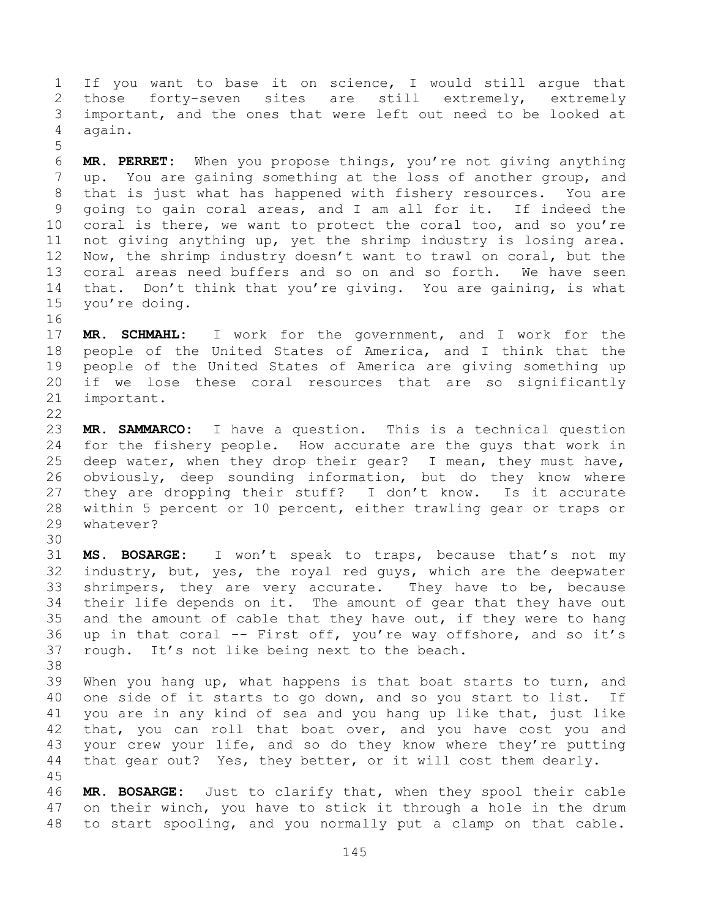If you want to base it on science, I would still argue that those forty-seven sites are still extremely, extremely important, and the ones that were left out need to be looked at again.

 **MR. PERRET:** When you propose things, you're not giving anything up. You are gaining something at the loss of another group, and that is just what has happened with fishery resources. You are going to gain coral areas, and I am all for it. If indeed the coral is there, we want to protect the coral too, and so you're not giving anything up, yet the shrimp industry is losing area. Now, the shrimp industry doesn't want to trawl on coral, but the coral areas need buffers and so on and so forth. We have seen 14 that. Don't think that you're giving. You are gaining, is what you're doing.

 **MR. SCHMAHL:** I work for the government, and I work for the people of the United States of America, and I think that the people of the United States of America are giving something up if we lose these coral resources that are so significantly important.

 **MR. SAMMARCO:** I have a question. This is a technical question for the fishery people. How accurate are the guys that work in deep water, when they drop their gear? I mean, they must have, obviously, deep sounding information, but do they know where they are dropping their stuff? I don't know. Is it accurate within 5 percent or 10 percent, either trawling gear or traps or whatever?

 **MS. BOSARGE:** I won't speak to traps, because that's not my industry, but, yes, the royal red guys, which are the deepwater shrimpers, they are very accurate. They have to be, because their life depends on it. The amount of gear that they have out 35 and the amount of cable that they have out, if they were to hang up in that coral -- First off, you're way offshore, and so it's rough. It's not like being next to the beach.

 When you hang up, what happens is that boat starts to turn, and one side of it starts to go down, and so you start to list. If you are in any kind of sea and you hang up like that, just like that, you can roll that boat over, and you have cost you and your crew your life, and so do they know where they're putting that gear out? Yes, they better, or it will cost them dearly. 

 **MR. BOSARGE:** Just to clarify that, when they spool their cable on their winch, you have to stick it through a hole in the drum to start spooling, and you normally put a clamp on that cable.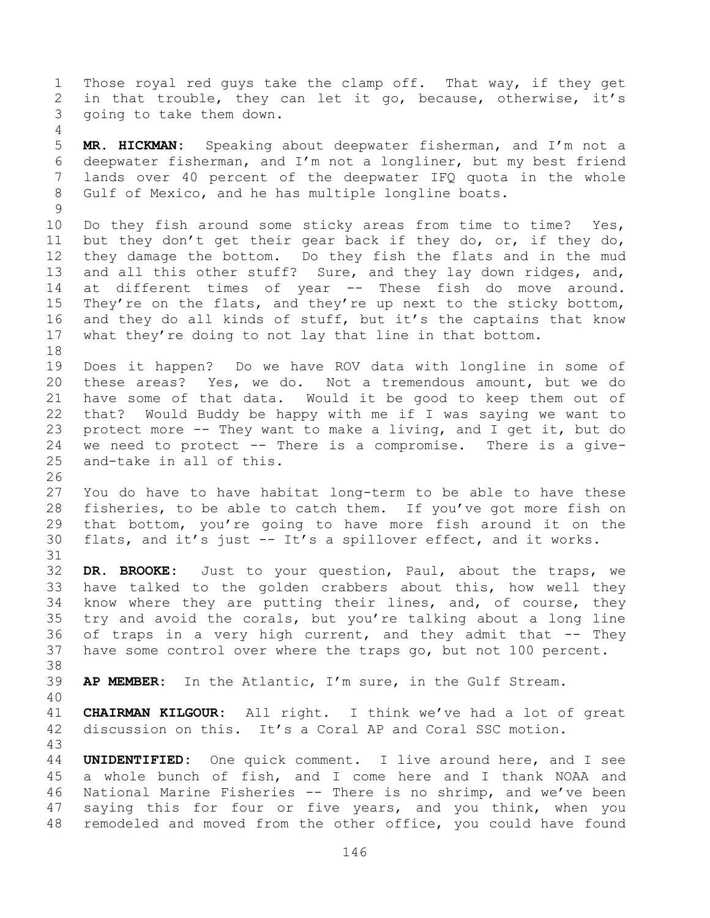Those royal red guys take the clamp off. That way, if they get in that trouble, they can let it go, because, otherwise, it's going to take them down.

 **MR. HICKMAN:** Speaking about deepwater fisherman, and I'm not a deepwater fisherman, and I'm not a longliner, but my best friend lands over 40 percent of the deepwater IFQ quota in the whole Gulf of Mexico, and he has multiple longline boats.

 Do they fish around some sticky areas from time to time? Yes, but they don't get their gear back if they do, or, if they do, they damage the bottom. Do they fish the flats and in the mud and all this other stuff? Sure, and they lay down ridges, and, at different times of year -- These fish do move around. They're on the flats, and they're up next to the sticky bottom, and they do all kinds of stuff, but it's the captains that know what they're doing to not lay that line in that bottom. 

 Does it happen? Do we have ROV data with longline in some of these areas? Yes, we do. Not a tremendous amount, but we do have some of that data. Would it be good to keep them out of that? Would Buddy be happy with me if I was saying we want to protect more -- They want to make a living, and I get it, but do we need to protect -- There is a compromise. There is a give-and-take in all of this.

 You do have to have habitat long-term to be able to have these fisheries, to be able to catch them. If you've got more fish on that bottom, you're going to have more fish around it on the flats, and it's just -- It's a spillover effect, and it works.

 **DR. BROOKE:** Just to your question, Paul, about the traps, we have talked to the golden crabbers about this, how well they know where they are putting their lines, and, of course, they try and avoid the corals, but you're talking about a long line 36 of traps in a very high current, and they admit that -- They have some control over where the traps go, but not 100 percent. 

**AP MEMBER:** In the Atlantic, I'm sure, in the Gulf Stream.

 **CHAIRMAN KILGOUR:** All right. I think we've had a lot of great discussion on this. It's a Coral AP and Coral SSC motion.

 **UNIDENTIFIED:** One quick comment. I live around here, and I see a whole bunch of fish, and I come here and I thank NOAA and National Marine Fisheries -- There is no shrimp, and we've been saying this for four or five years, and you think, when you remodeled and moved from the other office, you could have found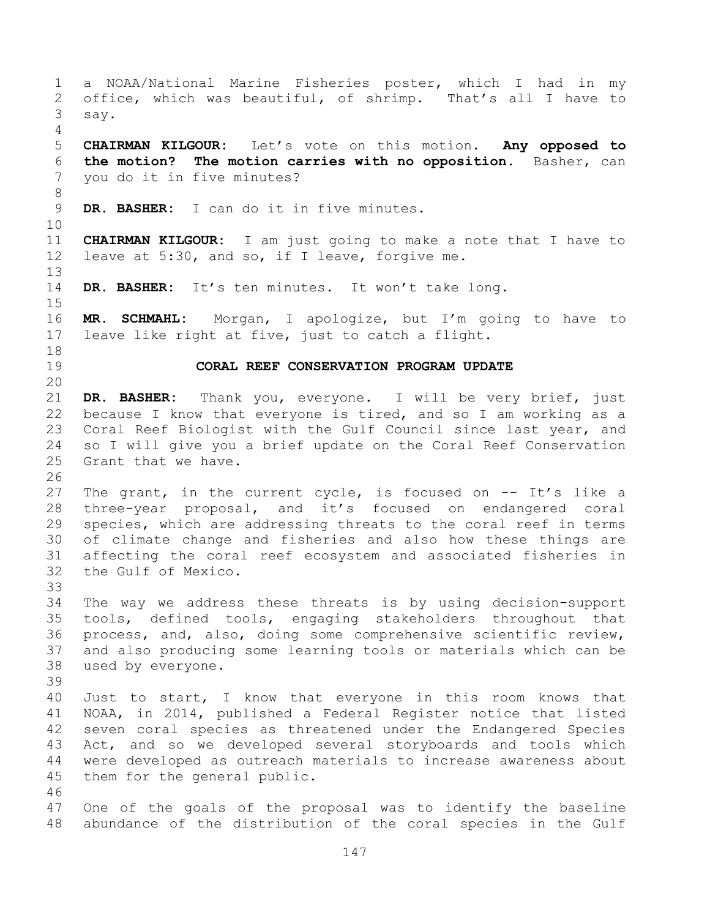a NOAA/National Marine Fisheries poster, which I had in my office, which was beautiful, of shrimp. That's all I have to say. **CHAIRMAN KILGOUR:** Let's vote on this motion. **Any opposed to the motion? The motion carries with no opposition.** Basher, can you do it in five minutes? **DR. BASHER:** I can do it in five minutes. **CHAIRMAN KILGOUR:** I am just going to make a note that I have to leave at 5:30, and so, if I leave, forgive me. **DR. BASHER:** It's ten minutes. It won't take long. **MR. SCHMAHL:** Morgan, I apologize, but I'm going to have to leave like right at five, just to catch a flight. **CORAL REEF CONSERVATION PROGRAM UPDATE DR. BASHER:** Thank you, everyone. I will be very brief, just because I know that everyone is tired, and so I am working as a Coral Reef Biologist with the Gulf Council since last year, and so I will give you a brief update on the Coral Reef Conservation Grant that we have. The grant, in the current cycle, is focused on -- It's like a three-year proposal, and it's focused on endangered coral species, which are addressing threats to the coral reef in terms of climate change and fisheries and also how these things are affecting the coral reef ecosystem and associated fisheries in the Gulf of Mexico. The way we address these threats is by using decision-support tools, defined tools, engaging stakeholders throughout that process, and, also, doing some comprehensive scientific review, and also producing some learning tools or materials which can be used by everyone. Just to start, I know that everyone in this room knows that NOAA, in 2014, published a Federal Register notice that listed seven coral species as threatened under the Endangered Species Act, and so we developed several storyboards and tools which were developed as outreach materials to increase awareness about them for the general public. One of the goals of the proposal was to identify the baseline abundance of the distribution of the coral species in the Gulf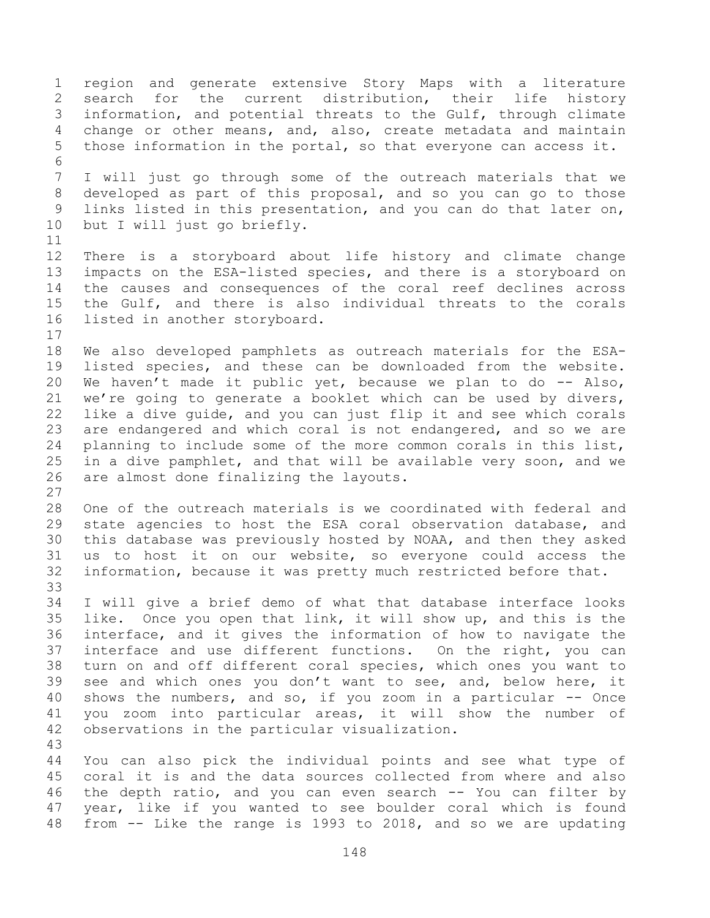region and generate extensive Story Maps with a literature search for the current distribution, their life history information, and potential threats to the Gulf, through climate change or other means, and, also, create metadata and maintain those information in the portal, so that everyone can access it. I will just go through some of the outreach materials that we developed as part of this proposal, and so you can go to those links listed in this presentation, and you can do that later on, but I will just go briefly. There is a storyboard about life history and climate change impacts on the ESA-listed species, and there is a storyboard on the causes and consequences of the coral reef declines across the Gulf, and there is also individual threats to the corals listed in another storyboard. We also developed pamphlets as outreach materials for the ESA- listed species, and these can be downloaded from the website. We haven't made it public yet, because we plan to do -- Also, we're going to generate a booklet which can be used by divers, like a dive guide, and you can just flip it and see which corals are endangered and which coral is not endangered, and so we are planning to include some of the more common corals in this list, in a dive pamphlet, and that will be available very soon, and we are almost done finalizing the layouts. One of the outreach materials is we coordinated with federal and state agencies to host the ESA coral observation database, and this database was previously hosted by NOAA, and then they asked us to host it on our website, so everyone could access the information, because it was pretty much restricted before that. I will give a brief demo of what that database interface looks like. Once you open that link, it will show up, and this is the interface, and it gives the information of how to navigate the interface and use different functions. On the right, you can turn on and off different coral species, which ones you want to see and which ones you don't want to see, and, below here, it 40 shows the numbers, and so, if you zoom in a particular -- Once you zoom into particular areas, it will show the number of observations in the particular visualization. You can also pick the individual points and see what type of coral it is and the data sources collected from where and also the depth ratio, and you can even search -- You can filter by year, like if you wanted to see boulder coral which is found from -- Like the range is 1993 to 2018, and so we are updating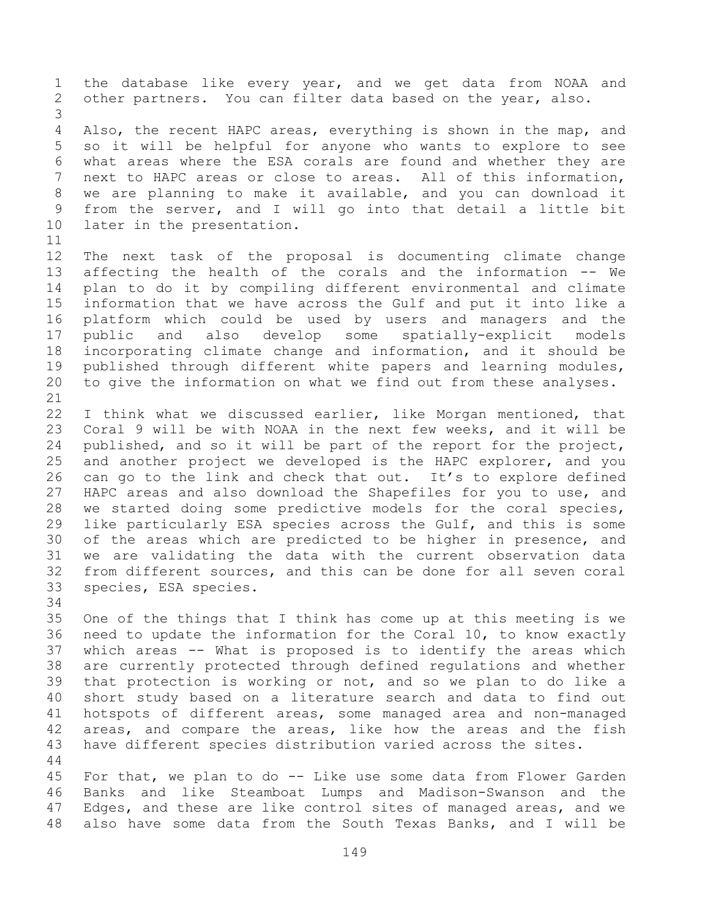the database like every year, and we get data from NOAA and other partners. You can filter data based on the year, also. Also, the recent HAPC areas, everything is shown in the map, and so it will be helpful for anyone who wants to explore to see what areas where the ESA corals are found and whether they are next to HAPC areas or close to areas. All of this information, we are planning to make it available, and you can download it from the server, and I will go into that detail a little bit later in the presentation. The next task of the proposal is documenting climate change affecting the health of the corals and the information -- We plan to do it by compiling different environmental and climate information that we have across the Gulf and put it into like a platform which could be used by users and managers and the public and also develop some spatially-explicit models incorporating climate change and information, and it should be published through different white papers and learning modules, to give the information on what we find out from these analyses. I think what we discussed earlier, like Morgan mentioned, that Coral 9 will be with NOAA in the next few weeks, and it will be published, and so it will be part of the report for the project, and another project we developed is the HAPC explorer, and you can go to the link and check that out. It's to explore defined HAPC areas and also download the Shapefiles for you to use, and we started doing some predictive models for the coral species, like particularly ESA species across the Gulf, and this is some of the areas which are predicted to be higher in presence, and we are validating the data with the current observation data from different sources, and this can be done for all seven coral species, ESA species.

 One of the things that I think has come up at this meeting is we need to update the information for the Coral 10, to know exactly which areas -- What is proposed is to identify the areas which are currently protected through defined regulations and whether that protection is working or not, and so we plan to do like a short study based on a literature search and data to find out hotspots of different areas, some managed area and non-managed areas, and compare the areas, like how the areas and the fish have different species distribution varied across the sites. 

 For that, we plan to do -- Like use some data from Flower Garden Banks and like Steamboat Lumps and Madison-Swanson and the Edges, and these are like control sites of managed areas, and we also have some data from the South Texas Banks, and I will be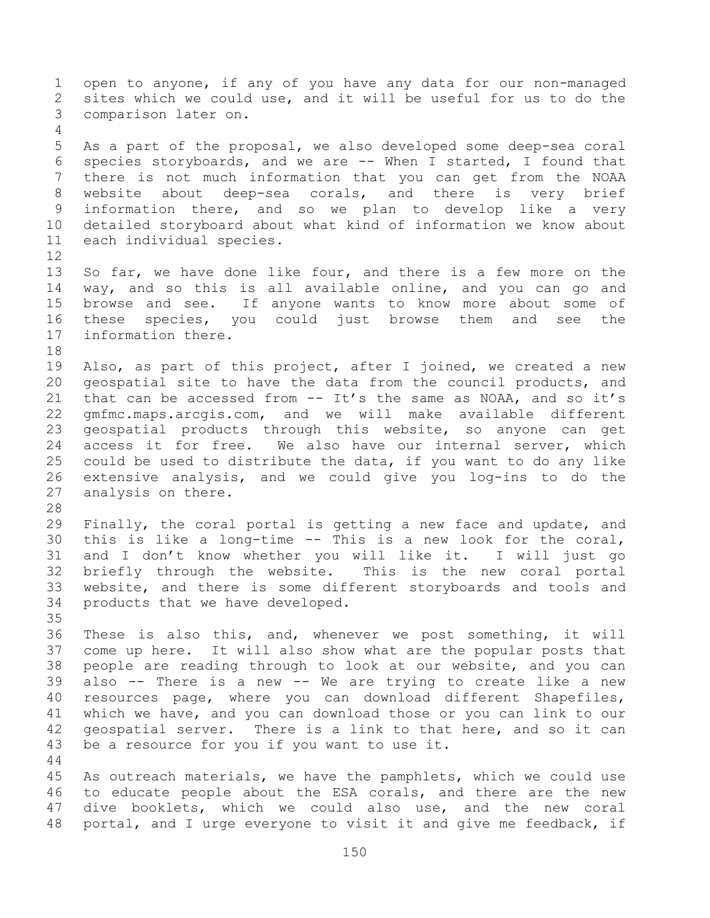open to anyone, if any of you have any data for our non-managed sites which we could use, and it will be useful for us to do the comparison later on. As a part of the proposal, we also developed some deep-sea coral species storyboards, and we are -- When I started, I found that there is not much information that you can get from the NOAA website about deep-sea corals, and there is very brief information there, and so we plan to develop like a very detailed storyboard about what kind of information we know about each individual species. So far, we have done like four, and there is a few more on the way, and so this is all available online, and you can go and browse and see. If anyone wants to know more about some of these species, you could just browse them and see the information there. Also, as part of this project, after I joined, we created a new geospatial site to have the data from the council products, and that can be accessed from -- It's the same as NOAA, and so it's gmfmc.maps.arcgis.com, and we will make available different geospatial products through this website, so anyone can get access it for free. We also have our internal server, which could be used to distribute the data, if you want to do any like extensive analysis, and we could give you log-ins to do the analysis on there. Finally, the coral portal is getting a new face and update, and this is like a long-time -- This is a new look for the coral, and I don't know whether you will like it. I will just go briefly through the website. This is the new coral portal website, and there is some different storyboards and tools and products that we have developed. These is also this, and, whenever we post something, it will come up here. It will also show what are the popular posts that people are reading through to look at our website, and you can also -- There is a new -- We are trying to create like a new resources page, where you can download different Shapefiles, which we have, and you can download those or you can link to our geospatial server. There is a link to that here, and so it can be a resource for you if you want to use it. As outreach materials, we have the pamphlets, which we could use to educate people about the ESA corals, and there are the new dive booklets, which we could also use, and the new coral

portal, and I urge everyone to visit it and give me feedback, if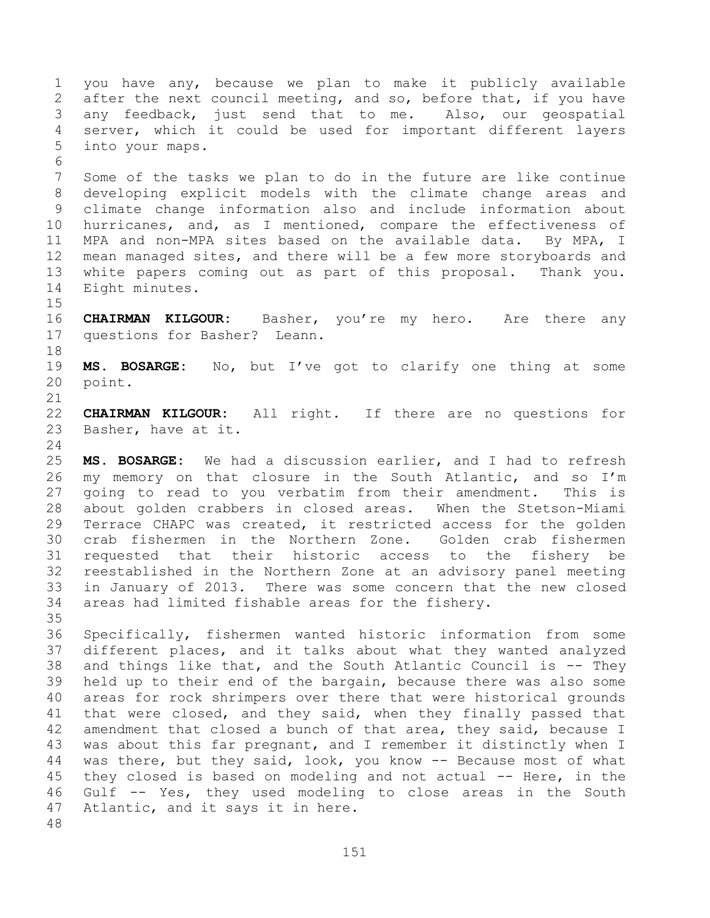you have any, because we plan to make it publicly available after the next council meeting, and so, before that, if you have any feedback, just send that to me. Also, our geospatial server, which it could be used for important different layers into your maps. Some of the tasks we plan to do in the future are like continue developing explicit models with the climate change areas and climate change information also and include information about hurricanes, and, as I mentioned, compare the effectiveness of MPA and non-MPA sites based on the available data. By MPA, I mean managed sites, and there will be a few more storyboards and white papers coming out as part of this proposal. Thank you. Eight minutes. **CHAIRMAN KILGOUR:** Basher, you're my hero. Are there any

 questions for Basher? Leann. 

 **MS. BOSARGE:** No, but I've got to clarify one thing at some point.

 **CHAIRMAN KILGOUR:** All right. If there are no questions for Basher, have at it.

 **MS. BOSARGE:** We had a discussion earlier, and I had to refresh my memory on that closure in the South Atlantic, and so I'm going to read to you verbatim from their amendment. This is about golden crabbers in closed areas. When the Stetson-Miami Terrace CHAPC was created, it restricted access for the golden crab fishermen in the Northern Zone. Golden crab fishermen requested that their historic access to the fishery be reestablished in the Northern Zone at an advisory panel meeting in January of 2013. There was some concern that the new closed areas had limited fishable areas for the fishery. 

 Specifically, fishermen wanted historic information from some different places, and it talks about what they wanted analyzed and things like that, and the South Atlantic Council is -- They held up to their end of the bargain, because there was also some areas for rock shrimpers over there that were historical grounds that were closed, and they said, when they finally passed that amendment that closed a bunch of that area, they said, because I was about this far pregnant, and I remember it distinctly when I 44 was there, but they said, look, you know -- Because most of what they closed is based on modeling and not actual -- Here, in the Gulf -- Yes, they used modeling to close areas in the South Atlantic, and it says it in here.